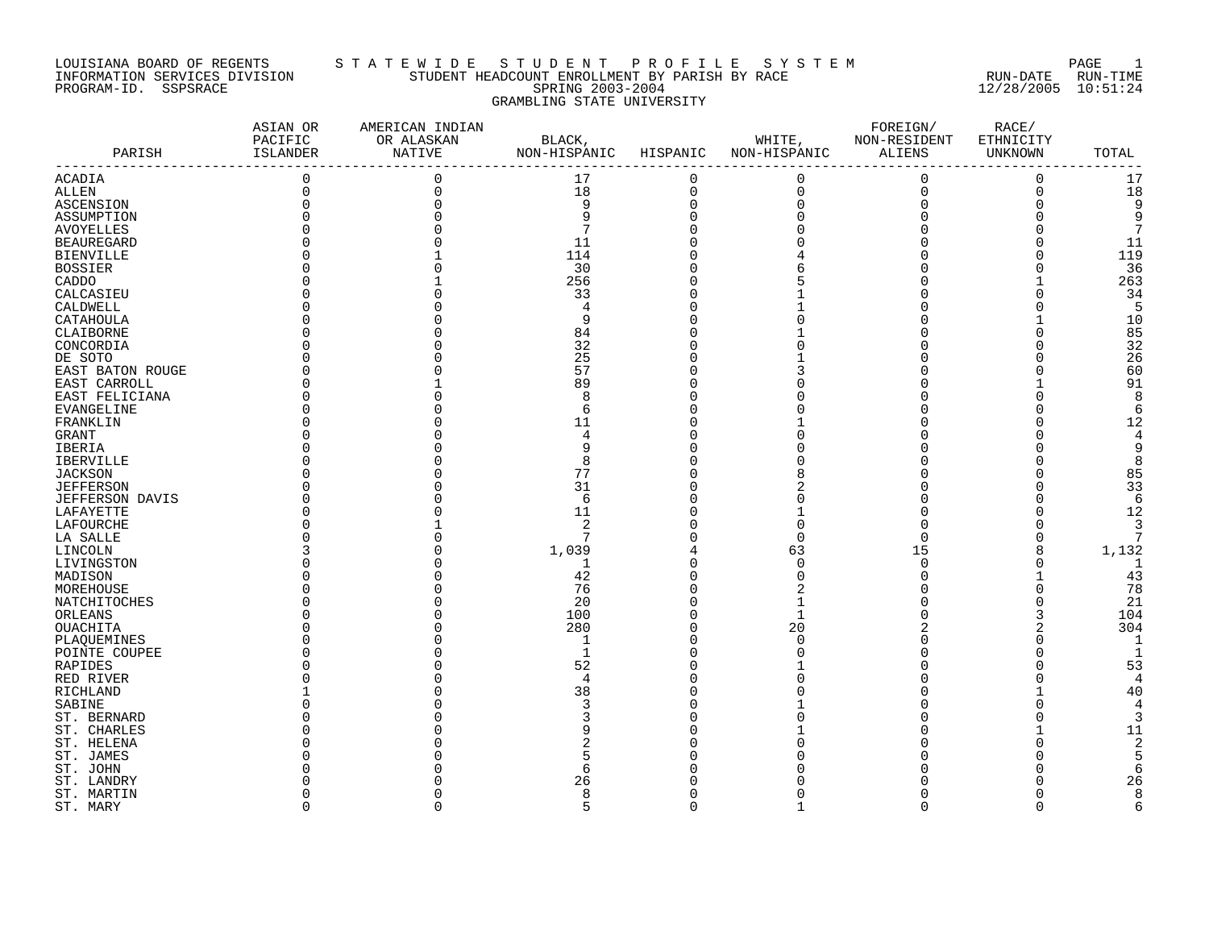### LOUISIANA BOARD OF REGENTS S T A T E W I D E S T U D E N T P R O F I L E S Y S T E M PAGE 1 INFORMATION SERVICES DIVISION STUDENT HEADCOUNT ENROLLMENT BY PARISH BY RACE RUN-DATE RUN-TIME PROGRAM-ID. SSPSRACE SERING 2003-2004 12/28/2005 10:51:24 GRAMBLING STATE UNIVERSITY

|                   | ASIAN OR<br>PACIFIC | AMERICAN INDIAN<br>OR ALASKAN | BLACK,                |             |                                               | FOREIGN/<br>WHITE, NON-RESIDENT | RACE/<br>ETHNICITY |               |
|-------------------|---------------------|-------------------------------|-----------------------|-------------|-----------------------------------------------|---------------------------------|--------------------|---------------|
| PARISH            | ISLANDER            | <b>NATIVE</b>                 | NON-HISPANIC HISPANIC |             | NON-HISPANIC ALIENS                           |                                 | UNKNOWN            | TOTAL         |
|                   |                     |                               |                       |             |                                               |                                 |                    |               |
| <b>ACADIA</b>     | $\mathsf{O}\xspace$ | $\mathbf 0$                   | 17                    | $\mathbf 0$ | $\mathsf 0$                                   | $\mathbf 0$                     | $\mathbf 0$        | 17            |
| <b>ALLEN</b>      | $\mathbf 0$         | $\Omega$                      | 18                    | $\mathbf 0$ | $\begin{smallmatrix}0\\0\\0\end{smallmatrix}$ | $\mathsf 0$                     | $\mathbf 0$        | 18            |
| ASCENSION         |                     |                               | 9                     | $\Omega$    |                                               | $\mathbf 0$                     | 0                  | 9             |
| ASSUMPTION        |                     |                               | 9                     |             | $\Omega$                                      |                                 |                    | 9             |
| AVOYELLES         |                     |                               | 7                     |             |                                               |                                 |                    | 7             |
| <b>BEAUREGARD</b> |                     |                               | 11                    |             |                                               |                                 | 0                  | 11            |
| <b>BIENVILLE</b>  |                     |                               | 114                   |             |                                               |                                 | U                  | 119           |
| <b>BOSSIER</b>    |                     |                               | 30                    |             | 6                                             |                                 | $\Omega$           | 36            |
| CADDO             |                     |                               | 256                   |             |                                               |                                 |                    | 263           |
| CALCASIEU         |                     |                               | 33                    |             |                                               |                                 | $\Omega$           | 34            |
| CALDWELL          |                     |                               | 4                     |             |                                               |                                 | $\Omega$           | 5             |
| CATAHOULA         |                     |                               | 9                     |             |                                               |                                 |                    | 10            |
| CLAIBORNE         |                     |                               | 84                    |             |                                               |                                 | $\Omega$           | 85            |
| CONCORDIA         |                     |                               | 32                    |             |                                               |                                 | O                  | 32            |
| DE SOTO           |                     |                               | 25                    |             |                                               |                                 |                    | 26            |
| EAST BATON ROUGE  |                     |                               | 57                    |             |                                               |                                 | $\Omega$           | 60            |
| EAST CARROLL      |                     |                               | 89                    |             |                                               |                                 |                    | 91            |
| EAST FELICIANA    |                     |                               | 8                     |             |                                               |                                 | U                  | 8             |
| EVANGELINE        |                     |                               | 6                     |             |                                               |                                 | U                  | 6             |
| FRANKLIN          |                     |                               | 11                    |             |                                               |                                 |                    | 12            |
| GRANT             |                     |                               | 4                     |             |                                               |                                 |                    | 4             |
| IBERIA            |                     |                               |                       |             |                                               |                                 |                    | 9             |
| <b>IBERVILLE</b>  |                     |                               |                       |             |                                               |                                 |                    | 8             |
| <b>JACKSON</b>    |                     |                               | 77                    |             |                                               |                                 |                    | 85            |
| <b>JEFFERSON</b>  |                     |                               | 31                    |             |                                               |                                 |                    | 33            |
| JEFFERSON DAVIS   |                     |                               | 6                     |             |                                               |                                 | $\Omega$           | 6             |
| LAFAYETTE         |                     |                               | 11                    |             |                                               |                                 |                    | 12            |
| LAFOURCHE         |                     |                               | 2                     |             | U                                             |                                 |                    | 3             |
| LA SALLE          |                     |                               | 7                     |             | $\Omega$                                      | $\Omega$                        | $\Omega$           | 7             |
| LINCOLN           |                     |                               | 1,039                 |             | 63                                            | 15                              | 8                  | 1,132         |
| LIVINGSTON        |                     |                               | 1                     |             | $\Omega$                                      | $\mathbf 0$                     | $\Omega$           | 1             |
| MADISON           |                     |                               | 42                    |             | $\Omega$                                      | $\Omega$                        |                    | 43            |
| MOREHOUSE         |                     |                               | 76                    |             |                                               |                                 | $\Omega$           | 78            |
| NATCHITOCHES      |                     |                               | 20                    |             |                                               |                                 | $\Omega$           | 21            |
| ORLEANS           |                     |                               | 100                   |             | $\mathbf{1}$                                  |                                 |                    | 104           |
| <b>OUACHITA</b>   |                     |                               | 280                   |             | 20                                            |                                 |                    | 304           |
| PLAQUEMINES       |                     |                               | 1                     |             | $\Omega$                                      |                                 | $\Omega$           | -1            |
| POINTE COUPEE     |                     |                               | 1                     |             | C                                             |                                 | $\Omega$           | $\mathbf{1}$  |
| RAPIDES           |                     |                               | 52                    |             |                                               |                                 | $\Omega$           | 53            |
| RED RIVER         |                     |                               | 4                     |             |                                               |                                 |                    | $\Delta$      |
| RICHLAND          |                     |                               | 38                    |             |                                               |                                 |                    | 40            |
| SABINE            |                     |                               | ζ                     |             |                                               |                                 | $\Omega$           | $\Delta$      |
| ST. BERNARD       |                     |                               |                       |             |                                               |                                 | O                  | 3             |
| ST. CHARLES       |                     |                               |                       |             |                                               |                                 |                    | 11            |
| ST. HELENA        |                     |                               |                       |             |                                               |                                 |                    | $\mathcal{D}$ |
| ST. JAMES         |                     |                               | 5                     |             |                                               |                                 |                    | 5             |
|                   |                     |                               | 6                     |             |                                               |                                 |                    |               |
| ST. JOHN          |                     |                               | 26                    |             |                                               |                                 |                    | 26            |
| ST. LANDRY        |                     |                               | 8                     |             |                                               |                                 | O                  | 8             |
| ST. MARTIN        | $\Omega$            |                               | 5                     | $\Omega$    | $\mathbf{1}$                                  | $\Omega$                        | $\Omega$           | 6             |
| ST. MARY          |                     |                               |                       |             |                                               |                                 |                    |               |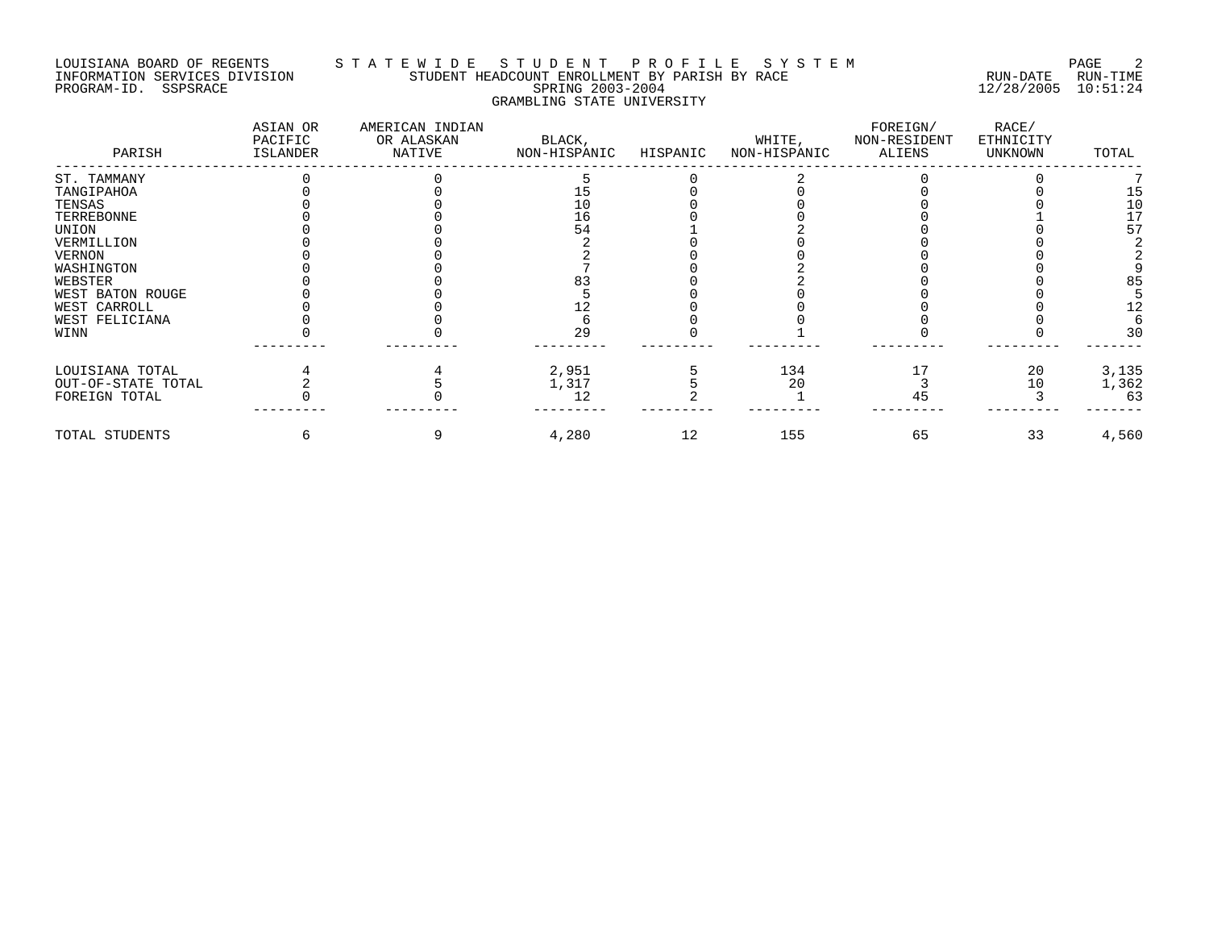## LOUISIANA BOARD OF REGENTS S T A T E W I D E S T U D E N T P R O F I L E S Y S T E M PAGE 2 INFORMATION SERVICES DIVISION STUDENT HEADCOUNT ENROLLMENT BY PARISH BY RACE RUN-DATE RUN-TIME PROGRAM-ID. SSPSRACE SPRING 2003-2004 12/28/2005 10:51:24 GRAMBLING STATE UNIVERSITY

| PARISH             | ASIAN OR<br>PACIFIC<br>ISLANDER | AMERICAN INDIAN<br>OR ALASKAN<br>NATIVE | BLACK,<br>NON-HISPANIC | HISPANIC | WHITE,<br>NON-HISPANIC | FOREIGN/<br>NON-RESIDENT<br>ALIENS | RACE/<br>ETHNICITY<br>UNKNOWN | TOTAL |
|--------------------|---------------------------------|-----------------------------------------|------------------------|----------|------------------------|------------------------------------|-------------------------------|-------|
| ST. TAMMANY        |                                 |                                         |                        |          |                        |                                    |                               |       |
| TANGIPAHOA         |                                 |                                         |                        |          |                        |                                    |                               |       |
| TENSAS             |                                 |                                         | 10                     |          |                        |                                    |                               | 10    |
| TERREBONNE         |                                 |                                         | 16                     |          |                        |                                    |                               | 17    |
| UNION              |                                 |                                         | 54                     |          |                        |                                    |                               | 57    |
| VERMILLION         |                                 |                                         |                        |          |                        |                                    |                               |       |
| <b>VERNON</b>      |                                 |                                         |                        |          |                        |                                    |                               |       |
| WASHINGTON         |                                 |                                         |                        |          |                        |                                    |                               |       |
| WEBSTER            |                                 |                                         |                        |          |                        |                                    |                               | 85    |
| WEST BATON ROUGE   |                                 |                                         |                        |          |                        |                                    |                               |       |
| WEST CARROLL       |                                 |                                         |                        |          |                        |                                    |                               | 12    |
| WEST FELICIANA     |                                 |                                         |                        |          |                        |                                    |                               |       |
| WINN               |                                 |                                         | 29                     |          |                        |                                    |                               | 30    |
| LOUISIANA TOTAL    |                                 |                                         | 2,951                  |          | 134                    |                                    | 20                            | 3,135 |
| OUT-OF-STATE TOTAL |                                 |                                         | 1,317                  |          | 20                     |                                    | 10                            | 1,362 |
| FOREIGN TOTAL      |                                 |                                         | 12                     |          |                        | 45                                 |                               | 63    |
| TOTAL STUDENTS     |                                 |                                         | 4,280                  | 12       | 155                    | 65                                 | 33                            | 4,560 |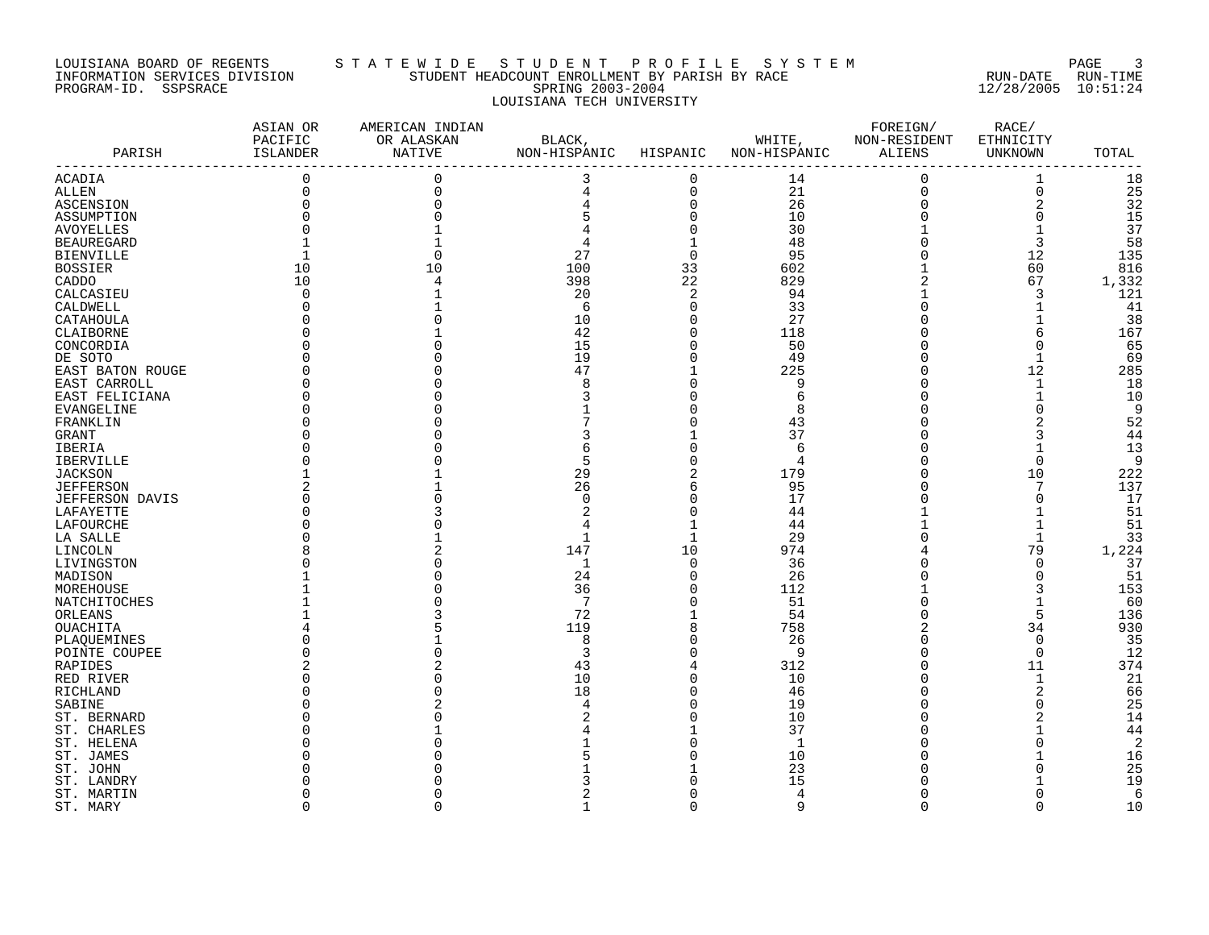#### LOUISIANA BOARD OF REGENTS S T A T E W I D E S T U D E N T P R O F I L E S Y S T E M PAGE 3 INFORMATION SERVICES DIVISION STUDENT HEADCOUNT ENROLLMENT BY PARISH BY RACE RUN-DATE RUN-TIME PROGRAM-ID. SSPSRACE SPRING 2003-2004 12/28/2005 10:51:24 LOUISIANA TECH UNIVERSITY

|                        | ASIAN OR<br>PACIFIC | AMERICAN INDIAN<br>OR ALASKAN | BLACK,       |                | WHITE,         | FOREIGN/<br>NON-RESIDENT | RACE/<br>ETHNICITY |                |
|------------------------|---------------------|-------------------------------|--------------|----------------|----------------|--------------------------|--------------------|----------------|
| PARISH                 | ISLANDER            | NATIVE                        | NON-HISPANIC | HISPANIC       | NON-HISPANIC   | ALIENS                   | UNKNOWN            | TOTAL          |
| ACADIA                 | $\mathbf 0$         | $\Omega$                      | 3            | $\mathbf 0$    | 14             | $\mathbf 0$              | 1                  | 18             |
| <b>ALLEN</b>           | 0                   | $\Omega$                      | 4            | $\mathbf 0$    | 21             | $\mathsf 0$              | $\mathbf 0$        | 25             |
| ASCENSION              |                     |                               | 4            | $\mathbf 0$    | 26             | $\mathbf 0$              | 2                  | 32             |
| ASSUMPTION             |                     |                               |              | $\Omega$       | 10             | $\Omega$                 | $\Omega$           | 15             |
| <b>AVOYELLES</b>       |                     |                               |              |                | 30             |                          | $\mathbf{1}$       | 37             |
| <b>BEAUREGARD</b>      |                     |                               |              |                | 48             | 0                        | 3                  | 58             |
| <b>BIENVILLE</b>       |                     |                               | 27           | $\Omega$       | 95             | $\Omega$                 | 12                 | 135            |
| <b>BOSSIER</b>         | 10                  | 10                            | 100          | 33             | 602            |                          | 60                 | 816            |
|                        | 10                  |                               | 398          | 22             | 829            | 2                        | 67                 | 1,332          |
| CADDO                  |                     |                               |              |                |                |                          |                    |                |
| CALCASIEU              | $\Omega$            |                               | 20           | 2              | 94             |                          | 3                  | 121            |
| CALDWELL               |                     |                               | 6            | $\Omega$       | 33             | $\Omega$                 | $\mathbf{1}$       | 41             |
| CATAHOULA              |                     |                               | 10           | $\Omega$       | 27             | $\Omega$                 | 1                  | 38             |
| CLAIBORNE              |                     |                               | 42           | $\Omega$       | 118            |                          | 6                  | 167            |
| CONCORDIA              |                     |                               | 15           | $\Omega$       | 50             |                          | $\mathbf 0$        | 65             |
| DE SOTO                |                     |                               | 19           | $\Omega$       | 49             | $\Omega$                 | $\mathbf{1}$       | 69             |
| EAST BATON ROUGE       |                     |                               | 47           |                | 225            | $\cap$                   | 12                 | 285            |
| EAST CARROLL           |                     |                               | 8            | $\Omega$       | 9              | $\cap$                   | $\mathbf 1$        | 18             |
| EAST FELICIANA         |                     |                               |              |                | 6              |                          | 1                  | 10             |
| EVANGELINE             |                     |                               |              |                | 8              |                          | 0                  | 9              |
| FRANKLIN               |                     |                               |              |                | 43             |                          |                    | 52             |
| GRANT                  |                     |                               |              |                | 37             |                          | 3                  | 44             |
| IBERIA                 |                     |                               |              |                | 6              |                          | $\mathbf{1}$       | 13             |
| <b>IBERVILLE</b>       |                     |                               | 5            |                | $\overline{4}$ |                          | $\Omega$           | 9              |
| JACKSON                |                     |                               | 29           | 2              | 179            | 0                        | 10                 | 222            |
| <b>JEFFERSON</b>       |                     |                               | 26           | 6              | 95             |                          | 7                  | 137            |
| <b>JEFFERSON DAVIS</b> |                     |                               | $\Omega$     | $\Omega$       | 17             |                          | $\mathbf 0$        | 17             |
| LAFAYETTE              |                     |                               |              |                | 44             |                          |                    | 51             |
| LAFOURCHE              |                     |                               |              |                | 44             |                          | 1                  | 51             |
| LA SALLE               |                     |                               | 1            | $\mathbf{1}$   | 29             |                          | $\mathbf 1$        | 33             |
| LINCOLN                |                     |                               | 147          | 10             | 974            |                          | 79                 | 1,224          |
|                        |                     |                               | 1            | $\mathbf 0$    | 36             |                          | $\mathbf 0$        | 37             |
| LIVINGSTON             |                     |                               | 24           | $\Omega$       | 26             |                          | $\mathbf 0$        | 51             |
| MADISON                |                     |                               |              | $\Omega$       |                |                          | 3                  |                |
| MOREHOUSE              |                     |                               | 36           | $\Omega$       | 112            |                          |                    | 153            |
| NATCHITOCHES           |                     |                               | 7            |                | 51             |                          | $\mathbf{1}$       | 60             |
| ORLEANS                |                     |                               | 72           |                | 54             | $\Omega$                 | 5                  | 136            |
| OUACHITA               |                     |                               | 119          | 8              | 758            |                          | 34                 | 930            |
| PLAQUEMINES            |                     |                               | 8            | $\Omega$       | 26             | $\Omega$                 | $\mathbf 0$        | 35             |
| POINTE COUPEE          |                     |                               | 3            | $\Omega$       | 9              | $\cap$                   | $\Omega$           | 12             |
| RAPIDES                |                     |                               | 43           | $\overline{4}$ | 312            | $\cap$                   | 11                 | 374            |
| RED RIVER              |                     |                               | 10           | $\Omega$       | 10             |                          | $\mathbf 1$        | 21             |
| RICHLAND               |                     |                               | 18           | O              | 46             |                          | 2                  | 66             |
| SABINE                 |                     |                               | 4            | U              | 19             |                          | $\mathbf 0$        | 25             |
| ST. BERNARD            |                     |                               |              |                | 10             |                          | $\overline{a}$     | 14             |
| ST. CHARLES            |                     |                               |              |                | 37             |                          |                    | 44             |
| ST. HELENA             |                     |                               |              |                | $\mathbf{1}$   |                          | $\Omega$           | $\overline{2}$ |
| ST. JAMES              |                     |                               |              |                | 10             |                          |                    | 16             |
| ST. JOHN               |                     |                               |              |                | 23             |                          | O                  | 25             |
| ST. LANDRY             |                     |                               |              |                | 15             |                          | 1                  | 19             |
| ST. MARTIN             |                     |                               |              |                | 4              | O                        | $\Omega$           | 6              |
| ST. MARY               | $\Omega$            | $\cap$                        | $\mathbf{1}$ | $\Omega$       | 9              | $\Omega$                 | $\Omega$           | 10             |
|                        |                     |                               |              |                |                |                          |                    |                |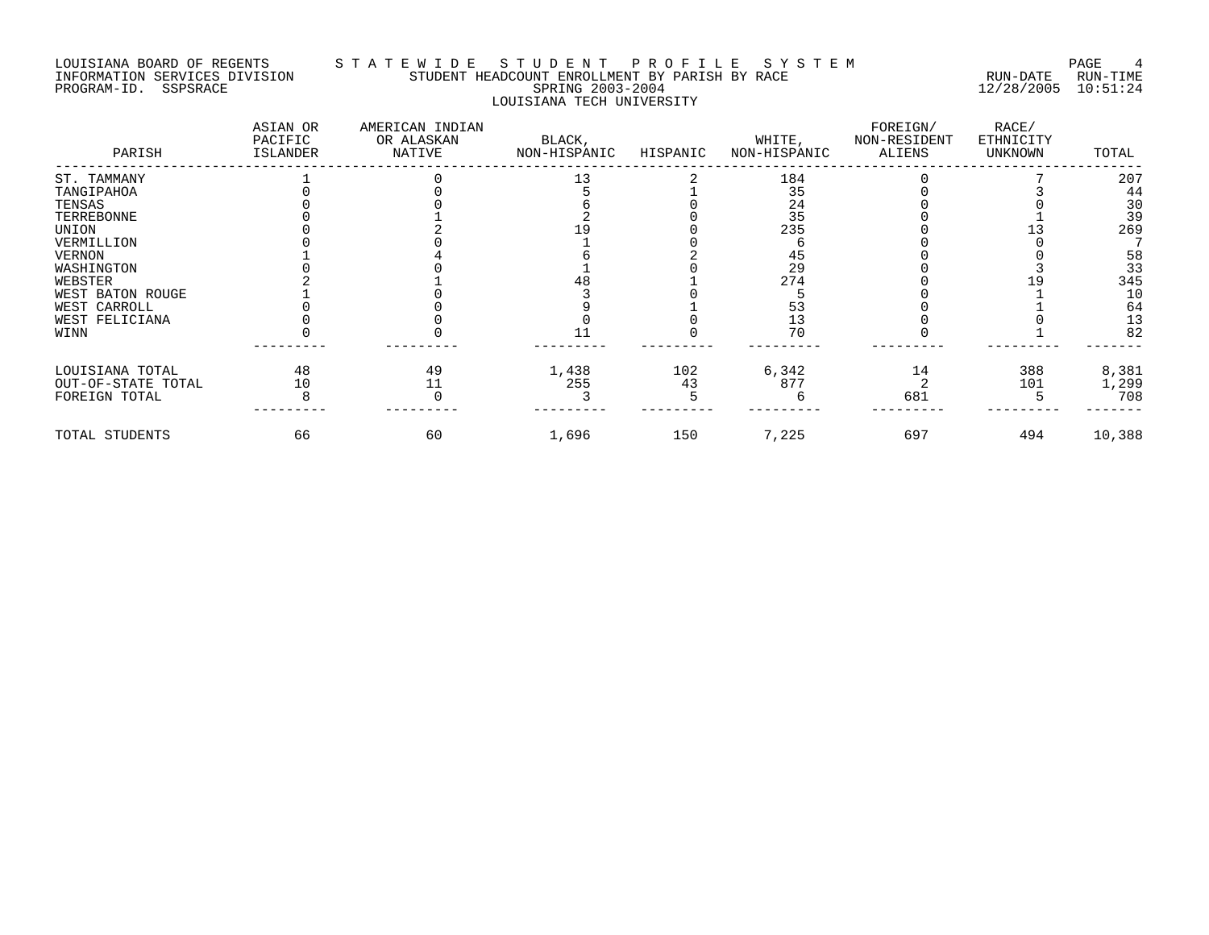### LOUISIANA BOARD OF REGENTS S T A T E W I D E S T U D E N T P R O F I L E S Y S T E M PAGE 4 INFORMATION SERVICES DIVISION STUDENT HEADCOUNT ENROLLMENT BY PARISH BY RACE RUN-DATE RUN-TIME PROGRAM-ID. SSPSRACE SPRING 2003-2004 12/28/2005 10:51:24 LOUISIANA TECH UNIVERSITY

| PARISH             | ASIAN OR<br>PACIFIC<br>ISLANDER | AMERICAN INDIAN<br>OR ALASKAN<br>NATIVE | BLACK,<br>NON-HISPANIC | HISPANIC | WHITE,<br>NON-HISPANIC | FOREIGN/<br>NON-RESIDENT<br>ALIENS | RACE/<br>ETHNICITY<br>UNKNOWN | TOTAL  |
|--------------------|---------------------------------|-----------------------------------------|------------------------|----------|------------------------|------------------------------------|-------------------------------|--------|
| ST. TAMMANY        |                                 |                                         | 13                     |          | 184                    |                                    |                               | 207    |
| TANGIPAHOA         |                                 |                                         |                        |          | 35                     |                                    |                               | 44     |
| TENSAS             |                                 |                                         |                        |          | 24                     |                                    |                               | 30     |
| TERREBONNE         |                                 |                                         |                        |          | 35                     |                                    |                               | 39     |
| UNION              |                                 |                                         |                        |          | 235                    |                                    |                               | 269    |
| VERMILLION         |                                 |                                         |                        |          |                        |                                    |                               |        |
| <b>VERNON</b>      |                                 |                                         |                        |          | 45                     |                                    |                               | 58     |
| WASHINGTON         |                                 |                                         |                        |          | 29                     |                                    |                               | 33     |
| WEBSTER            |                                 |                                         |                        |          | 274                    |                                    |                               | 345    |
| WEST BATON ROUGE   |                                 |                                         |                        |          |                        |                                    |                               | 10     |
| WEST CARROLL       |                                 |                                         |                        |          |                        |                                    |                               | 64     |
| WEST FELICIANA     |                                 |                                         |                        |          |                        |                                    |                               | 13     |
| WINN               |                                 |                                         |                        |          | 70                     |                                    |                               | 82     |
| LOUISIANA TOTAL    | 48                              | 49                                      | 1,438                  | 102      | 6,342                  | 14                                 | 388                           | 8,381  |
| OUT-OF-STATE TOTAL | 10                              |                                         | 255                    | 43       | 877                    |                                    | 101                           | 1,299  |
| FOREIGN TOTAL      |                                 |                                         |                        |          |                        | 681                                |                               | 708    |
| TOTAL STUDENTS     | 66                              | 60                                      | 1,696                  | 150      | 7,225                  | 697                                | 494                           | 10,388 |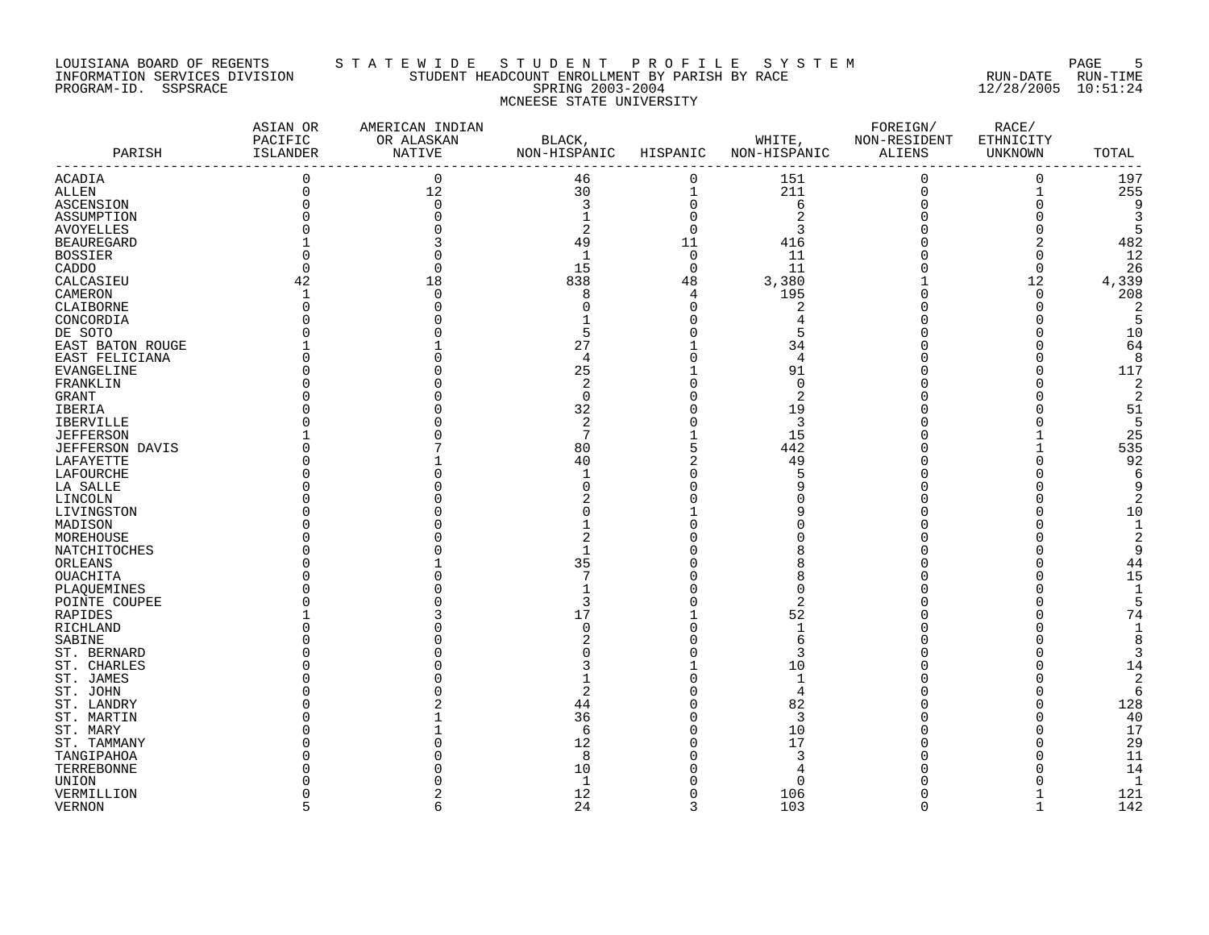#### LOUISIANA BOARD OF REGENTS S T A T E W I D E S T U D E N T P R O F I L E S Y S T E M PAGE 5 INFORMATION SERVICES DIVISION STUDENT HEADCOUNT ENROLLMENT BY PARISH BY RACE RUN-DATE RUN-TIME PROGRAM-ID. SSPSRACE SPRING 2003-2004 12/28/2005 10:51:24 MCNEESE STATE UNIVERSITY

| PARISH            | ASIAN OR<br>PACIFIC<br>ISLANDER | AMERICAN INDIAN<br>OR ALASKAN<br>NATIVE | $\operatorname{BLACK}$ ,<br>NON-HISPANIC HISPANIC |                | WHITE, NON-RESIDENT<br>NON-HISPANIC ALIENS | FOREIGN/    | RACE/<br>ETHNICITY<br>UNKNOWN | TOTAL          |
|-------------------|---------------------------------|-----------------------------------------|---------------------------------------------------|----------------|--------------------------------------------|-------------|-------------------------------|----------------|
| ACADIA            | 0                               | $\mathbf 0$                             | 46                                                | $\mathbf 0$    | 151                                        | $\mathbf 0$ | $\overline{0}$                | 197            |
| <b>ALLEN</b>      | 0                               | 12                                      | 30                                                |                | 211                                        | $\mathsf 0$ | 1                             | 255            |
| ASCENSION         |                                 | $\Omega$                                | 3                                                 | 0              | $\sqrt{6}$                                 | $\mathbf 0$ | $\mathsf 0$                   | 9              |
| ASSUMPTION        |                                 |                                         |                                                   | $\mathbf 0$    |                                            |             | $\Omega$                      | 3              |
| <b>AVOYELLES</b>  |                                 |                                         | 2                                                 | $\overline{0}$ | 3                                          |             | $\Omega$                      | 5              |
| <b>BEAUREGARD</b> |                                 |                                         | 49                                                | 11             | 416                                        |             | 2                             | 482            |
| <b>BOSSIER</b>    |                                 |                                         | 1                                                 | $\mathbf 0$    | 11                                         |             | 0                             | 12             |
| CADDO             | $\Omega$                        |                                         | 15                                                | $\overline{0}$ | 11                                         |             | $\Omega$                      | 26             |
| CALCASIEU         | 42                              | 18                                      | 838                                               | 48             | 3,380                                      |             | 12                            | 4,339          |
| CAMERON           | $\mathbf{1}$                    |                                         | 8                                                 | 4              | 195                                        |             | $\mathbf 0$                   | 208            |
| CLAIBORNE         |                                 |                                         | $\Omega$                                          | $\Omega$       | $\overline{2}$                             |             | $\overline{0}$                | 2              |
| CONCORDIA         |                                 |                                         |                                                   | O              | 4                                          |             | O                             | 5              |
| DE SOTO           |                                 |                                         | 5                                                 |                | 5                                          |             | U                             | 10             |
| EAST BATON ROUGE  |                                 |                                         | 27                                                |                | 34                                         |             | O                             | 64             |
| EAST FELICIANA    |                                 |                                         | 4                                                 |                | 4                                          |             | U                             | 8              |
| EVANGELINE        |                                 |                                         | 25                                                |                | 91                                         |             | $\Omega$                      | 117            |
| FRANKLIN          |                                 |                                         | 2                                                 |                | $\Omega$                                   |             |                               | 2              |
| GRANT             |                                 |                                         | $\Omega$                                          |                | 2                                          |             |                               | 2              |
| IBERIA            |                                 |                                         | 32                                                |                | 19                                         |             |                               | 51             |
| <b>IBERVILLE</b>  |                                 |                                         | 2                                                 |                | 3                                          |             |                               | 5              |
| <b>JEFFERSON</b>  |                                 |                                         | 7                                                 |                | 15                                         |             |                               | 25             |
| JEFFERSON DAVIS   |                                 |                                         | 80                                                |                | 442                                        |             | 1                             | 535            |
| LAFAYETTE         |                                 |                                         | 40                                                |                | 49                                         |             | $\Omega$                      | 92             |
|                   |                                 |                                         |                                                   |                | 5                                          |             | $\Omega$                      | 6              |
| LAFOURCHE         |                                 |                                         | U                                                 |                | q                                          |             |                               | q              |
| LA SALLE          |                                 |                                         |                                                   |                |                                            |             | $\Omega$                      |                |
| LINCOLN           |                                 |                                         |                                                   |                |                                            |             | O                             |                |
| LIVINGSTON        |                                 |                                         |                                                   |                |                                            |             |                               | 10<br>-1       |
| MADISON           |                                 |                                         |                                                   |                |                                            |             | O                             |                |
| MOREHOUSE         |                                 |                                         | 2                                                 |                |                                            |             |                               |                |
| NATCHITOCHES      |                                 |                                         |                                                   |                |                                            |             | $\Omega$                      | q              |
| ORLEANS           |                                 |                                         | 35<br>7                                           |                | 8                                          |             |                               | 44             |
| OUACHITA          |                                 |                                         |                                                   |                | 8                                          |             | O                             | 15             |
| PLAQUEMINES       |                                 |                                         |                                                   |                |                                            |             |                               |                |
| POINTE COUPEE     |                                 |                                         | 3                                                 |                | $\overline{2}$                             |             |                               |                |
| RAPIDES           |                                 |                                         | 17                                                |                | 52                                         |             |                               | 74             |
| RICHLAND          |                                 |                                         | $\mathbf 0$                                       | $\Omega$       | 1                                          |             |                               | $\mathbf{1}$   |
| SABINE            |                                 |                                         |                                                   |                | 6                                          |             |                               | 8              |
| ST. BERNARD       |                                 |                                         |                                                   |                | 3                                          |             |                               | 3              |
| ST. CHARLES       |                                 |                                         | 3                                                 |                | 10                                         |             | U                             | 14             |
| ST. JAMES         |                                 |                                         |                                                   |                | $\mathbf{1}$                               |             | $\Omega$                      | 2              |
| ST. JOHN          |                                 |                                         | $\overline{2}$                                    |                | $\overline{4}$                             |             | $\Omega$                      | 6              |
| ST. LANDRY        |                                 |                                         | 44                                                |                | 82                                         |             | 0                             | 128            |
| ST. MARTIN        |                                 |                                         | 36                                                | $\Omega$       | 3                                          |             | U                             | 40             |
| ST. MARY          |                                 |                                         | 6                                                 |                | 10                                         |             | U                             | 17             |
| ST. TAMMANY       |                                 |                                         | 12                                                |                | 17                                         |             | $\Omega$                      | 29             |
| TANGIPAHOA        |                                 |                                         | 8                                                 |                | 3                                          |             |                               | 11             |
| TERREBONNE        |                                 |                                         | 10                                                |                |                                            |             |                               | 14             |
| UNION             |                                 |                                         | 1                                                 |                | $\Omega$                                   |             |                               | $\overline{1}$ |
| VERMILLION        |                                 |                                         | 12                                                | <sup>0</sup>   | 106                                        |             |                               | 121            |
| <b>VERNON</b>     |                                 |                                         | 24                                                | २              | 103                                        | $\Omega$    | $\mathbf{1}$                  | 142            |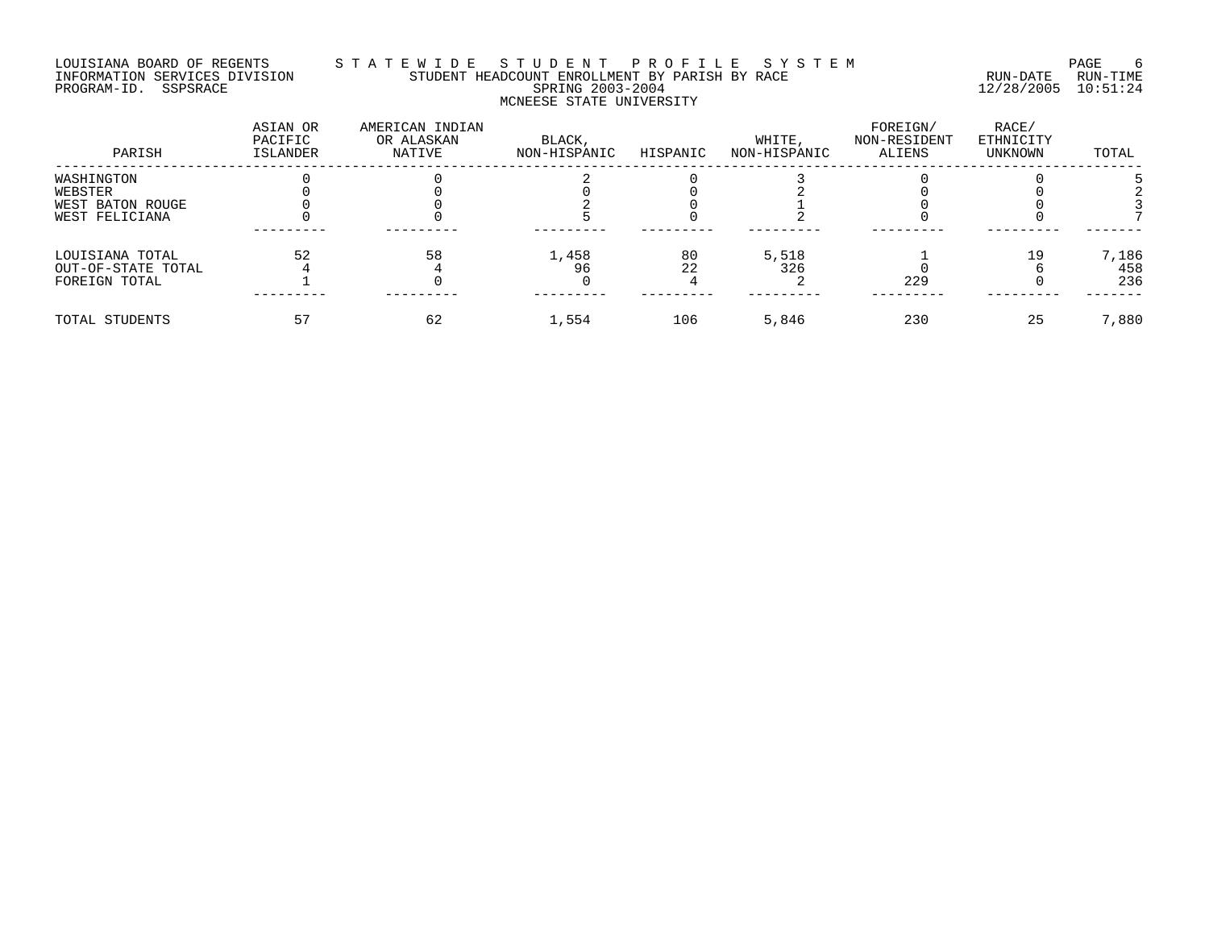# LOUISIANA BOARD OF REGENTS S T A T E W I D E S T U D E N T P R O F I L E S Y S T E M PAGE 6 INFORMATION SERVICES DIVISION STUDENT HEADCOUNT ENROLLMENT BY PARISH BY RACE RUN-DATE RUN-TIME PROGRAM-ID. SSPSRACE SPRING 2003-2004 12/28/2005 10:51:24 MCNEESE STATE UNIVERSITY

| PARISH             | ASIAN OR<br>PACIFIC<br>ISLANDER | AMERICAN INDIAN<br>OR ALASKAN<br>NATIVE | BLACK,<br>NON-HISPANIC | HISPANIC | WHITE,<br>NON-HISPANIC | FOREIGN/<br>NON-RESIDENT<br>ALIENS | RACE/<br>ETHNICITY<br>UNKNOWN | TOTAL |
|--------------------|---------------------------------|-----------------------------------------|------------------------|----------|------------------------|------------------------------------|-------------------------------|-------|
| WASHINGTON         |                                 |                                         |                        |          |                        |                                    |                               |       |
| WEBSTER            |                                 |                                         |                        |          |                        |                                    |                               |       |
| WEST BATON ROUGE   |                                 |                                         |                        |          |                        |                                    |                               |       |
| WEST FELICIANA     |                                 |                                         |                        |          |                        |                                    |                               |       |
| LOUISIANA TOTAL    | 52                              | 58                                      | 1,458                  | 80       | 5,518                  |                                    | 19                            | 7,186 |
| OUT-OF-STATE TOTAL |                                 |                                         | 96                     | 22       | 326                    |                                    |                               | 458   |
| FOREIGN TOTAL      |                                 |                                         |                        |          |                        | 229                                |                               | 236   |
| TOTAL STUDENTS     |                                 | 62                                      | 1,554                  | 106      | 5,846                  | 230                                | 25                            | 7,880 |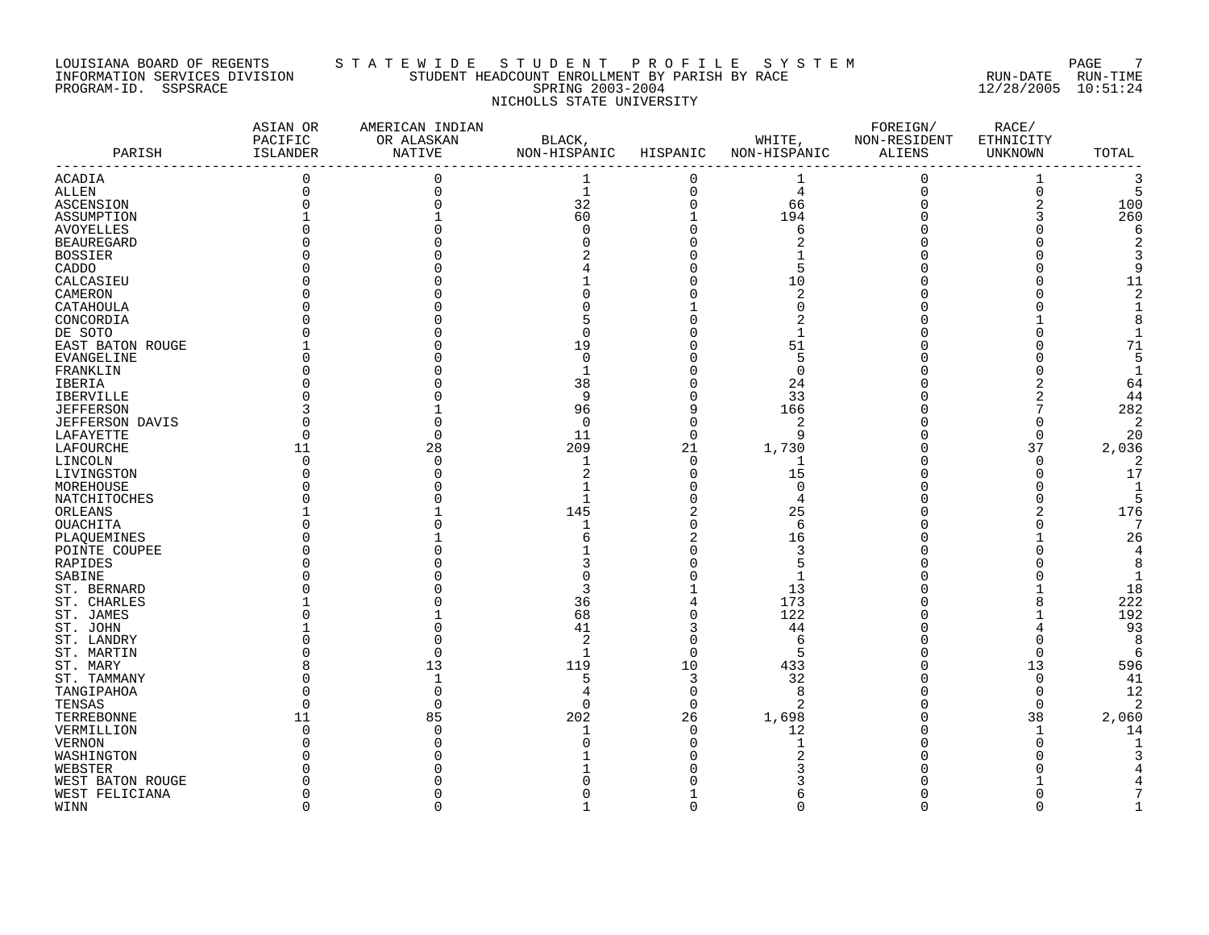#### LOUISIANA BOARD OF REGENTS S T A T E W I D E S T U D E N T P R O F I L E S Y S T E M PAGE 7 INFORMATION SERVICES DIVISION STUDENT HEADCOUNT ENROLLMENT BY PARISH BY RACE RUN-DATE RUN-TIME PROGRAM-ID. SSPSRACE SPRING 2003-2004 12/28/2005 10:51:24 NICHOLLS STATE UNIVERSITY

| PARISH                 | ASIAN OR<br>PACIFIC<br>ISLANDER | AMERICAN INDIAN<br>OR ALASKAN<br>NATIVE | BLACK,<br>NON-HISPANIC | HISPANIC       | WHITE,<br>NON-HISPANIC | FOREIGN/<br>NON-RESIDENT<br>ALIENS | RACE/<br>ETHNICITY<br>UNKNOWN | TOTAL          |
|------------------------|---------------------------------|-----------------------------------------|------------------------|----------------|------------------------|------------------------------------|-------------------------------|----------------|
| ACADIA                 | $\mathbf{0}$                    | $\Omega$                                | 1                      | 0              | 1                      | $\mathbf 0$                        | 1                             | 3              |
| ALLEN                  |                                 |                                         | $\mathbf{1}$           | 0              | $\overline{4}$         | $\mathbf 0$                        | $\mathsf 0$                   | 5              |
| ASCENSION              |                                 |                                         | 32                     | $\overline{0}$ | 66                     | $\mathbf 0$                        | $\overline{c}$                | 100            |
| ASSUMPTION             |                                 |                                         | 60                     | $\mathbf{1}$   | 194                    | 0                                  | 3                             | 260            |
| AVOYELLES              |                                 |                                         | $\Omega$               |                | 6                      | $\Omega$                           |                               | 6              |
| <b>BEAUREGARD</b>      |                                 |                                         |                        |                | 2                      | O                                  |                               | $\overline{2}$ |
| <b>BOSSIER</b>         |                                 |                                         |                        |                |                        |                                    |                               | 3              |
| CADDO                  |                                 |                                         |                        |                | 5                      |                                    |                               | 9              |
| CALCASIEU              |                                 |                                         |                        |                | 10                     |                                    |                               | 11             |
| CAMERON                |                                 |                                         |                        |                | $\overline{2}$         |                                    |                               | $\overline{c}$ |
| CATAHOULA              |                                 |                                         |                        |                | $\Omega$               |                                    |                               | $\mathbf{1}$   |
| CONCORDIA              |                                 |                                         |                        |                | 2                      |                                    |                               | 8              |
| DE SOTO                |                                 |                                         | Ω                      |                | 1                      |                                    | $\Omega$                      | $\mathbf{1}$   |
| EAST BATON ROUGE       |                                 |                                         | 19                     |                | 51                     |                                    |                               | 71             |
| EVANGELINE             |                                 |                                         | $\Omega$               |                | 5                      |                                    |                               | 5              |
| FRANKLIN               |                                 |                                         |                        |                | $\Omega$               | U                                  |                               | $\mathbf{1}$   |
| IBERIA                 |                                 |                                         | 38                     |                | 24                     | 0                                  | 2                             | 64             |
| IBERVILLE              |                                 |                                         | 9                      |                | 33                     | 0                                  | 2                             | 44             |
| <b>JEFFERSON</b>       |                                 |                                         | 96                     | 9              | 166                    | 0                                  |                               | 282            |
| <b>JEFFERSON DAVIS</b> |                                 |                                         | $\Omega$               | $\Omega$       | 2                      |                                    | C                             | $\overline{2}$ |
| LAFAYETTE              |                                 |                                         | 11                     | $\Omega$       | 9                      | O                                  | $\Omega$                      | 20             |
| LAFOURCHE              | 11                              | 28                                      | 209                    | 21             | 1,730                  | 0                                  | 37                            | 2,036          |
| LINCOLN                | ∩                               |                                         | $\mathbf{1}$           | $\Omega$       | 1                      | $\Omega$                           | $\Omega$                      | 2              |
| LIVINGSTON             |                                 |                                         | 2                      | $\Omega$       | 15                     | 0                                  | $\Omega$                      | 17             |
| MOREHOUSE              |                                 |                                         |                        |                | $\Omega$               |                                    | O                             | 1              |
| NATCHITOCHES           |                                 |                                         | 1                      |                | 4                      | O                                  | O                             | 5              |
| ORLEANS                |                                 |                                         | 145                    |                | 25                     |                                    | 2                             | 176            |
| <b>OUACHITA</b>        |                                 |                                         |                        |                | 6                      |                                    |                               | 7              |
| PLAQUEMINES            |                                 |                                         |                        |                | 16                     |                                    |                               | 26             |
| POINTE COUPEE          |                                 |                                         |                        |                | 3                      |                                    |                               | $\overline{4}$ |
| RAPIDES                |                                 |                                         |                        |                | 5                      |                                    |                               | 8              |
| SABINE                 |                                 |                                         |                        |                | 1                      |                                    |                               | $\mathbf{1}$   |
| ST. BERNARD            |                                 |                                         |                        |                | 13                     |                                    |                               | 18             |
| ST. CHARLES            |                                 |                                         | 36                     |                | 173                    | U                                  | 8                             | 222            |
| ST. JAMES              |                                 |                                         | 68                     | $\Omega$       | 122                    | $\Omega$                           |                               | 192            |
| ST. JOHN               |                                 |                                         | 41                     |                | 44                     | $\Omega$                           | 4                             | 93             |
| ST. LANDRY             |                                 |                                         | 2                      |                | 6                      | 0                                  | $\Omega$                      | 8              |
| ST. MARTIN             |                                 |                                         | 1                      | $\Omega$       | 5                      |                                    | $\mathbf 0$                   | 6              |
| ST. MARY               |                                 | 13                                      | 119                    | 10             | 433                    | O                                  | 13                            | 596            |
| ST. TAMMANY            |                                 |                                         | 5                      | 3              | 32                     | O                                  | $\mathbf 0$                   | 41             |
| TANGIPAHOA             |                                 |                                         | 4                      | $\Omega$       | 8                      | $\Omega$                           | $\Omega$                      | 12             |
| TENSAS                 |                                 |                                         | $\Omega$               | $\Omega$       | 2                      | 0                                  | $\mathbf 0$                   | $\overline{2}$ |
| TERREBONNE             | 11                              | 85                                      | 202                    | 26             | 1,698                  | $\Omega$                           | 38                            | 2,060          |
| VERMILLION             | $\Omega$                        |                                         |                        | $\Omega$       | 12                     | $\Omega$                           | 1                             | 14             |
| <b>VERNON</b>          |                                 |                                         |                        |                | 1                      | 0                                  | $\Omega$                      |                |
| WASHINGTON             |                                 |                                         |                        |                |                        |                                    |                               |                |
| WEBSTER                |                                 |                                         |                        |                |                        |                                    |                               |                |
| WEST BATON ROUGE       |                                 |                                         |                        |                |                        |                                    |                               |                |
| WEST FELICIANA         |                                 |                                         |                        |                | 6                      | O                                  |                               |                |
| WINN                   | $\cap$                          |                                         |                        | $\Omega$       | $\Omega$               | $\Omega$                           | $\Omega$                      |                |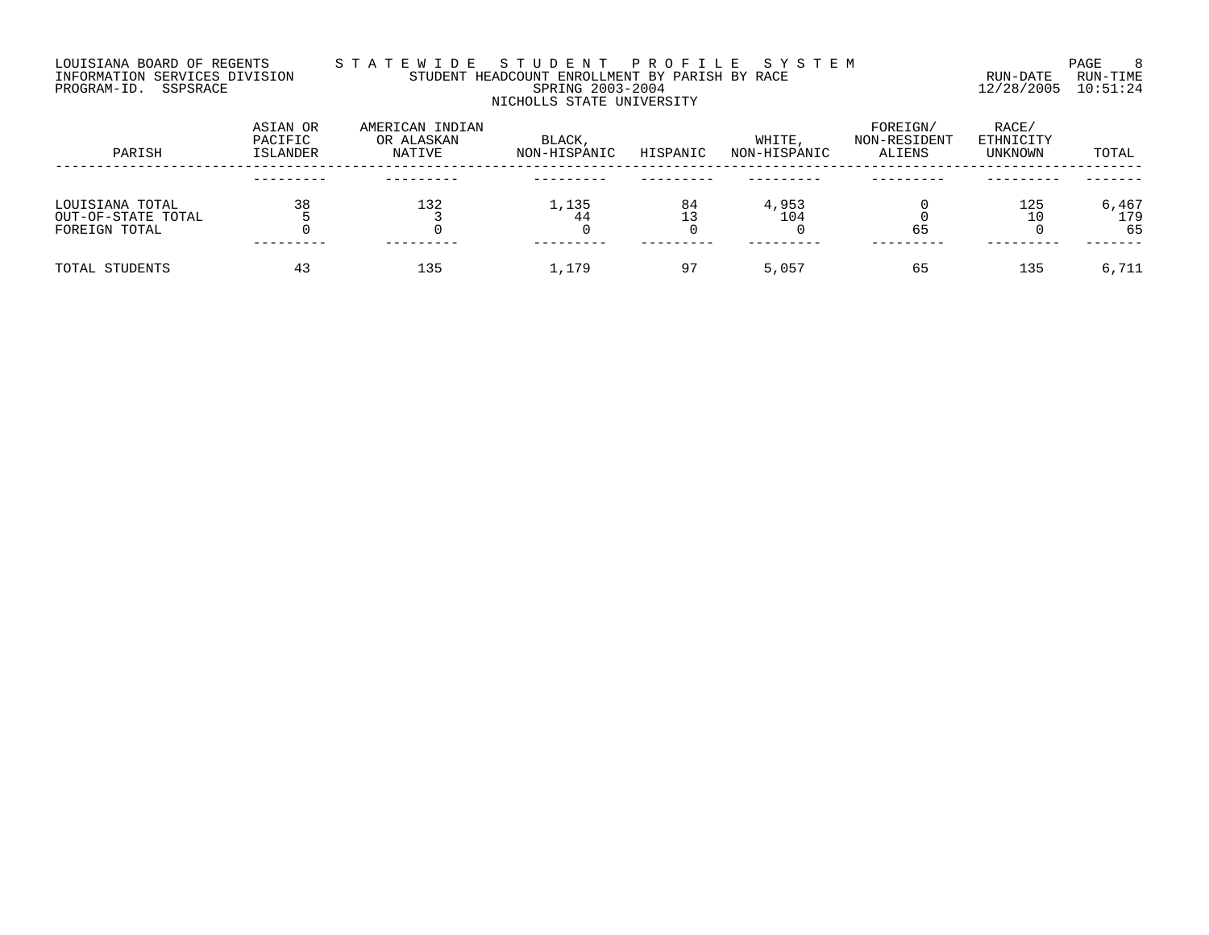### LOUISIANA BOARD OF REGENTS S T A T E W I D E S T U D E N T P R O F I L E S Y S T E M PAGE 8 INFORMATION SERVICES DIVISION STUDENT HEADCOUNT ENROLLMENT BY PARISH BY RACE RUN-DATE RUN-TIME PROGRAM-ID. SSPSRACE SPRING 2003-2004 12/28/2005 10:51:24 NICHOLLS STATE UNIVERSITY

| PARISH             | ASIAN OR<br>PACIFIC<br>ISLANDER | AMERICAN INDIAN<br>OR ALASKAN<br>NATIVE | BLACK,<br>NON-HISPANIC | HISPANIC | WHITE.<br>NON-HISPANIC | FOREIGN/<br>NON-RESIDENT<br>ALIENS | RACE/<br>ETHNICITY<br>UNKNOWN | TOTAL |
|--------------------|---------------------------------|-----------------------------------------|------------------------|----------|------------------------|------------------------------------|-------------------------------|-------|
|                    |                                 |                                         |                        |          |                        |                                    |                               |       |
| LOUISIANA TOTAL    | 38                              | 132                                     | 1,135                  | 84       | 4,953                  |                                    | 125                           | 6,467 |
| OUT-OF-STATE TOTAL |                                 |                                         | 44                     |          | 104                    |                                    | 10                            | 179   |
| FOREIGN TOTAL      |                                 |                                         |                        |          |                        | 65                                 |                               | 65    |
| TOTAL STUDENTS     | 43                              | 135                                     | 1,179                  | 97       | 5,057                  | 65                                 | 135                           | 6,711 |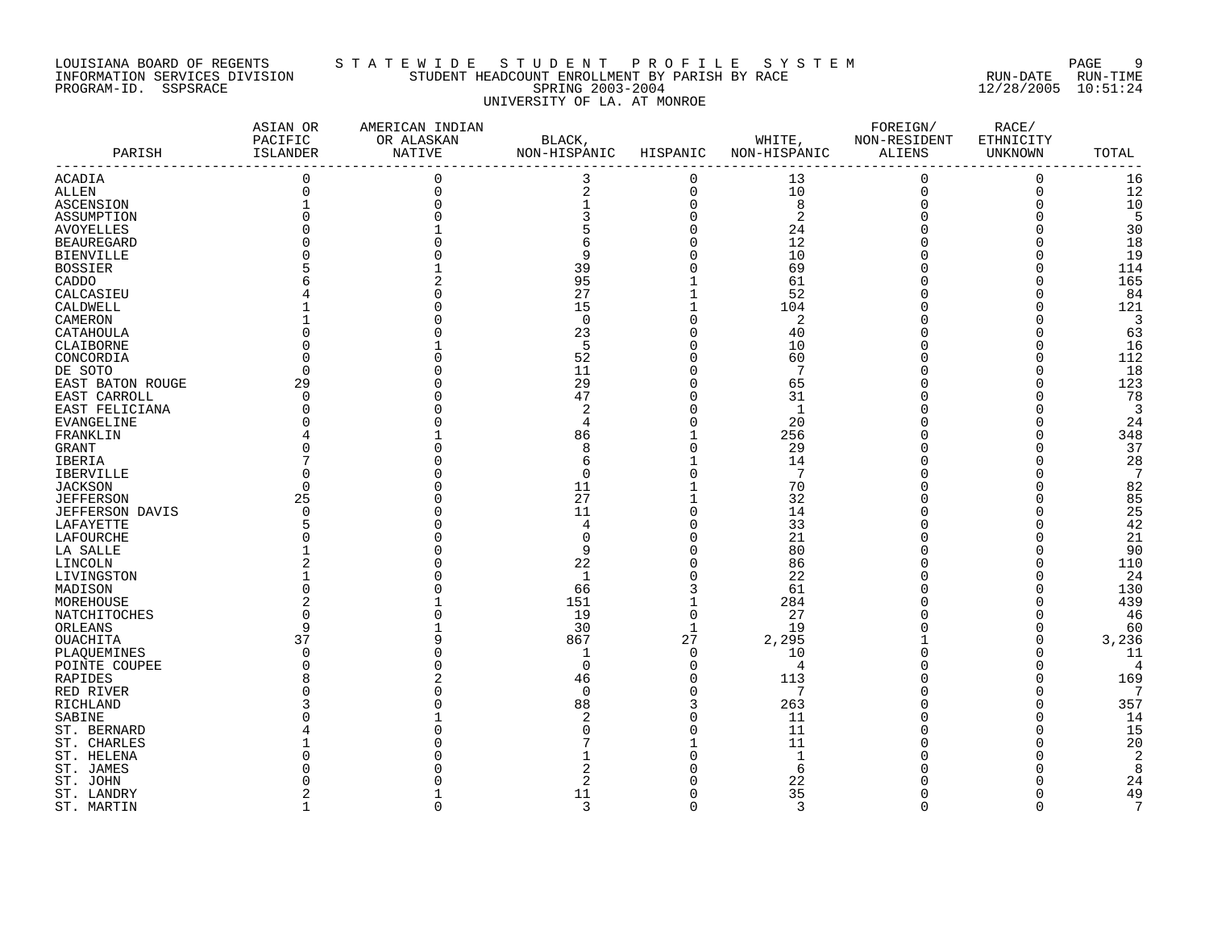### LOUISIANA BOARD OF REGENTS S T A T E W I D E S T U D E N T P R O F I L E S Y S T E M PAGE 9 INFORMATION SERVICES DIVISION STUDENT HEADCOUNT ENROLLMENT BY PARISH BY RACE RUN-DATE RUN-TIME PROGRAM-ID. SSPSRACE SPRING 2003-2004 12/28/2005 10:51:24 UNIVERSITY OF LA. AT MONROE

| PARISH                       | ASIAN OR<br>PACIFIC<br>ISLANDER | AMERICAN INDIAN<br>OR ALASKAN<br>NATIVE | BLACK,<br>NON-HISPANIC HISPANIC                   |                                | NON-HISPANIC ALIENS | FOREIGN/<br>WHITE, NON-RESIDENT | RACE/<br>ETHNICITY<br>UNKNOWN | TOTAL          |
|------------------------------|---------------------------------|-----------------------------------------|---------------------------------------------------|--------------------------------|---------------------|---------------------------------|-------------------------------|----------------|
| <b>ACADIA</b>                | $\overline{0}$                  | $\mathbf 0$                             | ---------------------------------<br>$\mathsf{3}$ | $\mathbf 0$                    | 13                  | $\mathbf 0$                     | $\mathbf 0$                   | 16             |
| <b>ALLEN</b>                 | $\mathbf 0$                     | $\overline{0}$                          | $\sqrt{2}$                                        | $\mathsf{O}\xspace$            | 10                  | $\mathsf 0$                     | $\mathbf 0$                   | 12             |
| ASCENSION                    | $\mathbf 1$                     |                                         | 1                                                 | $\pmb{0}$                      | $\,8\,$             | 0                               | $\Omega$                      | $10$           |
| ASSUMPTION                   |                                 |                                         |                                                   | $\mathbf 0$                    | $\overline{a}$      | $\mathbf 0$                     | $\Omega$                      | 5              |
| <b>AVOYELLES</b>             |                                 |                                         |                                                   | $\overline{0}$                 | 24                  | 0                               |                               | 30             |
| <b>BEAUREGARD</b>            |                                 |                                         | 6                                                 | $\mathbf 0$                    | 12                  | 0                               | $\Omega$                      | 18             |
| <b>BIENVILLE</b>             |                                 |                                         | 9                                                 | $\Omega$                       | 10                  | 0                               |                               | 19             |
| <b>BOSSIER</b>               |                                 |                                         | 39                                                | $\Omega$                       | 69                  | 0                               |                               | 114            |
| CADDO                        |                                 |                                         | 95                                                |                                | 61                  | 0                               | $\Omega$                      | 165            |
| CALCASIEU                    |                                 |                                         | 27                                                |                                | 52                  | 0                               |                               | 84             |
| CALDWELL                     |                                 |                                         | 15                                                |                                | 104                 | 0                               |                               | 121            |
| CAMERON                      |                                 |                                         | $\Omega$                                          | $\Omega$                       | 2                   | O                               |                               | 3              |
| CATAHOULA                    |                                 |                                         | 23                                                | $\Omega$                       | 40                  | 0                               |                               | 63             |
| CLAIBORNE                    |                                 |                                         | 5                                                 | $\Omega$                       | 10                  | $\Omega$                        |                               | 16             |
| CONCORDIA                    |                                 |                                         | 52                                                | $\Omega$                       | 60                  | 0                               |                               | 112            |
| DE SOTO                      | $\Omega$                        |                                         | 11                                                | 0                              | $7\phantom{.0}$     | 0                               |                               | 18             |
| EAST BATON ROUGE             | 29                              |                                         | 29                                                | $\Omega$                       | 65                  | O                               |                               | 123            |
| EAST CARROLL                 | $\Omega$                        |                                         | 47                                                | $\Omega$                       | 31                  | O                               |                               | 78             |
| EAST FELICIANA               |                                 |                                         | 2                                                 | $\Omega$                       | 1                   | 0                               |                               | 3              |
| <b>EVANGELINE</b>            |                                 |                                         | $\overline{4}$                                    | $\Omega$                       | 20                  | O                               |                               | 24             |
| FRANKLIN                     |                                 |                                         | 86                                                |                                | 256                 | O                               |                               | 348            |
| GRANT                        |                                 |                                         | 8                                                 | $\Omega$                       | 29                  | 0                               | O                             | 37             |
| IBERIA                       |                                 |                                         | 6                                                 |                                | 14                  | 0                               |                               | 28             |
| <b>IBERVILLE</b>             |                                 |                                         | $\Omega$                                          | $\Omega$                       | 7                   | 0                               |                               | 7              |
| <b>JACKSON</b>               | $\Omega$                        |                                         | 11                                                |                                | 70                  | $\Omega$                        |                               | 82             |
| <b>JEFFERSON</b>             | 25                              |                                         | 27                                                |                                | 32                  | O                               |                               | 85             |
| JEFFERSON DAVIS              |                                 |                                         | 11                                                | $\Omega$                       | 14                  | 0                               |                               | 25             |
| LAFAYETTE                    |                                 |                                         |                                                   |                                | 33                  | 0                               |                               | 42             |
| LAFOURCHE                    |                                 |                                         |                                                   | 0                              | 21                  | 0                               | $\Omega$                      | 21             |
| LA SALLE                     |                                 |                                         | 9                                                 | $\Omega$                       | 80                  | $\Omega$                        |                               | 90             |
| LINCOLN                      |                                 |                                         | 22                                                | $\Omega$                       | 86                  | 0                               |                               | 110            |
| LIVINGSTON                   |                                 |                                         | 1                                                 | 0                              | 22                  | 0                               |                               | 24             |
| MADISON                      |                                 |                                         | 66                                                | 3                              | 61                  | 0                               |                               | 130            |
| MOREHOUSE                    |                                 |                                         | 151                                               | $\mathbf{1}$                   | 284                 | 0                               |                               | 439            |
| NATCHITOCHES                 | 9                               |                                         | 19                                                | $\overline{0}$<br>$\mathbf{1}$ | 27                  | O<br>0                          | $\Omega$                      | 46             |
| ORLEANS                      | 37                              |                                         | 30<br>867                                         | 27                             | 19<br>2,295         |                                 | $\Omega$                      | 60<br>3,236    |
| OUACHITA                     | $\Omega$                        |                                         |                                                   | $\mathbf 0$                    | 10                  | 0                               |                               | 11             |
| PLAOUEMINES<br>POINTE COUPEE |                                 |                                         | $\Omega$                                          | $\mathbf 0$                    | 4                   | 0                               |                               | $\overline{4}$ |
| RAPIDES                      |                                 |                                         | 46                                                | $\mathbf 0$                    | 113                 | 0                               |                               | 169            |
| RED RIVER                    |                                 |                                         | $\Omega$                                          | $\mathbf 0$                    | $7\phantom{.0}$     | 0                               |                               | $\overline{7}$ |
| RICHLAND                     |                                 |                                         | 88                                                | 3                              | 263                 | 0                               |                               | 357            |
| SABINE                       |                                 |                                         |                                                   | $\Omega$                       | 11                  | $\Omega$                        |                               | 14             |
| ST. BERNARD                  |                                 |                                         |                                                   | $\Omega$                       | 11                  | O                               |                               | 15             |
| ST. CHARLES                  |                                 |                                         |                                                   |                                | 11                  | 0                               |                               | 20             |
| ST. HELENA                   |                                 |                                         |                                                   |                                | $1\,$               |                                 |                               | $\overline{2}$ |
| ST. JAMES                    |                                 |                                         |                                                   |                                | 6                   |                                 |                               | 8              |
| ST. JOHN                     |                                 |                                         |                                                   |                                | 22                  |                                 |                               | 24             |
| ST. LANDRY                   |                                 |                                         | 11                                                | $\Omega$                       | 35                  | O                               | $\Omega$                      | 49             |
| ST. MARTIN                   | $\mathbf{1}$                    | $\Omega$                                | 3                                                 | $\Omega$                       | $\overline{3}$      | $\Omega$                        | $\Omega$                      | 7              |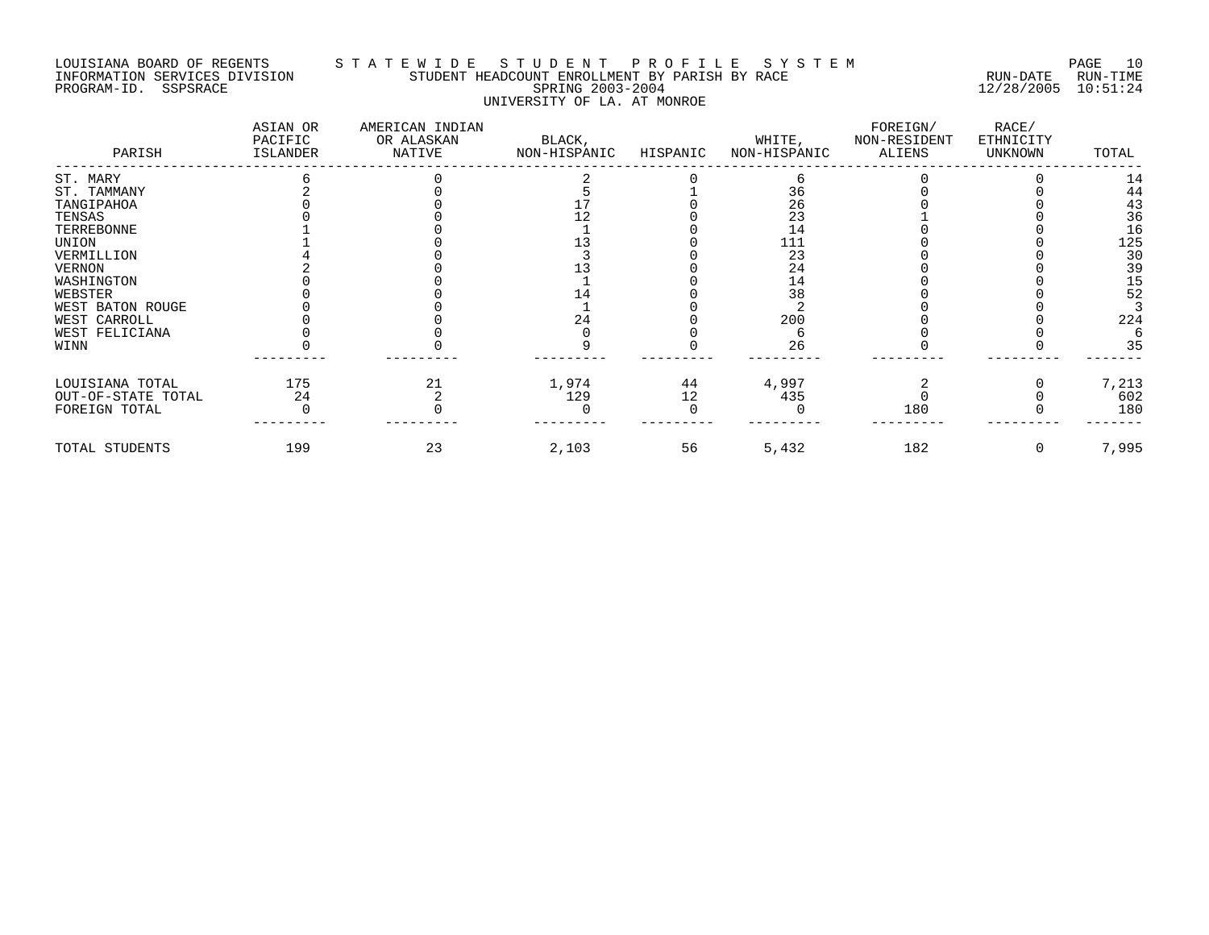# LOUISIANA BOARD OF REGENTS S T A T E W I D E S T U D E N T P R O F I L E S Y S T E M PAGE 10 INFORMATION SERVICES DIVISION STUDENT HEADCOUNT ENROLLMENT BY PARISH BY RACE RUN-DATE RUN-TIME PROGRAM-ID. SSPSRACE SERING 2003-2004 12/28/2005 10:51:24 UNIVERSITY OF LA. AT MONROE

| PARISH             | ASIAN OR<br>PACIFIC<br>ISLANDER | AMERICAN INDIAN<br>OR ALASKAN<br>NATIVE | BLACK,<br>NON-HISPANIC | HISPANIC | WHITE,<br>NON-HISPANIC | FOREIGN/<br>NON-RESIDENT<br>ALIENS | RACE/<br>ETHNICITY<br>UNKNOWN | TOTAL |
|--------------------|---------------------------------|-----------------------------------------|------------------------|----------|------------------------|------------------------------------|-------------------------------|-------|
| ST. MARY           |                                 |                                         |                        |          |                        |                                    |                               | 14    |
| ST. TAMMANY        |                                 |                                         |                        |          | 36                     |                                    |                               | 44    |
| TANGIPAHOA         |                                 |                                         |                        |          | 26                     |                                    |                               | 43    |
| TENSAS             |                                 |                                         |                        |          | 23                     |                                    |                               | 36    |
| TERREBONNE         |                                 |                                         |                        |          | 14                     |                                    |                               | 16    |
| UNION              |                                 |                                         |                        |          | 111                    |                                    |                               | 125   |
| VERMILLION         |                                 |                                         |                        |          | 23                     |                                    |                               | 30    |
| <b>VERNON</b>      |                                 |                                         |                        |          | 24                     |                                    |                               | 39    |
| WASHINGTON         |                                 |                                         |                        |          | 14                     |                                    |                               | 15    |
| WEBSTER            |                                 |                                         |                        |          | 38                     |                                    |                               | 52    |
| WEST BATON ROUGE   |                                 |                                         |                        |          |                        |                                    |                               |       |
| WEST CARROLL       |                                 |                                         | 24                     |          | 200                    |                                    |                               | 224   |
| WEST FELICIANA     |                                 |                                         |                        |          |                        |                                    |                               |       |
| WINN               |                                 |                                         |                        |          | 26                     |                                    |                               | 35    |
| LOUISIANA TOTAL    | 175                             | 21                                      | 1,974                  | 44       | 4,997                  |                                    |                               | 7,213 |
| OUT-OF-STATE TOTAL | 24                              |                                         | 129                    | 12       | 435                    |                                    |                               | 602   |
| FOREIGN TOTAL      |                                 |                                         |                        |          |                        | 180                                |                               | 180   |
| TOTAL STUDENTS     | 199                             | 23                                      | 2,103                  | 56       | 5,432                  | 182                                |                               | 7,995 |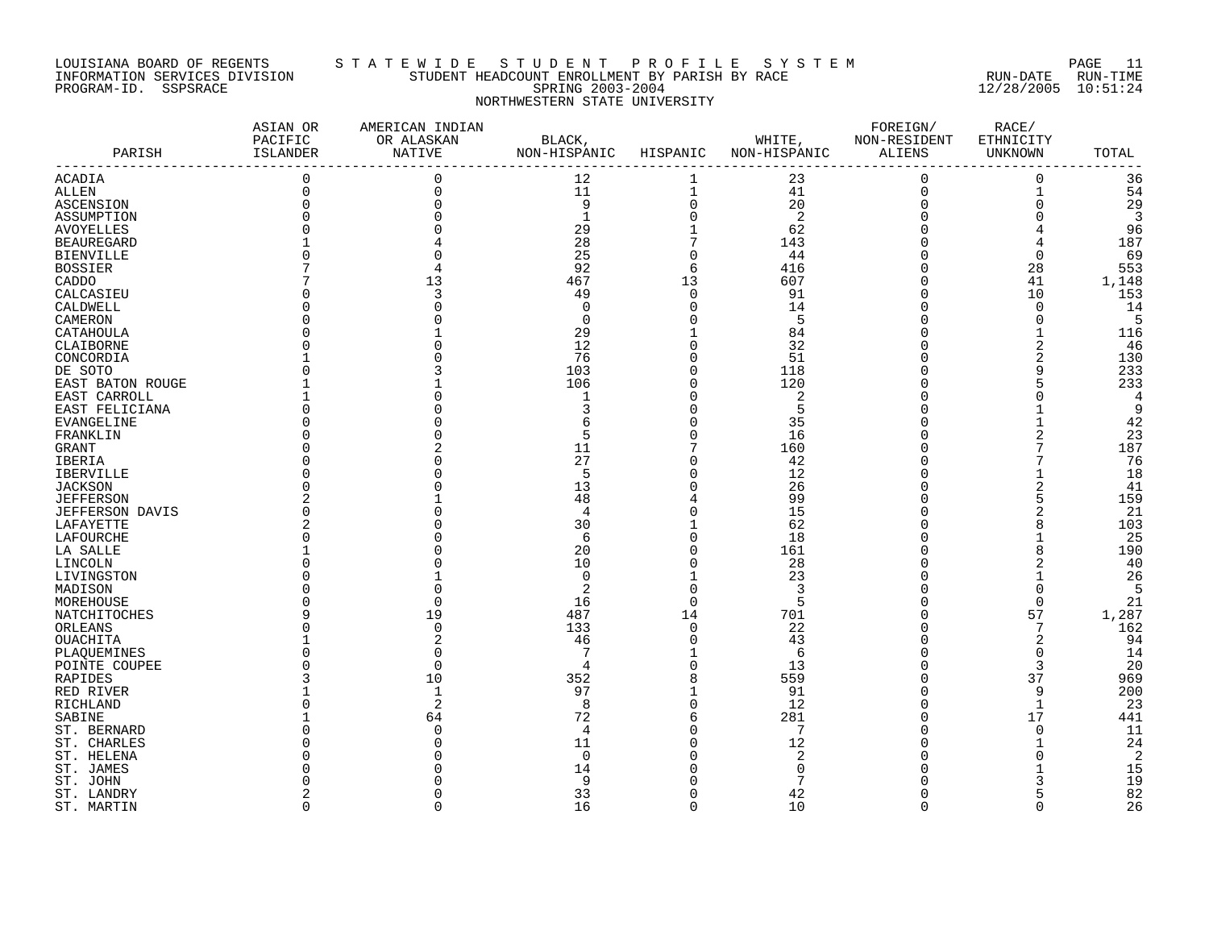### LOUISIANA BOARD OF REGENTS S T A T E W I D E S T U D E N T P R O F I L E S Y S T E M PAGE 11 INFORMATION SERVICES DIVISION STUDENT HEADCOUNT ENROLLMENT BY PARISH BY RACE RUN-DATE RUN-TIME PROGRAM-ID. SSPSRACE SPRING 2003-2004 12/28/2005 10:51:24 NORTHWESTERN STATE UNIVERSITY

|                        | ASIAN OR<br>PACIFIC | AMERICAN INDIAN<br>OR ALASKAN | BLACK,       |                | WHITE,       | FOREIGN/<br>NON-RESIDENT | RACE/<br>ETHNICITY |        |
|------------------------|---------------------|-------------------------------|--------------|----------------|--------------|--------------------------|--------------------|--------|
| PARISH                 | ISLANDER            | NATIVE                        | NON-HISPANIC | HISPANIC       | NON-HISPANIC | ALIENS                   | UNKNOWN            | TOTAL  |
|                        |                     |                               |              |                |              |                          |                    |        |
| ACADIA                 | $\mathbf 0$         | 0                             | 12           | 1              | 23           | $\mathbf 0$              | $\mathbf 0$        | 36     |
| <b>ALLEN</b>           | $\Omega$            | $\Omega$                      | 11           | $\mathbf{1}$   | 41           | $\Omega$                 | $\mathbf{1}$       | 54     |
| <b>ASCENSION</b>       |                     |                               | 9            | $\mathbf 0$    | 20           | $\Omega$                 | $\Omega$           | 29     |
| ASSUMPTION             |                     |                               | $\mathbf{1}$ | $\Omega$       | 2            |                          |                    | 3      |
| <b>AVOYELLES</b>       |                     |                               | 29           |                | 62           |                          |                    | 96     |
| <b>BEAUREGARD</b>      |                     |                               | 28           | 7              | 143          |                          | 4                  | 187    |
| <b>BIENVILLE</b>       |                     |                               | 25           | $\Omega$       | 44           |                          | $\Omega$           | 69     |
| <b>BOSSIER</b>         |                     |                               | 92           | 6              | 416          |                          | 28                 | 553    |
| CADDO                  |                     | 13                            | 467          | 13             | 607          |                          | 41                 | 1,148  |
| CALCASIEU              |                     |                               | 49           | $\Omega$       | 91           |                          | 10                 | 153    |
| CALDWELL               |                     |                               | $\Omega$     | $\Omega$       | 14           |                          | $\Omega$           | 14     |
| CAMERON                |                     |                               | $\Omega$     | $\Omega$       | 5            |                          | $\overline{0}$     | -5     |
| CATAHOULA              |                     |                               | 29           |                | 84           |                          | $\mathbf{1}$       | 116    |
| CLAIBORNE              |                     |                               | 12           | $\Omega$       | 32           |                          | $\overline{2}$     | -46    |
| CONCORDIA              |                     |                               | 76           | $\Omega$       | 51           |                          | 2                  | 130    |
| DE SOTO                |                     |                               | 103          | $\mathbf 0$    | 118          |                          | 9                  | 233    |
|                        |                     |                               | 106          | $\Omega$       | 120          |                          |                    | 233    |
| EAST BATON ROUGE       |                     |                               | -1           | $\Omega$       |              |                          |                    |        |
| EAST CARROLL           |                     |                               | ς            | $\Omega$       | 2            |                          |                    | 4<br>9 |
| EAST FELICIANA         |                     |                               |              |                | 5            |                          |                    |        |
| <b>EVANGELINE</b>      |                     |                               |              | $\Omega$       | 35           |                          |                    | 42     |
| FRANKLIN               |                     |                               | 5            | $\Omega$       | 16           |                          |                    | 23     |
| <b>GRANT</b>           |                     |                               | 11           | $\overline{7}$ | 160          |                          |                    | 187    |
| <b>IBERIA</b>          |                     |                               | 27           | $\cap$         | 42           |                          |                    | 76     |
| <b>IBERVILLE</b>       |                     |                               | 5            | $\Omega$       | 12           |                          |                    | 18     |
| <b>JACKSON</b>         |                     |                               | 13           | $\Omega$       | 26           |                          | $\overline{2}$     | 41     |
| <b>JEFFERSON</b>       |                     |                               | 48           |                | 99           |                          |                    | 159    |
| <b>JEFFERSON DAVIS</b> |                     |                               | 4            | $\cap$         | 15           |                          |                    | 21     |
| LAFAYETTE              |                     |                               | 30           | $\mathbf{1}$   | 62           |                          | 8                  | 103    |
| LAFOURCHE              |                     |                               | 6            | $\Omega$       | 18           |                          |                    | 25     |
| LA SALLE               |                     |                               | 20           | $\Omega$       | 161          |                          |                    | 190    |
| LINCOLN                |                     |                               | 10           | $\Omega$       | 28           |                          |                    | 40     |
| LIVINGSTON             |                     |                               | $\Omega$     | $\mathbf{1}$   | 23           |                          |                    | 26     |
| MADISON                |                     |                               | 2            | $\Omega$       | 3            |                          | $\Omega$           | -5     |
| MOREHOUSE              |                     |                               | 16           | $\Omega$       | 5            |                          | $\mathbf 0$        | 21     |
| NATCHITOCHES           |                     | 19                            | 487          | 14             | 701          |                          | 57                 | 1,287  |
| ORLEANS                |                     |                               | 133          | $\Omega$       | 22           |                          | 7                  | 162    |
| OUACHITA               |                     |                               | 46           | $\Omega$       | 43           |                          | 2                  | 94     |
|                        |                     |                               | 7            |                | 6            |                          | $\Omega$           | 14     |
| PLAOUEMINES            |                     |                               |              | $\Omega$       |              |                          | 3                  |        |
| POINTE COUPEE          |                     |                               | 4            |                | 13           |                          |                    | 20     |
| RAPIDES                |                     | 10                            | 352          | 8              | 559          |                          | 37                 | 969    |
| RED RIVER              |                     |                               | 97           |                | 91           |                          | 9                  | 200    |
| RICHLAND               |                     | $\overline{2}$                | 8            | $\Omega$       | 12           |                          | $\mathbf{1}$       | 23     |
| SABINE                 |                     | 64                            | 72           | 6              | 281          |                          | 17                 | 441    |
| ST. BERNARD            |                     |                               | 4            | $\Omega$       | 7            |                          | $\mathbf 0$        | 11     |
| ST. CHARLES            |                     |                               | 11           | $\Omega$       | 12           |                          | -1                 | 24     |
| ST. HELENA             |                     |                               | $\Omega$     | $\Omega$       | 2            |                          | $\cap$             | 2      |
| ST. JAMES              |                     |                               | 14           | $\Omega$       | $\Omega$     |                          |                    | 15     |
| ST. JOHN               |                     |                               | 9            |                |              |                          |                    | 19     |
| ST. LANDRY             |                     |                               | 33           |                | 42           |                          |                    | 82     |
| ST. MARTIN             | $\Omega$            | $\Omega$                      | 16           | $\Omega$       | 10           | $\Omega$                 | $\Omega$           | 26     |
|                        |                     |                               |              |                |              |                          |                    |        |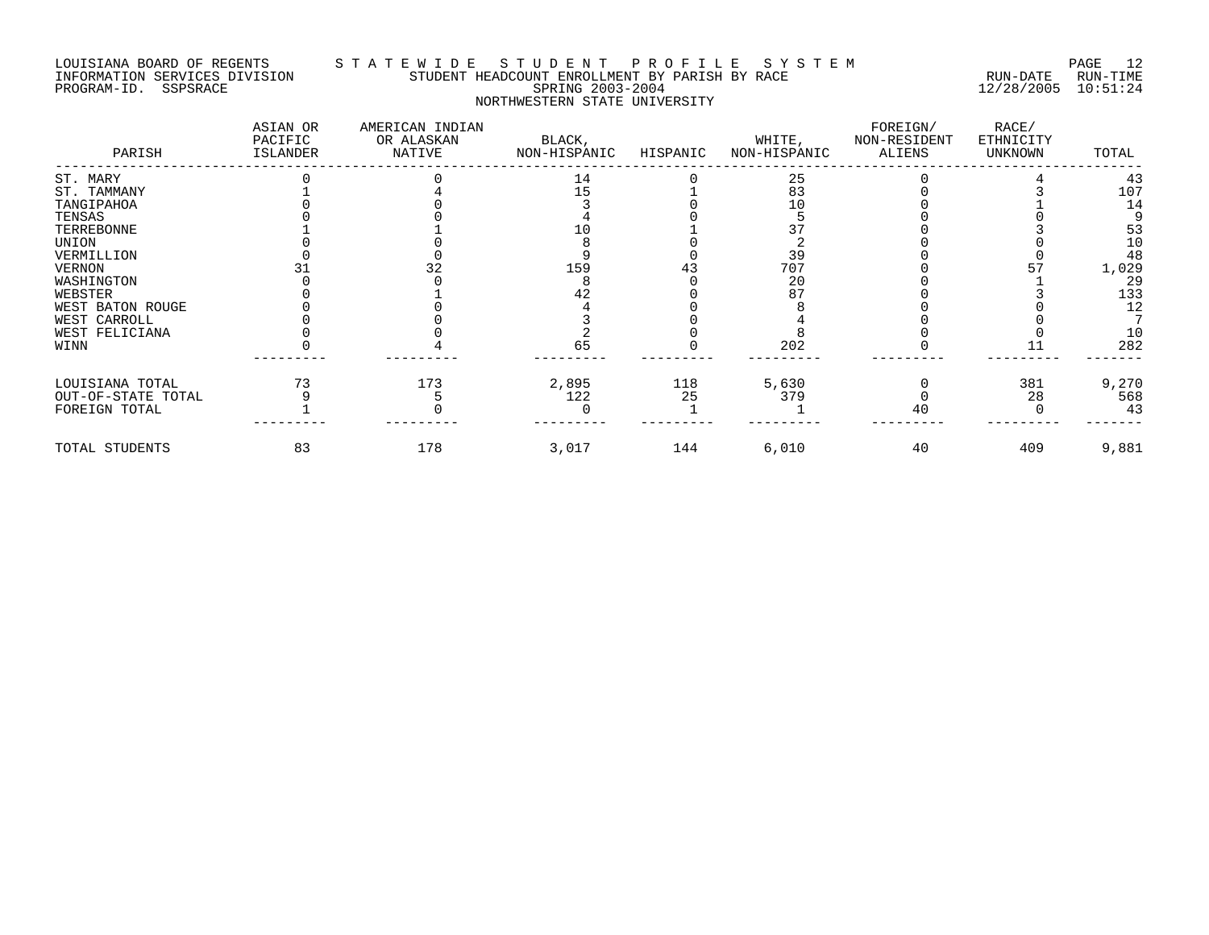## LOUISIANA BOARD OF REGENTS S T A T E W I D E S T U D E N T P R O F I L E S Y S T E M PAGE 12 INFORMATION SERVICES DIVISION STUDENT HEADCOUNT ENROLLMENT BY PARISH BY RACE RUN-DATE RUN-TIME PROGRAM-ID. SSPSRACE SERING 2003-2004 12/28/2005 10:51:24 NORTHWESTERN STATE UNIVERSITY

| PARISH             | ASIAN OR<br>PACIFIC<br>ISLANDER | AMERICAN INDIAN<br>OR ALASKAN<br>NATIVE | BLACK,<br>NON-HISPANIC | HISPANIC | WHITE,<br>NON-HISPANIC | FOREIGN/<br>NON-RESIDENT<br>ALIENS | RACE/<br>ETHNICITY<br>UNKNOWN | TOTAL |
|--------------------|---------------------------------|-----------------------------------------|------------------------|----------|------------------------|------------------------------------|-------------------------------|-------|
| ST. MARY           |                                 |                                         | 14                     |          | 25                     |                                    |                               | 43    |
| ST. TAMMANY        |                                 |                                         | 15                     |          | 83                     |                                    |                               | 107   |
| TANGIPAHOA         |                                 |                                         |                        |          | 10                     |                                    |                               | 14    |
| TENSAS             |                                 |                                         |                        |          |                        |                                    |                               |       |
| TERREBONNE         |                                 |                                         |                        |          |                        |                                    |                               | 53    |
| UNION              |                                 |                                         |                        |          |                        |                                    |                               | 10    |
| VERMILLION         |                                 |                                         |                        |          | 39                     |                                    |                               | 48    |
| VERNON             |                                 |                                         | 159                    |          | 707                    |                                    |                               | 1,029 |
| WASHINGTON         |                                 |                                         |                        |          | 20                     |                                    |                               | 29    |
| WEBSTER            |                                 |                                         | 42                     |          |                        |                                    |                               | 133   |
| WEST BATON ROUGE   |                                 |                                         |                        |          |                        |                                    |                               | 12    |
| WEST CARROLL       |                                 |                                         |                        |          |                        |                                    |                               |       |
| WEST FELICIANA     |                                 |                                         |                        |          |                        |                                    |                               | 10    |
| WINN               |                                 |                                         | 65                     |          | 202                    |                                    |                               | 282   |
| LOUISIANA TOTAL    | 73                              | 173                                     | 2,895                  | 118      | 5,630                  |                                    | 381                           | 9,270 |
| OUT-OF-STATE TOTAL |                                 |                                         | 122                    | 25       | 379                    |                                    | 28                            | 568   |
| FOREIGN TOTAL      |                                 |                                         |                        |          |                        | 40                                 |                               | 43    |
| TOTAL STUDENTS     | 83                              | 178                                     | 3,017                  | 144      | 6,010                  | 40                                 | 409                           | 9,881 |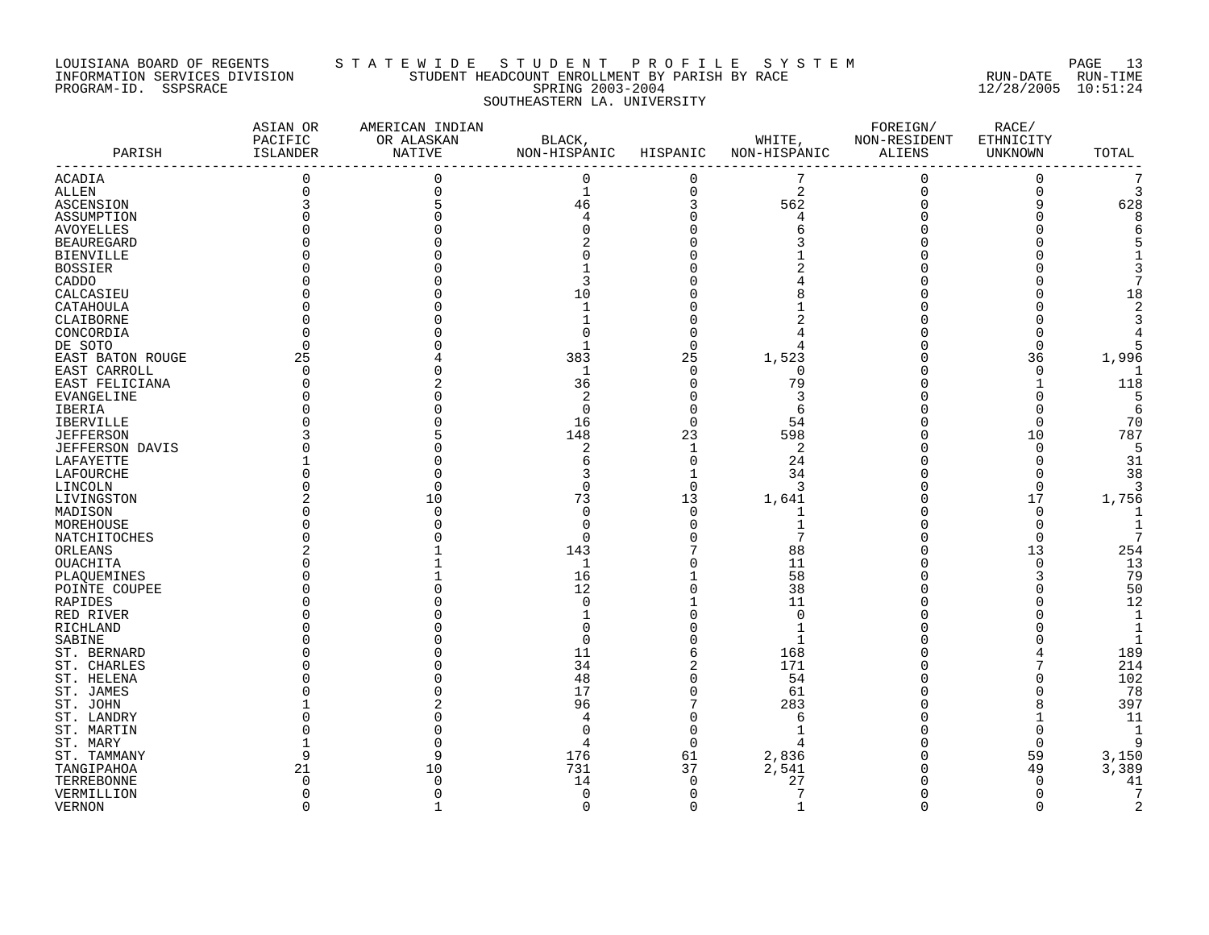### LOUISIANA BOARD OF REGENTS S T A T E W I D E S T U D E N T P R O F I L E S Y S T E M PAGE 13 INFORMATION SERVICES DIVISION STUDENT HEADCOUNT ENROLLMENT BY PARISH BY RACE RUN-DATE RUN-TIME PROGRAM-ID. SSPSRACE SPRING 2003-2004 12/28/2005 10:51:24 SOUTHEASTERN LA. UNIVERSITY

| PARISH            | ASIAN OR<br>PACIFIC<br>ISLANDER | AMERICAN INDIAN<br>OR ALASKAN<br>NATIVE | BLACK,<br>NON-HISPANIC | HISPANIC     | WHITE,<br>NON-HISPANIC | FOREIGN/<br>NON-RESIDENT<br>ALIENS | RACE/<br>ETHNICITY<br>UNKNOWN | TOTAL          |
|-------------------|---------------------------------|-----------------------------------------|------------------------|--------------|------------------------|------------------------------------|-------------------------------|----------------|
| <b>ACADIA</b>     | $\mathsf{O}\xspace$             | 0                                       | $\mathbf 0$            | 0            | 7                      | $\mathbf 0$                        | $\mathbf 0$                   | 7              |
| ALLEN             | $\mathbf 0$                     |                                         | $\mathbf 1$            | 0            | 2                      | $\mathbf 0$                        | 0                             | 3              |
| ASCENSION         |                                 |                                         | 46                     | 3            | 562                    | $\Omega$                           | 9                             | 628            |
| ASSUMPTION        |                                 |                                         | 4                      | $\Omega$     | 4                      | $\Omega$                           | $\Omega$                      | 8              |
| <b>AVOYELLES</b>  |                                 |                                         |                        |              | 6                      |                                    |                               | 6              |
| <b>BEAUREGARD</b> |                                 |                                         |                        |              |                        |                                    | ⋂                             |                |
| BIENVILLE         |                                 |                                         |                        |              |                        |                                    |                               |                |
| <b>BOSSIER</b>    |                                 |                                         |                        |              |                        |                                    |                               |                |
| CADDO             |                                 |                                         |                        |              |                        |                                    |                               |                |
| CALCASIEU         |                                 |                                         | 10                     |              |                        |                                    | Ω                             | 18             |
| CATAHOULA         |                                 |                                         |                        |              |                        |                                    | ⋂                             | 2              |
| CLAIBORNE         |                                 |                                         |                        |              |                        |                                    | Ω                             | 3              |
|                   |                                 |                                         |                        |              |                        |                                    | 0                             |                |
| CONCORDIA         | $\Omega$                        |                                         |                        | $\Omega$     | $\overline{4}$         |                                    |                               | 5              |
| DE SOTO           |                                 |                                         |                        |              |                        |                                    | 0                             |                |
| EAST BATON ROUGE  | 25                              |                                         | 383                    | 25           | 1,523                  |                                    | 36                            | 1,996          |
| EAST CARROLL      | $\Omega$                        |                                         | 1                      | $\Omega$     | $\Omega$               | ∩                                  | $\Omega$                      | -1             |
| EAST FELICIANA    |                                 |                                         | 36                     | $\mathbf 0$  | 79                     |                                    | 1                             | 118            |
| EVANGELINE        |                                 |                                         | 2                      |              | 3                      |                                    | 0                             | 5              |
| IBERIA            |                                 |                                         | $\Omega$               | 0            | 6                      |                                    | 0                             | 6              |
| <b>IBERVILLE</b>  |                                 |                                         | 16                     | $\Omega$     | 54                     |                                    | $\Omega$                      | 70             |
| <b>JEFFERSON</b>  |                                 |                                         | 148                    | 23           | 598                    | O                                  | 10                            | 787            |
| JEFFERSON DAVIS   |                                 |                                         | 2                      | $\mathbf{1}$ | 2                      | $\Omega$                           | 0                             | 5              |
| LAFAYETTE         |                                 |                                         | б                      | $\mathbf 0$  | 24                     |                                    | 0                             | 31             |
| LAFOURCHE         |                                 |                                         | 3                      | 1            | 34                     |                                    | 0                             | 38             |
| LINCOLN           |                                 |                                         | $\Omega$               | $\Omega$     | 3                      | $\Omega$                           | $\Omega$                      | 3              |
| LIVINGSTON        |                                 | 10                                      | 73                     | 13           | 1,641                  |                                    | 17                            | 1,756          |
| MADISON           |                                 |                                         | $\Omega$               | $\Omega$     | 1                      |                                    | 0                             | $\mathbf{1}$   |
| MOREHOUSE         |                                 |                                         | ∩                      | O            |                        |                                    | $\Omega$                      | 1              |
| NATCHITOCHES      |                                 |                                         | ∩                      |              | 7                      | O                                  | $\Omega$                      | 7              |
| ORLEANS           |                                 |                                         | 143                    |              | 88                     | $\Omega$                           | 13                            | 254            |
| OUACHITA          |                                 |                                         | 1                      |              | 11                     |                                    | 0                             | 13             |
| PLAQUEMINES       |                                 |                                         | 16                     |              | 58                     |                                    | 3                             | 79             |
| POINTE COUPEE     |                                 |                                         | 12                     |              | 38                     |                                    | O                             | 50             |
| RAPIDES           |                                 |                                         | $\Omega$               |              | 11                     | $\Omega$                           | 0                             | 12             |
| RED RIVER         |                                 |                                         |                        |              | $\mathbf 0$            |                                    | 0                             | 1              |
| RICHLAND          |                                 |                                         |                        |              | $\mathbf{1}$           |                                    | O                             | $\mathbf 1$    |
| SABINE            |                                 |                                         |                        |              | $\mathbf{1}$           |                                    | Λ                             | $\mathbf{1}$   |
|                   |                                 |                                         | 11                     | 6            |                        |                                    |                               | 189            |
| ST. BERNARD       |                                 |                                         |                        |              | 168                    |                                    | 7                             |                |
| ST. CHARLES       |                                 |                                         | 34                     |              | 171                    |                                    |                               | 214            |
| ST. HELENA        |                                 |                                         | 48                     |              | 54                     |                                    |                               | 102            |
| ST. JAMES         |                                 |                                         | 17                     | $\Omega$     | 61                     |                                    | O                             | 78             |
| ST. JOHN          |                                 |                                         | 96                     | 7            | 283                    | O                                  | 8                             | 397            |
| ST. LANDRY        |                                 |                                         |                        | O            | 6                      | $\Omega$                           |                               | 11             |
| ST. MARTIN        |                                 |                                         |                        |              | $\mathbf{1}$           |                                    | 0                             | 1              |
| ST. MARY          |                                 |                                         | 4                      | $\Omega$     | $\overline{4}$         |                                    | $\mathbf 0$                   | 9              |
| ST. TAMMANY       | 9                               | 9                                       | 176                    | 61           | 2,836                  | $\Omega$                           | 59                            | 3,150          |
| TANGIPAHOA        | 21                              | 10                                      | 731                    | 37           | 2,541                  | 0                                  | 49                            | 3,389          |
| TERREBONNE        | $\Omega$                        |                                         | 14                     | $\Omega$     | 27                     |                                    | $\mathbf 0$                   | 41             |
| VERMILLION        | $\Omega$                        |                                         | 0                      | $\Omega$     | 7                      | $\Omega$                           | 0                             | 7              |
| <b>VERNON</b>     | $\Omega$                        | 1                                       | $\Omega$               | $\Omega$     | $\mathbf{1}$           | $\Omega$                           | $\Omega$                      | $\overline{2}$ |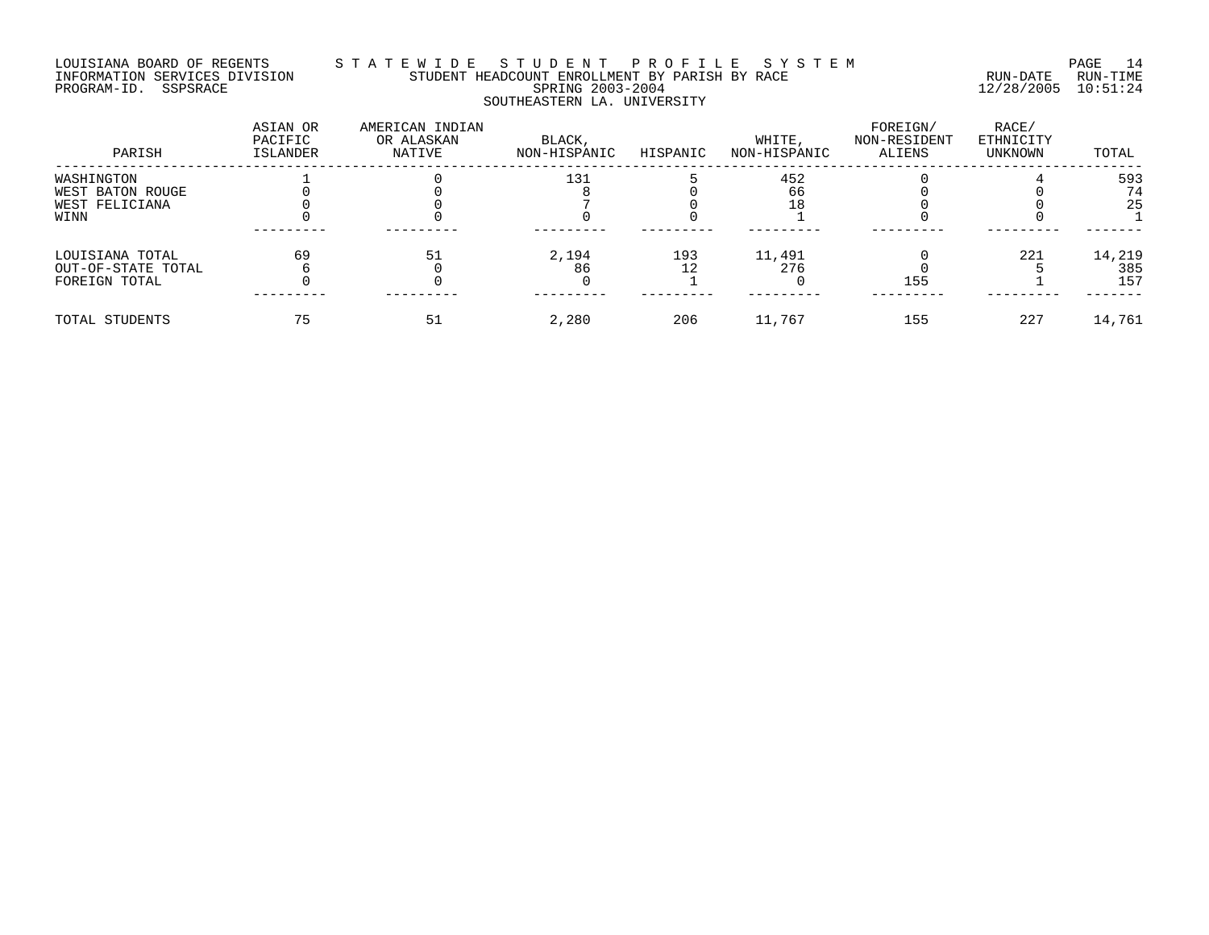# LOUISIANA BOARD OF REGENTS S T A T E W I D E S T U D E N T P R O F I L E S Y S T E M PAGE 14 INFORMATION SERVICES DIVISION STUDENT HEADCOUNT ENROLLMENT BY PARISH BY RACE RUN-DATE RUN-TIME PROGRAM-ID. SSPSRACE SPRING 2003-2004 12/28/2005 10:51:24 SOUTHEASTERN LA. UNIVERSITY

| PARISH             | ASIAN OR<br>PACIFIC<br>ISLANDER | AMERICAN INDIAN<br>OR ALASKAN<br>NATIVE | BLACK,<br>NON-HISPANIC | HISPANIC | WHITE,<br>NON-HISPANIC | FOREIGN/<br>NON-RESIDENT<br>ALIENS | RACE/<br>ETHNICITY<br>UNKNOWN | TOTAL  |
|--------------------|---------------------------------|-----------------------------------------|------------------------|----------|------------------------|------------------------------------|-------------------------------|--------|
| WASHINGTON         |                                 |                                         | 131                    |          | 452                    |                                    |                               | 593    |
| WEST BATON ROUGE   |                                 |                                         |                        |          | 66                     |                                    |                               | 74     |
| WEST FELICIANA     |                                 |                                         |                        |          |                        |                                    |                               | 25     |
| WINN               |                                 |                                         |                        |          |                        |                                    |                               |        |
| LOUISIANA TOTAL    | 69                              | 51                                      | 2,194                  | 193      | 11,491                 |                                    | 221                           | 14,219 |
| OUT-OF-STATE TOTAL |                                 |                                         | 86                     |          | 276                    |                                    |                               | 385    |
| FOREIGN TOTAL      |                                 |                                         |                        |          |                        | 155                                |                               | 157    |
| TOTAL STUDENTS     |                                 |                                         | 2,280                  | 206      | 11,767                 | 155                                | 227                           | 14,761 |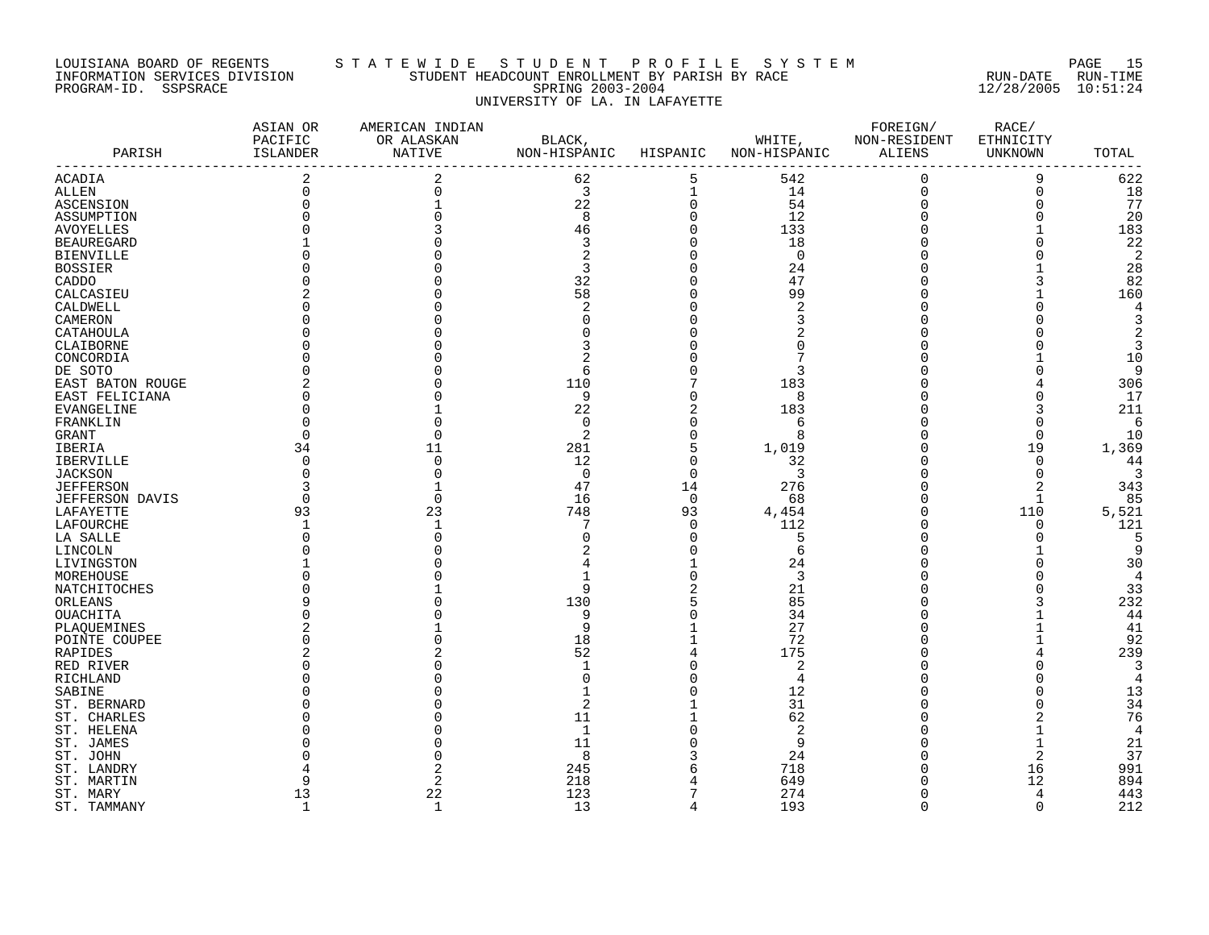### LOUISIANA BOARD OF REGENTS S T A T E W I D E S T U D E N T P R O F I L E S Y S T E M PAGE 15 INFORMATION SERVICES DIVISION STUDENT HEADCOUNT ENROLLMENT BY PARISH BY RACE RUN-DATE RUN-TIME PROGRAM-ID. SSPSRACE SPRING 2003-2004 12/28/2005 10:51:24 UNIVERSITY OF LA. IN LAFAYETTE

| PARISH                 | ASIAN OR<br>PACIFIC<br>ISLANDER | AMERICAN INDIAN<br>OR ALASKAN<br>NATIVE | BLACK,<br>NON-HISPANIC | HISPANIC       | WHITE,<br>NON-HISPANIC | FOREIGN/<br>NON-RESIDENT<br>ALIENS | RACE/<br>ETHNICITY<br>UNKNOWN | TOTAL          |
|------------------------|---------------------------------|-----------------------------------------|------------------------|----------------|------------------------|------------------------------------|-------------------------------|----------------|
| ACADIA                 | $\overline{2}$                  | $\overline{2}$                          | 62                     | 5              | 542                    | $\mathbf 0$                        | 9                             | 622            |
| ALLEN                  | $\Omega$                        |                                         | 3                      | $\mathbf 1$    | 14                     | $\overline{0}$                     | $\mathbf 0$                   | 18             |
| ASCENSION              |                                 |                                         | 22                     | $\mathbf 0$    | 54                     | $\Omega$                           | $\Omega$                      | 77             |
| ASSUMPTION             |                                 |                                         | 8                      | $\Omega$       | 12                     |                                    | $\Omega$                      | 20             |
| <b>AVOYELLES</b>       |                                 |                                         | 46                     | $\Omega$       | 133                    |                                    |                               | 183            |
| <b>BEAUREGARD</b>      |                                 |                                         | 3                      | $\Omega$       | 18                     |                                    | $\Omega$                      | 22             |
| <b>BIENVILLE</b>       |                                 |                                         | $\overline{2}$         | $\Omega$       | $\mathbf 0$            |                                    | $\Omega$                      | 2              |
| <b>BOSSIER</b>         |                                 |                                         | 3                      |                | 24                     |                                    |                               | 28             |
| CADDO                  |                                 |                                         | 32                     |                | 47                     |                                    |                               | 82             |
| CALCASIEU              |                                 |                                         | 58                     |                | 99                     |                                    |                               | 160            |
| CALDWELL               |                                 |                                         | 2                      |                | 2                      |                                    | U                             | 4              |
| CAMERON                |                                 |                                         |                        |                |                        |                                    |                               |                |
| CATAHOULA              |                                 |                                         |                        |                |                        |                                    |                               |                |
| CLAIBORNE              |                                 |                                         |                        |                |                        |                                    |                               | 3              |
|                        |                                 |                                         |                        |                |                        |                                    |                               |                |
| CONCORDIA              |                                 |                                         |                        |                |                        |                                    |                               | 10             |
| DE SOTO                |                                 |                                         | 6                      |                | 3                      |                                    | O                             | 9              |
| EAST BATON ROUGE       |                                 |                                         | 110                    |                | 183                    |                                    |                               | 306            |
| EAST FELICIANA         |                                 |                                         | 9                      |                | 8                      |                                    | $\Omega$                      | 17             |
| EVANGELINE             |                                 |                                         | 22                     | 2              | 183                    |                                    | 3                             | 211            |
| FRANKLIN               |                                 |                                         | $\Omega$               |                | 6                      |                                    | $\Omega$                      | 6              |
| GRANT                  | <sup>0</sup>                    |                                         | 2                      | $\Omega$       | 8                      |                                    | 0                             | 10             |
| IBERIA                 | 34                              | 11                                      | 281                    | 5              | 1,019                  |                                    | 19                            | 1,369          |
| <b>IBERVILLE</b>       | $\Omega$                        | $\cap$                                  | 12                     | $\Omega$       | 32                     |                                    | $\Omega$                      | 44             |
| <b>JACKSON</b>         |                                 |                                         | $\mathbf 0$            | $\Omega$       | 3                      |                                    | $\Omega$                      | 3              |
| <b>JEFFERSON</b>       |                                 |                                         | 47                     | 14             | 276                    |                                    | $\overline{2}$                | 343            |
| <b>JEFFERSON DAVIS</b> | $\Omega$                        |                                         | 16                     | $\Omega$       | 68                     |                                    | 1                             | 85             |
| LAFAYETTE              | 93                              | 23                                      | 748                    | 93             | 4,454                  | $\Omega$                           | 110                           | 5,521          |
| LAFOURCHE              |                                 |                                         |                        | $\Omega$       | 112                    |                                    | 0                             | 121            |
| LA SALLE               |                                 |                                         |                        | $\Omega$       | 5                      |                                    | $\Omega$                      | .5             |
| LINCOLN                |                                 |                                         |                        |                | 6                      |                                    |                               | 9              |
| LIVINGSTON             |                                 |                                         |                        |                | 24                     |                                    | $\Omega$                      | 30             |
| MOREHOUSE              |                                 |                                         |                        |                | 3                      |                                    | $\Omega$                      | $\overline{4}$ |
| NATCHITOCHES           |                                 |                                         | 9                      |                | 21                     |                                    |                               | 33             |
| ORLEANS                |                                 |                                         | 130                    |                | 85                     |                                    |                               | 232            |
| OUACHITA               |                                 |                                         | 9                      |                | 34                     |                                    |                               | 44             |
| PLAQUEMINES            |                                 |                                         | 9                      |                | 27                     |                                    |                               | 41             |
| POINTE COUPEE          |                                 |                                         | 18                     |                | 72                     |                                    |                               | 92             |
| RAPIDES                |                                 |                                         | 52                     |                | 175                    |                                    |                               | 239            |
| RED RIVER              |                                 |                                         | -1                     |                | $\overline{c}$         |                                    | O                             | 3              |
| RICHLAND               |                                 |                                         | U                      |                | 4                      |                                    |                               |                |
| SABINE                 |                                 |                                         |                        |                | 12                     |                                    |                               | 13             |
| ST. BERNARD            |                                 |                                         | 2                      |                | 31                     |                                    | U                             | 34             |
|                        |                                 |                                         |                        |                | 62                     |                                    |                               | 76             |
| ST. CHARLES            |                                 |                                         | 11                     |                |                        |                                    |                               |                |
| ST. HELENA             |                                 |                                         | 1                      |                | $\overline{2}$         |                                    |                               | $\overline{4}$ |
| ST. JAMES              |                                 |                                         | 11                     |                | 9                      |                                    | $\mathbf{1}$                  | 21             |
| ST. JOHN               |                                 |                                         | 8                      |                | 24                     |                                    | $\overline{2}$                | 37             |
| ST. LANDRY             |                                 |                                         | 245                    |                | 718                    |                                    | 16                            | 991            |
| ST. MARTIN             |                                 | 2                                       | 218                    |                | 649                    |                                    | 12                            | 894            |
| ST. MARY               | 13                              | 22                                      | 123                    |                | 274                    | $\Omega$                           | 4                             | 443            |
| ST. TAMMANY            | $\mathbf{1}$                    | $\mathbf{1}$                            | 13                     | $\overline{4}$ | 193                    | $\Omega$                           | $\Omega$                      | 212            |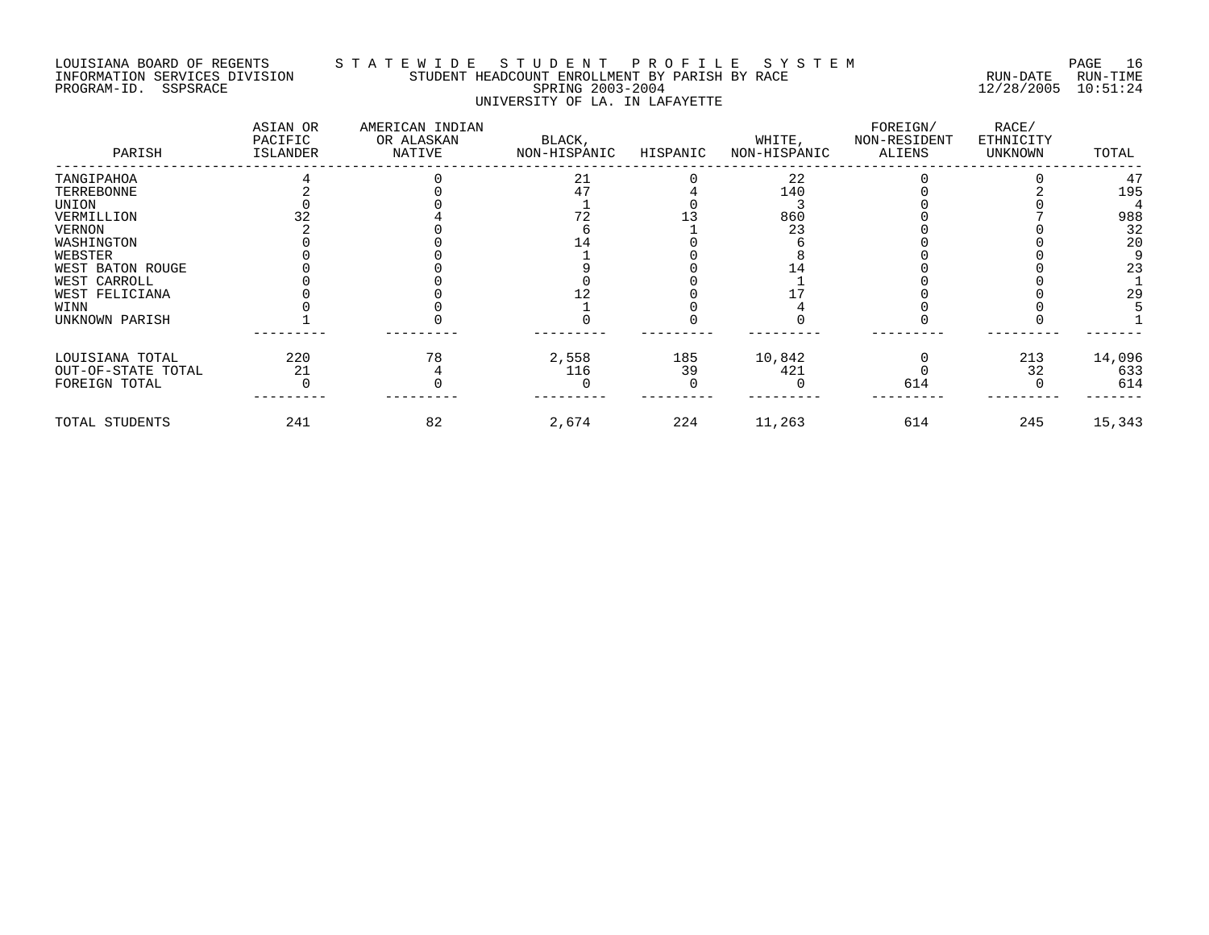# LOUISIANA BOARD OF REGENTS S T A T E W I D E S T U D E N T P R O F I L E S Y S T E M PAGE 16 INFORMATION SERVICES DIVISION STUDENT HEADCOUNT ENROLLMENT BY PARISH BY RACE RUN-DATE RUN-TIME PROGRAM-ID. SSPSRACE SPRING 2003-2004 12/28/2005 10:51:24 UNIVERSITY OF LA. IN LAFAYETTE

| PARISH             | ASIAN OR<br>PACIFIC<br>ISLANDER | AMERICAN INDIAN<br>OR ALASKAN<br>NATIVE | BLACK,<br>NON-HISPANIC | HISPANIC | WHITE,<br>NON-HISPANIC | FOREIGN/<br>NON-RESIDENT<br>ALIENS | RACE/<br>ETHNICITY<br>UNKNOWN | TOTAL  |
|--------------------|---------------------------------|-----------------------------------------|------------------------|----------|------------------------|------------------------------------|-------------------------------|--------|
| TANGIPAHOA         |                                 |                                         | 21                     |          | 22                     |                                    |                               | 47     |
| TERREBONNE         |                                 |                                         | 47                     |          | 140                    |                                    |                               | 195    |
| UNION              |                                 |                                         |                        |          |                        |                                    |                               |        |
| VERMILLION         |                                 |                                         |                        |          | 860                    |                                    |                               | 988    |
| <b>VERNON</b>      |                                 |                                         |                        |          | 23                     |                                    |                               | 32     |
| WASHINGTON         |                                 |                                         |                        |          |                        |                                    |                               | 20     |
| WEBSTER            |                                 |                                         |                        |          |                        |                                    |                               |        |
| WEST BATON ROUGE   |                                 |                                         |                        |          |                        |                                    |                               | 23     |
| WEST CARROLL       |                                 |                                         |                        |          |                        |                                    |                               |        |
| WEST FELICIANA     |                                 |                                         |                        |          |                        |                                    |                               | 29     |
| WINN               |                                 |                                         |                        |          |                        |                                    |                               |        |
| UNKNOWN PARISH     |                                 |                                         |                        |          |                        |                                    |                               |        |
| LOUISIANA TOTAL    | 220                             | 78                                      | 2,558                  | 185      | 10,842                 |                                    | 213                           | 14,096 |
| OUT-OF-STATE TOTAL | 21                              |                                         | 116                    | 39       | 421                    |                                    | 32                            | 633    |
| FOREIGN TOTAL      |                                 |                                         |                        |          |                        | 614                                |                               | 614    |
| TOTAL STUDENTS     | 241                             | 82                                      | 2,674                  | 224      | 11,263                 | 614                                | 245                           | 15,343 |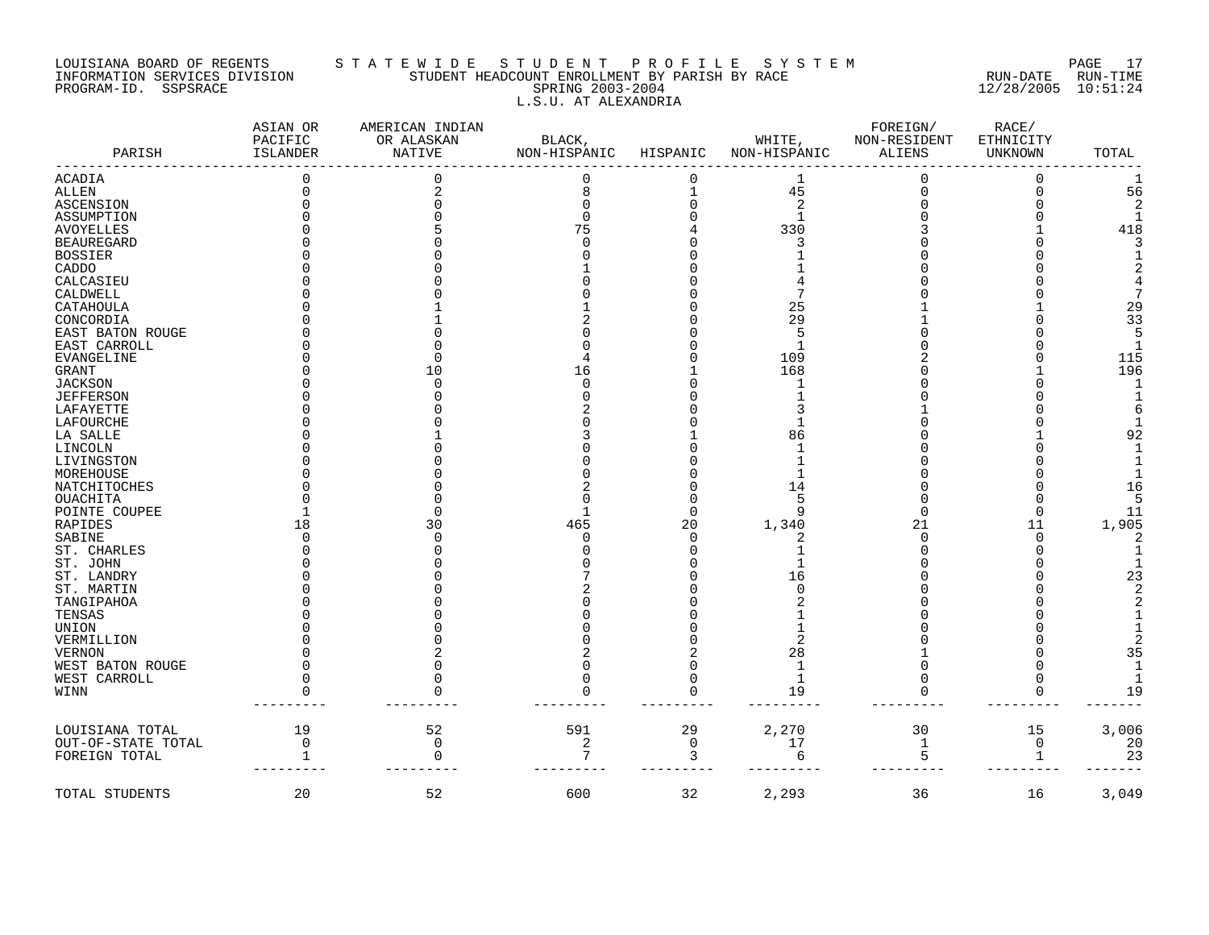# LOUISIANA BOARD OF REGENTS S T A T E W I D E S T U D E N T P R O F I L E S Y S T E M PAGE 17 INFORMATION SERVICES DIVISION STUDENT HEADCOUNT ENROLLMENT BY PARISH BY RACE RUN-DATE RUN-TIME PROGRAM-ID. SSPSRACE SPRING 2003-2004 12/28/2005 10:51:24 L.S.U. AT ALEXANDRIA

| PARISH             | ASIAN OR<br>PACIFIC<br><b>ISLANDER</b> | AMERICAN INDIAN<br>OR ALASKAN<br><b>NATIVE</b> | BLACK,<br>NON-HISPANIC HISPANIC |             | WHITE,<br>NON-HISPANIC | FOREIGN/<br>NON-RESIDENT<br><b>ALIENS</b> | RACE/<br>ETHNICITY<br>UNKNOWN | TOTAL |
|--------------------|----------------------------------------|------------------------------------------------|---------------------------------|-------------|------------------------|-------------------------------------------|-------------------------------|-------|
| ACADIA             |                                        |                                                | $\Omega$                        |             | 1                      |                                           | $\Omega$                      |       |
| ALLEN              | O                                      |                                                | 8                               |             | 45                     |                                           | U                             | 56    |
| ASCENSION          |                                        |                                                |                                 |             | 2                      |                                           |                               |       |
| ASSUMPTION         |                                        |                                                |                                 |             | 1                      |                                           |                               |       |
| AVOYELLES          |                                        |                                                | 75                              |             | 330                    |                                           |                               | 418   |
| <b>BEAUREGARD</b>  |                                        |                                                |                                 |             |                        |                                           |                               |       |
| <b>BOSSIER</b>     |                                        |                                                |                                 |             |                        |                                           |                               |       |
| CADDO              |                                        |                                                |                                 |             |                        |                                           |                               |       |
| CALCASIEU          |                                        |                                                |                                 |             |                        |                                           |                               |       |
| CALDWELL           |                                        |                                                |                                 |             |                        |                                           |                               |       |
| CATAHOULA          |                                        |                                                |                                 |             | 25                     |                                           |                               | 29    |
| CONCORDIA          |                                        |                                                |                                 |             | 29                     |                                           |                               | 33    |
| EAST BATON ROUGE   |                                        |                                                |                                 |             | 5                      |                                           |                               |       |
| EAST CARROLL       |                                        |                                                |                                 |             | -1                     |                                           |                               |       |
| EVANGELINE         |                                        |                                                |                                 |             | 109                    |                                           |                               | 115   |
| GRANT              |                                        | 10                                             | 16                              |             | 168                    |                                           |                               | 196   |
| JACKSON            |                                        |                                                |                                 |             |                        |                                           |                               |       |
| JEFFERSON          |                                        |                                                |                                 |             |                        |                                           |                               |       |
| LAFAYETTE          |                                        |                                                |                                 |             |                        |                                           |                               |       |
| LAFOURCHE          |                                        |                                                |                                 |             |                        |                                           |                               |       |
| LA SALLE           |                                        |                                                |                                 |             | 86                     |                                           |                               | 92    |
| LINCOLN            |                                        |                                                |                                 |             |                        |                                           |                               |       |
| LIVINGSTON         |                                        |                                                |                                 |             |                        |                                           |                               |       |
| MOREHOUSE          |                                        |                                                |                                 |             |                        |                                           |                               |       |
| NATCHITOCHES       |                                        |                                                |                                 |             | 14                     |                                           |                               | 16    |
| OUACHITA           |                                        |                                                |                                 |             | 5                      |                                           |                               |       |
| POINTE COUPEE      |                                        |                                                |                                 |             | 9                      |                                           |                               | 11    |
| RAPIDES            | 18                                     | 30                                             | 465                             | 20          | 1,340                  | 21                                        | 11                            | 1,905 |
| SABINE             |                                        |                                                | U                               |             |                        |                                           |                               |       |
| ST. CHARLES        |                                        |                                                |                                 |             |                        |                                           |                               |       |
| ST. JOHN           |                                        |                                                |                                 |             |                        |                                           |                               |       |
| ST. LANDRY         |                                        |                                                |                                 |             | 16                     |                                           |                               | 23    |
| ST. MARTIN         |                                        |                                                |                                 |             |                        |                                           |                               |       |
| TANGIPAHOA         |                                        |                                                |                                 |             |                        |                                           |                               |       |
| TENSAS             |                                        |                                                |                                 |             |                        |                                           |                               |       |
| UNION              |                                        |                                                |                                 |             |                        |                                           |                               |       |
| VERMILLION         |                                        |                                                |                                 |             |                        |                                           |                               |       |
| VERNON             |                                        |                                                |                                 |             | 28                     |                                           |                               | 35    |
| WEST BATON ROUGE   |                                        |                                                |                                 |             | 1                      |                                           |                               |       |
| WEST CARROLL       |                                        |                                                | U                               |             | 1                      |                                           |                               |       |
| WINN               |                                        |                                                |                                 |             | 19                     |                                           |                               | 19    |
| LOUISIANA TOTAL    | 19                                     | 52                                             | 591                             | 29          | 2,270                  | 30                                        | 15                            | 3,006 |
| OUT-OF-STATE TOTAL | $\mathsf{O}$                           | $\mathbf 0$                                    | 2                               | $\mathbf 0$ | 17                     | 1                                         | $\mathbf 0$                   | 20    |
| FOREIGN TOTAL      |                                        | $\Omega$                                       | 7                               | 3           | 6                      | 5                                         | 1                             | 23    |
| TOTAL STUDENTS     | 20                                     | 52                                             | 600                             | 32          | 2,293                  | 36                                        | 16                            | 3,049 |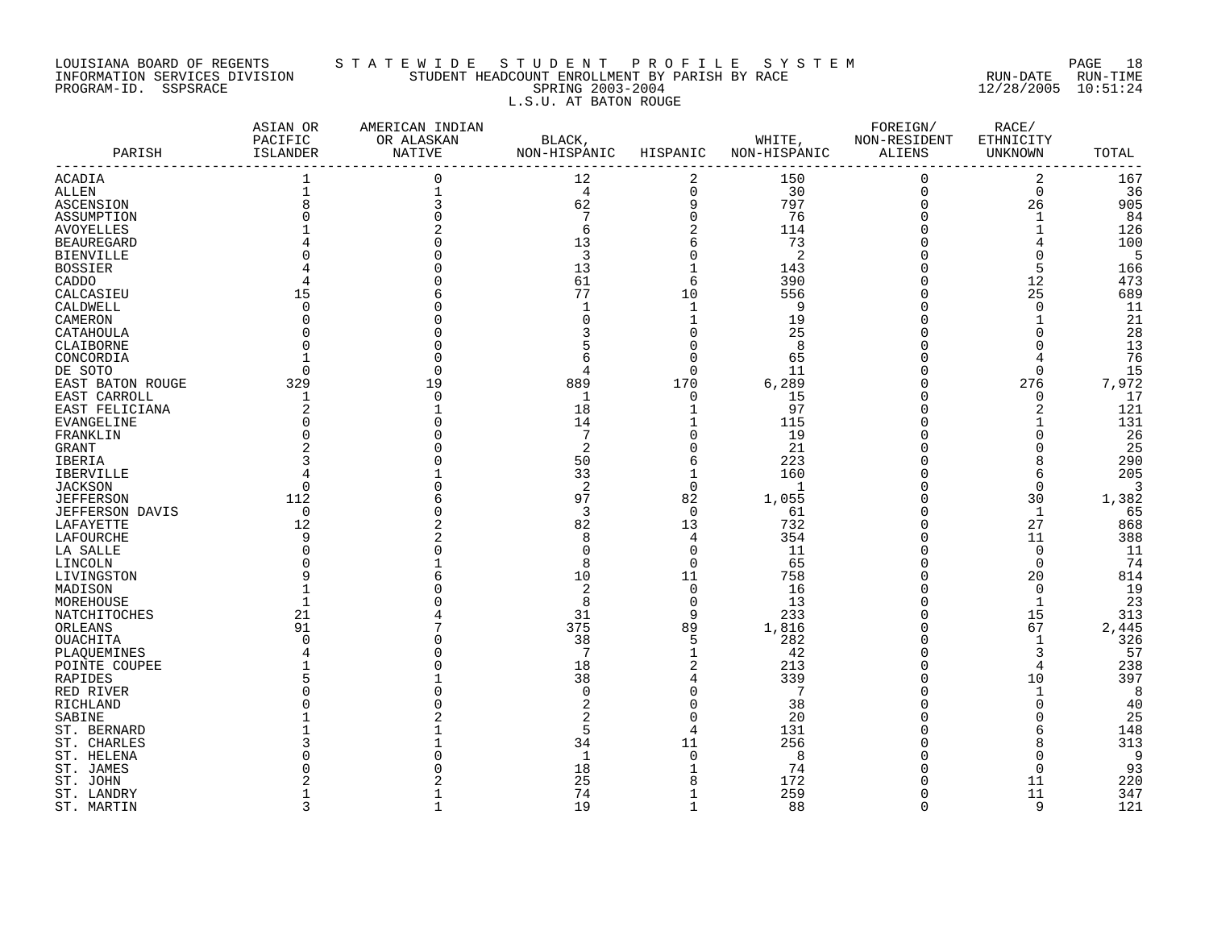## LOUISIANA BOARD OF REGENTS S T A T E W I D E S T U D E N T P R O F I L E S Y S T E M PAGE 18 INFORMATION SERVICES DIVISION STUDENT HEADCOUNT ENROLLMENT BY PARISH BY RACE RUN-DATE RUN-TIME PROGRAM-ID. SSPSRACE SPRING 2003-2004 12/28/2005 10:51:24 L.S.U. AT BATON ROUGE

| PARISH                 | ASIAN OR<br>PACIFIC<br>ISLANDER | AMERICAN INDIAN<br>OR ALASKAN<br>NATIVE | BLACK,<br>NON-HISPANIC | HISPANIC       | WHITE,<br>NON-HISPANIC | FOREIGN/<br>NON-RESIDENT<br>ALIENS | RACE/<br>ETHNICITY<br>UNKNOWN | TOTAL |
|------------------------|---------------------------------|-----------------------------------------|------------------------|----------------|------------------------|------------------------------------|-------------------------------|-------|
| ACADIA                 |                                 | $\Omega$                                | 12                     | $\overline{2}$ | 150                    | $\mathbf 0$                        | $\overline{2}$                | 167   |
| <b>ALLEN</b>           |                                 |                                         | 4                      | $\Omega$       | 30                     | $\overline{0}$                     | $\Omega$                      | 36    |
| ASCENSION              |                                 |                                         | 62                     | 9              | 797                    | $\mathbf 0$                        | 26                            | 905   |
| ASSUMPTION             |                                 |                                         | 7                      | $\Omega$       | 76                     | $\Omega$                           | $\mathbf 1$                   | 84    |
| <b>AVOYELLES</b>       |                                 |                                         | 6                      | 2              | 114                    | $\Omega$                           | 1                             | 126   |
| <b>BEAUREGARD</b>      |                                 |                                         | 13                     | 6              | 73                     | $\Omega$                           | 4                             | 100   |
| <b>BIENVILLE</b>       |                                 |                                         | 3                      | $\Omega$       | 2                      | $\Omega$                           | $\mathbf 0$                   | 5     |
| <b>BOSSIER</b>         |                                 |                                         | 13                     |                | 143                    |                                    | 5                             | 166   |
| CADDO                  |                                 |                                         | 61                     | 6              | 390                    | $\Omega$                           | 12                            | 473   |
| CALCASIEU              | 15                              |                                         | 77                     | 10             | 556                    | $\Omega$                           | 25                            | 689   |
| CALDWELL               |                                 |                                         |                        | $\mathbf{1}$   | 9                      |                                    | $\Omega$                      | 11    |
| CAMERON                |                                 |                                         | O                      |                | 19                     | $\Omega$                           | $\mathbf{1}$                  | 21    |
| CATAHOULA              |                                 |                                         |                        | $\Omega$       | 25                     |                                    | $\Omega$                      | 28    |
| CLAIBORNE              |                                 |                                         |                        | $\Omega$       | 8                      |                                    | $\Omega$                      | 13    |
|                        |                                 |                                         | 6                      | $\Omega$       | 65                     |                                    |                               | 76    |
| CONCORDIA              |                                 |                                         |                        | $\Omega$       | 11                     |                                    | $\mathbf 0$                   | 15    |
| DE SOTO                |                                 |                                         | 4                      | 170            |                        | 0                                  |                               | 7,972 |
| EAST BATON ROUGE       | 329                             |                                         | 889                    | $\Omega$       | 6,289                  |                                    | 276                           |       |
| EAST CARROLL           |                                 |                                         | 1                      |                | 15                     |                                    | $\mathbf 0$                   | 17    |
| EAST FELICIANA         | 2                               |                                         | 18                     |                | 97                     | 0                                  | $\overline{2}$                | 121   |
| <b>EVANGELINE</b>      |                                 |                                         | 14                     |                | 115                    | $\cap$                             | 1                             | 131   |
| FRANKLIN               |                                 |                                         | 7                      | $\Omega$       | 19                     | $\Omega$                           | $\Omega$                      | 26    |
| GRANT                  |                                 |                                         | 2                      | $\Omega$       | 21                     |                                    | 0                             | 25    |
| IBERIA                 |                                 |                                         | 50                     | 6              | 223                    |                                    | 8                             | 290   |
| <b>IBERVILLE</b>       |                                 |                                         | 33                     | $\mathbf{1}$   | 160                    |                                    | 6                             | 205   |
| <b>JACKSON</b>         | $\Omega$                        |                                         | 2                      | $\Omega$       | $\mathbf{1}$           |                                    | $\Omega$                      | 3     |
| <b>JEFFERSON</b>       | 112                             |                                         | 97                     | 82             | 1,055                  |                                    | 30                            | 1,382 |
| <b>JEFFERSON DAVIS</b> | 0                               |                                         | 3                      | 0              | 61                     | $\Omega$                           | 1                             | 65    |
| LAFAYETTE              | 12                              |                                         | 82                     | 13             | 732                    | $\Omega$                           | 27                            | 868   |
| LAFOURCHE              | 9                               |                                         | 8                      | 4              | 354                    | $\Omega$                           | 11                            | 388   |
| LA SALLE               |                                 |                                         | O                      | $\Omega$       | 11                     | $\Omega$                           | $\overline{0}$                | 11    |
| LINCOLN                |                                 |                                         | 8                      | $\Omega$       | 65                     |                                    | $\Omega$                      | 74    |
| LIVINGSTON             |                                 |                                         | 10                     | 11             | 758                    | $\Omega$                           | 20                            | 814   |
| MADISON                |                                 |                                         | 2                      | $\mathbf 0$    | 16                     | $\Omega$                           | $\mathbf 0$                   | 19    |
| MOREHOUSE              |                                 |                                         | 8                      | $\Omega$       | 13                     | $\Omega$                           | $\mathbf 1$                   | 23    |
| NATCHITOCHES           | 21                              |                                         | 31                     | 9              | 233                    | $\Omega$                           | 15                            | 313   |
| ORLEANS                | 91                              |                                         | 375                    | 89             | 1,816                  |                                    | 67                            | 2,445 |
| OUACHITA               |                                 |                                         | 38                     | 5              | 282                    | $\cap$                             | $\mathbf 1$                   | 326   |
| PLAOUEMINES            |                                 |                                         | 7                      | $\mathbf{1}$   | 42                     | $\cap$                             | 3                             | 57    |
| POINTE COUPEE          |                                 |                                         | 18                     | $\overline{2}$ | 213                    | $\Omega$                           | 4                             | 238   |
| RAPIDES                |                                 |                                         | 38                     | 4              | 339                    | $\Omega$                           | 10                            | 397   |
| RED RIVER              |                                 |                                         | $\Omega$               | $\Omega$       | 7                      |                                    | 1                             | 8     |
| RICHLAND               |                                 |                                         |                        | $\Omega$       | 38                     |                                    | $\Omega$                      | 40    |
| SABINE                 |                                 |                                         |                        | $\Omega$       | 20                     |                                    | $\Omega$                      | 25    |
| ST. BERNARD            |                                 |                                         | 5                      | $\overline{4}$ | 131                    |                                    | 6                             | 148   |
| ST. CHARLES            |                                 |                                         | 34                     | 11             | 256                    |                                    | 8                             | 313   |
| ST. HELENA             |                                 |                                         | 1                      | $\Omega$       | 8                      |                                    | 0                             | 9     |
| ST. JAMES              |                                 |                                         | 18                     |                | 74                     |                                    | $\Omega$                      | 93    |
| ST. JOHN               |                                 |                                         | 25                     |                | 172                    |                                    | 11                            | 220   |
| ST. LANDRY             |                                 |                                         | 74                     |                | 259                    | $\Omega$                           | 11                            | 347   |
| ST. MARTIN             | 3                               |                                         | 19                     | $\mathbf{1}$   | 88                     | $\Omega$                           | 9                             | 121   |
|                        |                                 |                                         |                        |                |                        |                                    |                               |       |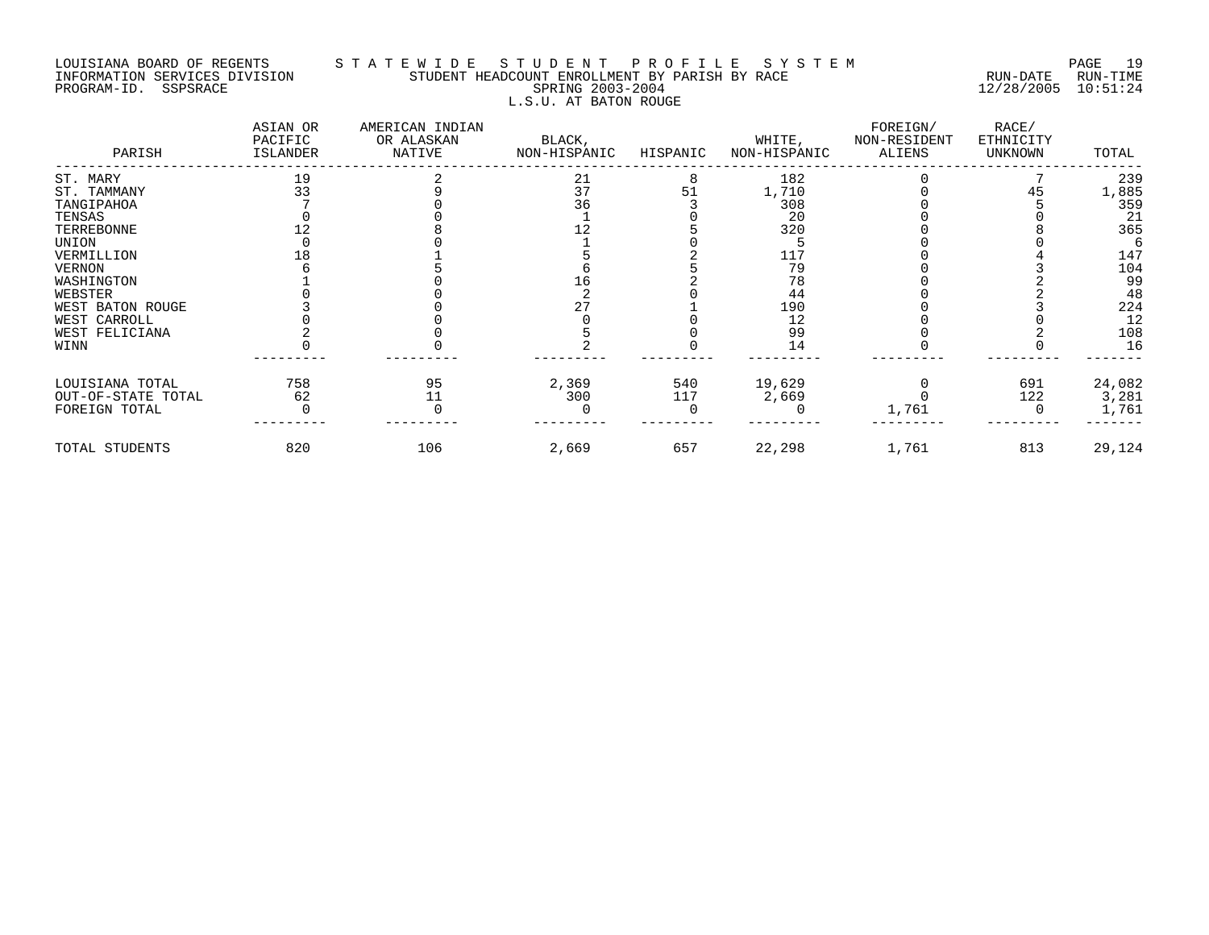# LOUISIANA BOARD OF REGENTS S T A T E W I D E S T U D E N T P R O F I L E S Y S T E M PAGE 19 INFORMATION SERVICES DIVISION STUDENT HEADCOUNT ENROLLMENT BY PARISH BY RACE RUN-DATE RUN-TIME PROGRAM-ID. SSPSRACE SPRING 2003-2004 12/28/2005 10:51:24 L.S.U. AT BATON ROUGE

| PARISH             | ASIAN OR<br>PACIFIC<br>ISLANDER | AMERICAN INDIAN<br>OR ALASKAN<br>NATIVE | BLACK,<br>NON-HISPANIC | HISPANIC | WHITE,<br>NON-HISPANIC | FOREIGN/<br>NON-RESIDENT<br>ALIENS | RACE/<br>ETHNICITY<br>UNKNOWN | TOTAL  |
|--------------------|---------------------------------|-----------------------------------------|------------------------|----------|------------------------|------------------------------------|-------------------------------|--------|
| ST. MARY           | 19                              |                                         | 21                     |          | 182                    |                                    |                               | 239    |
| ST. TAMMANY        | 33                              |                                         | 37                     | 51       | 1,710                  |                                    |                               | 1,885  |
| TANGIPAHOA         |                                 |                                         | 36                     |          | 308                    |                                    |                               | 359    |
| TENSAS             |                                 |                                         |                        |          | 20                     |                                    |                               | 21     |
| TERREBONNE         |                                 |                                         |                        |          | 320                    |                                    |                               | 365    |
| UNION              |                                 |                                         |                        |          |                        |                                    |                               |        |
| VERMILLION         |                                 |                                         |                        |          | 117                    |                                    |                               | 147    |
| VERNON             |                                 |                                         |                        |          | 79                     |                                    |                               | 104    |
| WASHINGTON         |                                 |                                         | Tр                     |          | 78                     |                                    |                               | 99     |
| WEBSTER            |                                 |                                         |                        |          | 44                     |                                    |                               | 48     |
| WEST BATON ROUGE   |                                 |                                         | 27                     |          | 190                    |                                    |                               | 224    |
| WEST CARROLL       |                                 |                                         |                        |          |                        |                                    |                               | 12     |
| WEST FELICIANA     |                                 |                                         |                        |          | 99                     |                                    |                               | 108    |
| WINN               |                                 |                                         |                        |          | 14                     |                                    |                               | 16     |
| LOUISIANA TOTAL    | 758                             | 95                                      | 2,369                  | 540      | 19,629                 |                                    | 691                           | 24,082 |
| OUT-OF-STATE TOTAL | 62                              | 11                                      | 300                    | 117      | 2,669                  |                                    | 122                           | 3,281  |
| FOREIGN TOTAL      |                                 |                                         |                        |          |                        | 1,761                              |                               | 1,761  |
| TOTAL STUDENTS     | 820                             | 106                                     | 2,669                  | 657      | 22,298                 | 1,761                              | 813                           | 29,124 |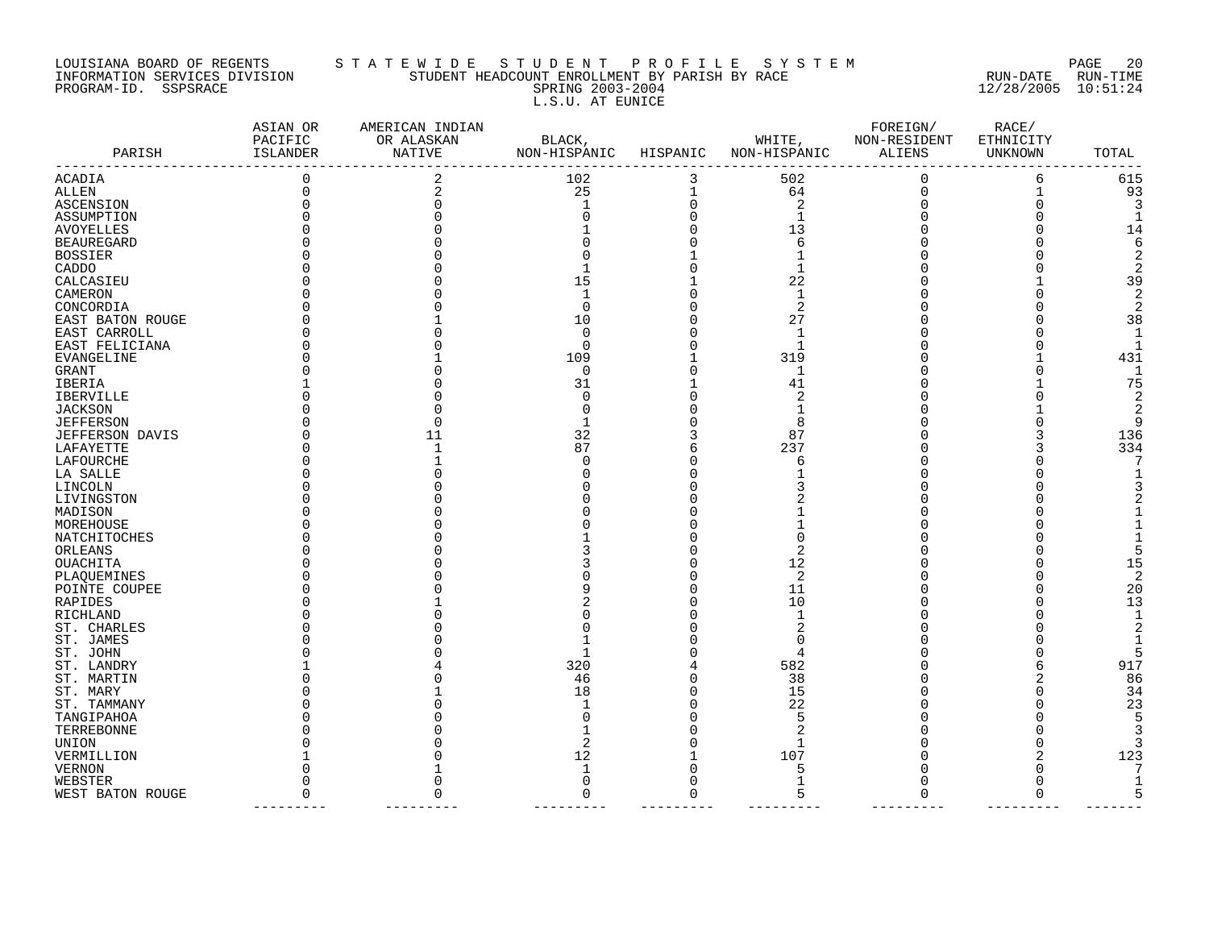### LOUISIANA BOARD OF REGENTS S T A T E W I D E S T U D E N T P R O F I L E S Y S T E M PAGE 20 INFORMATION SERVICES DIVISION STUDENT HEADCOUNT ENROLLMENT BY PARISH BY RACE RUN-DATE RUN-TIME PROGRAM-ID. SSPSRACE SPRING 2003-2004 12/28/2005 10:51:24 L.S.U. AT EUNICE

| PARISH            | ASIAN OR<br>PACIFIC<br>ISLANDER | AMERICAN INDIAN<br>OR ALASKAN<br>NATIVE | BLACK,<br>NON-HISPANIC | HISPANIC    | WHITE,<br>NON-HISPANIC | FOREIGN/<br>NON-RESIDENT<br>ALIENS | RACE/<br>ETHNICITY<br>UNKNOWN | TOTAL  |
|-------------------|---------------------------------|-----------------------------------------|------------------------|-------------|------------------------|------------------------------------|-------------------------------|--------|
| ACADIA            | 0                               | 2                                       | 102                    | 3           | 502                    | 0                                  | 6                             | 615    |
| ALLEN             |                                 |                                         | 25                     | $\mathbf 1$ | 64                     | $\Omega$                           |                               | 93     |
| ASCENSION         |                                 |                                         |                        | $\Omega$    | $\sqrt{2}$             |                                    |                               |        |
| ASSUMPTION        |                                 |                                         |                        |             |                        |                                    |                               |        |
| AVOYELLES         |                                 |                                         |                        |             | 13                     |                                    |                               | 14     |
| <b>BEAUREGARD</b> |                                 |                                         |                        |             | 6                      |                                    |                               |        |
| <b>BOSSIER</b>    |                                 |                                         |                        |             |                        |                                    |                               |        |
| CADDO             |                                 |                                         |                        |             | 1                      |                                    |                               |        |
| CALCASIEU         |                                 |                                         | 15                     |             | 22                     |                                    |                               | 39     |
| CAMERON           |                                 |                                         |                        |             | 1                      |                                    |                               |        |
| CONCORDIA         |                                 |                                         | $\Omega$               |             | $\overline{c}$         |                                    |                               |        |
| EAST BATON ROUGE  |                                 |                                         | 10                     |             | 27                     |                                    |                               | 38     |
| EAST CARROLL      |                                 |                                         | $\Omega$               |             | 1                      |                                    |                               |        |
| EAST FELICIANA    |                                 |                                         | $\Omega$               |             |                        |                                    |                               |        |
| EVANGELINE        |                                 |                                         | 109                    |             | 319                    |                                    |                               | 431    |
| GRANT             |                                 |                                         | 0                      |             | 1                      |                                    |                               |        |
| IBERIA            |                                 |                                         | 31                     |             | 41                     |                                    |                               | 75     |
| <b>IBERVILLE</b>  |                                 |                                         | ∩                      |             | $\overline{c}$         |                                    |                               | 2      |
|                   |                                 |                                         |                        |             |                        |                                    |                               |        |
| JACKSON           |                                 |                                         |                        |             |                        |                                    |                               | 2<br>q |
| <b>JEFFERSON</b>  |                                 |                                         |                        |             | 8<br>87                |                                    |                               |        |
| JEFFERSON DAVIS   |                                 | 11                                      | 32                     |             |                        |                                    |                               | 136    |
| LAFAYETTE         |                                 |                                         | 87                     |             | 237                    |                                    |                               | 334    |
| LAFOURCHE         |                                 |                                         |                        |             | 6                      |                                    |                               |        |
| LA SALLE          |                                 |                                         |                        |             |                        |                                    |                               |        |
| LINCOLN           |                                 |                                         |                        |             |                        |                                    |                               |        |
| LIVINGSTON        |                                 |                                         |                        |             |                        |                                    |                               |        |
| MADISON           |                                 |                                         |                        |             |                        |                                    |                               |        |
| MOREHOUSE         |                                 |                                         |                        |             |                        |                                    |                               |        |
| NATCHITOCHES      |                                 |                                         |                        |             |                        |                                    |                               |        |
| ORLEANS           |                                 |                                         |                        |             | 2                      |                                    |                               |        |
| OUACHITA          |                                 |                                         |                        |             | 12                     |                                    |                               | 15     |
| PLAQUEMINES       |                                 |                                         |                        |             | 2                      |                                    |                               | 2      |
| POINTE COUPEE     |                                 |                                         |                        |             | 11                     |                                    |                               | 20     |
| RAPIDES           |                                 |                                         |                        |             | 10                     |                                    |                               | 13     |
| RICHLAND          |                                 |                                         |                        |             | 1                      |                                    |                               |        |
| ST. CHARLES       |                                 |                                         |                        |             |                        |                                    |                               |        |
| ST. JAMES         |                                 |                                         |                        |             |                        |                                    |                               |        |
| ST. JOHN          |                                 |                                         |                        |             |                        |                                    |                               |        |
| ST. LANDRY        |                                 |                                         | 320                    |             | 582                    |                                    |                               | 917    |
| ST. MARTIN        |                                 |                                         | 46                     |             | 38                     |                                    |                               | 86     |
| ST. MARY          |                                 |                                         | 18                     |             | 15                     |                                    |                               | 34     |
| ST. TAMMANY       |                                 |                                         |                        |             | 22                     |                                    |                               | 23     |
| TANGIPAHOA        |                                 |                                         |                        |             | 5                      |                                    |                               |        |
| TERREBONNE        |                                 |                                         |                        |             |                        |                                    |                               |        |
| UNION             |                                 |                                         |                        |             |                        |                                    |                               |        |
| VERMILLION        |                                 |                                         | 12                     |             | 107                    |                                    |                               | 123    |
| VERNON            |                                 |                                         |                        |             |                        |                                    |                               |        |
| WEBSTER           |                                 |                                         | $\Omega$               |             | $\mathbf{1}$           |                                    | $\Omega$                      |        |
| WEST BATON ROUGE  | $\Omega$                        |                                         | $\Omega$               | ∩           | 5                      |                                    | $\Omega$                      |        |
|                   |                                 |                                         |                        |             |                        |                                    |                               |        |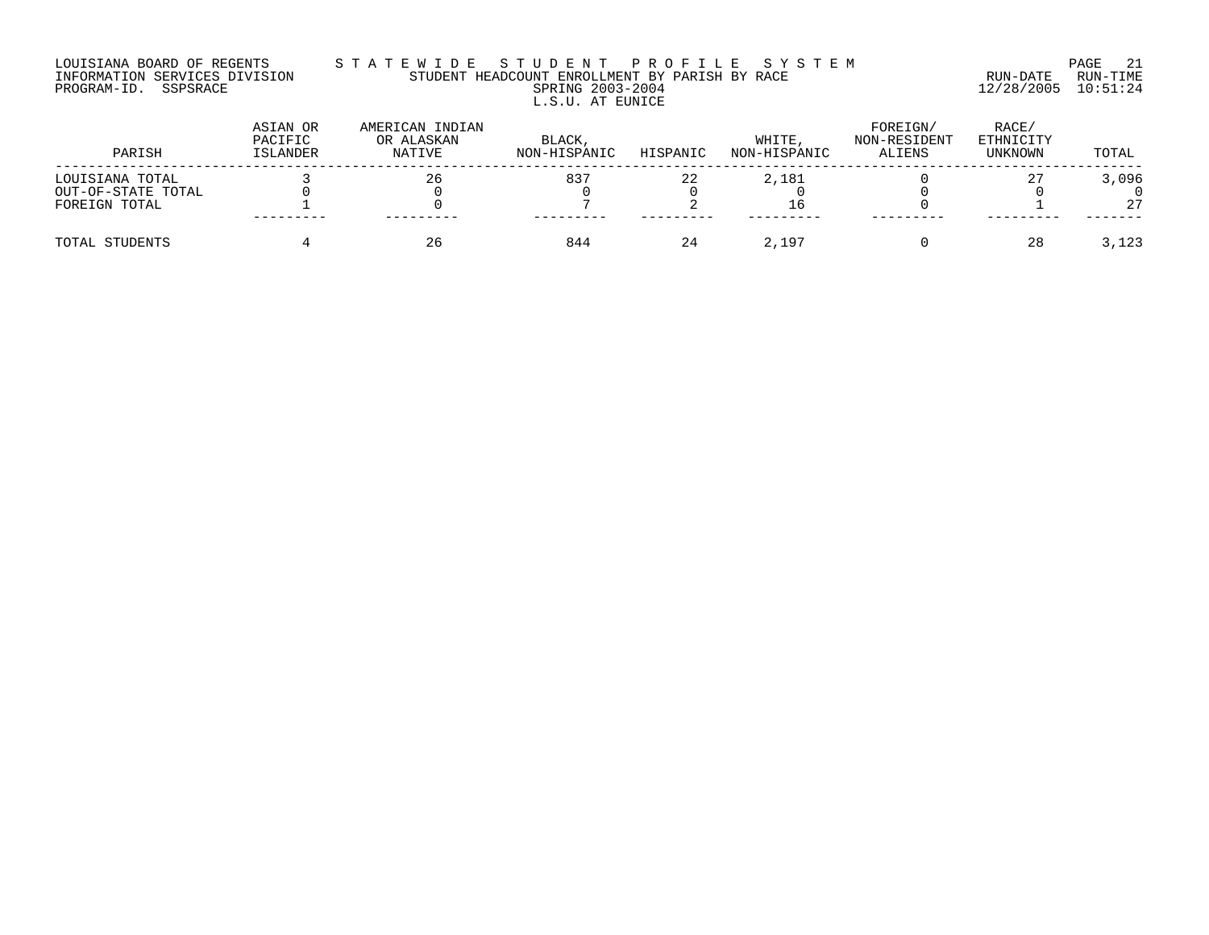### LOUISIANA BOARD OF REGENTS S T A T E W I D E S T U D E N T P R O F I L E S Y S T E M PAGE 21 INFORMATION SERVICES DIVISION STUDENT HEADCOUNT ENROLLMENT BY PARISH BY RACE RUN-DATE RUN-TIME PROGRAM-ID. SSPSRACE SPRING 2003-2004 12/28/2005 10:51:24 L.S.U. AT EUNICE

| PARISH             | ASIAN OR<br>PACIFIC<br>ISLANDER | AMERICAN INDIAN<br>OR ALASKAN<br>NATIVE | BLACK,<br>NON-HISPANIC | HISPANIC | WHITE<br>NON-HISPANIC | FOREIGN/<br>NON-RESIDENT<br>ALIENS | RACE/<br>ETHNICITY<br>UNKNOWN | TOTAL |
|--------------------|---------------------------------|-----------------------------------------|------------------------|----------|-----------------------|------------------------------------|-------------------------------|-------|
| LOUISIANA TOTAL    |                                 | 26                                      | 837                    | 22       | 2,181                 |                                    |                               | 3,096 |
| OUT-OF-STATE TOTAL |                                 |                                         |                        |          |                       |                                    |                               |       |
| FOREIGN TOTAL      | ---------                       |                                         |                        |          |                       |                                    |                               | 27    |
|                    |                                 |                                         |                        |          |                       |                                    |                               |       |
| TOTAL STUDENTS     |                                 | 26                                      | 844                    | 24       | 2,197                 |                                    | 28                            | 3,123 |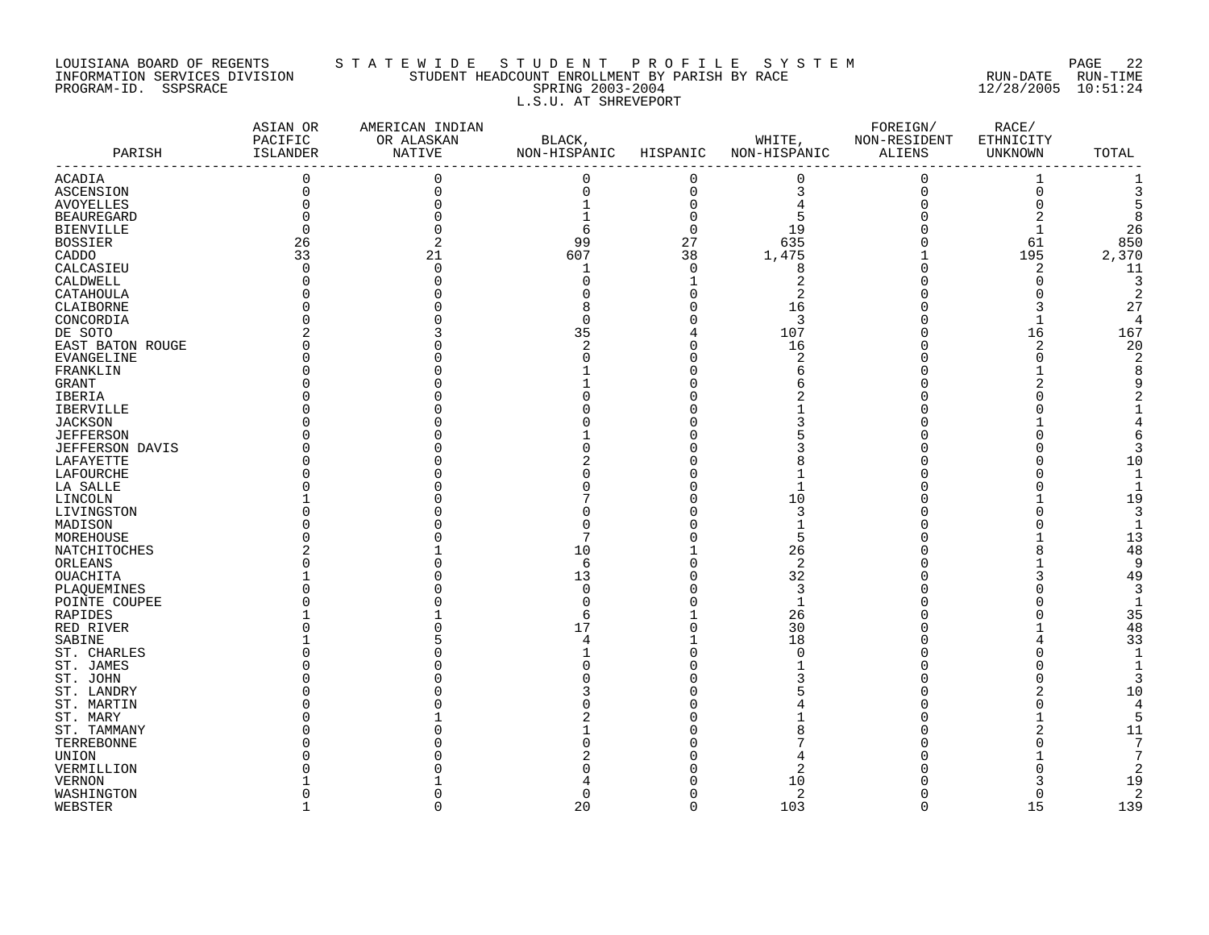## LOUISIANA BOARD OF REGENTS S T A T E W I D E S T U D E N T P R O F I L E S Y S T E M PAGE 22 INFORMATION SERVICES DIVISION STUDENT HEADCOUNT ENROLLMENT BY PARISH BY RACE RUN-DATE RUN-TIME PROGRAM-ID. SSPSRACE SPRING 2003-2004 12/28/2005 10:51:24 L.S.U. AT SHREVEPORT

| PARISH                 | ASIAN OR<br>PACIFIC<br>ISLANDER<br>---------- | AMERICAN INDIAN<br>OR ALASKAN<br>NATIVE | BLACK,<br>NON-HISPANIC HISPANIC |             | WHITE,<br>NON-HISPANIC | FOREIGN/<br>NON-RESIDENT<br>ALIENS | RACE/<br>ETHNICITY<br>UNKNOWN | TOTAL    |
|------------------------|-----------------------------------------------|-----------------------------------------|---------------------------------|-------------|------------------------|------------------------------------|-------------------------------|----------|
| ACADIA                 | $\mathbf 0$                                   | $\mathbf 0$                             | 0                               | $\mathbf 0$ | $\overline{0}$         | $\mathbf 0$                        | 1                             |          |
| ASCENSION              | 0                                             | $\Omega$                                | 0                               | $\mathbf 0$ | 3                      | $\mathsf 0$                        | $\mathsf{O}\xspace$           | 3        |
| AVOYELLES              | $\Omega$                                      |                                         | $\mathbf{1}$                    | $\mathbf 0$ | $\overline{4}$         | $\mathbf 0$                        | 0                             | 5        |
| <b>BEAUREGARD</b>      |                                               |                                         |                                 | $\Omega$    | 5                      | $\Omega$                           |                               | 8        |
| <b>BIENVILLE</b>       | $\Omega$                                      |                                         | 6                               | $\mathbf 0$ | 19                     |                                    | $\mathbf 1$                   | 26       |
| <b>BOSSIER</b>         | 26                                            |                                         | 99                              | 27          | 635                    | $\Omega$                           | 61                            | 850      |
| CADDO                  | 33                                            | 21                                      | 607                             | 38          | 1,475                  |                                    | 195                           | 2,370    |
| CALCASIEU              | ∩                                             |                                         | $\mathbf{1}$                    | $\Omega$    | 8                      |                                    | 2                             | 11       |
| CALDWELL               |                                               |                                         | <sup>0</sup>                    |             | $\overline{2}$         |                                    | $\mathbf 0$                   | 3        |
| CATAHOULA              |                                               |                                         |                                 | $\Omega$    | $\overline{2}$         |                                    | $\Omega$                      | 2        |
| CLAIBORNE              |                                               |                                         |                                 | O           | 16                     |                                    |                               | 27       |
| CONCORDIA              |                                               |                                         | $\cap$                          | $\Omega$    | 3                      |                                    | $\mathbf{1}$                  | 4        |
| DE SOTO                |                                               |                                         | 35                              |             | 107                    |                                    | 16                            | 167      |
| EAST BATON ROUGE       |                                               |                                         | 2                               | $\Omega$    | 16                     |                                    | 2                             | 20       |
| EVANGELINE             |                                               |                                         |                                 |             | $\overline{2}$         |                                    | $\Omega$                      |          |
| FRANKLIN               |                                               |                                         |                                 |             | 6                      |                                    |                               |          |
| <b>GRANT</b>           |                                               |                                         |                                 |             |                        |                                    |                               |          |
| IBERIA                 |                                               |                                         |                                 |             |                        |                                    |                               |          |
| IBERVILLE              |                                               |                                         |                                 |             |                        |                                    |                               |          |
| <b>JACKSON</b>         |                                               |                                         |                                 |             |                        |                                    |                               |          |
| <b>JEFFERSON</b>       |                                               |                                         |                                 |             |                        |                                    |                               |          |
| <b>JEFFERSON DAVIS</b> |                                               |                                         |                                 |             |                        |                                    |                               | 3        |
| LAFAYETTE              |                                               |                                         |                                 |             |                        |                                    |                               | 10       |
| LAFOURCHE              |                                               |                                         |                                 |             |                        |                                    |                               |          |
| LA SALLE               |                                               |                                         |                                 |             |                        |                                    |                               |          |
| LINCOLN                |                                               |                                         |                                 |             | 10                     |                                    |                               | 19       |
| LIVINGSTON             |                                               |                                         |                                 |             | 3                      |                                    | $\Omega$<br>$\Omega$          | 3        |
| MADISON                |                                               |                                         |                                 |             | 5                      |                                    |                               |          |
| MOREHOUSE              |                                               |                                         |                                 |             |                        |                                    |                               | 13       |
| NATCHITOCHES           |                                               |                                         | 10<br>6                         | O           | 26<br>2                |                                    | 8                             | 48<br>9  |
| ORLEANS<br>OUACHITA    |                                               |                                         | 13                              | U           | 32                     |                                    |                               | 49       |
| PLAQUEMINES            |                                               |                                         | $\Omega$                        |             | 3                      |                                    | $\Omega$                      |          |
| POINTE COUPEE          |                                               |                                         | ∩                               |             | $\mathbf{1}$           |                                    |                               |          |
| RAPIDES                |                                               |                                         | 6                               |             | 26                     |                                    |                               | 35       |
| RED RIVER              |                                               |                                         | 17                              |             | 30                     |                                    |                               | 48       |
| SABINE                 |                                               |                                         |                                 |             | 18                     |                                    |                               | 33       |
| ST. CHARLES            |                                               |                                         |                                 |             | $\Omega$               |                                    |                               |          |
| ST. JAMES              |                                               |                                         |                                 |             |                        |                                    |                               |          |
| ST. JOHN               |                                               |                                         |                                 |             |                        |                                    |                               | 3        |
| ST. LANDRY             |                                               |                                         |                                 |             |                        |                                    |                               | 10       |
| ST. MARTIN             |                                               |                                         |                                 |             |                        |                                    | $\Omega$                      | $\Delta$ |
| ST. MARY               |                                               |                                         |                                 |             |                        |                                    |                               | 5        |
| ST. TAMMANY            |                                               |                                         |                                 |             |                        |                                    |                               | 11       |
| TERREBONNE             |                                               |                                         |                                 |             |                        |                                    | $\Omega$                      | 7        |
| UNION                  |                                               |                                         |                                 |             |                        |                                    |                               |          |
| VERMILLION             |                                               |                                         |                                 |             | 2                      |                                    |                               |          |
| <b>VERNON</b>          |                                               |                                         |                                 |             | 10                     |                                    |                               | 19       |
| WASHINGTON             |                                               |                                         | O                               | ∩           | 2                      |                                    | $\mathbf 0$                   | 2        |
| WEBSTER                |                                               |                                         | 20                              | $\Omega$    | 103                    | $\Omega$                           | 15                            | 139      |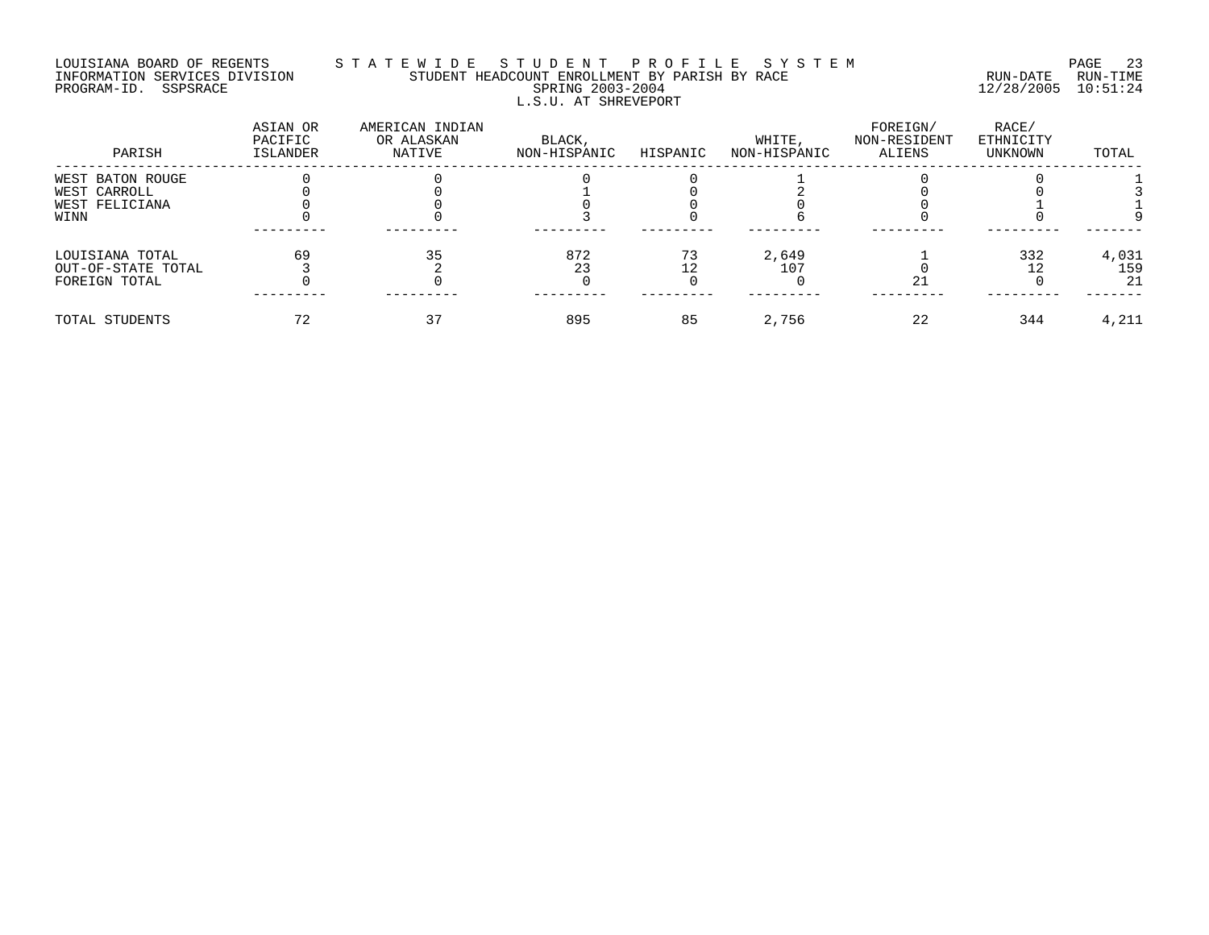# LOUISIANA BOARD OF REGENTS S T A T E W I D E S T U D E N T P R O F I L E S Y S T E M PAGE 23 INFORMATION SERVICES DIVISION STUDENT HEADCOUNT ENROLLMENT BY PARISH BY RACE RUN-DATE RUN-TIME PROGRAM-ID. SSPSRACE SPRING 2003-2004 12/28/2005 10:51:24 L.S.U. AT SHREVEPORT

| PARISH             | ASIAN OR<br>PACIFIC<br>ISLANDER | AMERICAN INDIAN<br>OR ALASKAN<br>NATIVE | BLACK,<br>NON-HISPANIC | HISPANIC | WHITE,<br>NON-HISPANIC | FOREIGN/<br>NON-RESIDENT<br>ALIENS | RACE/<br>ETHNICITY<br>UNKNOWN | TOTAL |
|--------------------|---------------------------------|-----------------------------------------|------------------------|----------|------------------------|------------------------------------|-------------------------------|-------|
| WEST BATON ROUGE   |                                 |                                         |                        |          |                        |                                    |                               |       |
| WEST CARROLL       |                                 |                                         |                        |          |                        |                                    |                               |       |
| WEST FELICIANA     |                                 |                                         |                        |          |                        |                                    |                               |       |
| WINN               |                                 |                                         |                        |          |                        |                                    |                               |       |
| LOUISIANA TOTAL    | 69                              |                                         | 872                    | 73       | 2,649                  |                                    | 332                           | 4,031 |
| OUT-OF-STATE TOTAL |                                 |                                         | 23                     |          | 107                    |                                    |                               | 159   |
| FOREIGN TOTAL      |                                 |                                         |                        |          |                        | 21                                 |                               | 21    |
| TOTAL STUDENTS     |                                 |                                         | 895                    | 85       | 2,756                  | 22                                 | 344                           | 4,211 |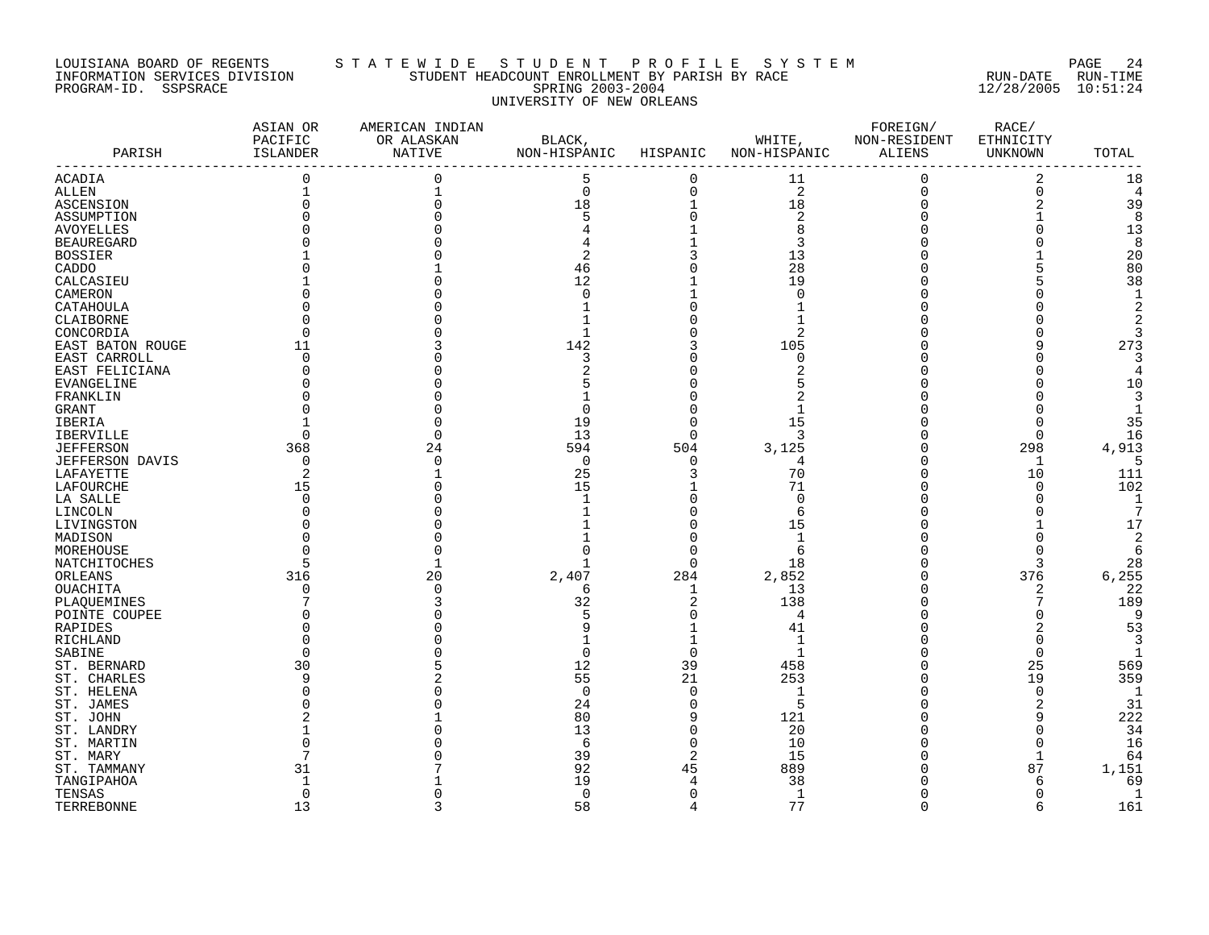### LOUISIANA BOARD OF REGENTS S T A T E W I D E S T U D E N T P R O F I L E S Y S T E M PAGE 24 INFORMATION SERVICES DIVISION STUDENT HEADCOUNT ENROLLMENT BY PARISH BY RACE RUN-DATE RUN-TIME PROGRAM-ID. SSPSRACE SPRING 2003-2004 12/28/2005 10:51:24 UNIVERSITY OF NEW ORLEANS

| PARISH                 | ASIAN OR<br>PACIFIC<br>ISLANDER | AMERICAN INDIAN<br>OR ALASKAN<br>NATIVE | BLACK,<br>NON-HISPANIC | HISPANIC       | WHITE,<br>NON-HISPANIC | FOREIGN/<br>NON-RESIDENT<br>ALIENS | RACE/<br>ETHNICITY<br>UNKNOWN | TOTAL          |
|------------------------|---------------------------------|-----------------------------------------|------------------------|----------------|------------------------|------------------------------------|-------------------------------|----------------|
| <b>ACADIA</b>          | $\mathbf 0$                     | 0                                       | 5                      | $\mathbf 0$    | 11                     | $\Omega$                           | 2                             | 18             |
| ALLEN                  |                                 |                                         | $\mathbf 0$            | $\Omega$       | 2                      | $\Omega$                           | $\overline{0}$                | $\overline{4}$ |
| ASCENSION              |                                 |                                         | 18                     | $\mathbf{1}$   | 18                     |                                    | $\overline{2}$                | 39             |
| ASSUMPTION             |                                 |                                         | 5                      |                | $\overline{2}$         |                                    |                               | 8              |
| <b>AVOYELLES</b>       |                                 |                                         |                        |                | 8                      |                                    |                               | 13             |
| <b>BEAUREGARD</b>      |                                 |                                         |                        |                | 3                      |                                    |                               | 8              |
| <b>BOSSIER</b>         |                                 |                                         | 2                      |                | 13                     |                                    |                               | 20             |
| CADDO                  |                                 |                                         | 46                     |                | 28                     |                                    |                               | 80             |
| CALCASIEU              |                                 |                                         | 12                     |                | 19                     |                                    |                               | 38             |
| CAMERON                |                                 |                                         | n                      |                | $\Omega$               |                                    |                               |                |
| CATAHOULA              |                                 |                                         |                        |                |                        |                                    |                               |                |
| CLAIBORNE              |                                 |                                         |                        |                |                        |                                    |                               |                |
| CONCORDIA              |                                 |                                         |                        |                | 2                      |                                    |                               |                |
|                        | 11                              |                                         | 142                    |                | 105                    |                                    | 9                             | 273            |
| EAST BATON ROUGE       |                                 |                                         |                        |                |                        |                                    |                               |                |
| EAST CARROLL           | $\Omega$                        |                                         | 3                      |                | 0                      |                                    |                               |                |
| EAST FELICIANA         | O                               |                                         | 2                      |                |                        |                                    |                               |                |
| EVANGELINE             |                                 |                                         |                        |                |                        |                                    |                               | 10             |
| FRANKLIN               |                                 |                                         |                        |                |                        |                                    |                               |                |
| GRANT                  |                                 |                                         | n                      |                |                        |                                    |                               |                |
| IBERIA                 |                                 |                                         | 19                     | $\cap$         | 15                     |                                    | $\Omega$                      | 35             |
| IBERVILLE              | $\Omega$                        |                                         | 13                     | $\Omega$       | 3                      |                                    | 0                             | 16             |
| <b>JEFFERSON</b>       | 368                             | 24                                      | 594                    | 504            | 3,125                  |                                    | 298                           | 4,913          |
| <b>JEFFERSON DAVIS</b> | 0                               |                                         | $\mathbf 0$            | $\Omega$       | 4                      |                                    | 1                             | 5              |
| LAFAYETTE              | 2                               |                                         | 25                     |                | 70                     |                                    | 10                            | 111            |
| LAFOURCHE              | 15                              |                                         | 15                     |                | 71                     |                                    | $\Omega$                      | 102            |
| LA SALLE               | $\Omega$                        |                                         |                        |                | $\mathbf 0$            |                                    | O                             | $\mathbf{1}$   |
| LINCOLN                |                                 |                                         |                        |                | 6                      |                                    |                               |                |
| LIVINGSTON             |                                 |                                         |                        |                | 15                     |                                    |                               | 17             |
| MADISON                |                                 |                                         |                        | ∩              | 1                      |                                    |                               | 2              |
| MOREHOUSE              |                                 |                                         |                        |                | 6                      |                                    |                               | 6              |
| NATCHITOCHES           | 5                               |                                         |                        | $\Omega$       | 18                     |                                    | 3                             | 28             |
| ORLEANS                | 316                             | 20                                      | 2,407                  | 284            | 2,852                  |                                    | 376                           | 6,255          |
| OUACHITA               | 0                               |                                         | 6                      | 1              | 13                     |                                    | 2                             | 22             |
| PLAQUEMINES            |                                 |                                         | 32                     | 2              | 138                    |                                    | 7                             | 189            |
| POINTE COUPEE          |                                 |                                         |                        | $\Omega$       | 4                      |                                    | O                             | 9              |
| RAPIDES                |                                 |                                         |                        |                | 41                     |                                    |                               | 53             |
| RICHLAND               |                                 |                                         |                        |                | 1                      |                                    | O                             | 3              |
| SABINE                 | ∩                               |                                         | U                      | $\Omega$       | $\mathbf{1}$           |                                    | $\Omega$                      |                |
| ST. BERNARD            | 30                              |                                         | 12                     | 39             | 458                    |                                    | 25                            | 569            |
| ST. CHARLES            | 9                               |                                         | 55                     | 21             | 253                    |                                    | 19                            | 359            |
| ST. HELENA             |                                 |                                         | $\Omega$               | $\Omega$       | 1                      |                                    | $\mathbf 0$                   | -1             |
|                        |                                 |                                         | 24                     | $\Omega$       | 5                      |                                    | $\overline{2}$                | 31             |
| ST. JAMES              |                                 |                                         | 80                     | 9              | 121                    |                                    |                               |                |
| ST. JOHN               |                                 |                                         |                        |                |                        |                                    | 9                             | 222            |
| ST. LANDRY             |                                 |                                         | 13                     | $\Omega$       | 20                     |                                    | $\Omega$                      | 34             |
| ST. MARTIN             |                                 |                                         | 6                      | $\Omega$       | 10                     |                                    | $\mathbf 0$                   | 16             |
| ST. MARY               |                                 |                                         | 39                     | 2              | 15                     |                                    | $\mathbf 1$                   | 64             |
| ST. TAMMANY            | 31                              |                                         | 92                     | 45             | 889                    |                                    | 87                            | 1,151          |
| TANGIPAHOA             | -1                              |                                         | 19                     | $\overline{4}$ | 38                     |                                    | 6                             | 69             |
| TENSAS                 | 0                               |                                         | $\mathbf 0$            | $\Omega$       | 1                      |                                    | $\mathbf 0$                   | -1             |
| TERREBONNE             | 13                              | ζ                                       | 58                     | $\overline{4}$ | 77                     | $\Omega$                           | 6                             | 161            |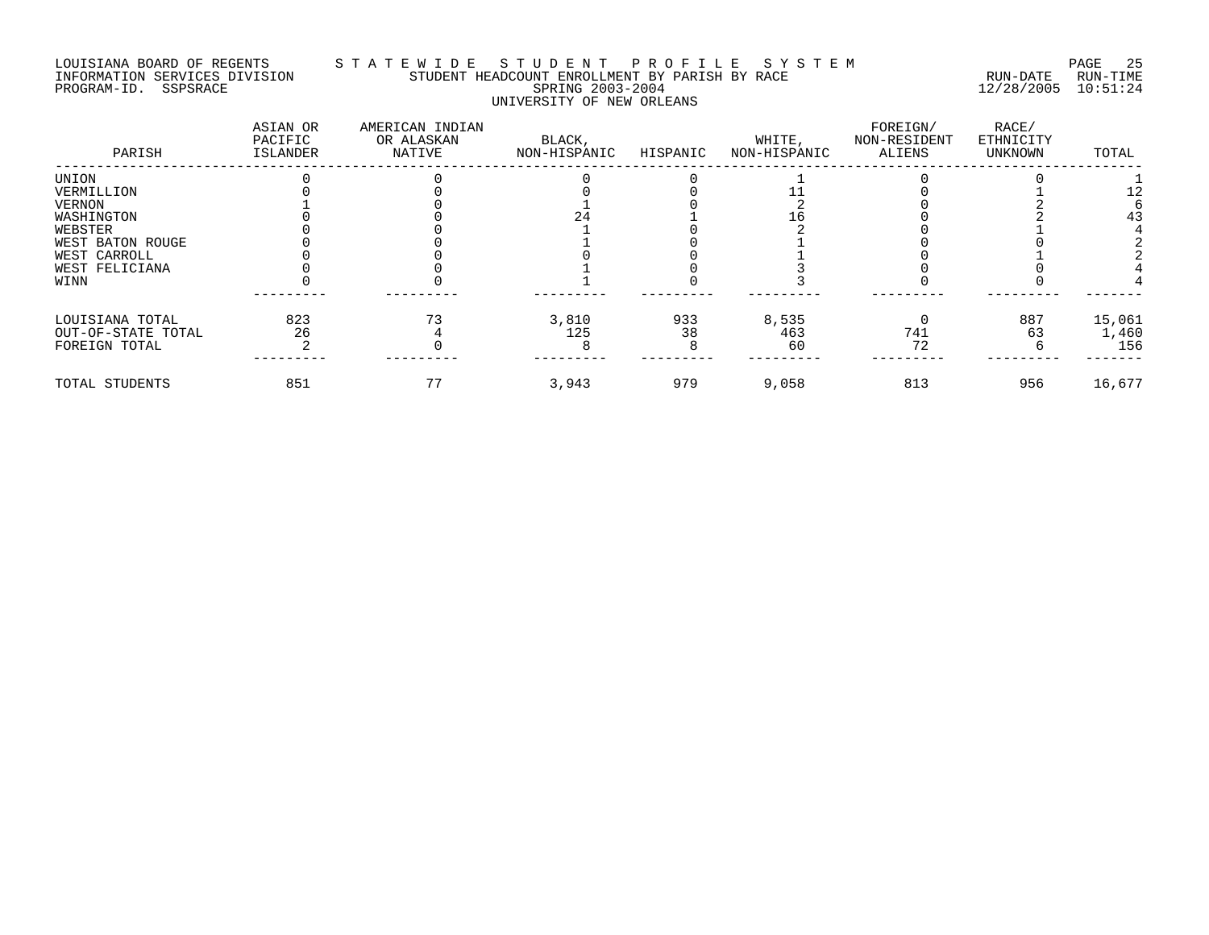# LOUISIANA BOARD OF REGENTS STATEWIDE STUDE STUDENT PROFILE SYSTEM PAGE 25<br>INFORMATION SERVICES DIVISION STUDENT HEADCOUNT ENROLLMENT BY PARISH BY RACE INFORMATION SERVICES DIVISION STUDENT HEADCOUNT ENROLLMENT BY PARISH BY RACE PROGRAM-ID. SSPSRACE SPRING 2003-2004 12/28/2005 10:51:24 UNIVERSITY OF NEW ORLEANS

| PARISH             | ASIAN OR<br>PACIFIC<br>ISLANDER | AMERICAN INDIAN<br>OR ALASKAN<br>NATIVE | BLACK,<br>NON-HISPANIC | HISPANIC | WHITE,<br>NON-HISPANIC | FOREIGN/<br>NON-RESIDENT<br>ALIENS | RACE/<br>ETHNICITY<br>UNKNOWN | TOTAL  |
|--------------------|---------------------------------|-----------------------------------------|------------------------|----------|------------------------|------------------------------------|-------------------------------|--------|
| UNION              |                                 |                                         |                        |          |                        |                                    |                               |        |
| VERMILLION         |                                 |                                         |                        |          |                        |                                    |                               |        |
| VERNON             |                                 |                                         |                        |          |                        |                                    |                               |        |
| WASHINGTON         |                                 |                                         |                        |          |                        |                                    |                               | 43     |
| WEBSTER            |                                 |                                         |                        |          |                        |                                    |                               |        |
| WEST BATON ROUGE   |                                 |                                         |                        |          |                        |                                    |                               |        |
| WEST CARROLL       |                                 |                                         |                        |          |                        |                                    |                               |        |
| WEST FELICIANA     |                                 |                                         |                        |          |                        |                                    |                               |        |
| WINN               |                                 |                                         |                        |          |                        |                                    |                               |        |
| LOUISIANA TOTAL    | 823                             |                                         | 3,810                  | 933      | 8,535                  |                                    | 887                           | 15,061 |
| OUT-OF-STATE TOTAL | 26                              |                                         | 125                    | 38       | 463                    | 741                                | 63                            | 1,460  |
| FOREIGN TOTAL      |                                 |                                         |                        |          | 60                     | 72                                 |                               | 156    |
| TOTAL STUDENTS     | 851                             |                                         | 3,943                  | 979      | 9,058                  | 813                                | 956                           | 16,677 |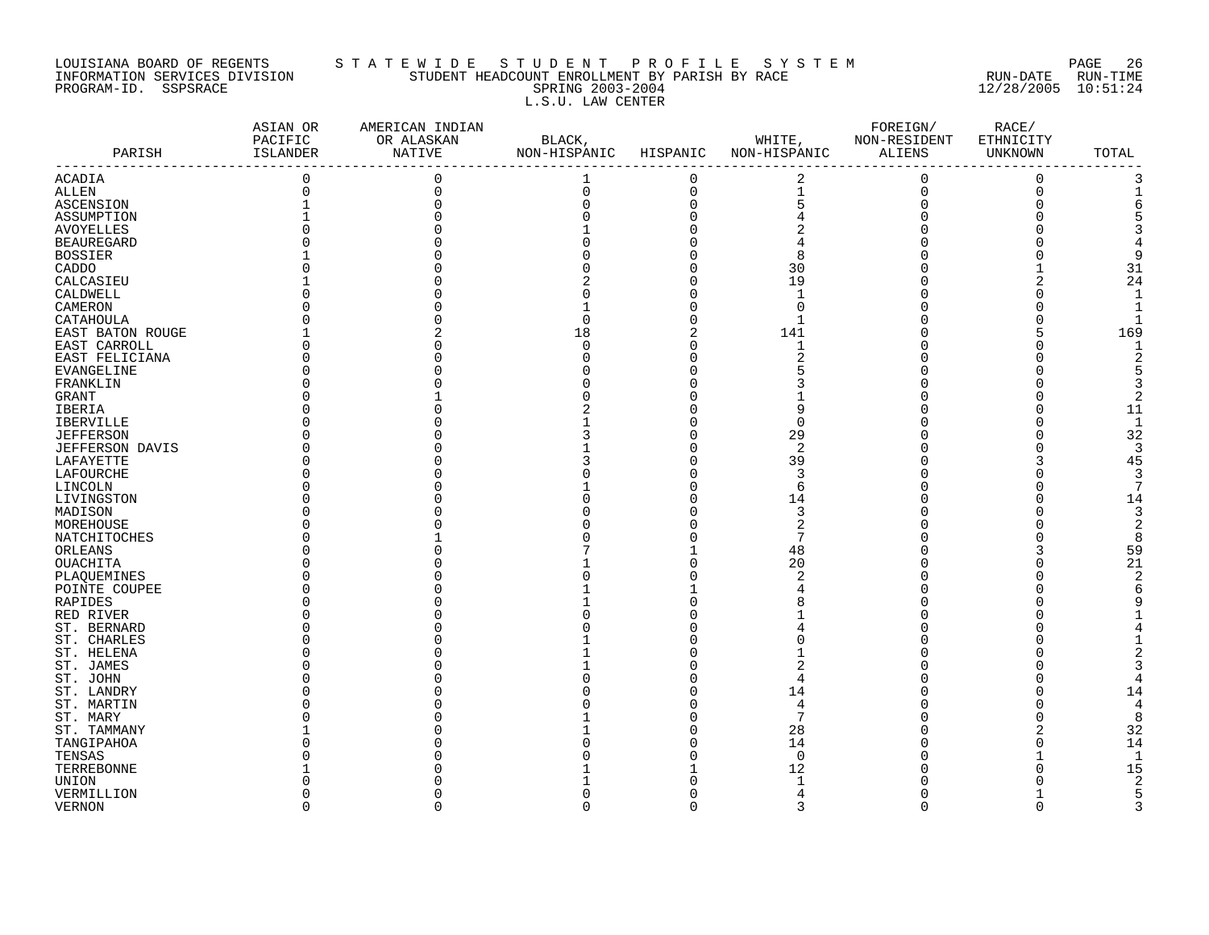### LOUISIANA BOARD OF REGENTS S T A T E W I D E S T U D E N T P R O F I L E S Y S T E M PAGE 26 INFORMATION SERVICES DIVISION STUDENT HEADCOUNT ENROLLMENT BY PARISH BY RACE RUN-DATE RUN-TIME PROGRAM-ID. SSPSRACE SPRING 2003-2004 12/28/2005 10:51:24 L.S.U. LAW CENTER

| PARISH            | ASIAN OR<br>PACIFIC<br>ISLANDER | AMERICAN INDIAN<br>OR ALASKAN<br>NATIVE | BLACK,<br>NON-HISPANIC | HISPANIC       | WHITE,<br>NON-HISPANIC | FOREIGN/<br>NON-RESIDENT<br>ALIENS | RACE/<br>ETHNICITY<br>UNKNOWN | TOTAL        |
|-------------------|---------------------------------|-----------------------------------------|------------------------|----------------|------------------------|------------------------------------|-------------------------------|--------------|
| ACADIA            | 0                               | $\mathbf 0$                             | 1                      | $\mathbf 0$    | 2                      | $\mathbf 0$                        | $\Omega$                      | 3            |
| ALLEN             | 0                               | $\Omega$                                | 0                      | $\mathbf 0$    | $\mathbf 1$            | $\mathbf 0$                        | $\Omega$                      |              |
| ASCENSION         |                                 |                                         | 0                      | $\Omega$       | 5                      | $\Omega$                           |                               |              |
| ASSUMPTION        |                                 |                                         | U                      | $\Omega$       |                        |                                    |                               |              |
| <b>AVOYELLES</b>  |                                 |                                         |                        |                |                        |                                    |                               |              |
| <b>BEAUREGARD</b> |                                 |                                         |                        |                |                        |                                    |                               |              |
| <b>BOSSIER</b>    |                                 |                                         |                        |                | 8                      |                                    |                               |              |
| CADDO             |                                 |                                         |                        |                | 30                     |                                    |                               | 31           |
| CALCASIEU         |                                 |                                         |                        |                | 19                     |                                    | 2                             | 24           |
| CALDWELL          |                                 |                                         |                        | $\Omega$       | $\mathbf{1}$           |                                    |                               |              |
| CAMERON           |                                 |                                         |                        |                | $\Omega$               |                                    |                               |              |
| CATAHOULA         |                                 |                                         | O                      | ∩              | $\mathbf{1}$           |                                    |                               |              |
|                   |                                 |                                         | 18                     | $\overline{2}$ | 141                    |                                    |                               | 169          |
| EAST BATON ROUGE  |                                 |                                         |                        | $\Omega$       |                        |                                    |                               |              |
| EAST CARROLL      |                                 |                                         | 0                      |                | 1                      |                                    |                               |              |
| EAST FELICIANA    |                                 |                                         | Ω                      | ∩              |                        |                                    |                               |              |
| EVANGELINE        |                                 |                                         |                        |                |                        |                                    |                               |              |
| FRANKLIN          |                                 |                                         |                        | ∩              |                        |                                    |                               |              |
| GRANT             |                                 |                                         |                        |                |                        |                                    |                               |              |
| IBERIA            |                                 |                                         |                        |                | 9                      |                                    |                               | 11           |
| IBERVILLE         |                                 |                                         |                        |                | $\Omega$               |                                    |                               | 1            |
| <b>JEFFERSON</b>  |                                 |                                         |                        | O              | 29                     |                                    |                               | 32           |
| JEFFERSON DAVIS   |                                 |                                         |                        |                | $\overline{2}$         |                                    |                               | -3           |
| LAFAYETTE         |                                 |                                         |                        |                | 39                     |                                    |                               | 45           |
| LAFOURCHE         |                                 |                                         |                        |                | 3                      |                                    |                               | 3            |
| LINCOLN           |                                 |                                         |                        |                | 6                      |                                    |                               |              |
| LIVINGSTON        |                                 |                                         |                        | O              | 14                     |                                    |                               | 14           |
| MADISON           |                                 |                                         |                        |                | 3                      |                                    |                               | 3            |
| MOREHOUSE         |                                 |                                         |                        |                | $\overline{c}$         |                                    |                               |              |
| NATCHITOCHES      |                                 |                                         |                        |                | 7                      |                                    |                               |              |
| ORLEANS           |                                 |                                         |                        |                | 48                     |                                    | 3                             | 59           |
| OUACHITA          |                                 |                                         |                        |                | 20                     |                                    |                               | 21           |
| PLAQUEMINES       |                                 |                                         |                        |                | $\overline{2}$         |                                    |                               |              |
| POINTE COUPEE     |                                 |                                         |                        |                |                        |                                    |                               |              |
| RAPIDES           |                                 |                                         |                        |                |                        |                                    |                               |              |
| RED RIVER         |                                 |                                         |                        |                |                        |                                    |                               |              |
|                   |                                 |                                         |                        |                |                        |                                    |                               |              |
| ST. BERNARD       |                                 |                                         |                        |                |                        |                                    |                               |              |
| ST. CHARLES       |                                 |                                         |                        |                |                        |                                    |                               |              |
| ST. HELENA        |                                 |                                         |                        |                |                        |                                    |                               |              |
| ST. JAMES         |                                 |                                         |                        |                | 2                      |                                    |                               |              |
| ST. JOHN          |                                 |                                         |                        |                | 4                      |                                    |                               |              |
| ST. LANDRY        |                                 |                                         |                        | O              | 14                     |                                    |                               | 14           |
| ST. MARTIN        |                                 |                                         |                        | ∩              | 4                      |                                    |                               |              |
| ST. MARY          |                                 |                                         |                        |                | 7                      |                                    |                               | $\mathsf{R}$ |
| ST. TAMMANY       |                                 |                                         |                        |                | 28                     |                                    |                               | 32           |
| TANGIPAHOA        |                                 |                                         |                        |                | 14                     |                                    | $\Omega$                      | 14           |
| TENSAS            |                                 |                                         |                        |                | 0                      |                                    |                               |              |
| TERREBONNE        |                                 |                                         |                        |                | 12                     |                                    |                               | 15           |
| UNION             |                                 |                                         |                        |                | -1                     |                                    |                               |              |
| VERMILLION        |                                 |                                         | O                      |                | $\overline{4}$         |                                    |                               |              |
| <b>VERNON</b>     | $\Omega$                        | $\Omega$                                | $\Omega$               | $\Omega$       | 3                      | $\cap$                             | $\Omega$                      | ς            |
|                   |                                 |                                         |                        |                |                        |                                    |                               |              |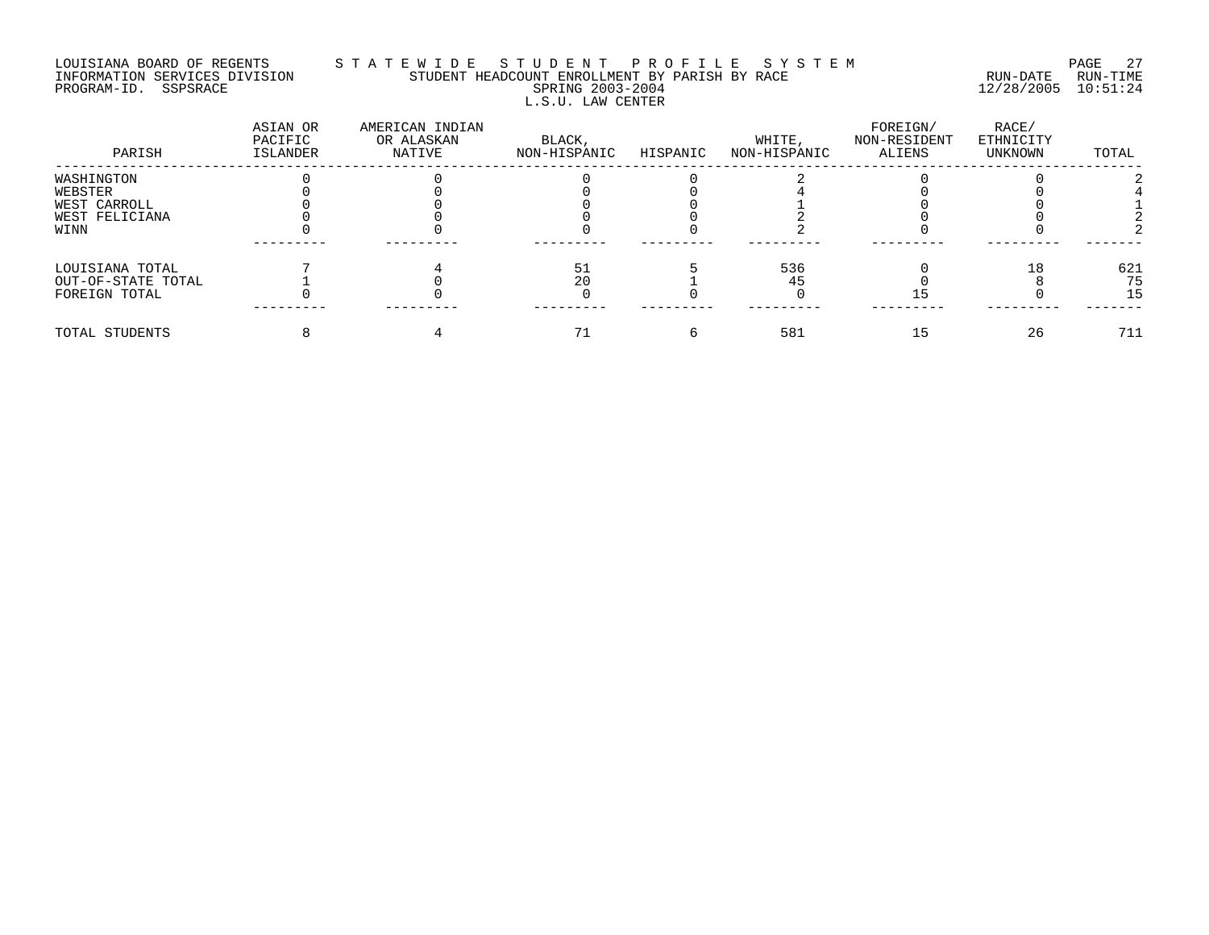# LOUISIANA BOARD OF REGENTS S T A T E W I D E S T U D E N T P R O F I L E S Y S T E M PAGE 27 INFORMATION SERVICES DIVISION STUDENT HEADCOUNT ENROLLMENT BY PARISH BY RACE RUN-DATE RUN-TIME PROGRAM-ID. SSPSRACE SPRING 2003-2004 12/28/2005 10:51:24 L.S.U. LAW CENTER

| PARISH             | ASIAN OR<br>PACIFIC<br>ISLANDER | AMERICAN INDIAN<br>OR ALASKAN<br>NATIVE | BLACK,<br>NON-HISPANIC | HISPANIC | WHITE,<br>NON-HISPANIC | FOREIGN/<br>NON-RESIDENT<br>ALIENS | RACE/<br>ETHNICITY<br>UNKNOWN | TOTAL |
|--------------------|---------------------------------|-----------------------------------------|------------------------|----------|------------------------|------------------------------------|-------------------------------|-------|
| WASHINGTON         |                                 |                                         |                        |          |                        |                                    |                               |       |
| WEBSTER            |                                 |                                         |                        |          |                        |                                    |                               |       |
| WEST CARROLL       |                                 |                                         |                        |          |                        |                                    |                               |       |
| WEST FELICIANA     |                                 |                                         |                        |          |                        |                                    |                               |       |
| WINN               |                                 |                                         |                        |          |                        |                                    |                               |       |
| LOUISIANA TOTAL    |                                 |                                         | 51                     |          | 536                    |                                    |                               | 621   |
| OUT-OF-STATE TOTAL |                                 |                                         | 20                     |          |                        |                                    |                               | 75    |
| FOREIGN TOTAL      |                                 |                                         |                        |          |                        |                                    |                               | 15    |
| TOTAL STUDENTS     |                                 |                                         |                        |          | 581                    | 15                                 | 26                            | 711   |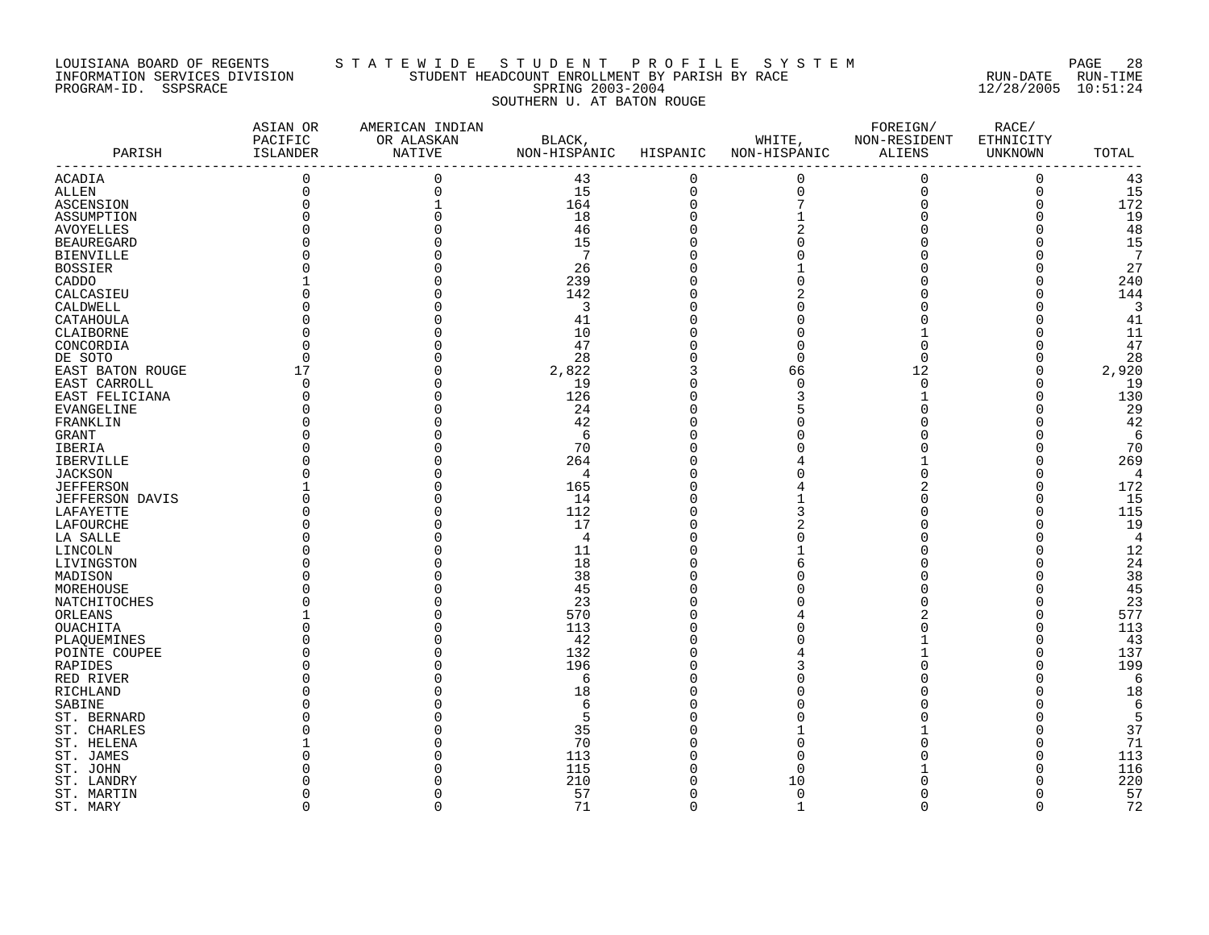### LOUISIANA BOARD OF REGENTS S T A T E W I D E S T U D E N T P R O F I L E S Y S T E M PAGE 28 INFORMATION SERVICES DIVISION STUDENT HEADCOUNT ENROLLMENT BY PARISH BY RACE RUN-DATE RUN-TIME PROGRAM-ID. SSPSRACE SPRING 2003-2004 12/28/2005 10:51:24 SOUTHERN U. AT BATON ROUGE

|                        | ASIAN OR<br>PACIFIC | AMERICAN INDIAN<br>OR ALASKAN | BLACK,          |             | WHITE,       | FOREIGN/<br>NON-RESIDENT | RACE/<br>ETHNICITY |                 |
|------------------------|---------------------|-------------------------------|-----------------|-------------|--------------|--------------------------|--------------------|-----------------|
| PARISH                 | ISLANDER            | <b>NATIVE</b>                 | NON-HISPANIC    | HISPANIC    | NON-HISPANIC | ALIENS                   | UNKNOWN            | TOTAL           |
| ACADIA                 | $\overline{0}$      | $\Omega$                      | 43              | $\mathbf 0$ | $\pmb{0}$    | $\mathbf 0$              | $\mathbf 0$        | 43              |
| ALLEN                  | $\mathbf 0$         | $\Omega$                      | 15              | $\mathbf 0$ | $\mathsf 0$  | $\mathbf 0$              | $\mathbf 0$        | 15              |
| ASCENSION              | $\mathbf 0$         |                               | 164             | $\Omega$    |              | $\mathbf 0$              | $\mathbf 0$        | 172             |
| ASSUMPTION             |                     |                               | 18              |             |              |                          | 0                  | 19              |
| <b>AVOYELLES</b>       |                     |                               | 46              |             |              |                          | O                  | 48              |
| <b>BEAUREGARD</b>      |                     |                               | 15              |             |              |                          | $\Omega$           | 15              |
| <b>BIENVILLE</b>       |                     |                               | $7\phantom{.0}$ |             |              |                          | $\Omega$           | $7\phantom{.0}$ |
| <b>BOSSIER</b>         |                     |                               | 26              |             |              |                          |                    | 27              |
| CADDO                  |                     |                               | 239             |             |              |                          | 0                  | 240             |
|                        |                     |                               | 142             |             |              |                          |                    | 144             |
| CALCASIEU              |                     |                               |                 |             |              |                          | U                  |                 |
| CALDWELL               |                     |                               | 3               |             |              |                          |                    | 3               |
| CATAHOULA              |                     |                               | 41              |             |              |                          | O                  | 41              |
| CLAIBORNE              |                     |                               | 10              |             |              |                          | $\Omega$           | 11              |
| CONCORDIA              |                     |                               | 47              |             | O            |                          |                    | 47              |
| DE SOTO                | $\Omega$            |                               | 28              |             | $\Omega$     | $\Omega$                 |                    | 28              |
| EAST BATON ROUGE       | 17                  |                               | 2,822           |             | 66           | 12                       | 0                  | 2,920           |
| EAST CARROLL           | $\Omega$            |                               | 19              |             | $\Omega$     | $\Omega$                 | $\Omega$           | 19              |
| EAST FELICIANA         |                     |                               | 126             |             |              |                          | $\Omega$           | 130             |
| EVANGELINE             |                     |                               | 24              |             |              | $\Omega$                 | $\Omega$           | 29              |
| FRANKLIN               |                     |                               | 42              |             |              |                          |                    | 42              |
| GRANT                  |                     |                               | 6               |             |              |                          | O                  | 6               |
| IBERIA                 |                     |                               | 70              |             |              |                          | O                  | 70              |
| <b>IBERVILLE</b>       |                     |                               | 264             |             |              |                          | O                  | 269             |
| <b>JACKSON</b>         |                     |                               | 4               |             |              |                          | U                  | 4               |
| <b>JEFFERSON</b>       |                     |                               | 165             |             |              |                          | $\Omega$           | 172             |
| <b>JEFFERSON DAVIS</b> |                     |                               | 14              |             |              |                          | $\Omega$           | 15              |
| LAFAYETTE              |                     |                               | 112             |             |              |                          | 0                  | 115             |
| LAFOURCHE              |                     |                               | 17              |             |              |                          | O                  | 19              |
| LA SALLE               |                     |                               | 4               |             |              |                          | U                  | 4               |
|                        |                     |                               | 11              |             |              |                          | $\Omega$           | 12              |
| LINCOLN                |                     |                               | 18              |             |              |                          | $\Omega$           | 24              |
| LIVINGSTON             |                     |                               | 38              |             |              |                          | $\Omega$           | 38              |
| MADISON                |                     |                               |                 |             |              |                          |                    |                 |
| MOREHOUSE              |                     |                               | 45              |             |              |                          | U                  | 45              |
| NATCHITOCHES           |                     |                               | 23              |             |              |                          | O                  | 23              |
| ORLEANS                |                     |                               | 570             |             |              |                          | 0                  | 577             |
| OUACHITA               |                     |                               | 113             |             |              |                          | $\Omega$           | 113             |
| PLAQUEMINES            |                     |                               | 42              |             |              |                          | $\Omega$           | 43              |
| POINTE COUPEE          |                     |                               | 132             |             |              |                          | $\Omega$           | 137             |
| RAPIDES                |                     |                               | 196             |             |              |                          | O                  | 199             |
| RED RIVER              |                     |                               | 6               |             |              |                          | $\Omega$           | 6               |
| RICHLAND               |                     |                               | 18              |             |              |                          |                    | 18              |
| SABINE                 |                     |                               | 6               |             |              |                          |                    | 6               |
| ST. BERNARD            |                     |                               | 5               |             |              |                          |                    | 5               |
| ST. CHARLES            |                     |                               | 35              |             |              |                          |                    | 37              |
| ST. HELENA             |                     |                               | 70              |             |              |                          | O                  | 71              |
| ST. JAMES              |                     |                               | 113             |             |              |                          | O                  | 113             |
| ST. JOHN               |                     |                               | 115             |             | C            |                          | U                  | 116             |
| ST. LANDRY             |                     |                               | 210             |             | 10           |                          | O                  | 220             |
|                        |                     |                               | 57              |             | $\mathbf 0$  |                          | $\Omega$           | 57              |
| ST. MARTIN             |                     |                               |                 |             |              |                          |                    |                 |
| ST. MARY               | $\Omega$            | $\Omega$                      | 71              | $\Omega$    | $\mathbf{1}$ | $\Omega$                 | $\Omega$           | 72              |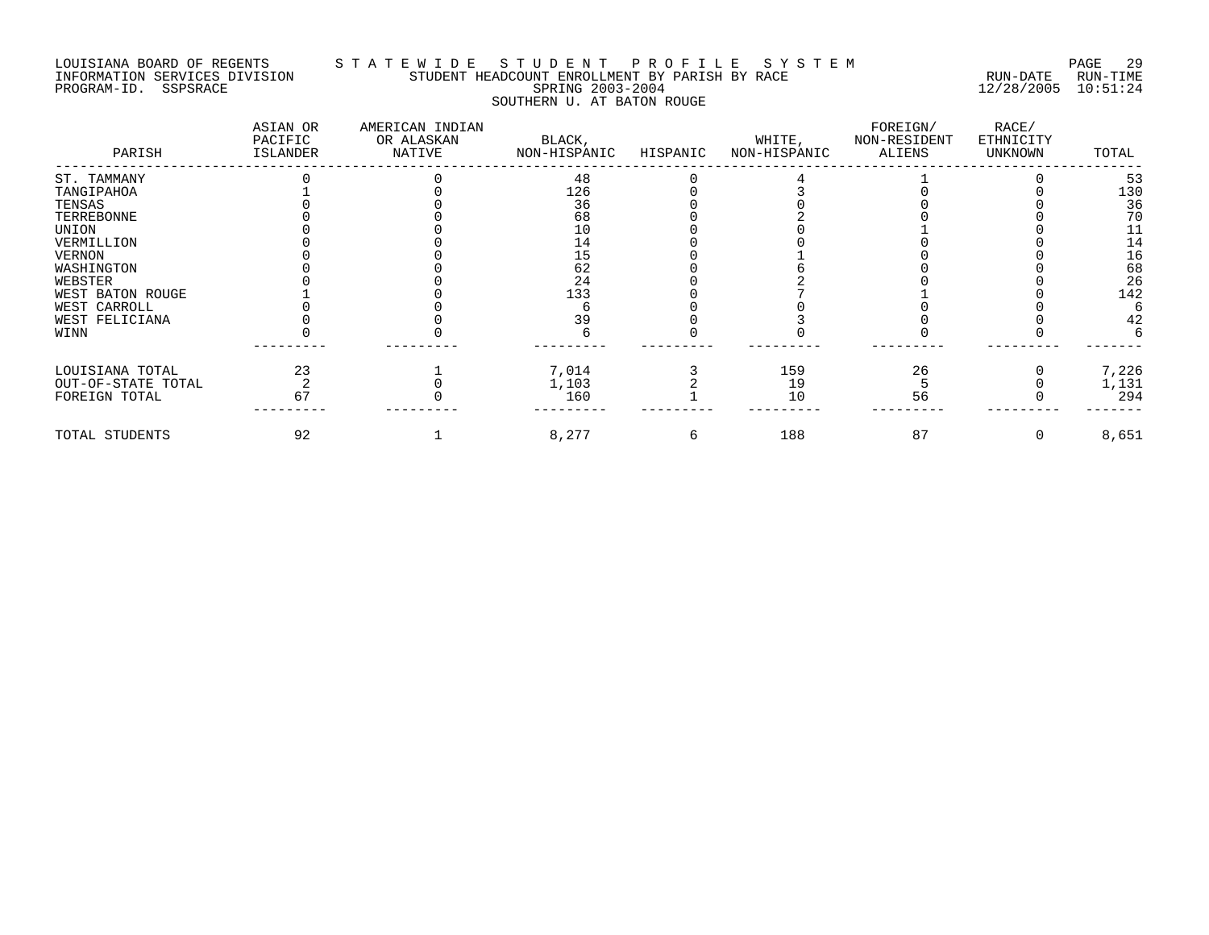## LOUISIANA BOARD OF REGENTS S T A T E W I D E S T U D E N T P R O F I L E S Y S T E M PAGE 29 INFORMATION SERVICES DIVISION STUDENT HEADCOUNT ENROLLMENT BY PARISH BY RACE RUN-DATE RUN-TIME PROGRAM-ID. SSPSRACE SPRING 2003-2004 12/28/2005 10:51:24 SOUTHERN U. AT BATON ROUGE

| PARISH             | ASIAN OR<br>PACIFIC<br>ISLANDER | AMERICAN INDIAN<br>OR ALASKAN<br>NATIVE | BLACK,<br>NON-HISPANIC | HISPANIC | WHITE,<br>NON-HISPANIC | FOREIGN/<br>NON-RESIDENT<br>ALIENS | RACE/<br>ETHNICITY<br>UNKNOWN | TOTAL |
|--------------------|---------------------------------|-----------------------------------------|------------------------|----------|------------------------|------------------------------------|-------------------------------|-------|
| ST. TAMMANY        |                                 |                                         | 48                     |          |                        |                                    |                               | 53    |
| TANGIPAHOA         |                                 |                                         | 126                    |          |                        |                                    |                               | 130   |
| TENSAS             |                                 |                                         | 36                     |          |                        |                                    |                               | 36    |
| TERREBONNE         |                                 |                                         | 68                     |          |                        |                                    |                               | 70    |
| UNION              |                                 |                                         | 10                     |          |                        |                                    |                               | 11    |
| VERMILLION         |                                 |                                         | 14                     |          |                        |                                    |                               | 14    |
| VERNON             |                                 |                                         | 15                     |          |                        |                                    |                               | 16    |
| WASHINGTON         |                                 |                                         | 62                     |          |                        |                                    |                               | 68    |
| WEBSTER            |                                 |                                         | 24                     |          |                        |                                    |                               | 26    |
| WEST BATON ROUGE   |                                 |                                         | 133                    |          |                        |                                    |                               | 142   |
| WEST CARROLL       |                                 |                                         |                        |          |                        |                                    |                               |       |
| WEST FELICIANA     |                                 |                                         | 39                     |          |                        |                                    |                               | 42    |
| WINN               |                                 |                                         |                        |          |                        |                                    |                               |       |
| LOUISIANA TOTAL    | 23                              |                                         | 7,014                  |          | 159                    | 26                                 |                               | 7,226 |
| OUT-OF-STATE TOTAL |                                 |                                         | 1,103                  |          | 19                     |                                    |                               | 1,131 |
| FOREIGN TOTAL      | 67                              |                                         | 160                    |          | 1 O                    | 56                                 |                               | 294   |
| TOTAL STUDENTS     | 92                              |                                         | 8,277                  |          | 188                    | 87                                 |                               | 8,651 |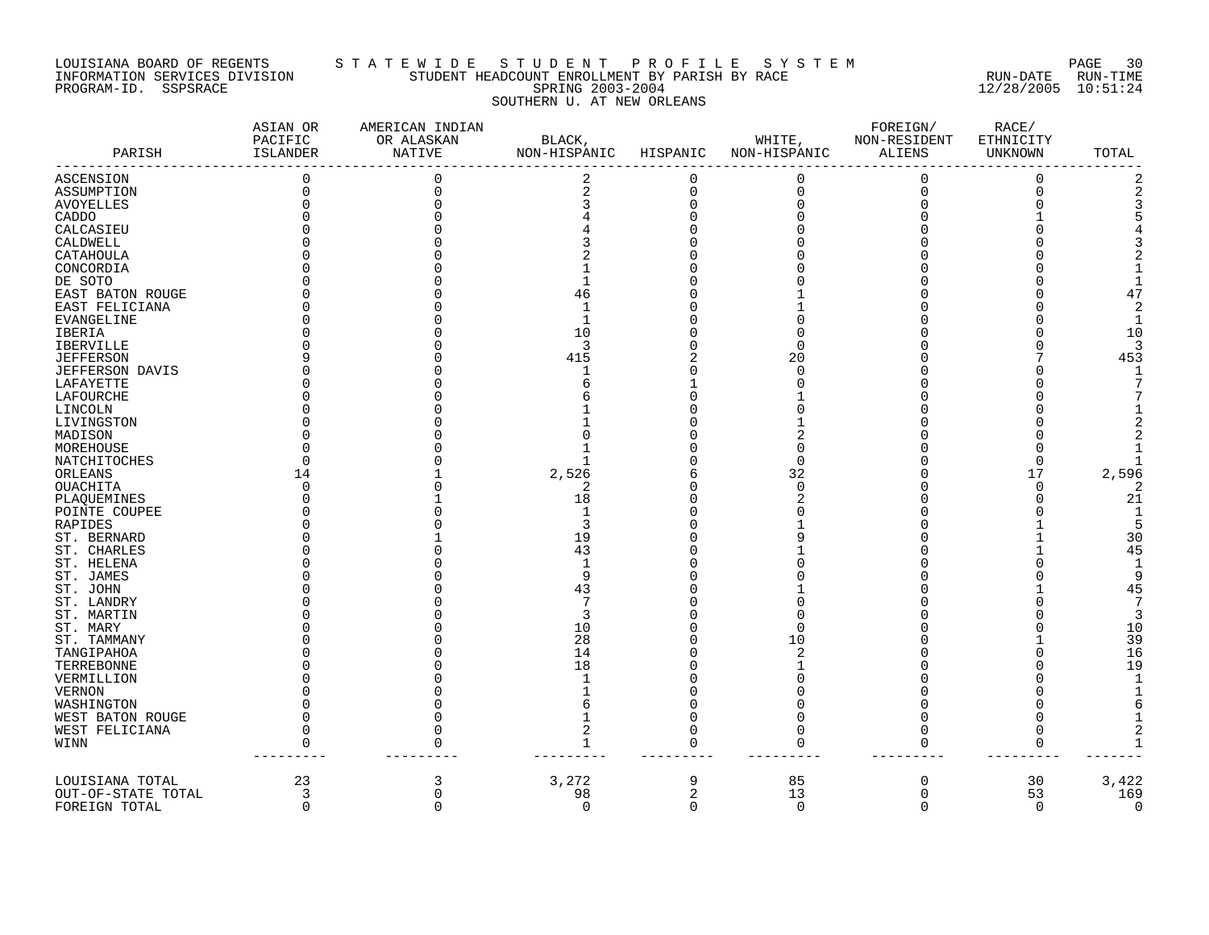### LOUISIANA BOARD OF REGENTS S T A T E W I D E S T U D E N T P R O F I L E S Y S T E M PAGE 30 INFORMATION SERVICES DIVISION STUDENT HEADCOUNT ENROLLMENT BY PARISH BY RACE RUN-DATE RUN-TIME PROGRAM-ID. SSPSRACE SPRING 2003-2004 12/28/2005 10:51:24 SOUTHERN U. AT NEW ORLEANS

| PARISH                 | ASIAN OR<br>PACIFIC<br>ISLANDER | AMERICAN INDIAN<br>OR ALASKAN<br><b>NATIVE</b> | BLACK,<br>NON-HISPANIC | HISPANIC | WHITE,<br>NON-HISPANIC | FOREIGN/<br>NON-RESIDENT<br><b>ALIENS</b> | RACE/<br>ETHNICITY<br>UNKNOWN | TOTAL          |
|------------------------|---------------------------------|------------------------------------------------|------------------------|----------|------------------------|-------------------------------------------|-------------------------------|----------------|
| ASCENSION              | $\Omega$                        |                                                | 2                      | $\Omega$ | 0                      | $\mathbf 0$                               | 0                             |                |
| ASSUMPTION             |                                 |                                                | $\sqrt{2}$             | $\Omega$ | 0                      | $\mathbf 0$                               | $\Omega$                      |                |
| <b>AVOYELLES</b>       |                                 |                                                |                        |          |                        |                                           |                               |                |
| CADDO                  |                                 |                                                |                        |          |                        |                                           |                               |                |
| CALCASIEU              |                                 |                                                |                        |          |                        |                                           |                               |                |
| CALDWELL               |                                 |                                                |                        |          |                        |                                           |                               |                |
| CATAHOULA              |                                 |                                                |                        |          |                        |                                           |                               |                |
| CONCORDIA              |                                 |                                                |                        |          |                        |                                           |                               |                |
|                        |                                 |                                                |                        |          |                        |                                           |                               |                |
| DE SOTO                |                                 |                                                |                        |          |                        |                                           |                               |                |
| EAST BATON ROUGE       |                                 |                                                | 46                     |          |                        |                                           |                               | 47             |
| EAST FELICIANA         |                                 |                                                | $\mathbf{1}$           |          |                        |                                           |                               | $\mathfrak{D}$ |
| EVANGELINE             |                                 |                                                | 1                      |          |                        |                                           |                               | 1              |
| IBERIA                 |                                 |                                                | 10                     |          |                        |                                           |                               | 10             |
| <b>IBERVILLE</b>       |                                 |                                                | 3                      |          | ∩                      |                                           |                               | -3             |
| <b>JEFFERSON</b>       |                                 |                                                | 415                    |          | 20                     |                                           |                               | 453            |
| <b>JEFFERSON DAVIS</b> |                                 |                                                | 1                      |          | $\Omega$               |                                           |                               |                |
| LAFAYETTE              |                                 |                                                |                        |          |                        |                                           |                               |                |
| LAFOURCHE              |                                 |                                                |                        |          |                        |                                           |                               |                |
| LINCOLN                |                                 |                                                |                        |          |                        |                                           |                               |                |
| LIVINGSTON             |                                 |                                                |                        |          |                        |                                           |                               |                |
| MADISON                |                                 |                                                |                        |          |                        |                                           |                               |                |
| MOREHOUSE              |                                 |                                                |                        |          |                        |                                           |                               |                |
|                        |                                 |                                                |                        |          | U                      |                                           | O                             |                |
| NATCHITOCHES           |                                 |                                                |                        |          |                        |                                           |                               |                |
| ORLEANS                | 14                              |                                                | 2,526                  |          | 32                     |                                           | 17                            | 2,596          |
| OUACHITA               |                                 |                                                | $\mathfrak{D}$         |          | $\Omega$               |                                           | $\Omega$                      |                |
| PLAQUEMINES            |                                 |                                                | 18                     |          |                        |                                           | O                             | 21             |
| POINTE COUPEE          |                                 |                                                | $\mathbf{1}$           |          |                        |                                           |                               |                |
| RAPIDES                |                                 |                                                | 3                      |          |                        |                                           |                               |                |
| ST. BERNARD            |                                 |                                                | 19                     |          |                        |                                           |                               | 30             |
| ST. CHARLES            |                                 |                                                | 43                     |          |                        |                                           |                               | 45             |
| ST. HELENA             |                                 |                                                | 1                      |          |                        |                                           |                               |                |
| ST. JAMES              |                                 |                                                | 9                      |          |                        |                                           |                               | 9              |
| ST. JOHN               |                                 |                                                | 43                     |          |                        |                                           |                               | 45             |
| ST. LANDRY             |                                 |                                                | 7                      |          |                        |                                           |                               |                |
| ST. MARTIN             |                                 |                                                | 3                      |          |                        |                                           |                               |                |
| ST. MARY               |                                 |                                                | 10                     |          | U                      |                                           |                               | 10             |
| ST. TAMMANY            |                                 |                                                | 28                     |          | 10                     |                                           |                               | 39             |
| TANGIPAHOA             |                                 |                                                | 14                     |          |                        |                                           |                               | 16             |
| TERREBONNE             |                                 |                                                | 18                     |          |                        |                                           |                               | 19             |
| VERMILLION             |                                 |                                                |                        |          |                        |                                           |                               |                |
| <b>VERNON</b>          |                                 |                                                |                        |          |                        |                                           |                               |                |
|                        |                                 |                                                |                        |          |                        |                                           |                               |                |
| WASHINGTON             |                                 |                                                |                        |          |                        |                                           |                               |                |
| WEST BATON ROUGE       |                                 |                                                |                        |          |                        |                                           | 0                             |                |
| WEST FELICIANA         |                                 |                                                | 2                      |          | 0                      | 0                                         | 0                             |                |
| WINN                   | $\Omega$                        |                                                | $\mathbf 1$            |          | n                      | $\Omega$                                  | 0                             |                |
| LOUISIANA TOTAL        | 23                              |                                                | 3,272                  | 9        | 85                     | $\mathbf 0$                               | 30                            | 3,422          |
| OUT-OF-STATE TOTAL     | 3                               |                                                | 98                     | 2        | 13                     | $\mathbf 0$                               | 53                            | 169            |
| FOREIGN TOTAL          | $\Omega$                        | U                                              | $\mathbf 0$            | $\Omega$ | $\Omega$               | $\Omega$                                  | $\Omega$                      | $\Omega$       |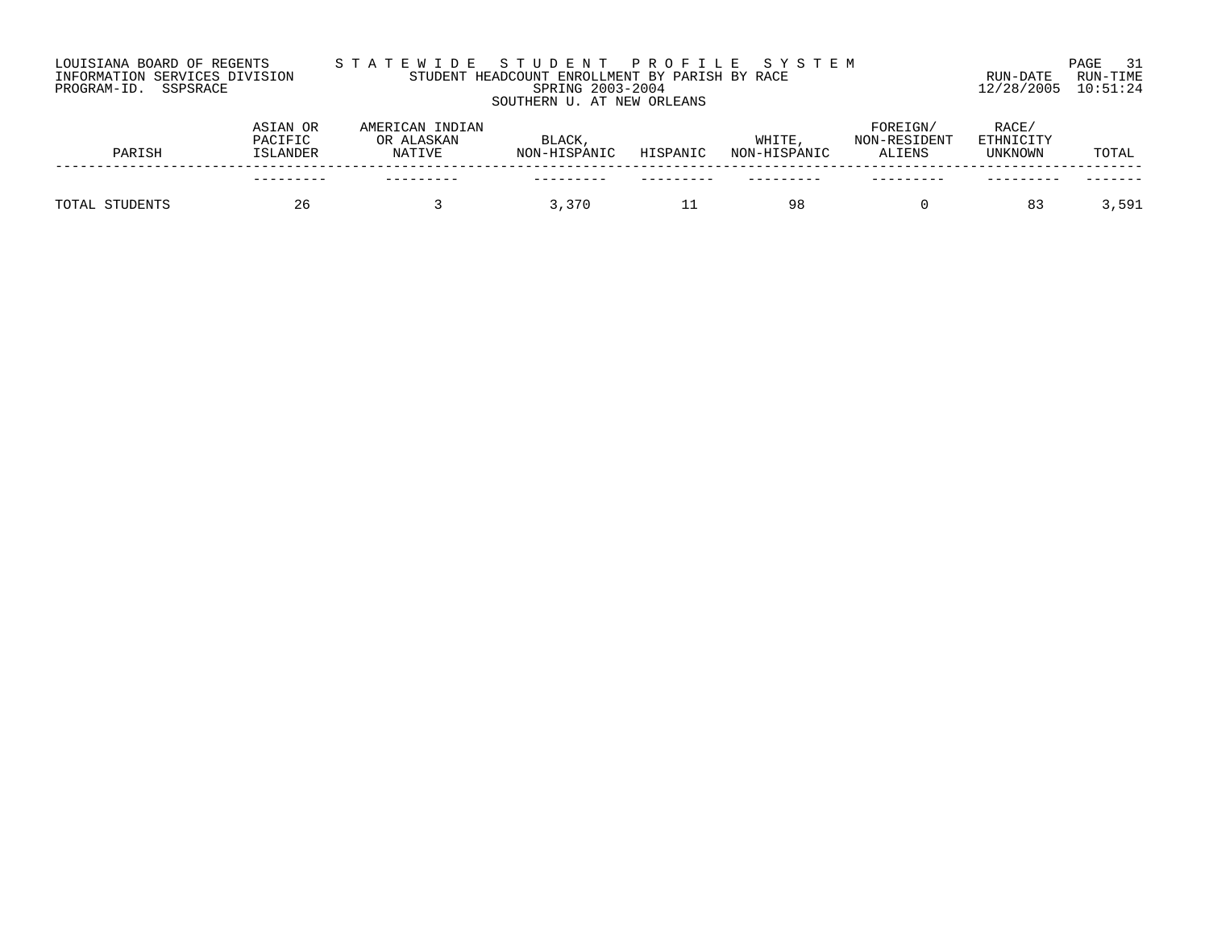# LOUISIANA BOARD OF REGENTS S T A T E W I D E S T U D E N T P R O F I L E S Y S T E M PAGE 31 INFORMATION SERVICES DIVISION STUDENT HEADCOUNT ENROLLMENT BY PARISH BY RACE RUN-DATE RUN-TIME PROGRAM-ID. SSPSRACE SPRING 2003-2004 12/28/2005 10:51:24 SOUTHERN U. AT NEW ORLEANS

|       | PARISH   | ASIAN OR<br>PACIFIC<br><b>ISLANDER</b> | AMERICAN INDIAN<br>OR ALASKAN<br><b>NATIVE</b> | <b>BLACK</b><br>NON-HISPANIC | HISPANIC | WHITE<br>NON-HISPANIC | FOREIGN/<br>NON-RESIDENT<br>ALIENS | RACE/<br>ETHNICITY<br>UNKNOWN | TOTAL  |
|-------|----------|----------------------------------------|------------------------------------------------|------------------------------|----------|-----------------------|------------------------------------|-------------------------------|--------|
|       |          | ---------                              |                                                |                              |          |                       |                                    |                               |        |
| TOTAL | STUDENTS | 26                                     |                                                | 3,370                        |          | 98                    |                                    | 83                            | 591, ر |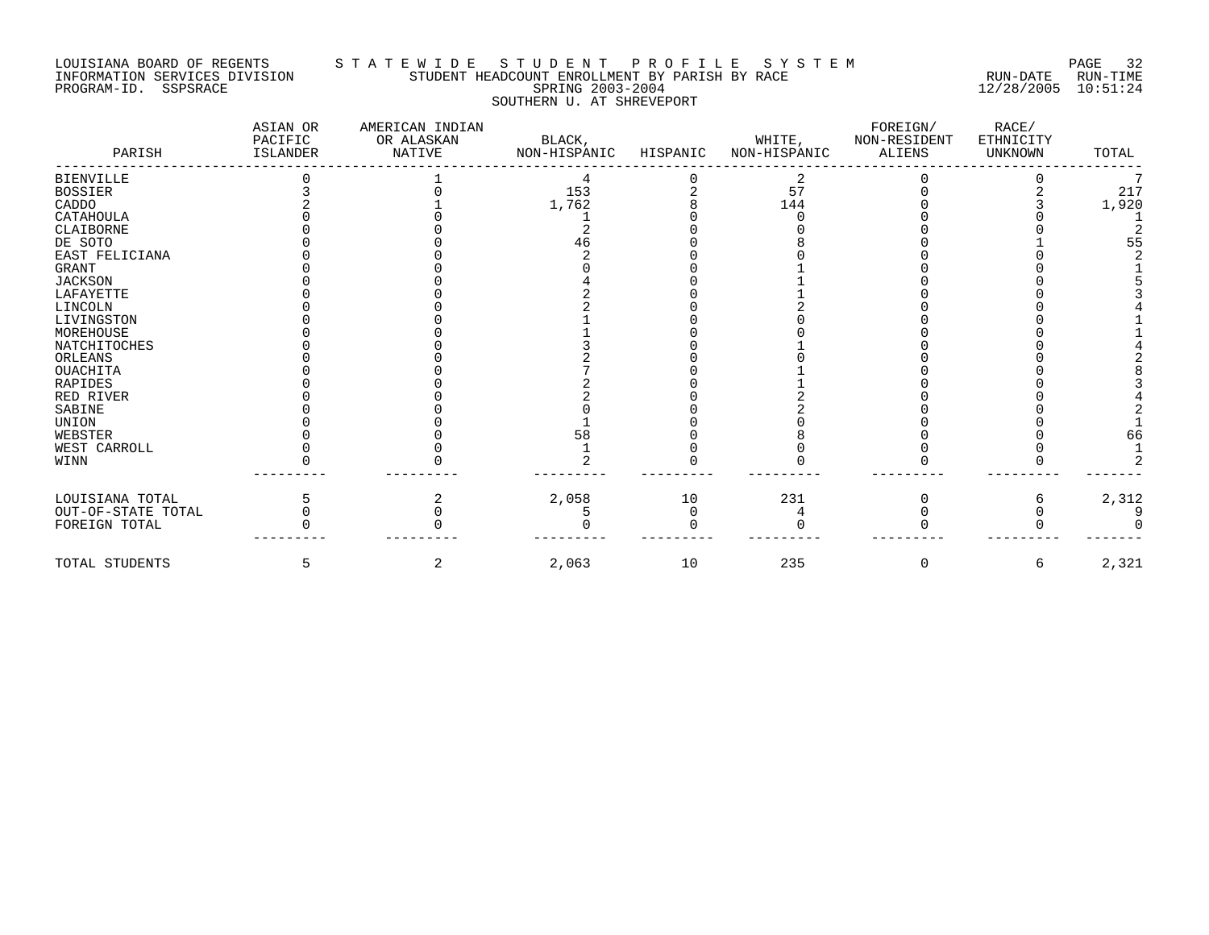### LOUISIANA BOARD OF REGENTS S T A T E W I D E S T U D E N T P R O F I L E S Y S T E M PAGE 32 INFORMATION SERVICES DIVISION STUDENT HEADCOUNT ENROLLMENT BY PARISH BY RACE RUN-DATE RUN-TIME PROGRAM-ID. SSPSRACE SPRING 2003-2004 12/28/2005 10:51:24 SOUTHERN U. AT SHREVEPORT

| PARISH               | ASIAN OR<br>PACIFIC<br><b>ISLANDER</b> | AMERICAN INDIAN<br>OR ALASKAN<br>NATIVE | BLACK,<br>NON-HISPANIC | HISPANIC | WHITE,<br>NON-HISPANIC | FOREIGN/<br>NON-RESIDENT<br><b>ALIENS</b> | RACE/<br>ETHNICITY<br><b>UNKNOWN</b> | TOTAL |
|----------------------|----------------------------------------|-----------------------------------------|------------------------|----------|------------------------|-------------------------------------------|--------------------------------------|-------|
| <b>BIENVILLE</b>     |                                        |                                         |                        |          |                        |                                           |                                      |       |
| <b>BOSSIER</b>       |                                        |                                         | 153                    |          | 57                     |                                           |                                      | 217   |
| CADDO                |                                        |                                         | 1,762                  |          | 144                    |                                           |                                      | 1,920 |
| CATAHOULA            |                                        |                                         |                        |          |                        |                                           |                                      |       |
| CLAIBORNE            |                                        |                                         |                        |          |                        |                                           |                                      |       |
| DE SOTO              |                                        |                                         | 46                     |          |                        |                                           |                                      | 55    |
| EAST FELICIANA       |                                        |                                         |                        |          |                        |                                           |                                      |       |
| GRANT                |                                        |                                         |                        |          |                        |                                           |                                      |       |
| <b>JACKSON</b>       |                                        |                                         |                        |          |                        |                                           |                                      |       |
| LAFAYETTE            |                                        |                                         |                        |          |                        |                                           |                                      |       |
| LINCOLN              |                                        |                                         |                        |          |                        |                                           |                                      |       |
| LIVINGSTON           |                                        |                                         |                        |          |                        |                                           |                                      |       |
| MOREHOUSE            |                                        |                                         |                        |          |                        |                                           |                                      |       |
| NATCHITOCHES         |                                        |                                         |                        |          |                        |                                           |                                      |       |
| ORLEANS              |                                        |                                         |                        |          |                        |                                           |                                      |       |
| <b>OUACHITA</b>      |                                        |                                         |                        |          |                        |                                           |                                      |       |
| <b>RAPIDES</b>       |                                        |                                         |                        |          |                        |                                           |                                      |       |
| RED RIVER            |                                        |                                         |                        |          |                        |                                           |                                      |       |
| SABINE               |                                        |                                         |                        |          |                        |                                           |                                      |       |
| <b>UNION</b>         |                                        |                                         |                        |          |                        |                                           |                                      |       |
| WEBSTER              |                                        |                                         | 58                     |          |                        |                                           |                                      | 66    |
| WEST CARROLL<br>WINN |                                        |                                         |                        |          |                        |                                           |                                      |       |
|                      |                                        |                                         |                        |          |                        |                                           |                                      |       |
| LOUISIANA TOTAL      |                                        |                                         | 2,058                  | 10       | 231                    |                                           |                                      | 2,312 |
| OUT-OF-STATE TOTAL   |                                        |                                         |                        | O        |                        |                                           |                                      |       |
| FOREIGN TOTAL        |                                        |                                         |                        |          |                        |                                           |                                      |       |
| TOTAL STUDENTS       | 5                                      | 2                                       | 2,063                  | 10       | 235                    | 0                                         | 6                                    | 2,321 |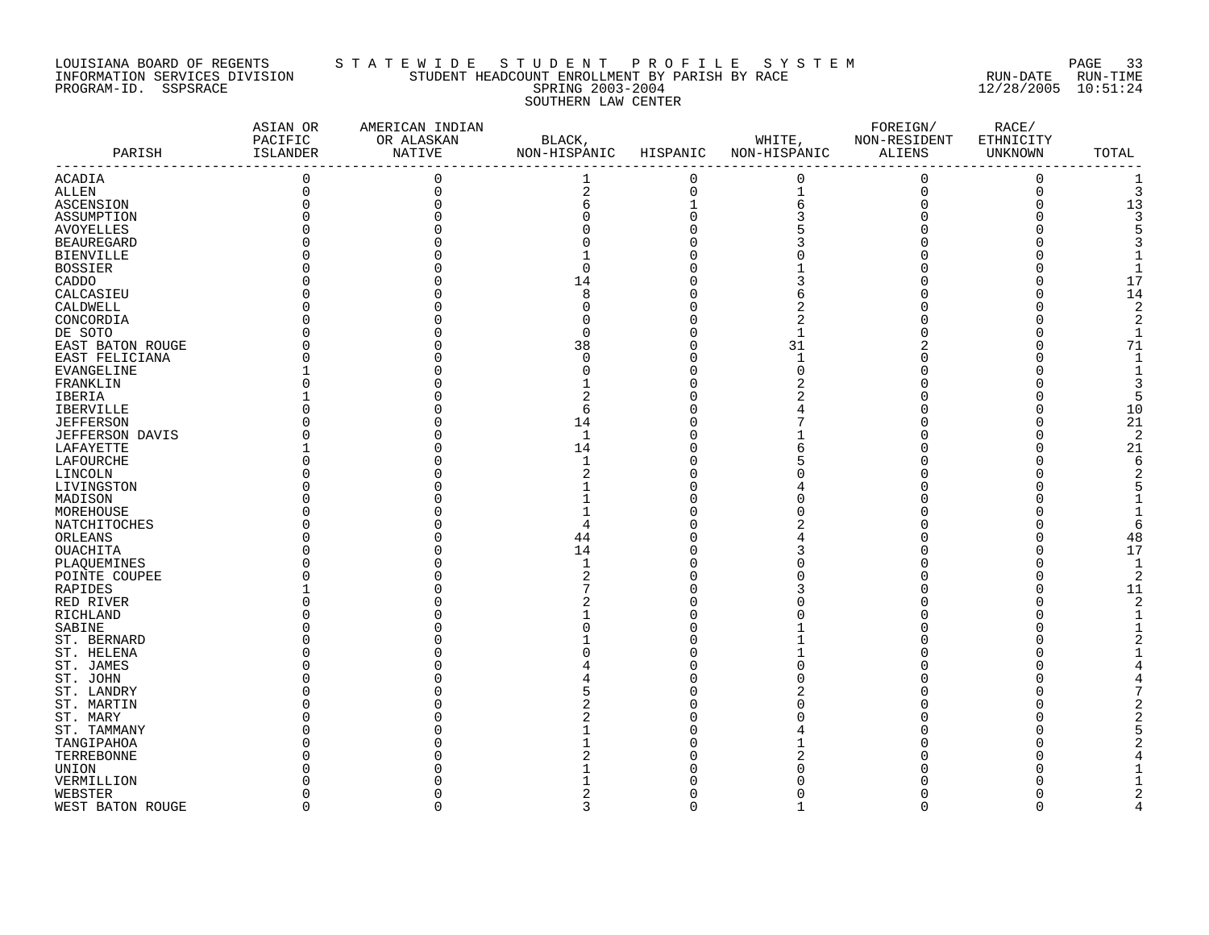# LOUISIANA BOARD OF REGENTS STATEWIDE STUDENT PROFILE SYSTEM NAGE 33 INFORMATION SERVICES DIVISION STUDENT HEADCOUNT ENROLLMENT BY PARISH BY RACE RUN-DATE RUN-TIME PROGRAM-ID. SSPSRACE SERING 2003-2004 12/28/2005 10:51:24 SOUTHERN LAW CENTER

|                        | ASIAN OR<br>PACIFIC | AMERICAN INDIAN<br>OR ALASKAN | BLACK,                |             |                                            | FOREIGN/           | RACE/<br>ETHNICITY |                |
|------------------------|---------------------|-------------------------------|-----------------------|-------------|--------------------------------------------|--------------------|--------------------|----------------|
| PARISH                 | ISLANDER            | NATIVE                        | NON-HISPANIC HISPANIC |             | WHITE, NON-RESIDENT<br>NON-HISPANIC ALIENS |                    | UNKNOWN            | TOTAL          |
| ACADIA                 | $\mathsf 0$         | $\mathbf 0$                   | $\mathbf{1}$          | 0           | 0                                          | $\mathbf 0$        | 0                  |                |
| <b>ALLEN</b>           | 0                   | $\mathbf 0$                   | $\overline{c}$        | $\mathsf 0$ |                                            |                    | $\mathbf 0$        | 3              |
| ASCENSION              |                     |                               | 6                     |             | $\begin{array}{c} 1 \\ 6 \\ 3 \end{array}$ | $_{\rm 0}^{\rm 0}$ | $\Omega$           | 13             |
| ASSUMPTION             |                     |                               |                       | $\Omega$    |                                            |                    |                    |                |
| <b>AVOYELLES</b>       |                     |                               |                       |             |                                            |                    |                    |                |
| <b>BEAUREGARD</b>      |                     |                               |                       |             |                                            |                    |                    |                |
| <b>BIENVILLE</b>       |                     |                               |                       |             |                                            |                    |                    |                |
| <b>BOSSIER</b>         |                     |                               | $\Omega$              |             |                                            |                    |                    |                |
| CADDO                  |                     |                               | 14                    |             |                                            |                    |                    | 17             |
|                        |                     |                               |                       |             |                                            |                    |                    | 14             |
| CALCASIEU              |                     |                               |                       |             |                                            |                    |                    |                |
| CALDWELL               |                     |                               |                       |             |                                            |                    |                    | $\overline{2}$ |
| CONCORDIA              |                     |                               |                       |             |                                            |                    | O                  |                |
| DE SOTO                |                     |                               | U                     |             |                                            |                    |                    |                |
| EAST BATON ROUGE       |                     |                               | 38                    |             | 31                                         |                    |                    | 71             |
| EAST FELICIANA         |                     |                               |                       | U           | $\mathbf 1$                                |                    |                    |                |
| EVANGELINE             |                     |                               |                       |             | $\Omega$                                   |                    |                    |                |
| FRANKLIN               |                     |                               |                       |             |                                            |                    |                    |                |
| IBERIA                 |                     |                               |                       |             |                                            |                    |                    |                |
| IBERVILLE              |                     |                               | 6                     |             |                                            |                    |                    | 10             |
| <b>JEFFERSON</b>       |                     |                               | 14                    |             |                                            |                    | n                  | 21             |
| <b>JEFFERSON DAVIS</b> |                     |                               | $\mathbf{1}$          |             |                                            |                    |                    | $\overline{2}$ |
| LAFAYETTE              |                     |                               | 14                    |             |                                            |                    |                    | 21             |
| LAFOURCHE              |                     |                               |                       |             |                                            |                    |                    | 6              |
| LINCOLN                |                     |                               |                       |             |                                            |                    |                    |                |
| LIVINGSTON             |                     |                               |                       |             |                                            |                    |                    |                |
| MADISON                |                     |                               |                       |             |                                            |                    |                    |                |
| MOREHOUSE              |                     |                               |                       |             |                                            |                    |                    |                |
| NATCHITOCHES           |                     |                               |                       |             |                                            |                    |                    |                |
| ORLEANS                |                     |                               | 44                    |             |                                            |                    |                    | 48             |
| OUACHITA               |                     |                               | 14                    |             |                                            |                    |                    | 17             |
| PLAQUEMINES            |                     |                               |                       |             |                                            |                    |                    |                |
| POINTE COUPEE          |                     |                               |                       |             |                                            |                    |                    | $\overline{2}$ |
|                        |                     |                               |                       |             |                                            |                    | $\Omega$           | 11             |
| RAPIDES                |                     |                               |                       |             |                                            |                    |                    |                |
| RED RIVER              |                     |                               |                       |             |                                            |                    |                    |                |
| RICHLAND               |                     |                               |                       |             |                                            |                    |                    |                |
| SABINE                 |                     |                               |                       |             |                                            |                    |                    |                |
| ST. BERNARD            |                     |                               |                       |             |                                            |                    |                    |                |
| ST. HELENA             |                     |                               |                       |             |                                            |                    |                    |                |
| ST. JAMES              |                     |                               |                       |             |                                            |                    |                    |                |
| ST. JOHN               |                     |                               |                       |             |                                            |                    |                    |                |
| ST. LANDRY             |                     |                               |                       |             |                                            |                    |                    |                |
| ST. MARTIN             |                     |                               |                       |             |                                            |                    |                    |                |
| ST. MARY               |                     |                               |                       |             |                                            |                    |                    |                |
| ST. TAMMANY            |                     |                               |                       |             |                                            |                    |                    |                |
| TANGIPAHOA             |                     |                               |                       |             |                                            |                    |                    |                |
| TERREBONNE             |                     |                               |                       |             |                                            |                    |                    |                |
| UNION                  |                     |                               |                       |             |                                            |                    |                    |                |
| VERMILLION             |                     |                               |                       |             |                                            |                    |                    |                |
| WEBSTER                |                     |                               |                       |             |                                            |                    |                    |                |
| WEST BATON ROUGE       | $\Omega$            | $\Omega$                      | 3                     | $\Omega$    | $\mathbf{1}$                               | $\Omega$           | $\Omega$           |                |
|                        |                     |                               |                       |             |                                            |                    |                    |                |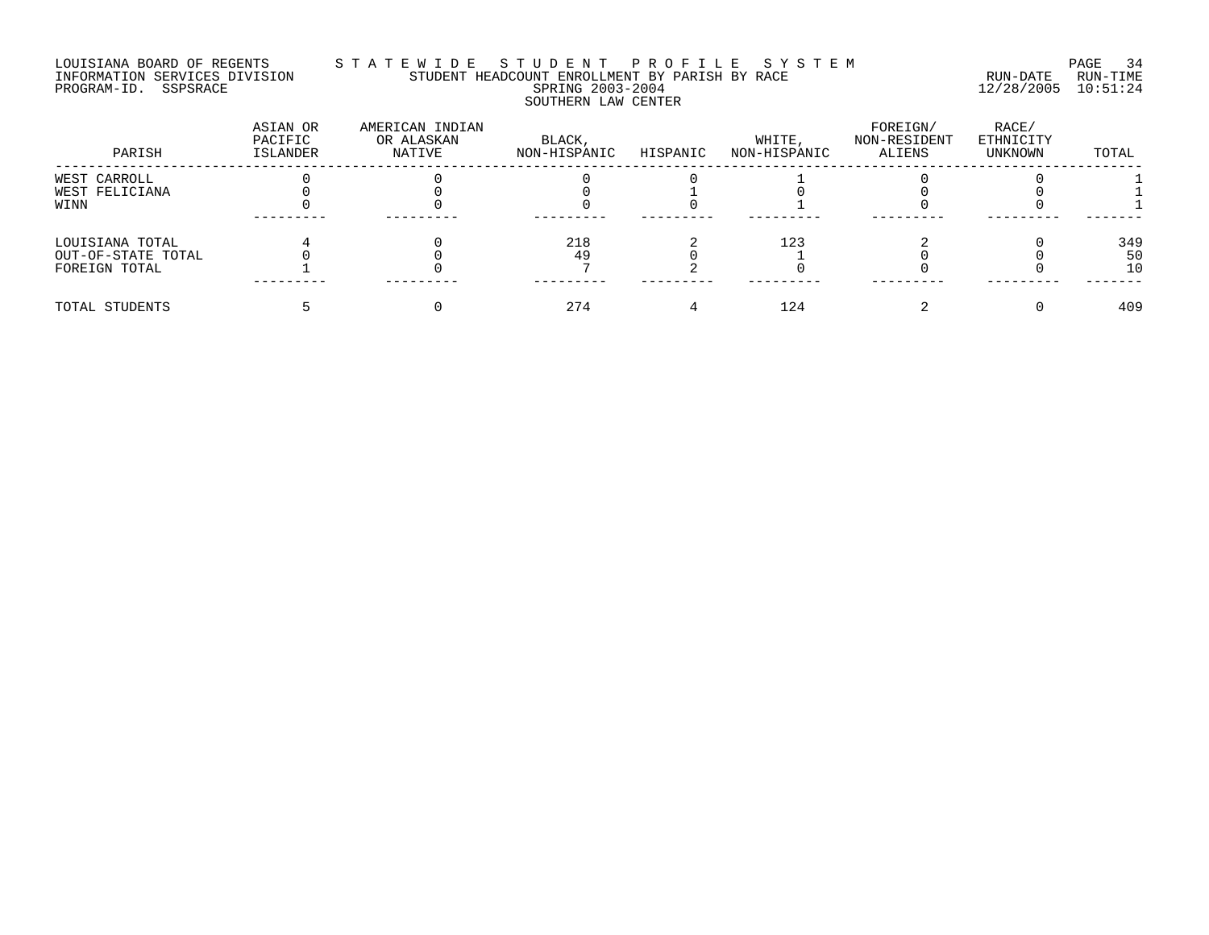# LOUISIANA BOARD OF REGENTS S T A T E W I D E S T U D E N T P R O F I L E S Y S T E M PAGE 34 INFORMATION SERVICES DIVISION STUDENT HEADCOUNT ENROLLMENT BY PARISH BY RACE RUN-DATE RUN-TIME PROGRAM-ID. SSPSRACE SPRING 2003-2004 12/28/2005 10:51:24 SOUTHERN LAW CENTER

| PARISH             | ASIAN OR<br>PACIFIC<br>ISLANDER | AMERICAN INDIAN<br>OR ALASKAN<br>NATIVE | BLACK,<br>NON-HISPANIC | HISPANIC | WHITE,<br>NON-HISPANIC | FOREIGN/<br>NON-RESIDENT<br>ALIENS | RACE/<br>ETHNICITY<br>UNKNOWN | TOTAL |
|--------------------|---------------------------------|-----------------------------------------|------------------------|----------|------------------------|------------------------------------|-------------------------------|-------|
| WEST CARROLL       |                                 |                                         |                        |          |                        |                                    |                               |       |
| WEST FELICIANA     |                                 |                                         |                        |          |                        |                                    |                               |       |
| WINN               |                                 |                                         |                        |          |                        |                                    |                               |       |
| LOUISIANA TOTAL    |                                 |                                         | 218                    |          | 123                    |                                    |                               | 349   |
| OUT-OF-STATE TOTAL |                                 |                                         | 49                     |          |                        |                                    |                               | 50    |
| FOREIGN TOTAL      |                                 |                                         |                        |          |                        |                                    |                               | 10    |
| TOTAL STUDENTS     |                                 |                                         | 274                    |          | 124                    |                                    |                               | 409   |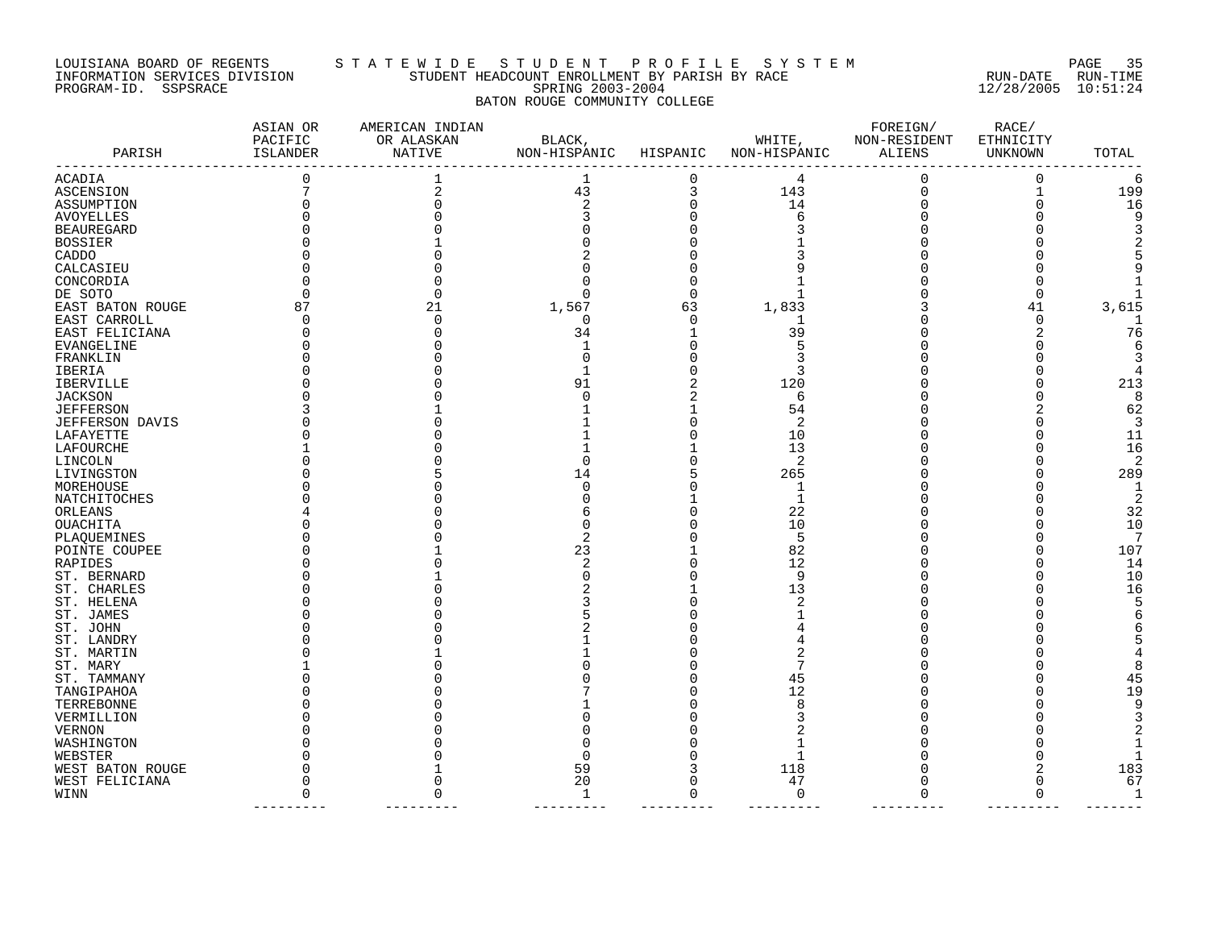#### LOUISIANA BOARD OF REGENTS S T A T E W I D E S T U D E N T P R O F I L E S Y S T E M PAGE 35 INFORMATION SERVICES DIVISION STUDENT HEADCOUNT ENROLLMENT BY PARISH BY RACE RUN-DATE RUN-TIME PROGRAM-ID. SSPSRACE SPRING 2003-2004 12/28/2005 10:51:24 BATON ROUGE COMMUNITY COLLEGE

| PARISH<br>NON-HISPANIC<br>ISLANDER<br>NATIVE<br>HISPANIC<br>NON-HISPANIC<br>ALIENS<br>UNKNOWN |                     |
|-----------------------------------------------------------------------------------------------|---------------------|
| 1<br>0<br>0<br>4<br>ACADIA<br>0                                                               | 0<br>6              |
| 43<br>3<br>143<br>$\Omega$<br>ASCENSION                                                       | $\mathbf{1}$<br>199 |
| $\overline{2}$<br>14<br>$\Omega$<br>ASSUMPTION                                                | 16<br>$\Omega$      |
| 6<br>AVOYELLES                                                                                |                     |
| <b>BEAUREGARD</b>                                                                             |                     |
| BOSSIER                                                                                       |                     |
| CADDO                                                                                         |                     |
| CALCASIEU                                                                                     |                     |
| CONCORDIA                                                                                     |                     |
| DE SOTO<br>∩                                                                                  | $\Omega$            |
| 1,833<br>EAST BATON ROUGE<br>87<br>21<br>1,567<br>63<br>41                                    | 3,615               |
| EAST CARROLL<br>n<br><sup>0</sup><br>0                                                        | <sup>0</sup>        |
| 34<br>39<br>EAST FELICIANA<br>1                                                               | 76                  |
| EVANGELINE                                                                                    |                     |
| FRANKLIN                                                                                      |                     |
| <b>IBERIA</b>                                                                                 |                     |
| 120<br>IBERVILLE<br>91                                                                        | 213                 |
| JACKSON<br>6                                                                                  | 8                   |
| <b>JEFFERSON</b><br>54                                                                        | 62                  |
| 2<br>JEFFERSON DAVIS                                                                          | 3                   |
| 10<br>LAFAYETTE                                                                               | 11                  |
| 13<br>LAFOURCHE                                                                               | 16                  |
| 2<br>LINCOLN                                                                                  | 2                   |
| 265<br>LIVINGSTON<br>14                                                                       | 289                 |
| MOREHOUSE<br>1                                                                                | 1                   |
| NATCHITOCHES<br>1                                                                             | 2                   |
| 22<br>ORLEANS                                                                                 | 32                  |
| 10<br>OUACHITA                                                                                | 10                  |
| 5<br>PLAQUEMINES                                                                              | 7                   |
| 23<br>82<br>POINTE COUPEE                                                                     | 107                 |
| 12<br>RAPIDES                                                                                 | 14                  |
| 9<br>ST. BERNARD                                                                              | 10                  |
| ST. CHARLES<br>13                                                                             | 16                  |
| 2<br>ST. HELENA                                                                               |                     |
| ST. JAMES                                                                                     |                     |
| ST. JOHN                                                                                      |                     |
| ST. LANDRY                                                                                    |                     |
| ST. MARTIN                                                                                    |                     |
| ST. MARY                                                                                      |                     |
| ST. TAMMANY<br>45                                                                             | 45                  |
| 12<br>TANGIPAHOA                                                                              | 19                  |
| TERREBONNE<br>8                                                                               |                     |
| VERMILLION                                                                                    |                     |
| VERNON                                                                                        |                     |
| WASHINGTON                                                                                    |                     |
| WEBSTER                                                                                       | 183                 |
| WEST BATON ROUGE<br>59<br>118<br>20<br>47<br>∩                                                | $\Omega$            |
| WEST FELICIANA<br>$\mathbf 0$<br>WINN<br>1<br>U<br>$\cap$                                     | 67<br>$\Omega$<br>1 |
|                                                                                               |                     |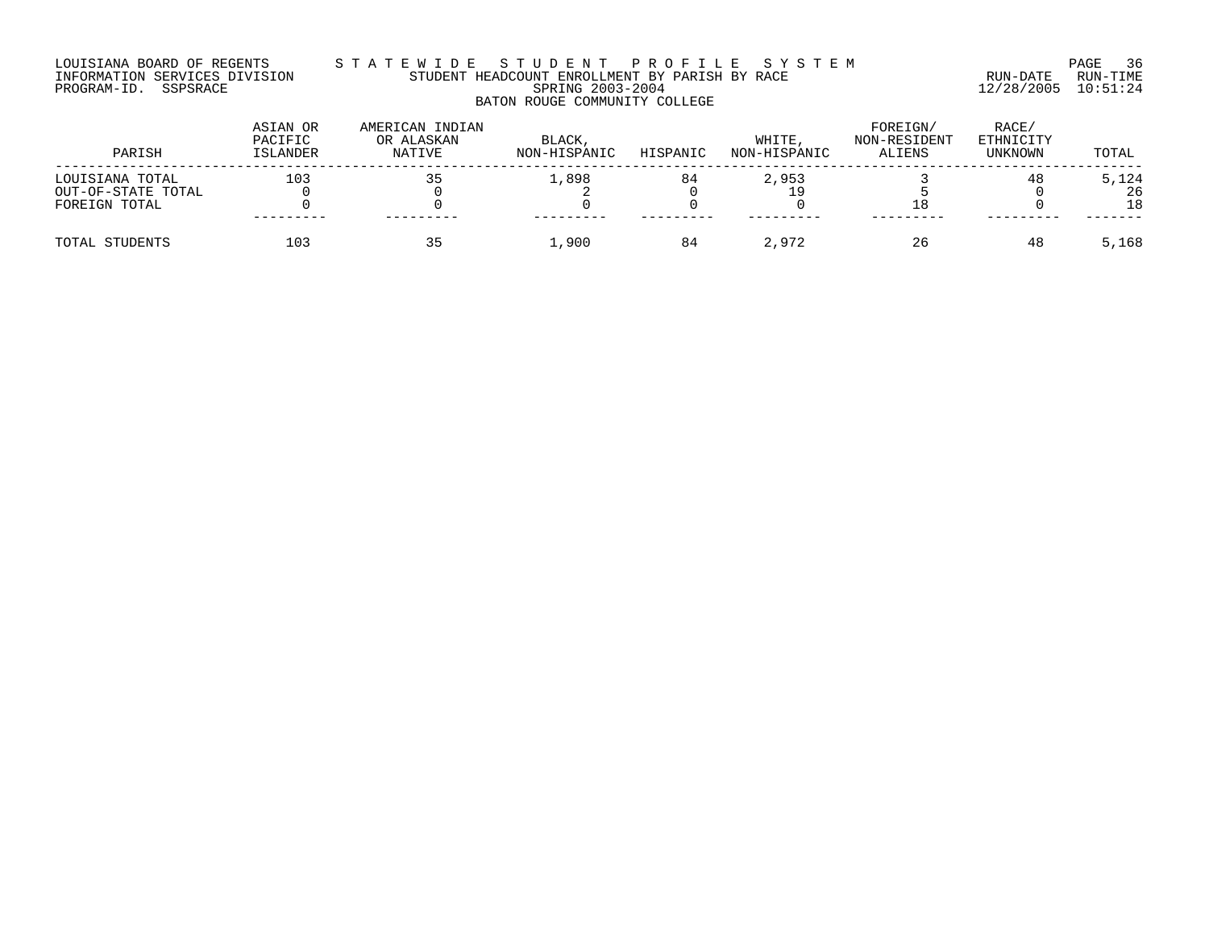## LOUISIANA BOARD OF REGENTS S T A T E W I D E S T U D E N T P R O F I L E S Y S T E M PAGE 36 INFORMATION SERVICES DIVISION STUDENT HEADCOUNT ENROLLMENT BY PARISH BY RACE RUN-DATE RUN-TIME PROGRAM-ID. SSPSRACE SPRING 2003-2004 12/28/2005 10:51:24 BATON ROUGE COMMUNITY COLLEGE

| PARISH             | ASIAN OR<br>PACIFIC<br>ISLANDER | AMERICAN INDIAN<br>OR ALASKAN<br>NATIVE | BLACK,<br>NON-HISPANIC | HISPANIC | WHITE.<br>NON-HISPANIC | FOREIGN/<br>NON-RESIDENT<br>ALIENS | RACE/<br>ETHNICITY<br>UNKNOWN | TOTAL |
|--------------------|---------------------------------|-----------------------------------------|------------------------|----------|------------------------|------------------------------------|-------------------------------|-------|
| LOUISIANA TOTAL    | 103                             |                                         | 1,898                  | 84       | 2,953                  |                                    | 48                            | 5,124 |
| OUT-OF-STATE TOTAL |                                 |                                         |                        |          |                        |                                    |                               | 26    |
| FOREIGN TOTAL      |                                 |                                         |                        |          |                        | 18                                 |                               | 18    |
|                    |                                 |                                         |                        |          |                        |                                    |                               |       |
| TOTAL STUDENTS     | 103                             |                                         | L.900                  | 84       | 2,972                  | 26                                 | 48                            | 5,168 |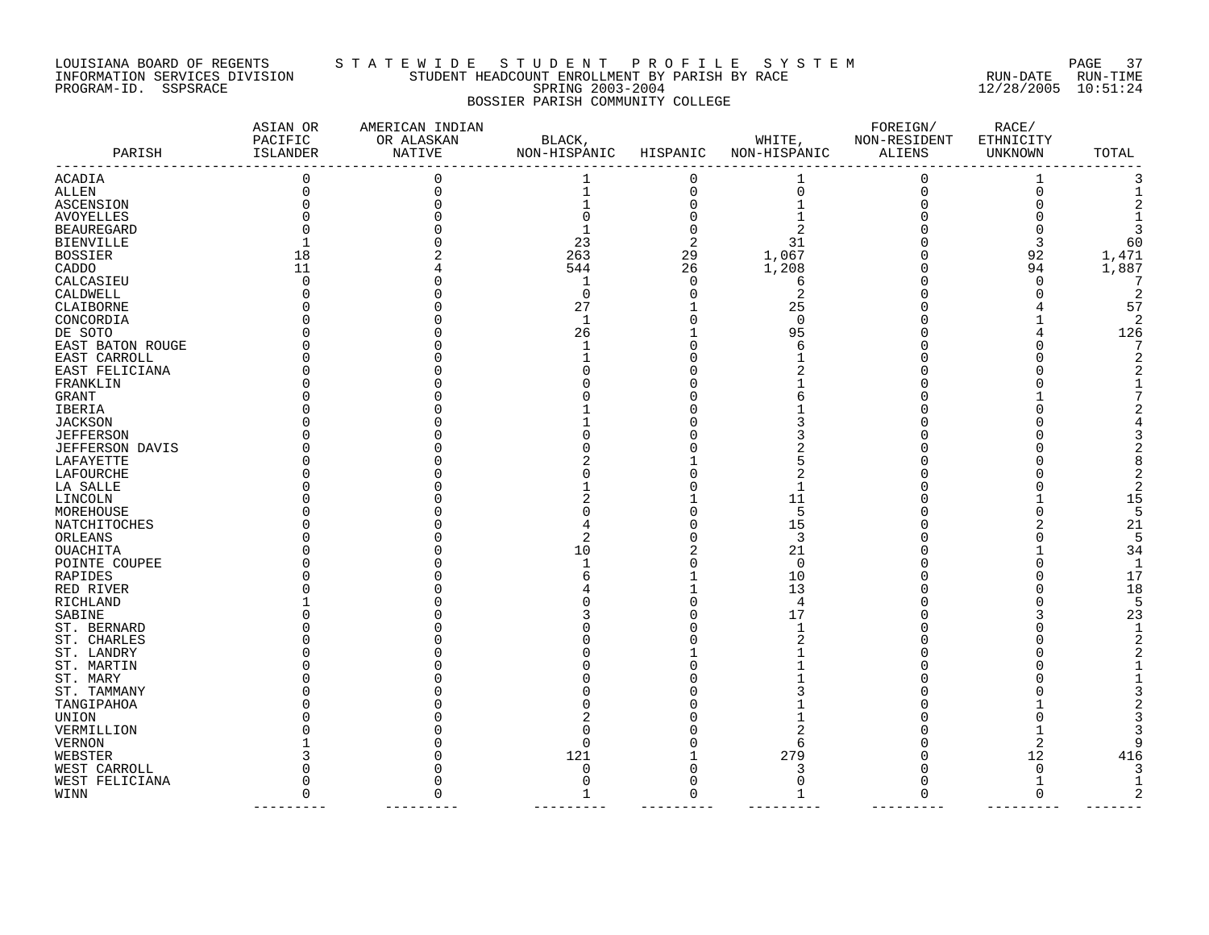#### LOUISIANA BOARD OF REGENTS S T A T E W I D E S T U D E N T P R O F I L E S Y S T E M PAGE 37 INFORMATION SERVICES DIVISION STUDENT HEADCOUNT ENROLLMENT BY PARISH BY RACE RUN-DATE RUN-TIME PROGRAM-ID. SSPSRACE SPRING 2003-2004 12/28/2005 10:51:24 BOSSIER PARISH COMMUNITY COLLEGE

| PARISH            | ASIAN OR<br>PACIFIC<br>ISLANDER | AMERICAN INDIAN<br>OR ALASKAN<br>NATIVE | BLACK,<br>NON-HISPANIC | HISPANIC | WHITE,<br>NON-HISPANIC | FOREIGN/<br>NON-RESIDENT<br>ALIENS | RACE/<br>ETHNICITY<br>UNKNOWN | TOTAL |
|-------------------|---------------------------------|-----------------------------------------|------------------------|----------|------------------------|------------------------------------|-------------------------------|-------|
| ACADIA            | 0                               |                                         | 1                      | 0        |                        | 0                                  |                               |       |
| ALLEN             |                                 |                                         |                        | 0        | 0                      | $\Omega$                           | $\Omega$                      |       |
| ASCENSION         |                                 |                                         |                        |          |                        |                                    |                               |       |
| AVOYELLES         |                                 |                                         |                        |          |                        |                                    |                               |       |
| <b>BEAUREGARD</b> |                                 |                                         |                        |          |                        |                                    |                               |       |
| BIENVILLE         |                                 |                                         | 23                     | 2        | 31                     |                                    | 3                             | 60    |
| <b>BOSSIER</b>    | 18                              |                                         | 263                    | 29       | 1,067                  |                                    | 92                            | 1,471 |
| CADDO             | 11                              |                                         | 544                    | 26       | 1,208                  |                                    | 94                            | 1,887 |
| CALCASIEU         | $\Omega$                        |                                         | 1                      | $\Omega$ | 6                      |                                    | 0                             |       |
| CALDWELL          |                                 |                                         | $\Omega$               |          | 2                      |                                    | <sup>0</sup>                  | 2     |
| CLAIBORNE         |                                 |                                         | 27                     |          | 25                     |                                    |                               | 57    |
| CONCORDIA         |                                 |                                         | 1                      |          | $\Omega$               |                                    |                               |       |
| DE SOTO           |                                 |                                         | 26                     |          | 95                     |                                    |                               | 126   |
| EAST BATON ROUGE  |                                 |                                         |                        |          | 6                      |                                    |                               |       |
| EAST CARROLL      |                                 |                                         |                        |          |                        |                                    |                               |       |
| EAST FELICIANA    |                                 |                                         |                        |          |                        |                                    |                               |       |
| FRANKLIN          |                                 |                                         |                        |          |                        |                                    |                               |       |
| GRANT             |                                 |                                         |                        |          |                        |                                    |                               |       |
| IBERIA            |                                 |                                         |                        |          |                        |                                    |                               |       |
| <b>JACKSON</b>    |                                 |                                         |                        |          |                        |                                    |                               |       |
| <b>JEFFERSON</b>  |                                 |                                         |                        |          |                        |                                    |                               |       |
| JEFFERSON DAVIS   |                                 |                                         |                        |          |                        |                                    |                               |       |
| LAFAYETTE         |                                 |                                         |                        |          |                        |                                    |                               |       |
| LAFOURCHE         |                                 |                                         |                        |          |                        |                                    |                               |       |
| LA SALLE          |                                 |                                         |                        |          |                        |                                    |                               |       |
| LINCOLN           |                                 |                                         |                        |          | 11                     |                                    |                               | 15    |
| MOREHOUSE         |                                 |                                         |                        |          | 5                      |                                    |                               |       |
| NATCHITOCHES      |                                 |                                         |                        |          | 15                     |                                    |                               | 21    |
| ORLEANS           |                                 |                                         |                        |          | 3                      |                                    |                               |       |
| <b>OUACHITA</b>   |                                 |                                         | 10                     |          | 21                     |                                    |                               | 34    |
| POINTE COUPEE     |                                 |                                         |                        |          | 0                      |                                    |                               | -1    |
| RAPIDES           |                                 |                                         |                        |          | 10                     |                                    |                               | 17    |
| RED RIVER         |                                 |                                         |                        |          | 13                     |                                    |                               | 18    |
| RICHLAND          |                                 |                                         |                        |          | 4                      |                                    |                               | Б,    |
| SABINE            |                                 |                                         |                        |          | 17                     |                                    |                               | 23    |
| ST. BERNARD       |                                 |                                         |                        |          |                        |                                    |                               |       |
| ST. CHARLES       |                                 |                                         |                        |          |                        |                                    |                               |       |
| ST. LANDRY        |                                 |                                         |                        |          |                        |                                    |                               |       |
| ST. MARTIN        |                                 |                                         |                        |          |                        |                                    |                               |       |
| ST. MARY          |                                 |                                         |                        |          |                        |                                    |                               |       |
| ST. TAMMANY       |                                 |                                         |                        |          |                        |                                    |                               |       |
| TANGIPAHOA        |                                 |                                         |                        |          |                        |                                    |                               |       |
| UNION             |                                 |                                         |                        |          |                        |                                    |                               |       |
| VERMILLION        |                                 |                                         |                        |          |                        |                                    |                               |       |
| VERNON            |                                 |                                         | Λ                      |          | 6                      |                                    | 2                             |       |
| WEBSTER           |                                 |                                         | 121                    |          | 279                    |                                    | 12                            | 416   |
| WEST CARROLL      |                                 |                                         | O                      |          | 3                      |                                    | $\Omega$                      |       |
| WEST FELICIANA    |                                 |                                         | U                      | U        | $\Omega$               |                                    | $\mathbf{1}$                  |       |
| WINN              | $\Omega$                        |                                         | 1                      | ∩        | 1                      | $\sqrt{ }$                         | $\mathbf 0$                   |       |
|                   |                                 |                                         |                        |          |                        |                                    |                               |       |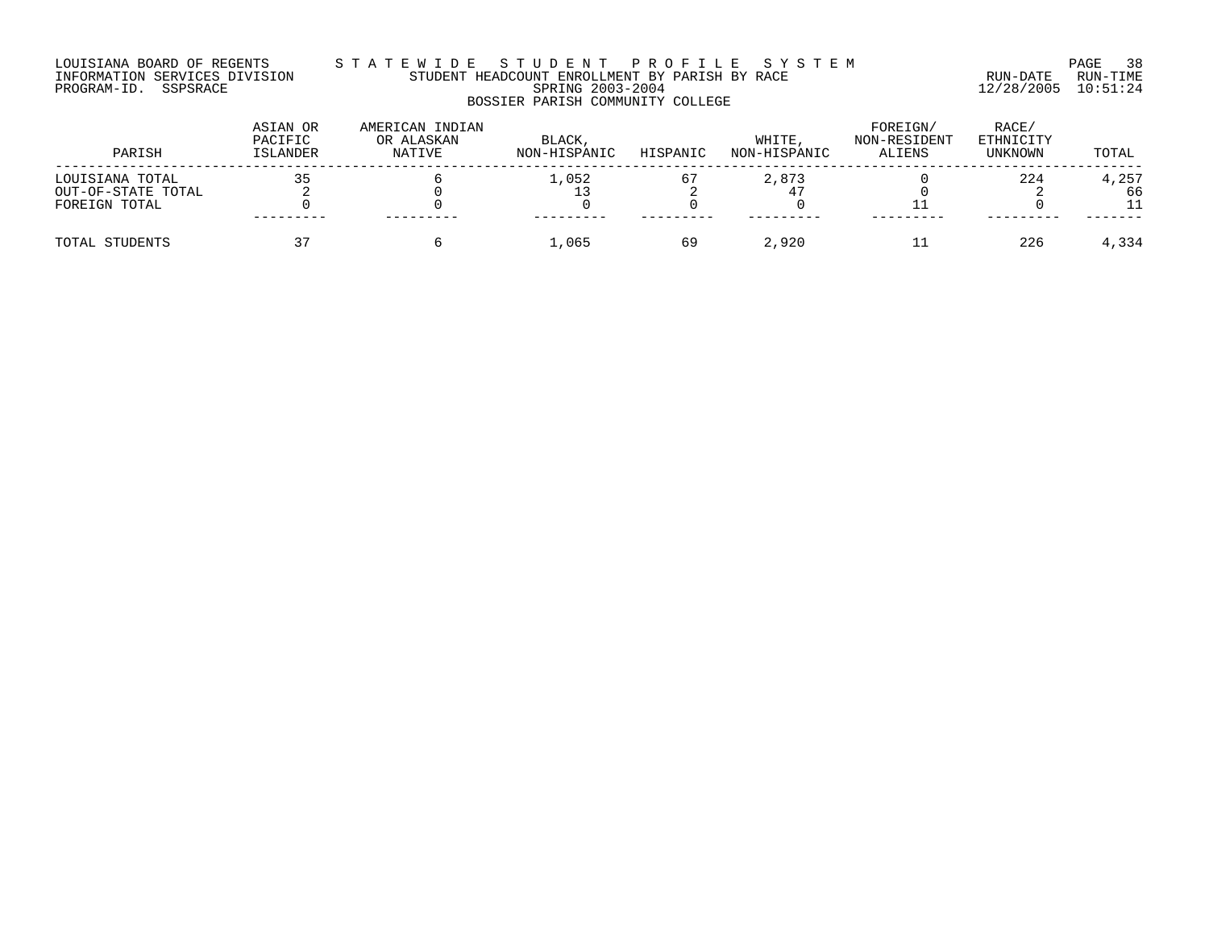## LOUISIANA BOARD OF REGENTS S T A T E W I D E S T U D E N T P R O F I L E S Y S T E M PAGE 38 INFORMATION SERVICES DIVISION STUDENT HEADCOUNT ENROLLMENT BY PARISH BY RACE RUN-DATE RUN-TIME PROGRAM-ID. SSPSRACE SPRING 2003-2004 12/28/2005 10:51:24 BOSSIER PARISH COMMUNITY COLLEGE

| PARISH             | ASIAN OR<br>PACIFIC<br>ISLANDER | AMERICAN INDIAN<br>OR ALASKAN<br>NATIVE | BLACK,<br>NON-HISPANIC | HISPANIC | WHITE.<br>NON-HISPANIC | FOREIGN/<br>NON-RESIDENT<br>ALIENS | RACE/<br>ETHNICITY<br>UNKNOWN | TOTAL |
|--------------------|---------------------------------|-----------------------------------------|------------------------|----------|------------------------|------------------------------------|-------------------------------|-------|
| LOUISIANA TOTAL    | つに                              |                                         | 1,052                  | 67       | 2,873                  |                                    | 224                           | 4,257 |
| OUT-OF-STATE TOTAL |                                 |                                         |                        |          |                        |                                    |                               | 66    |
| FOREIGN TOTAL      |                                 |                                         |                        |          |                        |                                    |                               |       |
| TOTAL STUDENTS     | っヮ                              |                                         | 1,065                  | 69       | 2,920                  |                                    | 226                           | 4,334 |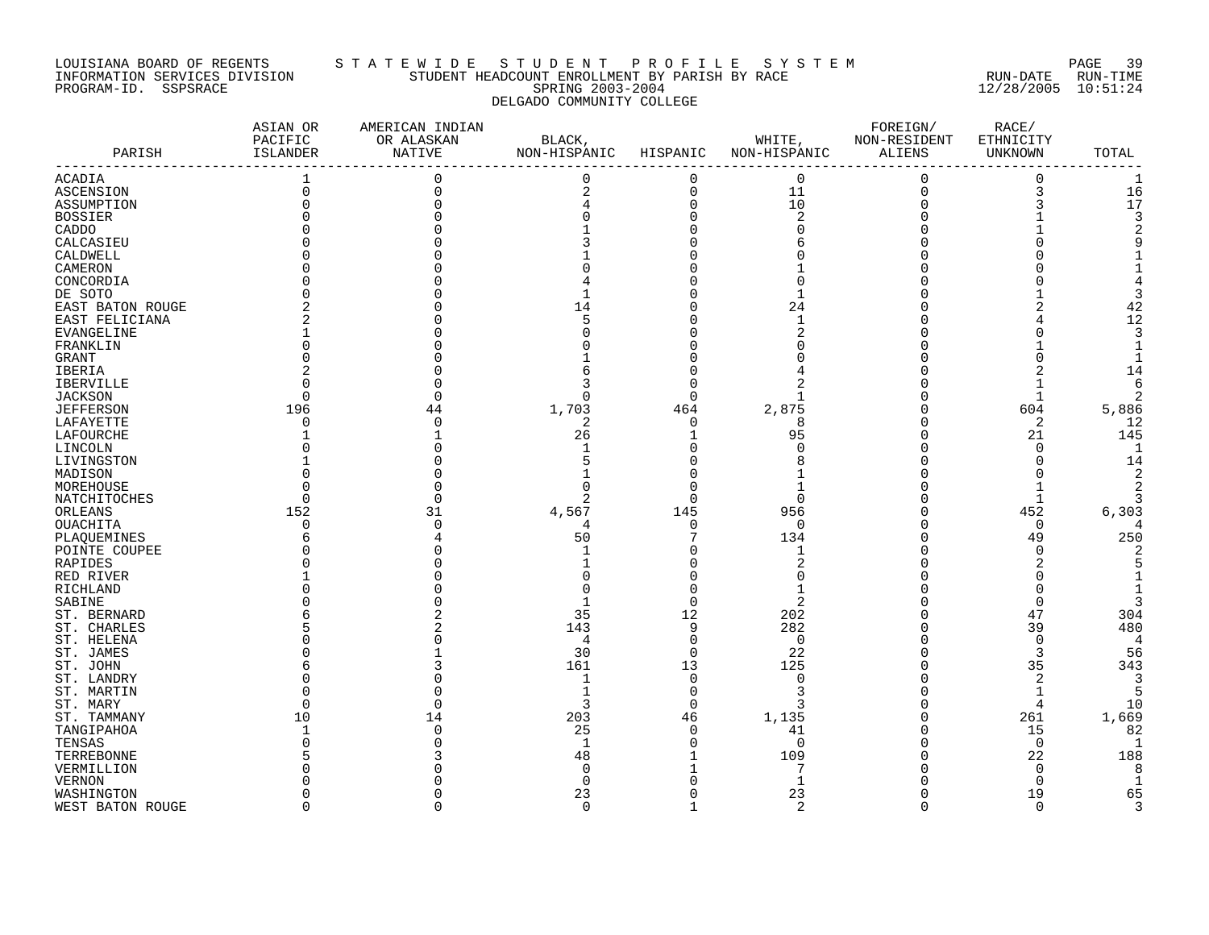#### LOUISIANA BOARD OF REGENTS S T A T E W I D E S T U D E N T P R O F I L E S Y S T E M PAGE 39 INFORMATION SERVICES DIVISION STUDENT HEADCOUNT ENROLLMENT BY PARISH BY RACE RUN-DATE RUN-TIME PROGRAM-ID. SSPSRACE SPRING 2003-2004 12/28/2005 10:51:24 DELGADO COMMUNITY COLLEGE

| PARISH           | ASIAN OR<br>PACIFIC<br>ISLANDER | AMERICAN INDIAN<br>OR ALASKAN<br>NATIVE | BLACK,<br>NON-HISPANIC | HISPANIC    | WHITE,<br>NON-HISPANIC | FOREIGN/<br>NON-RESIDENT<br>ALIENS | RACE/<br>ETHNICITY<br>UNKNOWN | TOTAL          |
|------------------|---------------------------------|-----------------------------------------|------------------------|-------------|------------------------|------------------------------------|-------------------------------|----------------|
| ACADIA           |                                 | $\Omega$                                | 0                      | $\mathbf 0$ | $\mathbf 0$            | 0                                  | 0                             | $\mathbf{1}$   |
| <b>ASCENSION</b> | $\Omega$                        |                                         | 2                      | $\mathbf 0$ | 11                     | $\Omega$                           | 3                             | 16             |
| ASSUMPTION       |                                 |                                         | 4                      | $\Omega$    | 10                     | $\Omega$                           | 3                             | 17             |
| <b>BOSSIER</b>   |                                 |                                         |                        |             | $\overline{2}$         |                                    |                               | 3              |
| CADDO            |                                 |                                         |                        |             |                        |                                    |                               |                |
| CALCASIEU        |                                 |                                         |                        |             |                        |                                    | O                             | 9              |
| CALDWELL         |                                 |                                         |                        |             |                        |                                    |                               |                |
| CAMERON          |                                 |                                         |                        |             |                        |                                    |                               |                |
| CONCORDIA        |                                 |                                         |                        |             |                        |                                    |                               |                |
| DE SOTO          |                                 |                                         |                        |             |                        |                                    |                               |                |
| EAST BATON ROUGE |                                 |                                         | 14                     |             | 24                     |                                    |                               | 42             |
| EAST FELICIANA   |                                 |                                         | 5                      |             | 1                      |                                    |                               | 12             |
| EVANGELINE       |                                 |                                         |                        |             |                        |                                    | O                             | 3              |
| FRANKLIN         |                                 |                                         |                        |             |                        |                                    |                               |                |
|                  |                                 |                                         |                        |             |                        |                                    | Λ                             |                |
| GRANT            |                                 |                                         |                        |             |                        |                                    | 2                             | 14             |
| IBERIA           |                                 |                                         |                        |             | 2                      |                                    |                               | 6              |
| <b>IBERVILLE</b> |                                 |                                         | U                      |             |                        |                                    |                               |                |
| <b>JACKSON</b>   |                                 |                                         |                        |             |                        |                                    |                               | 2              |
| <b>JEFFERSON</b> | 196                             | 44                                      | 1,703                  | 464         | 2,875                  |                                    | 604                           | 5,886          |
| LAFAYETTE        | O                               |                                         | 2                      | U           | 8                      |                                    | 2                             | 12             |
| LAFOURCHE        |                                 |                                         | 26                     |             | 95                     |                                    | 21                            | 145            |
| LINCOLN          |                                 |                                         |                        |             | $\Omega$               |                                    | 0                             | -1             |
| LIVINGSTON       |                                 |                                         |                        |             |                        |                                    | O                             | 14             |
| MADISON          |                                 |                                         |                        |             |                        |                                    | Λ                             | $\overline{2}$ |
| MOREHOUSE        |                                 |                                         | ∩                      |             |                        |                                    |                               | 2              |
| NATCHITOCHES     | $\Omega$                        |                                         | 2                      | U           | $\Omega$               |                                    | 1                             | 3              |
| ORLEANS          | 152                             | 31                                      | 4,567                  | 145         | 956                    |                                    | 452                           | 6,303          |
| OUACHITA         | $\Omega$                        |                                         | 4                      | $\Omega$    | 0                      |                                    | 0                             | 4              |
| PLAQUEMINES      |                                 |                                         | 50                     |             | 134                    |                                    | 49                            | 250            |
| POINTE COUPEE    |                                 |                                         |                        |             | -1                     |                                    | C                             |                |
| RAPIDES          |                                 |                                         |                        |             | $\overline{2}$         |                                    |                               |                |
| RED RIVER        |                                 |                                         |                        |             | $\cap$                 |                                    |                               |                |
| RICHLAND         |                                 |                                         |                        |             |                        |                                    | O                             |                |
| SABINE           |                                 |                                         | $\mathbf 1$            | $\Omega$    | $\overline{2}$         |                                    | $\Omega$                      | 3              |
| ST. BERNARD      |                                 |                                         | 35                     | 12          | 202                    |                                    | 47                            | 304            |
| ST. CHARLES      |                                 |                                         | 143                    | 9           | 282                    |                                    | 39                            | 480            |
| ST. HELENA       |                                 |                                         | 4                      | $\Omega$    | 0                      |                                    | $\mathbf 0$                   | $\overline{4}$ |
| ST. JAMES        |                                 |                                         | 30                     | $\Omega$    | 22                     |                                    | 3                             | 56             |
| ST. JOHN         |                                 |                                         | 161                    | 13          | 125                    |                                    | 35                            | 343            |
| ST. LANDRY       |                                 |                                         | 1                      | $\Omega$    | $\Omega$               |                                    | $\overline{2}$                | 3              |
| ST. MARTIN       |                                 |                                         | $\mathbf{1}$           | $\Omega$    | 3                      |                                    | $\mathbf{1}$                  | 5              |
| ST. MARY         |                                 |                                         | 3                      | $\Omega$    | 3                      |                                    | 4                             | 10             |
| ST. TAMMANY      | 10                              | 14                                      | 203                    | 46          | 1,135                  |                                    | 261                           | 1,669          |
| TANGIPAHOA       |                                 |                                         | 25                     | $\Omega$    | 41                     |                                    | 15                            | 82             |
| TENSAS           |                                 |                                         | 1                      |             | $\Omega$               |                                    | $\mathbf 0$                   | -1             |
|                  |                                 |                                         | 48                     |             | 109                    |                                    | 22                            | 188            |
| TERREBONNE       |                                 |                                         | 0                      |             | 7                      |                                    | 0                             | 8              |
| VERMILLION       |                                 |                                         |                        |             | $\mathbf 1$            |                                    |                               |                |
| <b>VERNON</b>    |                                 |                                         | $\Omega$               |             |                        |                                    | $\Omega$                      |                |
| WASHINGTON       |                                 |                                         | 23                     |             | 23                     |                                    | 19                            | 65             |
| WEST BATON ROUGE | $\cap$                          |                                         | $\Omega$               |             | $\overline{2}$         | $\cap$                             | $\Omega$                      | 3              |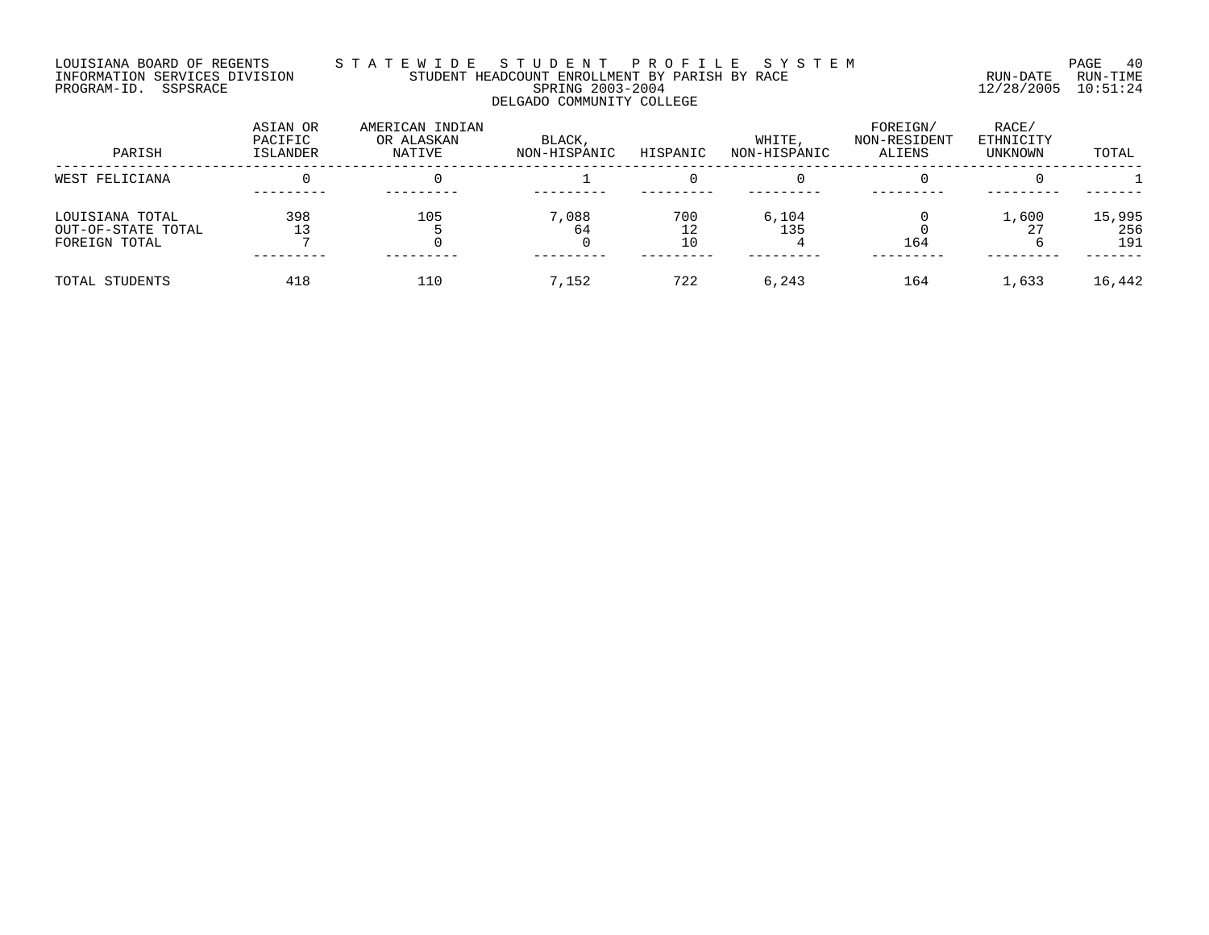#### LOUISIANA BOARD OF REGENTS S T A T E W I D E S T U D E N T P R O F I L E S Y S T E M PAGE 40 INFORMATION SERVICES DIVISION STUDENT HEADCOUNT ENROLLMENT BY PARISH BY RACE RUN-DATE RUN-TIME PROGRAM-ID. SSPSRACE SPRING 2003-2004 12/28/2005 10:51:24 DELGADO COMMUNITY COLLEGE

| PARISH                                                 | ASIAN OR<br>PACIFIC<br>ISLANDER | AMERICAN INDIAN<br>OR ALASKAN<br>NATIVE | BLACK,<br>NON-HISPANIC | HISPANIC  | WHITE,<br>NON-HISPANIC | FOREIGN/<br>NON-RESIDENT<br>ALIENS | RACE/<br>ETHNICITY<br>UNKNOWN | TOTAL                |
|--------------------------------------------------------|---------------------------------|-----------------------------------------|------------------------|-----------|------------------------|------------------------------------|-------------------------------|----------------------|
| WEST FELICIANA                                         |                                 |                                         |                        |           |                        |                                    |                               |                      |
| LOUISIANA TOTAL<br>OUT-OF-STATE TOTAL<br>FOREIGN TOTAL | 398                             | 105                                     | 7,088<br>64            | 700<br>10 | 6,104<br>135           | 164                                | 1,600<br>$\cap$               | 15,995<br>256<br>191 |
| TOTAL STUDENTS                                         | 418                             | 110                                     | 7.152                  | 722       | 6,243                  | 164                                | 1,633                         | 16,442               |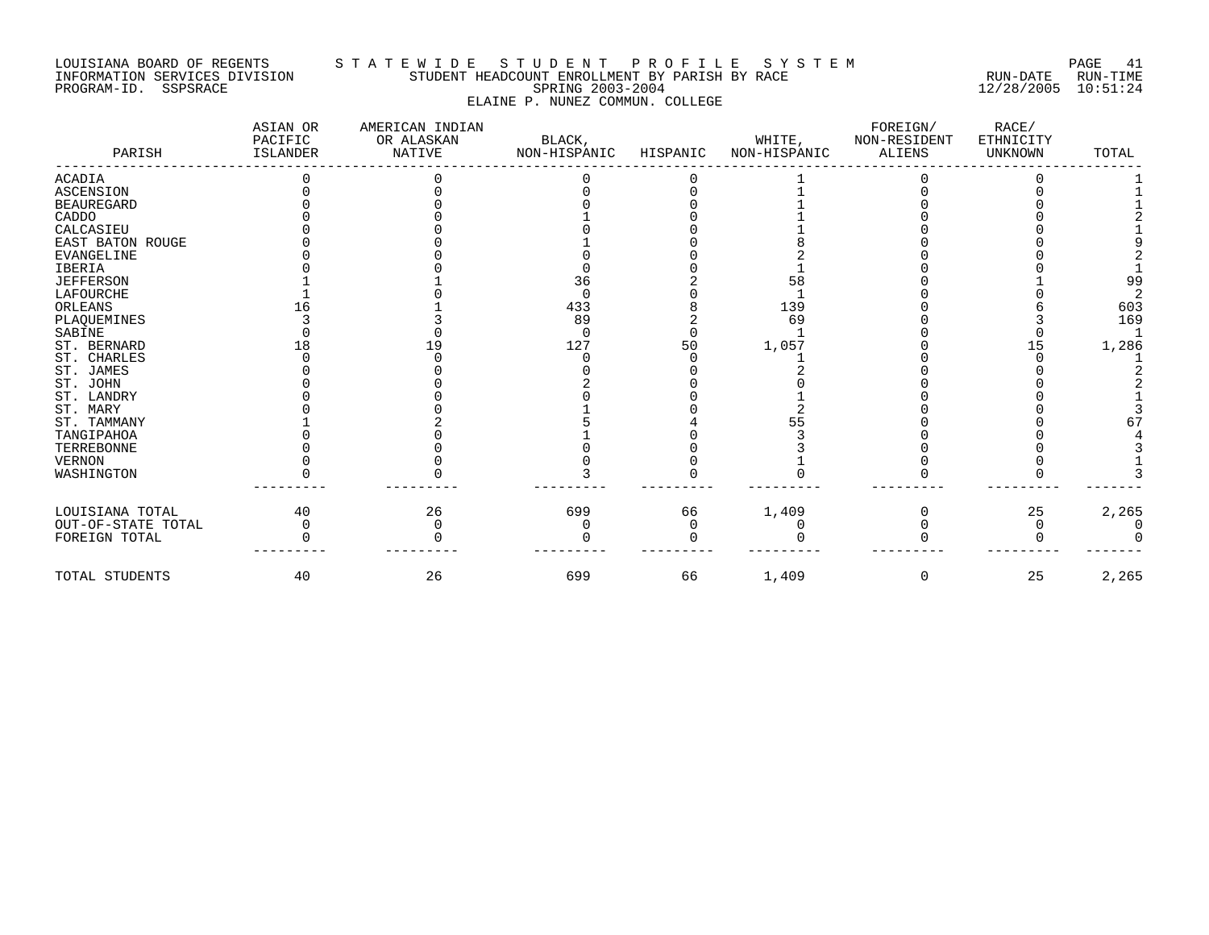## LOUISIANA BOARD OF REGENTS S T A T E W I D E S T U D E N T P R O F I L E S Y S T E M PAGE 41 INFORMATION SERVICES DIVISION STUDENT HEADCOUNT ENROLLMENT BY PARISH BY RACE RUN-DATE RUN-TIME PROGRAM-ID. SSPSRACE SPRING 2003-2004 12/28/2005 10:51:24 ELAINE P. NUNEZ COMMUN. COLLEGE

| PARISH             | ASIAN OR<br>PACIFIC<br><b>ISLANDER</b> | AMERICAN INDIAN<br>OR ALASKAN<br>NATIVE | BLACK,<br>NON-HISPANIC | HISPANIC | WHITE,<br>NON-HISPANIC | FOREIGN/<br>NON-RESIDENT<br><b>ALIENS</b> | RACE/<br>ETHNICITY<br><b>UNKNOWN</b> | TOTAL |
|--------------------|----------------------------------------|-----------------------------------------|------------------------|----------|------------------------|-------------------------------------------|--------------------------------------|-------|
| <b>ACADIA</b>      |                                        |                                         |                        |          |                        |                                           |                                      |       |
| <b>ASCENSION</b>   |                                        |                                         |                        |          |                        |                                           |                                      |       |
| <b>BEAUREGARD</b>  |                                        |                                         |                        |          |                        |                                           |                                      |       |
| CADDO              |                                        |                                         |                        |          |                        |                                           |                                      |       |
| CALCASIEU          |                                        |                                         |                        |          |                        |                                           |                                      |       |
| EAST BATON ROUGE   |                                        |                                         |                        |          |                        |                                           |                                      |       |
| <b>EVANGELINE</b>  |                                        |                                         |                        |          |                        |                                           |                                      |       |
| <b>IBERIA</b>      |                                        |                                         |                        |          |                        |                                           |                                      |       |
| <b>JEFFERSON</b>   |                                        |                                         | 36                     |          | 58                     |                                           |                                      | 99    |
| LAFOURCHE          |                                        |                                         |                        |          |                        |                                           |                                      |       |
| ORLEANS            |                                        |                                         | 433                    |          | 139                    |                                           |                                      | 603   |
| PLAQUEMINES        |                                        |                                         | 89                     |          | 69                     |                                           |                                      | 169   |
| SABINE             |                                        |                                         | <sup>0</sup>           |          |                        |                                           |                                      |       |
| ST. BERNARD        |                                        |                                         | 127                    | 50       | 1,057                  |                                           | 15                                   | 1,286 |
| ST. CHARLES        |                                        |                                         |                        |          |                        |                                           |                                      |       |
| ST. JAMES          |                                        |                                         |                        |          |                        |                                           |                                      |       |
| ST. JOHN           |                                        |                                         |                        |          |                        |                                           |                                      |       |
| ST. LANDRY         |                                        |                                         |                        |          |                        |                                           |                                      |       |
| ST. MARY           |                                        |                                         |                        |          |                        |                                           |                                      |       |
| ST. TAMMANY        |                                        |                                         |                        |          |                        |                                           |                                      |       |
| TANGIPAHOA         |                                        |                                         |                        |          |                        |                                           |                                      |       |
| TERREBONNE         |                                        |                                         |                        |          |                        |                                           |                                      |       |
| <b>VERNON</b>      |                                        |                                         |                        |          |                        |                                           |                                      |       |
| WASHINGTON         |                                        |                                         |                        |          |                        |                                           |                                      |       |
| LOUISIANA TOTAL    | 40                                     | 26                                      | 699                    | 66       | 1,409                  |                                           | 25                                   | 2,265 |
| OUT-OF-STATE TOTAL |                                        |                                         |                        |          |                        |                                           |                                      |       |
| FOREIGN TOTAL      |                                        |                                         |                        |          |                        |                                           |                                      |       |
| TOTAL STUDENTS     | 40                                     | 26                                      | 699                    | 66       | 1,409                  | $\Omega$                                  | 25                                   | 2,265 |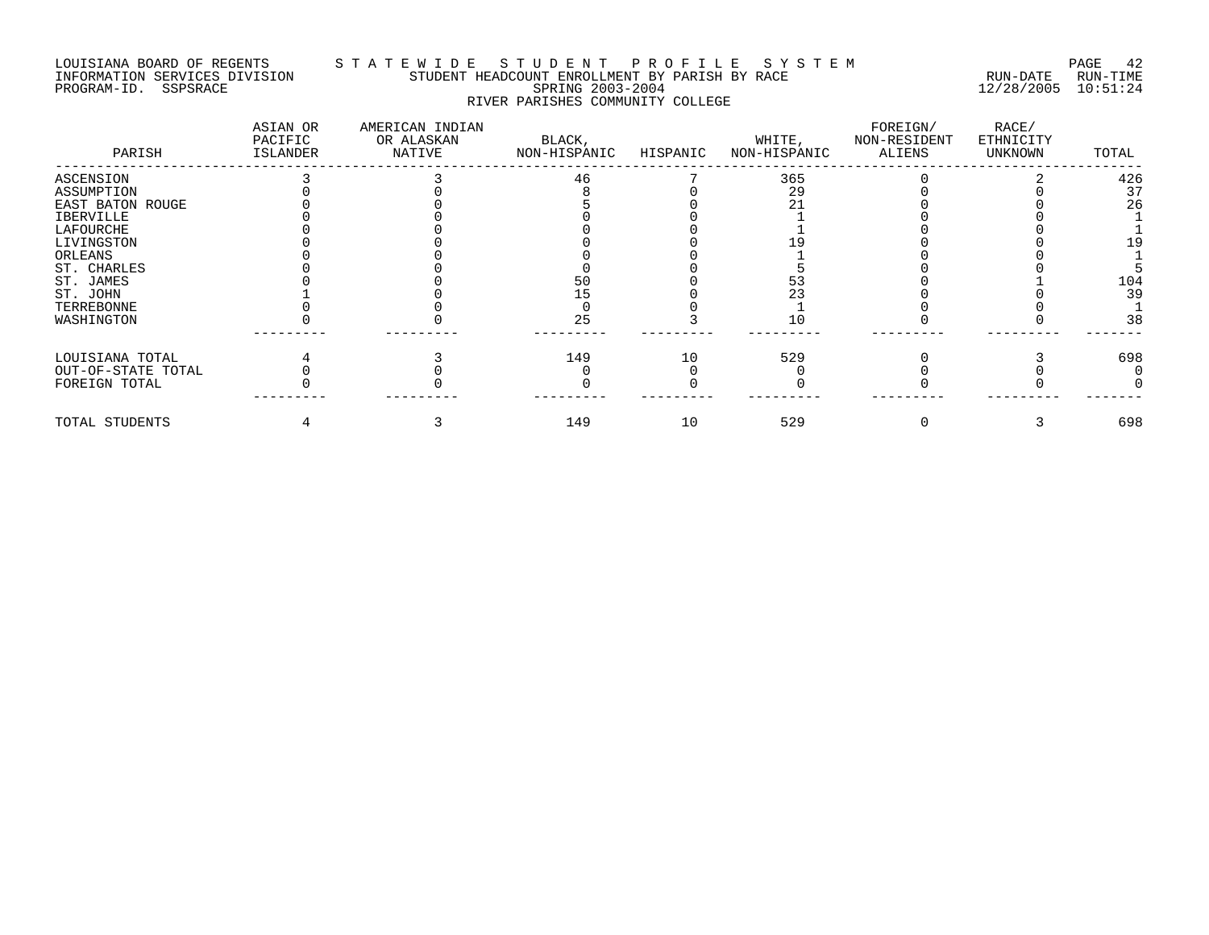## LOUISIANA BOARD OF REGENTS S T A T E W I D E S T U D E N T P R O F I L E S Y S T E M PAGE 42 INFORMATION SERVICES DIVISION STUDENT HEADCOUNT ENROLLMENT BY PARISH BY RACE RUN-DATE RUN-TIME PROGRAM-ID. SSPSRACE SPRING 2003-2004 12/28/2005 10:51:24 RIVER PARISHES COMMUNITY COLLEGE

| PARISH             | ASIAN OR<br>PACIFIC<br>ISLANDER | AMERICAN INDIAN<br>OR ALASKAN<br>NATIVE | BLACK,<br>NON-HISPANIC | HISPANIC | WHITE,<br>NON-HISPANIC | FOREIGN/<br>NON-RESIDENT<br>ALIENS | RACE/<br>ETHNICITY<br>UNKNOWN | TOTAL |
|--------------------|---------------------------------|-----------------------------------------|------------------------|----------|------------------------|------------------------------------|-------------------------------|-------|
| ASCENSION          |                                 |                                         | 46                     |          | 365                    |                                    |                               | 426   |
| ASSUMPTION         |                                 |                                         |                        |          | 29                     |                                    |                               | 37    |
| EAST BATON ROUGE   |                                 |                                         |                        |          |                        |                                    |                               | 26    |
| IBERVILLE          |                                 |                                         |                        |          |                        |                                    |                               |       |
| LAFOURCHE          |                                 |                                         |                        |          |                        |                                    |                               |       |
| LIVINGSTON         |                                 |                                         |                        |          |                        |                                    |                               | 19    |
| ORLEANS            |                                 |                                         |                        |          |                        |                                    |                               |       |
| ST. CHARLES        |                                 |                                         |                        |          |                        |                                    |                               |       |
| ST. JAMES          |                                 |                                         | 50                     |          |                        |                                    |                               | 104   |
| ST. JOHN           |                                 |                                         |                        |          |                        |                                    |                               | 39    |
| TERREBONNE         |                                 |                                         |                        |          |                        |                                    |                               |       |
| WASHINGTON         |                                 |                                         | 25                     |          | 10                     |                                    |                               | 38    |
| LOUISIANA TOTAL    |                                 |                                         | 149                    | 10       | 529                    |                                    |                               | 698   |
| OUT-OF-STATE TOTAL |                                 |                                         |                        |          |                        |                                    |                               |       |
| FOREIGN TOTAL      |                                 |                                         |                        |          |                        |                                    |                               |       |
| TOTAL STUDENTS     |                                 |                                         | 149                    | 10       | 529                    |                                    |                               | 698   |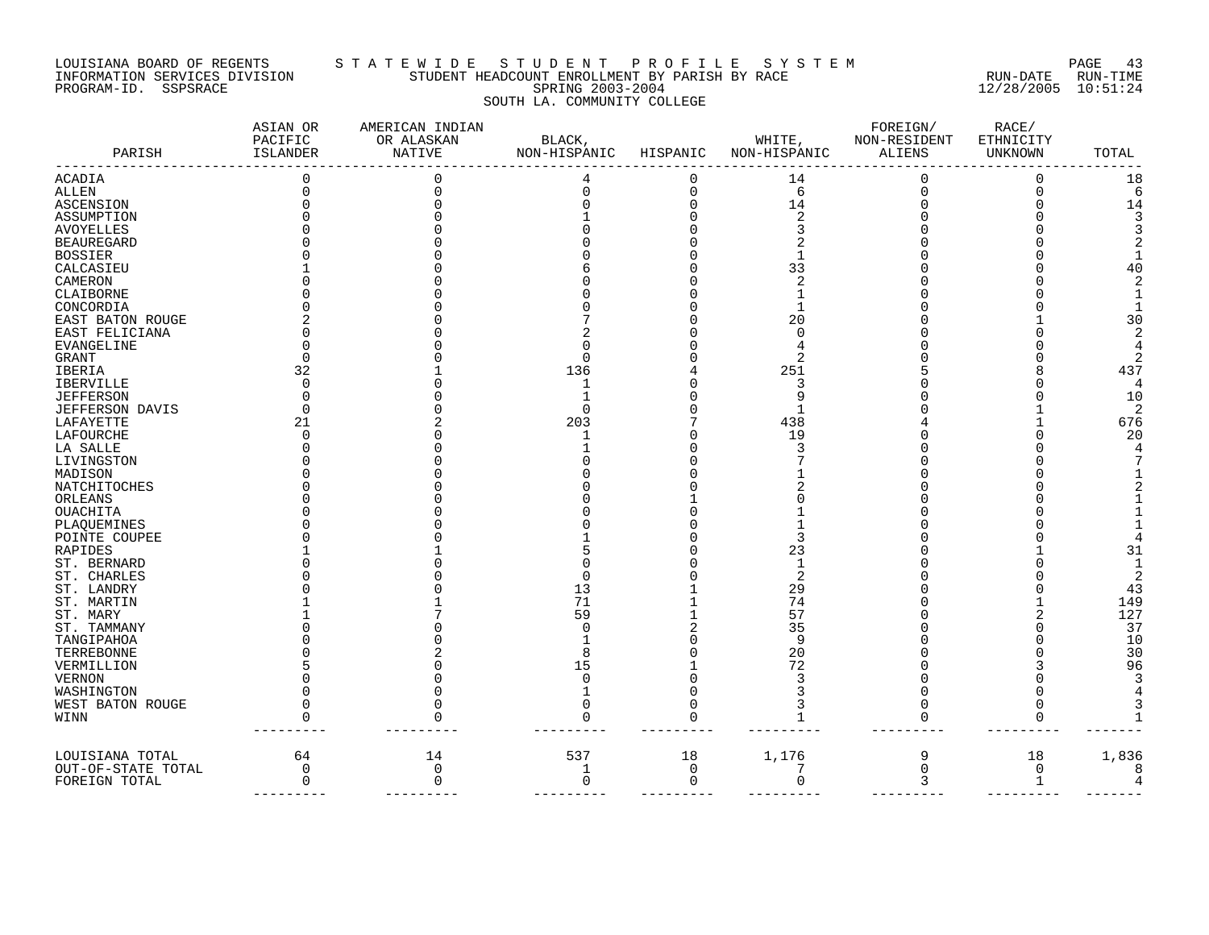#### LOUISIANA BOARD OF REGENTS S T A T E W I D E S T U D E N T P R O F I L E S Y S T E M PAGE 43 INFORMATION SERVICES DIVISION STUDENT HEADCOUNT ENROLLMENT BY PARISH BY RACE RUN-DATE RUN-TIME PROGRAM-ID. SSPSRACE SPRING 2003-2004 12/28/2005 10:51:24 SOUTH LA. COMMUNITY COLLEGE

| PARISH             | ASIAN OR<br>PACIFIC<br>ISLANDER | AMERICAN INDIAN<br>OR ALASKAN<br>NATIVE | BLACK,<br>NON-HISPANIC | HISPANIC | WHITE,<br>NON-HISPANIC | FOREIGN/<br>NON-RESIDENT<br>ALIENS | RACE/<br>ETHNICITY<br>UNKNOWN | TOTAL |
|--------------------|---------------------------------|-----------------------------------------|------------------------|----------|------------------------|------------------------------------|-------------------------------|-------|
| <b>ACADIA</b>      |                                 |                                         |                        |          | 14                     | $\Omega$                           |                               | 18    |
| ALLEN              |                                 |                                         | O                      | 0        | 6                      | $\Omega$                           | $\Omega$                      | 6     |
| ASCENSION          |                                 |                                         |                        |          | 14                     |                                    |                               | 14    |
| ASSUMPTION         |                                 |                                         |                        |          | $\overline{c}$         |                                    |                               |       |
| AVOYELLES          |                                 |                                         |                        |          |                        |                                    |                               |       |
| <b>BEAUREGARD</b>  |                                 |                                         |                        |          |                        |                                    |                               |       |
| <b>BOSSIER</b>     |                                 |                                         |                        |          |                        |                                    |                               |       |
| CALCASIEU          |                                 |                                         |                        |          | 33                     |                                    |                               |       |
| CAMERON            |                                 |                                         |                        |          | 2                      |                                    |                               |       |
| CLAIBORNE          |                                 |                                         |                        |          |                        |                                    |                               |       |
| CONCORDIA          |                                 |                                         |                        |          |                        |                                    |                               |       |
|                    |                                 |                                         |                        |          | 20                     |                                    |                               | 30    |
| EAST BATON ROUGE   |                                 |                                         |                        |          | C                      |                                    |                               |       |
| EAST FELICIANA     |                                 |                                         |                        |          |                        |                                    |                               |       |
| EVANGELINE         |                                 |                                         |                        |          |                        |                                    |                               |       |
| GRANT              |                                 |                                         |                        |          |                        |                                    |                               |       |
| IBERIA             | 32                              |                                         | 136                    |          | 251                    |                                    |                               | 437   |
| IBERVILLE          |                                 |                                         |                        |          | 3                      |                                    |                               | 4     |
| <b>JEFFERSON</b>   |                                 |                                         |                        |          |                        |                                    |                               | 10    |
| JEFFERSON DAVIS    |                                 |                                         | $\Omega$               |          |                        |                                    |                               | 2     |
| LAFAYETTE          | 21                              |                                         | 203                    |          | 438                    |                                    |                               | 676   |
| LAFOURCHE          | ∩                               |                                         |                        |          | 19                     |                                    |                               | 20    |
| LA SALLE           |                                 |                                         |                        |          | З                      |                                    |                               |       |
| LIVINGSTON         |                                 |                                         |                        |          |                        |                                    |                               |       |
| MADISON            |                                 |                                         |                        |          |                        |                                    |                               |       |
| NATCHITOCHES       |                                 |                                         |                        |          |                        |                                    |                               |       |
| ORLEANS            |                                 |                                         |                        |          |                        |                                    |                               |       |
| OUACHITA           |                                 |                                         |                        |          |                        |                                    |                               |       |
| PLAQUEMINES        |                                 |                                         |                        |          |                        |                                    |                               |       |
| POINTE COUPEE      |                                 |                                         |                        |          | 3                      |                                    |                               |       |
| RAPIDES            |                                 |                                         |                        |          | 23                     |                                    |                               | 31    |
| ST. BERNARD        |                                 |                                         |                        |          | 1                      |                                    |                               |       |
| ST. CHARLES        |                                 |                                         |                        |          | 2                      |                                    |                               | 2     |
| ST. LANDRY         |                                 |                                         | 13                     |          | 29                     |                                    |                               | 43    |
| ST. MARTIN         |                                 |                                         | 71                     |          | 74                     |                                    |                               | 149   |
| ST. MARY           |                                 |                                         | 59                     |          | 57                     |                                    |                               | 127   |
| ST. TAMMANY        |                                 |                                         |                        |          | 35                     |                                    |                               | 37    |
| TANGIPAHOA         |                                 |                                         |                        |          | 9                      |                                    |                               | 10    |
| TERREBONNE         |                                 |                                         |                        |          | 20                     |                                    |                               | 30    |
| VERMILLION         |                                 |                                         | 15                     |          | 72                     |                                    |                               | 96    |
|                    |                                 |                                         |                        |          |                        |                                    |                               |       |
| VERNON             |                                 |                                         |                        |          |                        |                                    |                               |       |
| WASHINGTON         |                                 |                                         |                        |          |                        |                                    |                               |       |
| WEST BATON ROUGE   |                                 |                                         |                        |          |                        |                                    |                               |       |
| WINN               |                                 |                                         |                        |          |                        |                                    |                               |       |
| LOUISIANA TOTAL    | 64                              | 14                                      | 537                    | 18       | 1,176                  | 9                                  | 18                            | 1,836 |
| OUT-OF-STATE TOTAL | $\mathbf 0$                     | 0                                       | 1                      | 0        | 7                      | $\mathbf 0$                        | 0                             | 8     |
| FOREIGN TOTAL      | $\mathbf 0$                     | $\Omega$                                | 0                      | 0        | $\Omega$               | 3                                  | 1                             |       |
|                    |                                 |                                         |                        |          |                        |                                    |                               |       |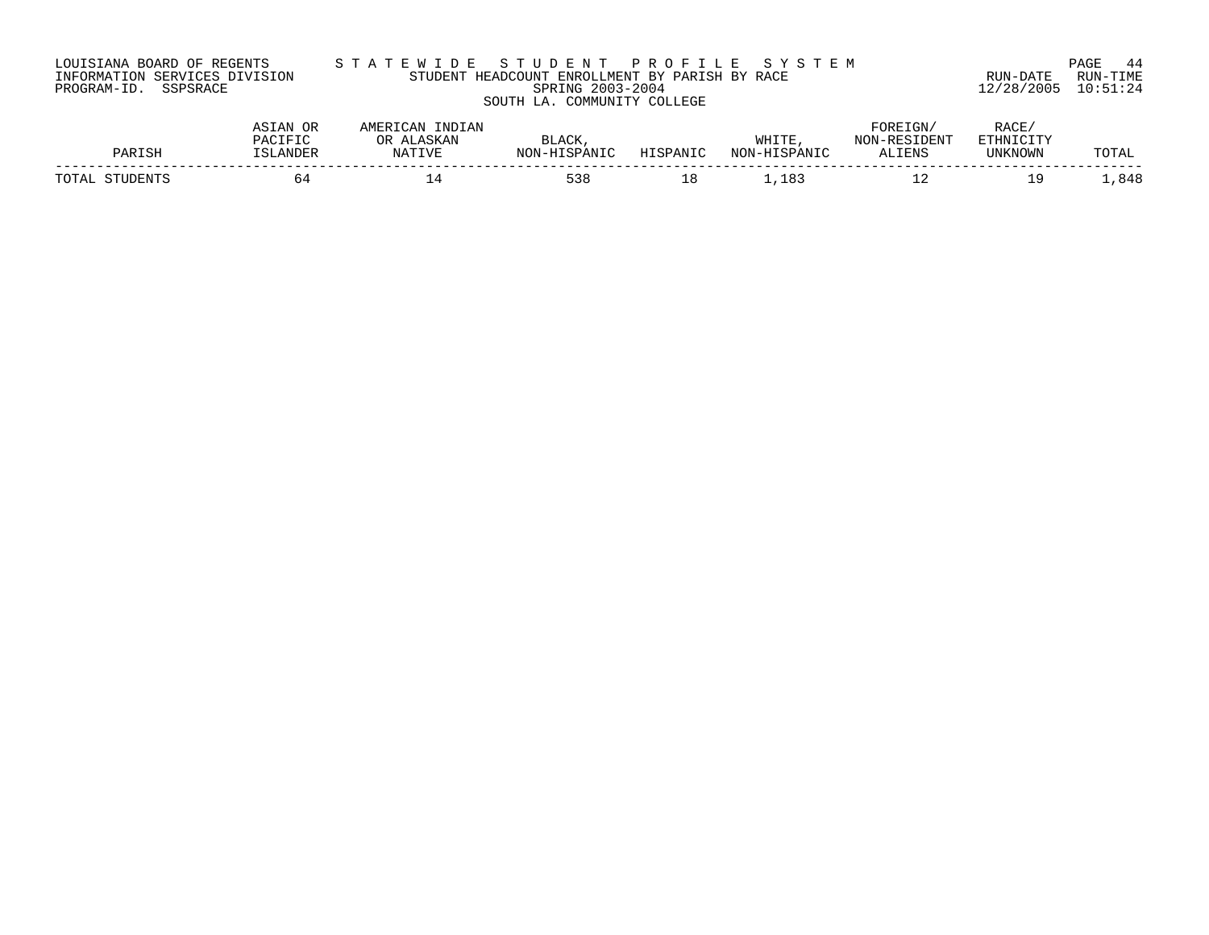|                      | LOUISIANA BOARD OF REGENTS    |  |
|----------------------|-------------------------------|--|
|                      | INFORMATION SERVICES DIVISION |  |
| PROGRAM-ID. SSPSRACE |                               |  |

# LOUISIANA BOARD OF REGENTS S T A T E W I D E S T U D E N T P R O F I L E S Y S T E M PAGE 44 INFORMATION SERVICES DIVISION STUDENT HEADCOUNT ENROLLMENT BY PARISH BY RACE RUN-DATE RUN-TIME PROGRAM-ID. SSPSRACE SPRING 2003-2004 12/28/2005 10:51:24 SOUTH LA. COMMUNITY COLLEGE

| D∆P         | ACT<br>הדסדה גם<br>SLANDER <sup>-</sup> | ЭR | <b>ALACK</b><br>UTCDANTO<br>™∩™ | $TTT$ $T$ $T$ $T$ $T$ $T$ $T$ $T$ $T$ | WHITE<br>$-$ HTCDANTC | FOREIGN<br><b>RESIDENT</b><br>ALIENS | RACE<br>FELIN<br>UNKNOWN | ד ∧ידי∩יז<br>UIAL |
|-------------|-----------------------------------------|----|---------------------------------|---------------------------------------|-----------------------|--------------------------------------|--------------------------|-------------------|
| <b>TOTA</b> |                                         |    | 538                             | ⊥ o                                   | R.                    | --                                   | Q                        | ,848              |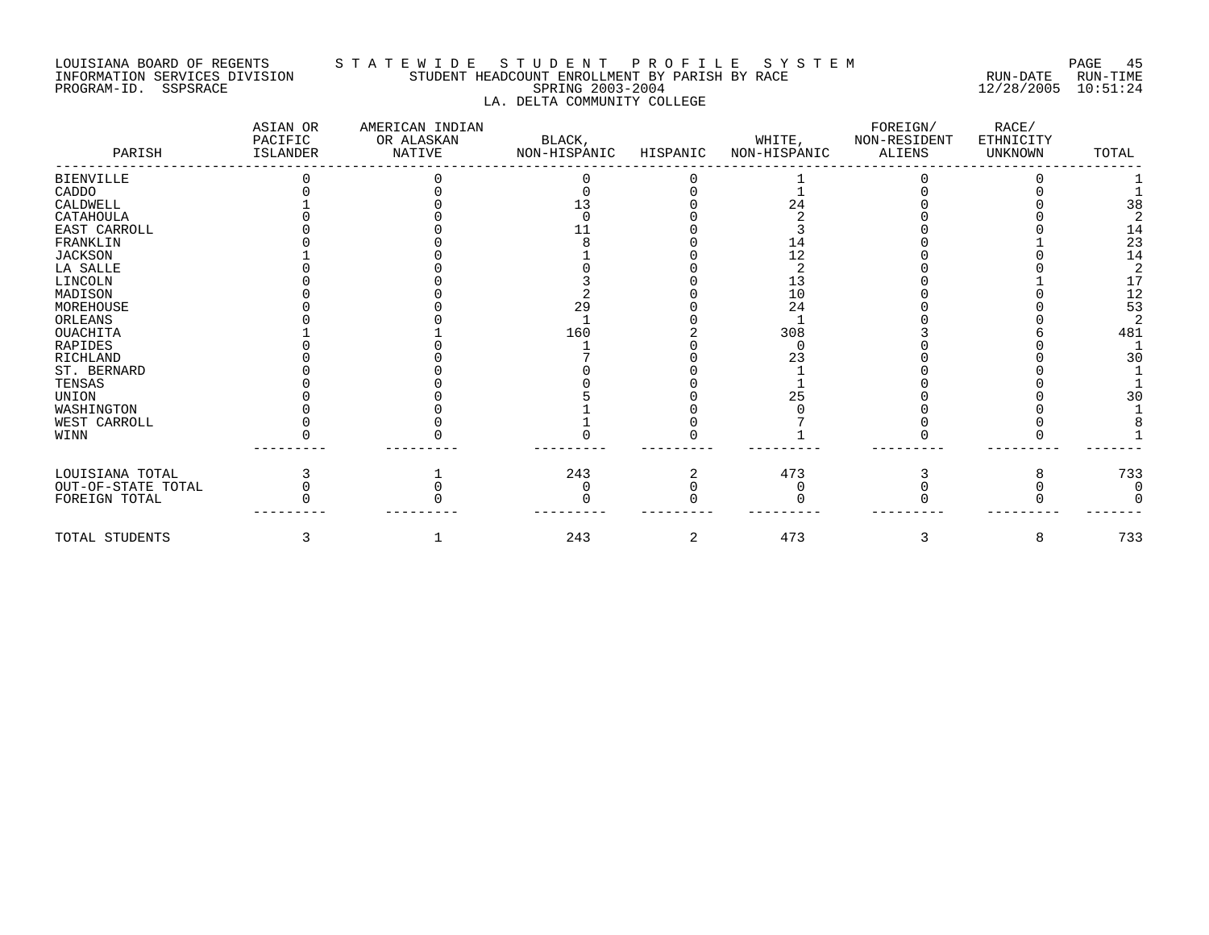# LOUISIANA BOARD OF REGENTS STATEWIDE STUDE STUDENT PROFILE SYSTEM PAGE 45<br>INFORMATION SERVICES DIVISION STUDENT HEADCOUNT ENROLLMENT BY PARISH BY RACE INFORMATION SERVICES DIVISION STUDENT HEADCOUNT ENROLLMENT BY PARISH BY RACE PROGRAM-ID. SSPSRACE SPRING 2003-2004 12/28/2005 10:51:24 LA. DELTA COMMUNITY COLLEGE

| PARISH             | ASIAN OR<br>PACIFIC<br>ISLANDER | AMERICAN INDIAN<br>OR ALASKAN<br>NATIVE | BLACK,<br>NON-HISPANIC | HISPANIC | WHITE,<br>NON-HISPANIC | FOREIGN/<br>NON-RESIDENT<br>ALIENS | RACE/<br>ETHNICITY<br>UNKNOWN | TOTAL |
|--------------------|---------------------------------|-----------------------------------------|------------------------|----------|------------------------|------------------------------------|-------------------------------|-------|
| <b>BIENVILLE</b>   |                                 |                                         |                        |          |                        |                                    |                               |       |
| CADDO              |                                 |                                         |                        |          |                        |                                    |                               |       |
| CALDWELL           |                                 |                                         |                        |          |                        |                                    |                               | 38    |
| CATAHOULA          |                                 |                                         |                        |          |                        |                                    |                               |       |
| EAST CARROLL       |                                 |                                         |                        |          |                        |                                    |                               | 14    |
| FRANKLIN           |                                 |                                         |                        |          |                        |                                    |                               | 23    |
| JACKSON            |                                 |                                         |                        |          | 12                     |                                    |                               | 14    |
| LA SALLE           |                                 |                                         |                        |          |                        |                                    |                               |       |
| LINCOLN            |                                 |                                         |                        |          | L3                     |                                    |                               | 17    |
| MADISON            |                                 |                                         |                        |          | 10                     |                                    |                               | 12    |
| MOREHOUSE          |                                 |                                         | 29                     |          | 24                     |                                    |                               | 53    |
| ORLEANS            |                                 |                                         |                        |          |                        |                                    |                               |       |
| <b>OUACHITA</b>    |                                 |                                         | 160                    |          | 308                    |                                    |                               | 481   |
| RAPIDES            |                                 |                                         |                        |          |                        |                                    |                               |       |
| <b>RICHLAND</b>    |                                 |                                         |                        |          | 23                     |                                    |                               | 30    |
| ST. BERNARD        |                                 |                                         |                        |          |                        |                                    |                               |       |
| TENSAS             |                                 |                                         |                        |          |                        |                                    |                               |       |
| UNION              |                                 |                                         |                        |          |                        |                                    |                               | 30    |
| WASHINGTON         |                                 |                                         |                        |          |                        |                                    |                               |       |
| WEST CARROLL       |                                 |                                         |                        |          |                        |                                    |                               |       |
| WINN               |                                 |                                         |                        |          |                        |                                    |                               |       |
| LOUISIANA TOTAL    |                                 |                                         | 243                    |          | 473                    |                                    |                               | 733   |
| OUT-OF-STATE TOTAL |                                 |                                         |                        |          |                        |                                    |                               |       |
| FOREIGN TOTAL      |                                 |                                         |                        |          |                        |                                    |                               |       |
| TOTAL STUDENTS     |                                 |                                         | 243                    | 2        | 473                    |                                    |                               | 733   |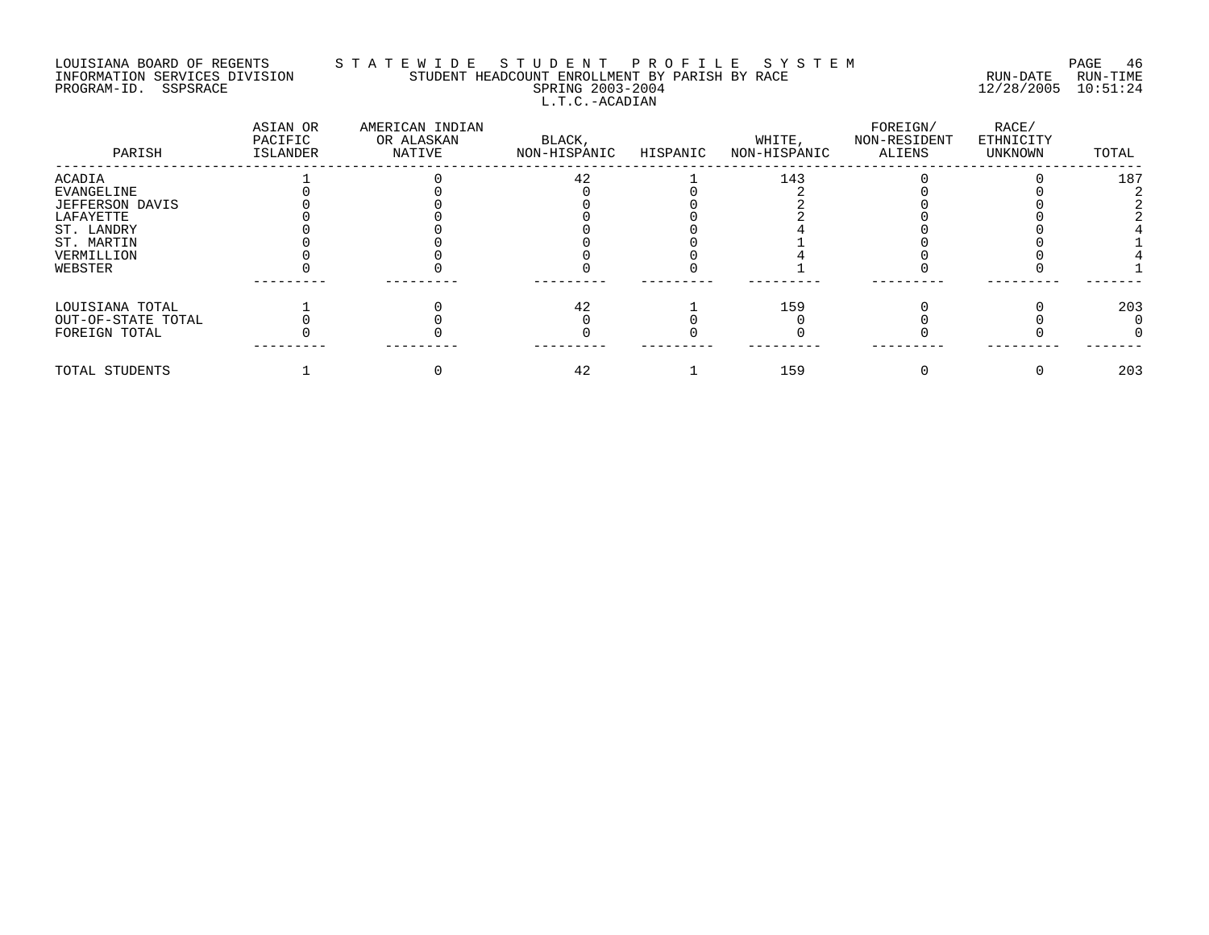# LOUISIANA BOARD OF REGENTS S T A T E W I D E S T U D E N T P R O F I L E S Y S T E M PAGE 46 INFORMATION SERVICES DIVISION STUDENT HEADCOUNT ENROLLMENT BY PARISH BY RACE RUN-DATE RUN-TIME PROGRAM-ID. SSPSRACE SPRING 2003-2004 12/28/2005 10:51:24 L.T.C.-ACADIAN

| PARISH             | ASIAN OR<br>PACIFIC<br>ISLANDER | AMERICAN INDIAN<br>OR ALASKAN<br>NATIVE | BLACK,<br>NON-HISPANIC | HISPANIC | WHITE,<br>NON-HISPANIC | FOREIGN/<br>NON-RESIDENT<br>ALIENS | RACE/<br>ETHNICITY<br>UNKNOWN | TOTAL |
|--------------------|---------------------------------|-----------------------------------------|------------------------|----------|------------------------|------------------------------------|-------------------------------|-------|
| <b>ACADIA</b>      |                                 |                                         | 42                     |          | 143                    |                                    |                               | 187   |
| EVANGELINE         |                                 |                                         |                        |          |                        |                                    |                               |       |
| JEFFERSON DAVIS    |                                 |                                         |                        |          |                        |                                    |                               |       |
| LAFAYETTE          |                                 |                                         |                        |          |                        |                                    |                               |       |
| ST. LANDRY         |                                 |                                         |                        |          |                        |                                    |                               |       |
| ST. MARTIN         |                                 |                                         |                        |          |                        |                                    |                               |       |
| VERMILLION         |                                 |                                         |                        |          |                        |                                    |                               |       |
| WEBSTER            |                                 |                                         |                        |          |                        |                                    |                               |       |
| LOUISIANA TOTAL    |                                 |                                         | 42                     |          | 159                    |                                    |                               | 203   |
| OUT-OF-STATE TOTAL |                                 |                                         |                        |          |                        |                                    |                               |       |
| FOREIGN TOTAL      |                                 |                                         |                        |          |                        |                                    |                               |       |
| TOTAL STUDENTS     |                                 |                                         | 42                     |          | 159                    |                                    |                               | 203   |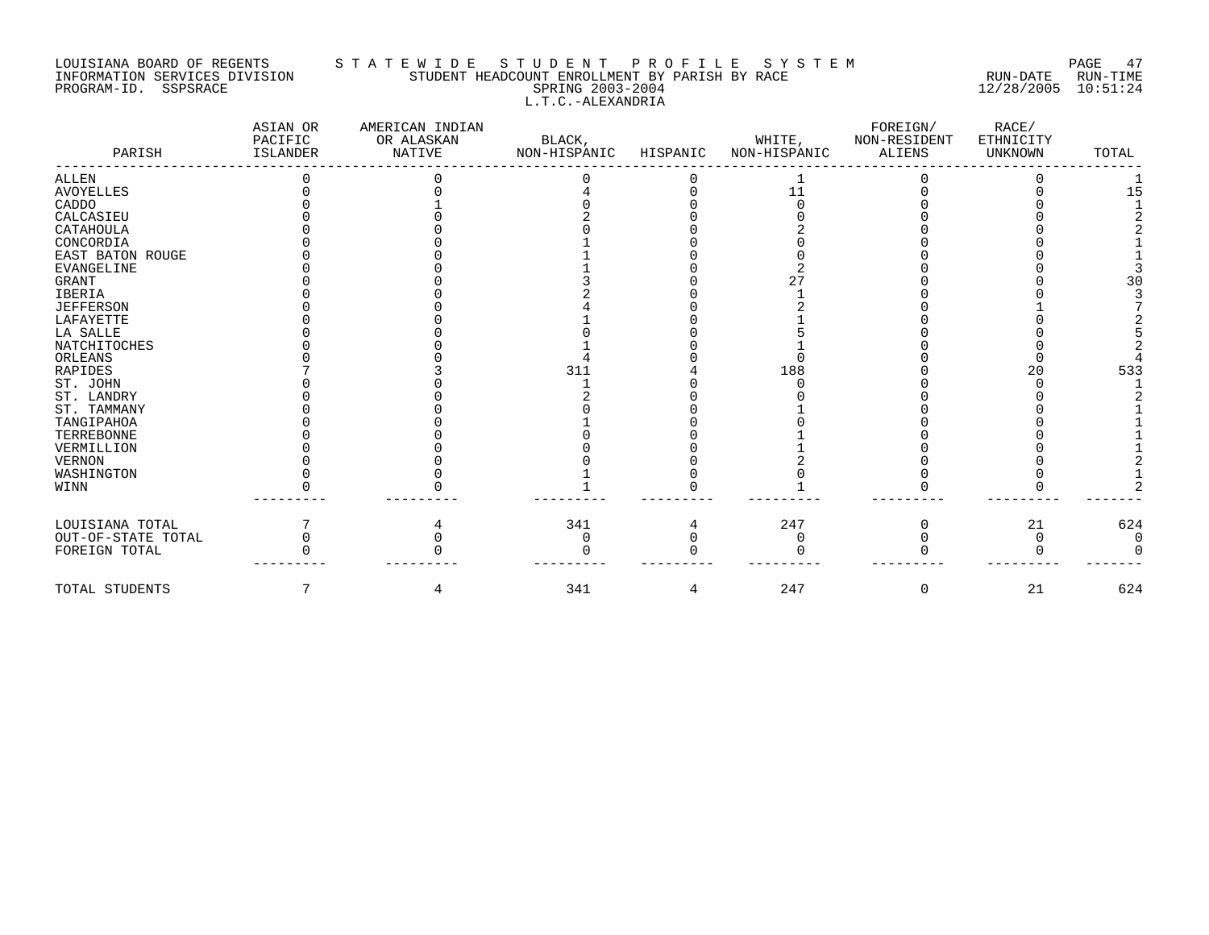## LOUISIANA BOARD OF REGENTS S T A T E W I D E S T U D E N T P R O F I L E S Y S T E M PAGE 47 INFORMATION SERVICES DIVISION STUDENT HEADCOUNT ENROLLMENT BY PARISH BY RACE RUN-DATE RUN-TIME PROGRAM-ID. SSPSRACE SPRING 2003-2004 12/28/2005 10:51:24 L.T.C.-ALEXANDRIA

| PARISH              | ASIAN OR<br>PACIFIC<br><b>ISLANDER</b> | AMERICAN INDIAN<br>OR ALASKAN<br><b>NATIVE</b> | BLACK,<br>NON-HISPANIC | HISPANIC | WHITE,<br>NON-HISPANIC | FOREIGN/<br>NON-RESIDENT<br><b>ALIENS</b> | RACE/<br>ETHNICITY<br><b>UNKNOWN</b> | TOTAL |
|---------------------|----------------------------------------|------------------------------------------------|------------------------|----------|------------------------|-------------------------------------------|--------------------------------------|-------|
| ALLEN               |                                        |                                                |                        |          |                        |                                           |                                      |       |
| <b>AVOYELLES</b>    |                                        |                                                |                        |          | 11                     |                                           |                                      | 15    |
| CADDO               |                                        |                                                |                        |          |                        |                                           |                                      |       |
| CALCASIEU           |                                        |                                                |                        |          |                        |                                           |                                      |       |
| CATAHOULA           |                                        |                                                |                        |          |                        |                                           |                                      |       |
| CONCORDIA           |                                        |                                                |                        |          |                        |                                           |                                      |       |
| EAST BATON ROUGE    |                                        |                                                |                        |          |                        |                                           |                                      |       |
| <b>EVANGELINE</b>   |                                        |                                                |                        |          |                        |                                           |                                      |       |
| <b>GRANT</b>        |                                        |                                                |                        |          |                        |                                           |                                      | 30    |
| <b>IBERIA</b>       |                                        |                                                |                        |          |                        |                                           |                                      |       |
| <b>JEFFERSON</b>    |                                        |                                                |                        |          |                        |                                           |                                      |       |
| LAFAYETTE           |                                        |                                                |                        |          |                        |                                           |                                      |       |
| LA SALLE            |                                        |                                                |                        |          |                        |                                           |                                      |       |
| <b>NATCHITOCHES</b> |                                        |                                                |                        |          |                        |                                           |                                      |       |
| ORLEANS             |                                        |                                                |                        |          |                        |                                           |                                      |       |
| RAPIDES             |                                        |                                                | 311                    |          | 188                    |                                           | 20                                   | 533   |
| ST. JOHN            |                                        |                                                |                        |          |                        |                                           |                                      |       |
| ST. LANDRY          |                                        |                                                |                        |          |                        |                                           |                                      |       |
| ST. TAMMANY         |                                        |                                                |                        |          |                        |                                           |                                      |       |
| TANGIPAHOA          |                                        |                                                |                        |          |                        |                                           |                                      |       |
| <b>TERREBONNE</b>   |                                        |                                                |                        |          |                        |                                           |                                      |       |
| VERMILLION          |                                        |                                                |                        |          |                        |                                           |                                      |       |
| <b>VERNON</b>       |                                        |                                                |                        |          |                        |                                           |                                      |       |
| WASHINGTON          |                                        |                                                |                        |          |                        |                                           |                                      |       |
| WINN                |                                        |                                                |                        |          |                        |                                           |                                      |       |
| LOUISIANA TOTAL     |                                        |                                                | 341                    |          | 247                    |                                           | 21                                   | 624   |
| OUT-OF-STATE TOTAL  |                                        |                                                | 0                      |          |                        |                                           |                                      |       |
| FOREIGN TOTAL       |                                        |                                                |                        |          |                        |                                           |                                      |       |
| TOTAL STUDENTS      |                                        | 4                                              | 341                    | 4        | 247                    | 0                                         | 21                                   | 624   |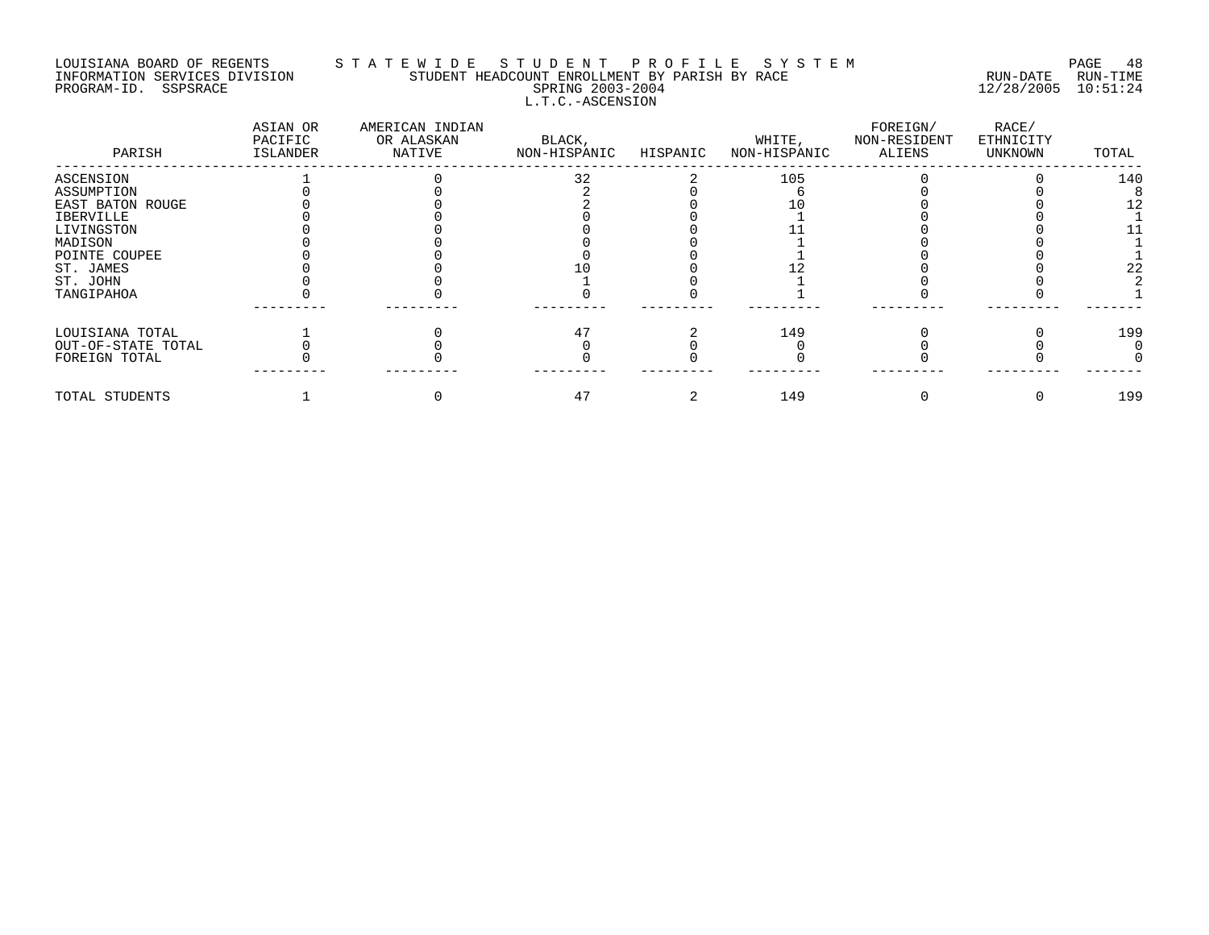# LOUISIANA BOARD OF REGENTS S T A T E W I D E S T U D E N T P R O F I L E S Y S T E M PAGE 48 INFORMATION SERVICES DIVISION STUDENT HEADCOUNT ENROLLMENT BY PARISH BY RACE RUN-DATE RUN-TIME PROGRAM-ID. SSPSRACE SPRING 2003-2004 12/28/2005 10:51:24 L.T.C.-ASCENSION

| PARISH             | ASIAN OR<br>PACIFIC<br>ISLANDER | AMERICAN INDIAN<br>OR ALASKAN<br>NATIVE | BLACK,<br>NON-HISPANIC | HISPANIC | WHITE,<br>NON-HISPANIC | FOREIGN/<br>NON-RESIDENT<br>ALIENS | RACE/<br>ETHNICITY<br>UNKNOWN | TOTAL |
|--------------------|---------------------------------|-----------------------------------------|------------------------|----------|------------------------|------------------------------------|-------------------------------|-------|
| ASCENSION          |                                 |                                         | 32                     |          | 105                    |                                    |                               | 140   |
| ASSUMPTION         |                                 |                                         |                        |          |                        |                                    |                               |       |
| EAST BATON ROUGE   |                                 |                                         |                        |          |                        |                                    |                               |       |
| IBERVILLE          |                                 |                                         |                        |          |                        |                                    |                               |       |
| LIVINGSTON         |                                 |                                         |                        |          |                        |                                    |                               |       |
| MADISON            |                                 |                                         |                        |          |                        |                                    |                               |       |
| POINTE COUPEE      |                                 |                                         |                        |          |                        |                                    |                               |       |
| ST. JAMES          |                                 |                                         |                        |          |                        |                                    |                               | 22    |
| ST. JOHN           |                                 |                                         |                        |          |                        |                                    |                               |       |
| TANGIPAHOA         |                                 |                                         |                        |          |                        |                                    |                               |       |
| LOUISIANA TOTAL    |                                 |                                         |                        |          | 149                    |                                    |                               | 199   |
| OUT-OF-STATE TOTAL |                                 |                                         |                        |          |                        |                                    |                               |       |
| FOREIGN TOTAL      |                                 |                                         |                        |          |                        |                                    |                               |       |
| TOTAL STUDENTS     |                                 |                                         | 47                     |          | 149                    |                                    |                               | 199   |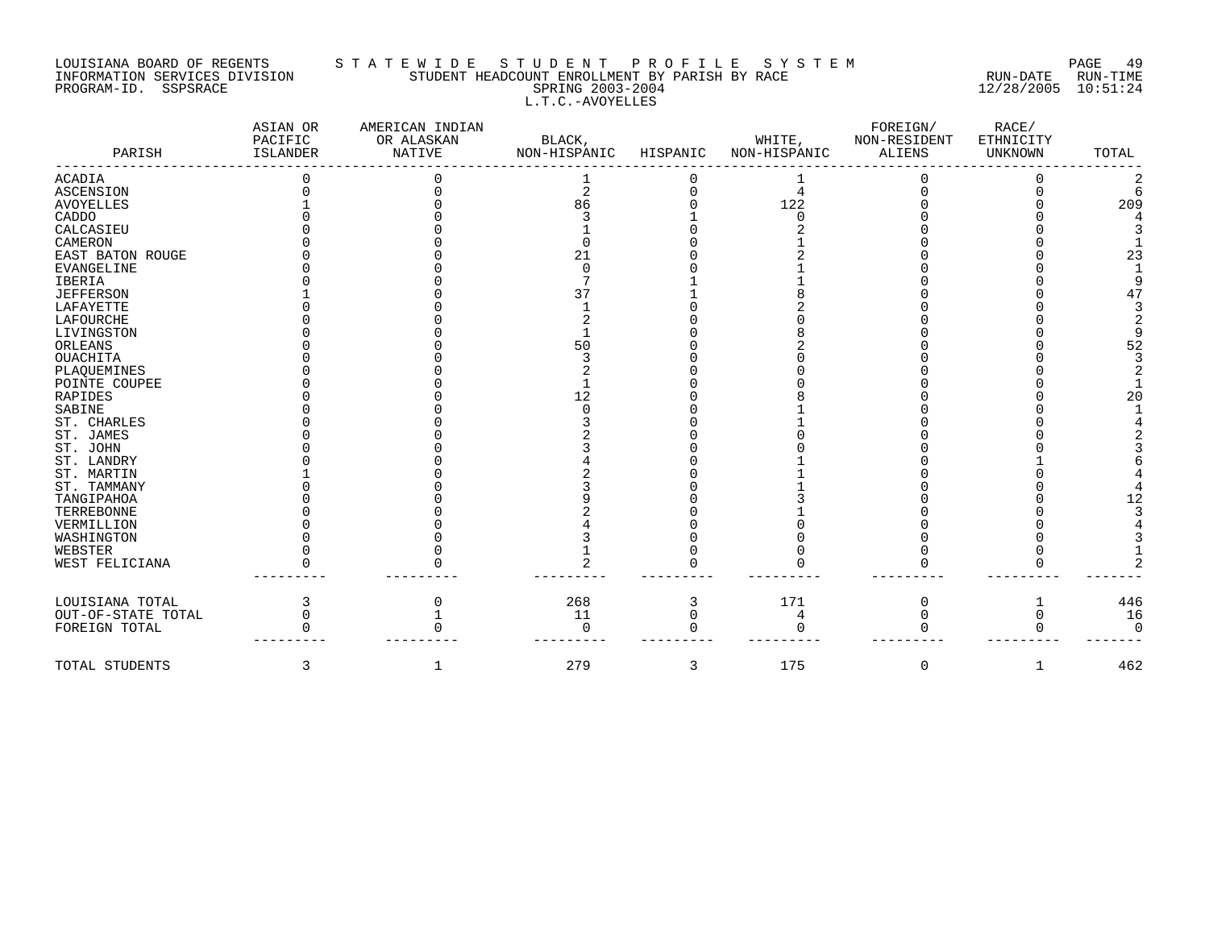# LOUISIANA BOARD OF REGENTS STATEWIDE STUDENT PROFILE SYSTEM NAGE 49 INFORMATION SERVICES DIVISION STUDENT HEADCOUNT ENROLLMENT BY PARISH BY RACE RUN-DATE RUN-TIME PROGRAM-ID. SSPSRACE SERING 2003-2004 12/28/2005 10:51:24 L.T.C.-AVOYELLES

| PARISH             | ASIAN OR<br>PACIFIC<br>ISLANDER | AMERICAN INDIAN<br>OR ALASKAN<br><b>NATIVE</b> | BLACK,<br>NON-HISPANIC | HISPANIC | WHITE,<br>NON-HISPANIC | FOREIGN/<br>NON-RESIDENT<br><b>ALIENS</b> | RACE/<br>ETHNICITY<br>UNKNOWN | TOTAL |
|--------------------|---------------------------------|------------------------------------------------|------------------------|----------|------------------------|-------------------------------------------|-------------------------------|-------|
| <b>ACADIA</b>      |                                 |                                                |                        |          |                        |                                           |                               |       |
| <b>ASCENSION</b>   |                                 |                                                | 2                      |          | 4                      |                                           |                               |       |
| <b>AVOYELLES</b>   |                                 |                                                | 86                     |          | 122                    |                                           |                               | 209   |
| CADDO              |                                 |                                                |                        |          |                        |                                           |                               |       |
| CALCASIEU          |                                 |                                                |                        |          |                        |                                           |                               |       |
| CAMERON            |                                 |                                                |                        |          |                        |                                           |                               |       |
| EAST BATON ROUGE   |                                 |                                                | 21                     |          |                        |                                           |                               | 23    |
| <b>EVANGELINE</b>  |                                 |                                                |                        |          |                        |                                           |                               |       |
| IBERIA             |                                 |                                                |                        |          |                        |                                           |                               |       |
| <b>JEFFERSON</b>   |                                 |                                                |                        |          |                        |                                           |                               |       |
| LAFAYETTE          |                                 |                                                |                        |          |                        |                                           |                               |       |
| LAFOURCHE          |                                 |                                                |                        |          |                        |                                           |                               |       |
| LIVINGSTON         |                                 |                                                |                        |          |                        |                                           |                               |       |
| ORLEANS            |                                 |                                                | 50                     |          |                        |                                           |                               | 52    |
| <b>OUACHITA</b>    |                                 |                                                |                        |          |                        |                                           |                               |       |
| PLAQUEMINES        |                                 |                                                |                        |          |                        |                                           |                               |       |
| POINTE COUPEE      |                                 |                                                |                        |          |                        |                                           |                               |       |
| RAPIDES            |                                 |                                                |                        |          |                        |                                           |                               | 20    |
| SABINE             |                                 |                                                |                        |          |                        |                                           |                               |       |
| ST. CHARLES        |                                 |                                                |                        |          |                        |                                           |                               |       |
| ST. JAMES          |                                 |                                                |                        |          |                        |                                           |                               |       |
| ST. JOHN           |                                 |                                                |                        |          |                        |                                           |                               |       |
| ST. LANDRY         |                                 |                                                |                        |          |                        |                                           |                               |       |
| ST. MARTIN         |                                 |                                                |                        |          |                        |                                           |                               |       |
| ST. TAMMANY        |                                 |                                                |                        |          |                        |                                           |                               |       |
| TANGIPAHOA         |                                 |                                                |                        |          |                        |                                           |                               |       |
| TERREBONNE         |                                 |                                                |                        |          |                        |                                           |                               |       |
| VERMILLION         |                                 |                                                |                        |          |                        |                                           |                               |       |
| WASHINGTON         |                                 |                                                |                        |          |                        |                                           |                               |       |
| WEBSTER            |                                 |                                                |                        |          |                        |                                           |                               |       |
| WEST FELICIANA     |                                 |                                                |                        |          |                        |                                           |                               |       |
|                    |                                 |                                                |                        |          |                        |                                           |                               |       |
| LOUISIANA TOTAL    |                                 |                                                | 268                    | 3        | 171                    | $\Omega$                                  | 1                             | 446   |
| OUT-OF-STATE TOTAL |                                 |                                                | 11                     |          |                        |                                           | 0                             | 16    |
| FOREIGN TOTAL      |                                 |                                                | ∩                      |          |                        |                                           |                               |       |
| TOTAL STUDENTS     | 3                               |                                                | 279                    | 3        | 175                    | 0                                         | 1                             | 462   |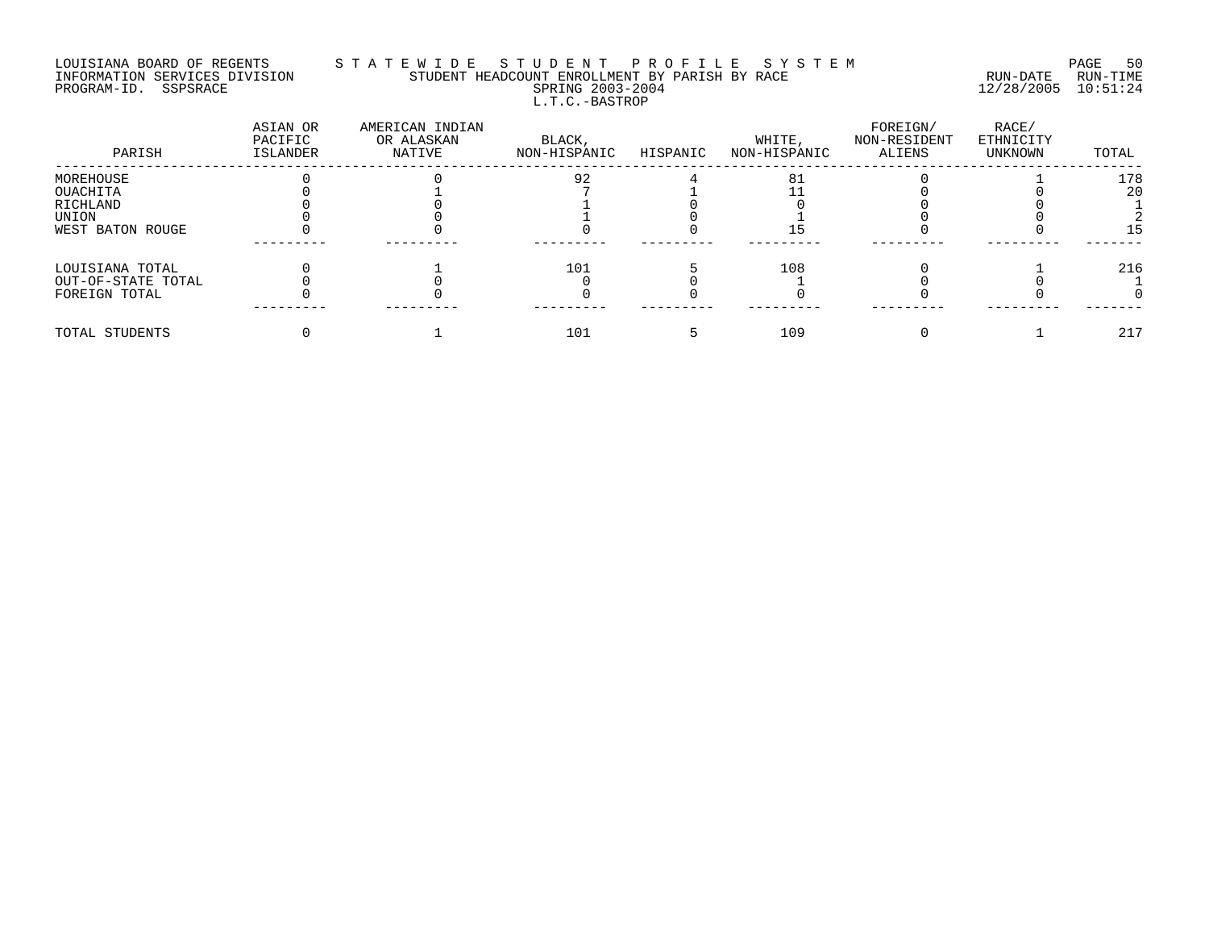## LOUISIANA BOARD OF REGENTS S T A T E W I D E S T U D E N T P R O F I L E S Y S T E M PAGE 50 INFORMATION SERVICES DIVISION STUDENT HEADCOUNT ENROLLMENT BY PARISH BY RACE RUN-DATE RUN-TIME PROGRAM-ID. SSPSRACE SPRING 2003-2004 12/28/2005 10:51:24 L.T.C.-BASTROP

| PARISH             | ASIAN OR<br>PACIFIC<br>ISLANDER | AMERICAN INDIAN<br>OR ALASKAN<br>NATIVE | BLACK,<br>NON-HISPANIC | HISPANIC | WHITE,<br>NON-HISPANIC | FOREIGN/<br>NON-RESIDENT<br>ALIENS | RACE/<br>ETHNICITY<br>UNKNOWN | TOTAL |
|--------------------|---------------------------------|-----------------------------------------|------------------------|----------|------------------------|------------------------------------|-------------------------------|-------|
| MOREHOUSE          |                                 |                                         | 92                     |          | 81                     |                                    |                               | 178   |
| OUACHITA           |                                 |                                         |                        |          |                        |                                    |                               | 20    |
| RICHLAND           |                                 |                                         |                        |          |                        |                                    |                               |       |
| UNION              |                                 |                                         |                        |          |                        |                                    |                               |       |
| WEST BATON ROUGE   |                                 |                                         |                        |          |                        |                                    |                               |       |
| LOUISIANA TOTAL    |                                 |                                         | 101                    |          | 108                    |                                    |                               | 216   |
| OUT-OF-STATE TOTAL |                                 |                                         |                        |          |                        |                                    |                               |       |
| FOREIGN TOTAL      |                                 |                                         |                        |          |                        |                                    |                               |       |
| TOTAL STUDENTS     |                                 |                                         | 101                    |          | 109                    |                                    |                               | 217   |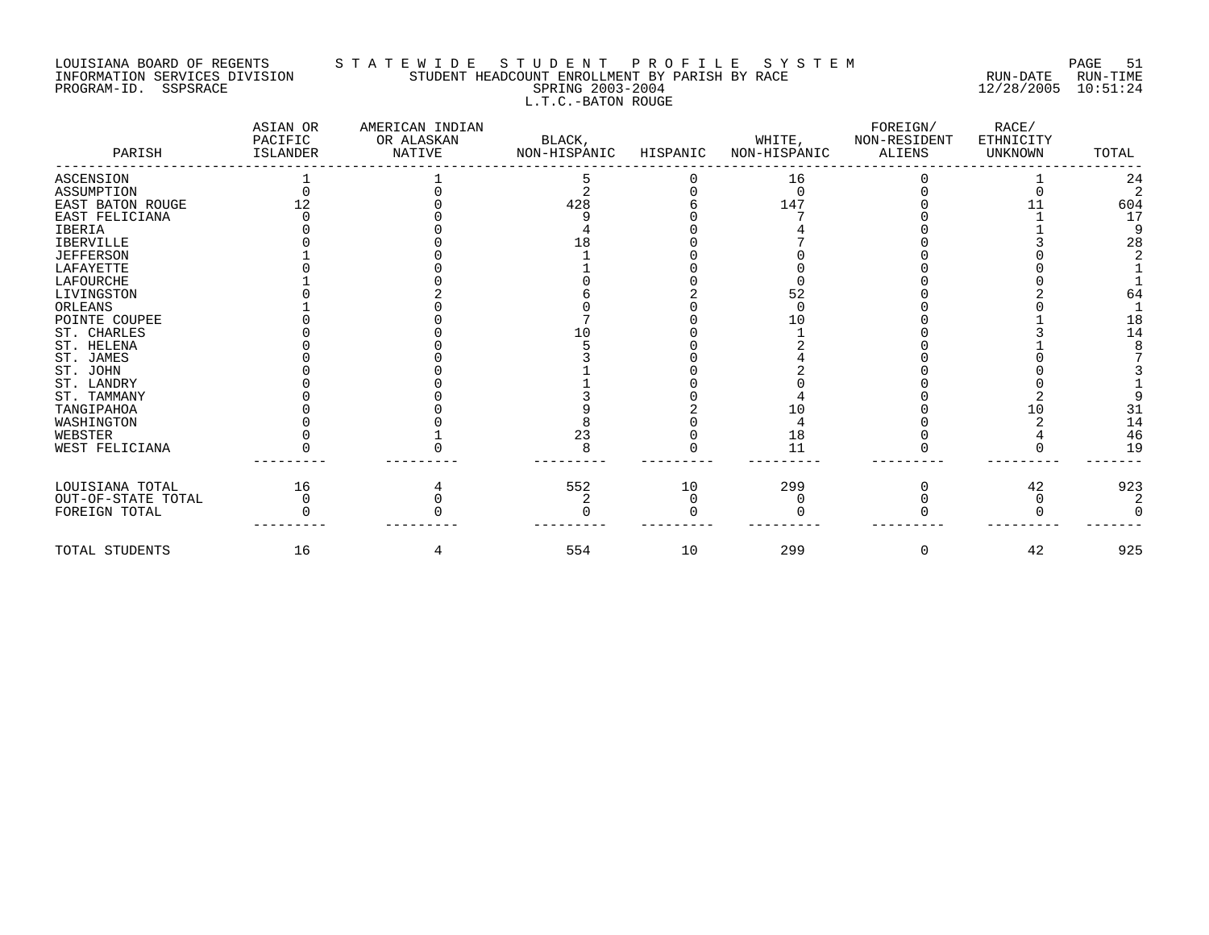# LOUISIANA BOARD OF REGENTS S T A T E W I D E S T U D E N T P R O F I L E S Y S T E M PAGE 51 INFORMATION SERVICES DIVISION STUDENT HEADCOUNT ENROLLMENT BY PARISH BY RACE RUN-DATE RUN-TIME PROGRAM-ID. SSPSRACE SPRING 2003-2004 12/28/2005 10:51:24 L.T.C.-BATON ROUGE

| PARISH             | ASIAN OR<br>PACIFIC<br>ISLANDER | AMERICAN INDIAN<br>OR ALASKAN<br><b>NATIVE</b> | BLACK,<br>NON-HISPANIC | HISPANIC | WHITE,<br>NON-HISPANIC | FOREIGN/<br>NON-RESIDENT<br><b>ALIENS</b> | RACE/<br>ETHNICITY<br><b>UNKNOWN</b> | TOTAL |
|--------------------|---------------------------------|------------------------------------------------|------------------------|----------|------------------------|-------------------------------------------|--------------------------------------|-------|
| ASCENSION          |                                 |                                                |                        |          | 16                     |                                           |                                      | 24    |
| ASSUMPTION         |                                 |                                                |                        |          |                        |                                           |                                      |       |
| EAST BATON ROUGE   |                                 |                                                | 428                    |          | 147                    |                                           |                                      | 604   |
| EAST FELICIANA     |                                 |                                                |                        |          |                        |                                           |                                      | 17    |
| IBERIA             |                                 |                                                |                        |          |                        |                                           |                                      |       |
| <b>IBERVILLE</b>   |                                 |                                                |                        |          |                        |                                           |                                      | 28    |
| <b>JEFFERSON</b>   |                                 |                                                |                        |          |                        |                                           |                                      |       |
| LAFAYETTE          |                                 |                                                |                        |          |                        |                                           |                                      |       |
| LAFOURCHE          |                                 |                                                |                        |          |                        |                                           |                                      |       |
| LIVINGSTON         |                                 |                                                |                        |          | 52                     |                                           |                                      | 64    |
| ORLEANS            |                                 |                                                |                        |          |                        |                                           |                                      |       |
| POINTE COUPEE      |                                 |                                                |                        |          |                        |                                           |                                      | 18    |
| ST. CHARLES        |                                 |                                                |                        |          |                        |                                           |                                      | 14    |
| ST. HELENA         |                                 |                                                |                        |          |                        |                                           |                                      |       |
| ST. JAMES          |                                 |                                                |                        |          |                        |                                           |                                      |       |
| ST. JOHN           |                                 |                                                |                        |          |                        |                                           |                                      |       |
| ST. LANDRY         |                                 |                                                |                        |          |                        |                                           |                                      |       |
| ST. TAMMANY        |                                 |                                                |                        |          |                        |                                           |                                      |       |
| TANGIPAHOA         |                                 |                                                |                        |          |                        |                                           | 1 ೧                                  | 31    |
| WASHINGTON         |                                 |                                                |                        |          |                        |                                           |                                      | 14    |
| WEBSTER            |                                 |                                                | 23                     |          | 18                     |                                           |                                      | 46    |
| WEST FELICIANA     |                                 |                                                |                        |          | 11                     |                                           |                                      | 19    |
| LOUISIANA TOTAL    | 16                              |                                                | 552                    | 10       | 299                    |                                           | 42                                   | 923   |
| OUT-OF-STATE TOTAL |                                 |                                                |                        |          |                        |                                           |                                      |       |
| FOREIGN TOTAL      |                                 |                                                |                        |          |                        |                                           |                                      |       |
| TOTAL STUDENTS     | 16                              |                                                | 554                    | 10       | 299                    | 0                                         | 42                                   | 925   |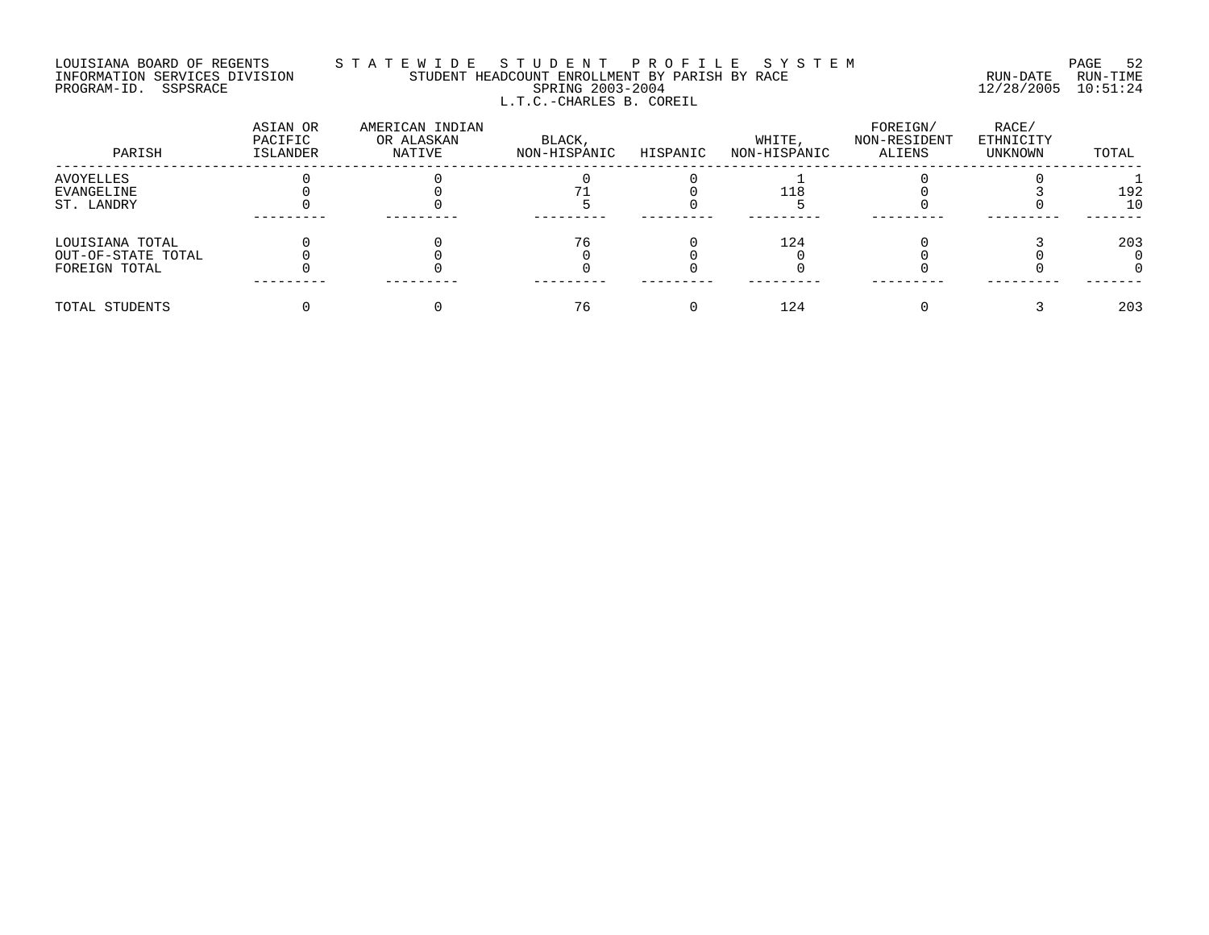# LOUISIANA BOARD OF REGENTS S T A T E W I D E S T U D E N T P R O F I L E S Y S T E M PAGE 52 INFORMATION SERVICES DIVISION STUDENT HEADCOUNT ENROLLMENT BY PARISH BY RACE RUN-DATE RUN-TIME PROGRAM-ID. SSPSRACE SPRING 2003-2004 12/28/2005 10:51:24 L.T.C.-CHARLES B. COREIL

| PARISH             | ASIAN OR<br>PACIFIC<br>ISLANDER | AMERICAN INDIAN<br>OR ALASKAN<br>NATIVE | BLACK,<br>NON-HISPANIC | HISPANIC | WHITE,<br>NON-HISPANIC | FOREIGN/<br>NON-RESIDENT<br>ALIENS | RACE/<br>ETHNICITY<br>UNKNOWN | TOTAL |
|--------------------|---------------------------------|-----------------------------------------|------------------------|----------|------------------------|------------------------------------|-------------------------------|-------|
| AVOYELLES          |                                 |                                         |                        |          |                        |                                    |                               |       |
| EVANGELINE         |                                 |                                         |                        |          | 118                    |                                    |                               | 192   |
| ST. LANDRY         |                                 |                                         |                        |          |                        |                                    |                               | 1 C   |
| LOUISIANA TOTAL    |                                 |                                         | 76                     |          | 124                    |                                    |                               | 203   |
| OUT-OF-STATE TOTAL |                                 |                                         |                        |          |                        |                                    |                               |       |
| FOREIGN TOTAL      |                                 |                                         |                        |          |                        |                                    |                               |       |
| TOTAL STUDENTS     |                                 |                                         | 76                     |          | 124                    |                                    |                               | 203   |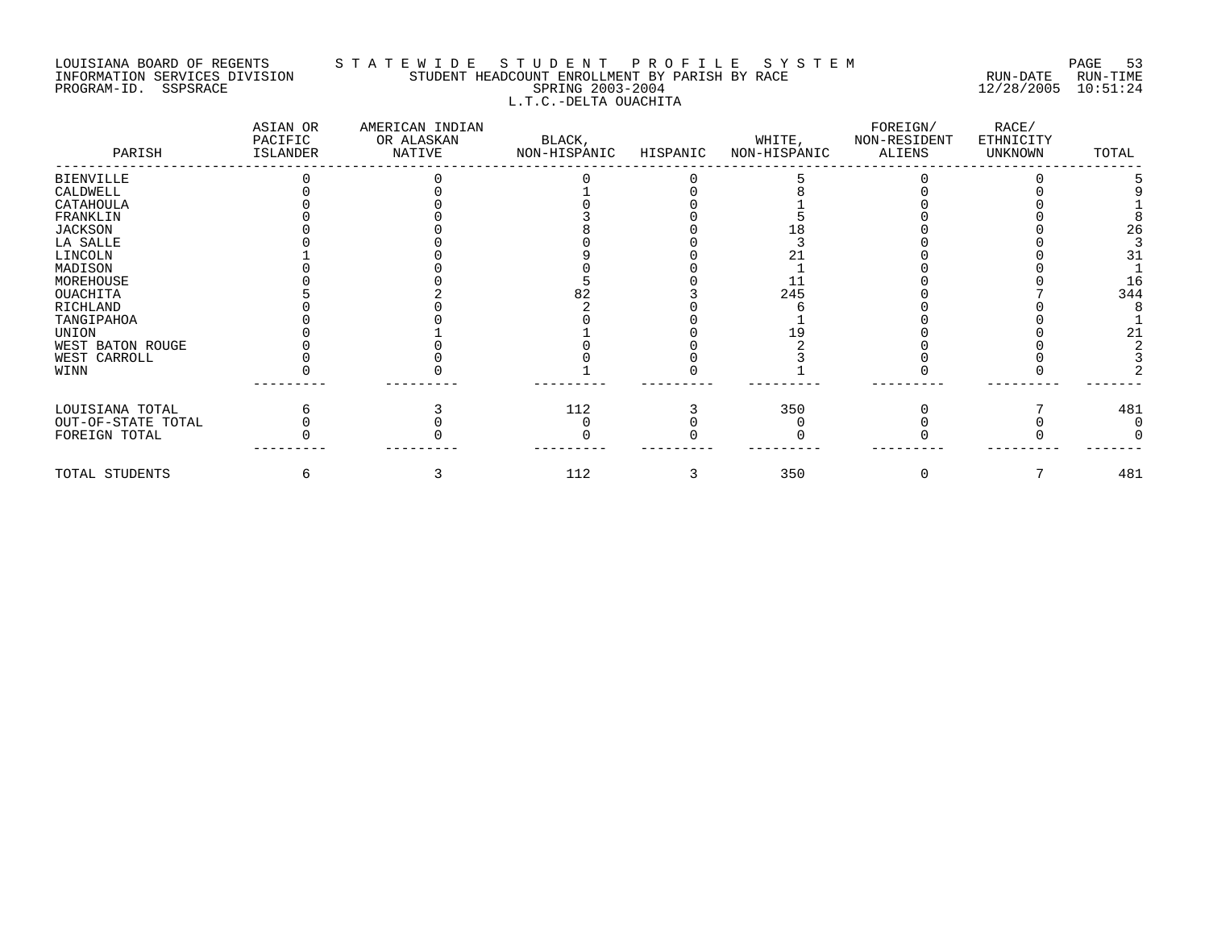# LOUISIANA BOARD OF REGENTS STATEWIDE STUDE NT PROFILE SYSTEM PAGE 53<br>INFORMATION SERVICES DIVISION STUDENT HEADCOUNT ENROLLMENT BY PARISH BY RACE STUDENT HEADCOUNT ENROLLMENT BY PARISH BY RACE PROGRAM-ID. SSPSRACE SPRING 2003-2004 12/28/2005 10:51:24 L.T.C.-DELTA OUACHITA

| PARISH             | ASIAN OR<br>PACIFIC<br>ISLANDER | AMERICAN INDIAN<br>OR ALASKAN<br>NATIVE | BLACK,<br>NON-HISPANIC | HISPANIC | WHITE,<br>NON-HISPANIC | FOREIGN/<br>NON-RESIDENT<br>ALIENS | RACE/<br>ETHNICITY<br>UNKNOWN | TOTAL |
|--------------------|---------------------------------|-----------------------------------------|------------------------|----------|------------------------|------------------------------------|-------------------------------|-------|
| BIENVILLE          |                                 |                                         |                        |          |                        |                                    |                               |       |
| CALDWELL           |                                 |                                         |                        |          |                        |                                    |                               |       |
| CATAHOULA          |                                 |                                         |                        |          |                        |                                    |                               |       |
| FRANKLIN           |                                 |                                         |                        |          |                        |                                    |                               |       |
| <b>JACKSON</b>     |                                 |                                         |                        |          |                        |                                    |                               | 26    |
| LA SALLE           |                                 |                                         |                        |          |                        |                                    |                               |       |
| LINCOLN            |                                 |                                         |                        |          |                        |                                    |                               |       |
| MADISON            |                                 |                                         |                        |          |                        |                                    |                               |       |
| MOREHOUSE          |                                 |                                         |                        |          |                        |                                    |                               | 16    |
| OUACHITA           |                                 |                                         |                        |          | 245                    |                                    |                               | 344   |
| RICHLAND           |                                 |                                         |                        |          |                        |                                    |                               |       |
| TANGIPAHOA         |                                 |                                         |                        |          |                        |                                    |                               |       |
| UNION              |                                 |                                         |                        |          |                        |                                    |                               | 21    |
| WEST BATON ROUGE   |                                 |                                         |                        |          |                        |                                    |                               |       |
| WEST CARROLL       |                                 |                                         |                        |          |                        |                                    |                               |       |
| WINN               |                                 |                                         |                        |          |                        |                                    |                               |       |
| LOUISIANA TOTAL    |                                 |                                         | 112                    |          | 350                    |                                    |                               | 481   |
| OUT-OF-STATE TOTAL |                                 |                                         |                        |          |                        |                                    |                               |       |
| FOREIGN TOTAL      |                                 |                                         |                        |          |                        |                                    |                               |       |
| TOTAL STUDENTS     |                                 |                                         | 112                    |          | 350                    |                                    |                               | 481   |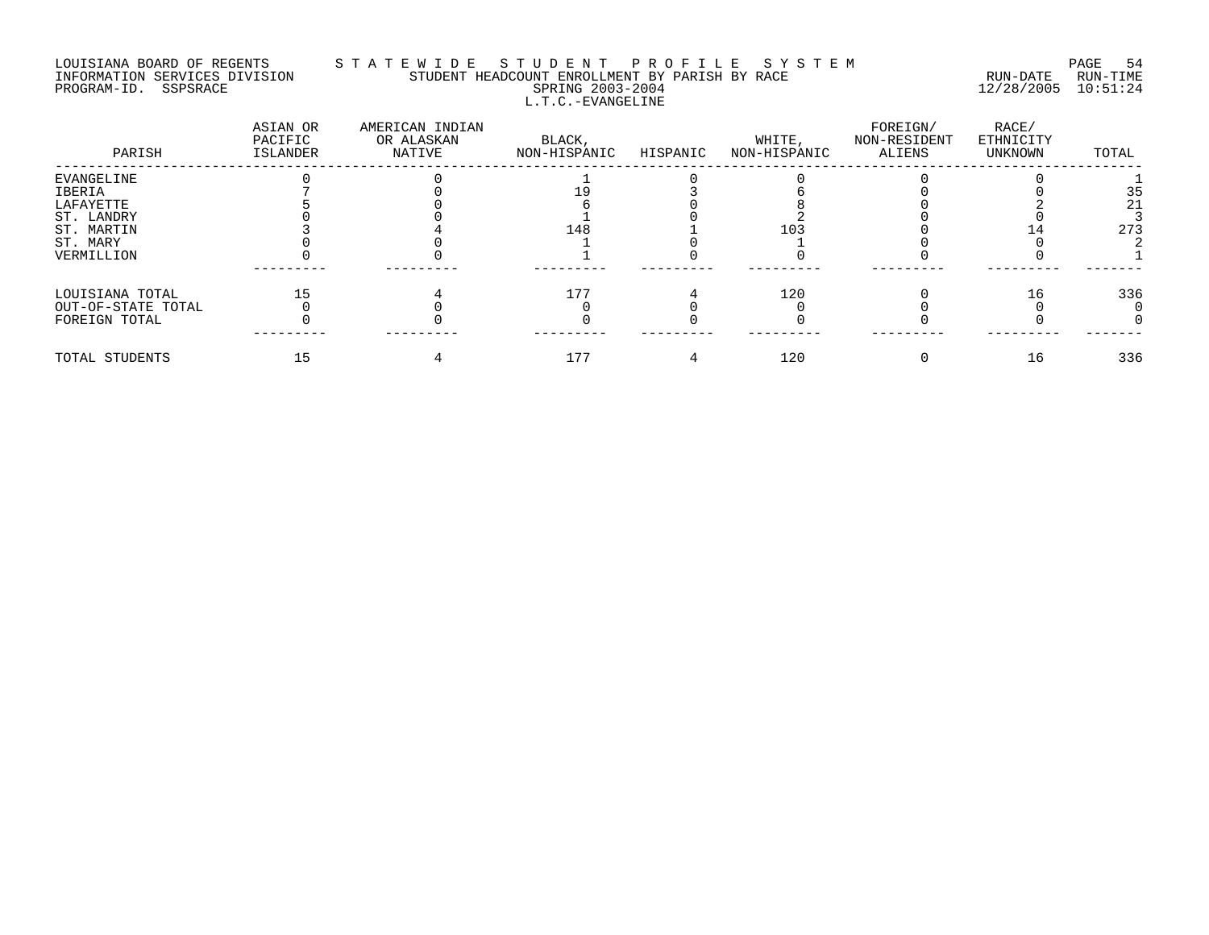# LOUISIANA BOARD OF REGENTS S T A T E W I D E S T U D E N T P R O F I L E S Y S T E M PAGE 54 INFORMATION SERVICES DIVISION STUDENT HEADCOUNT ENROLLMENT BY PARISH BY RACE RUN-DATE RUN-TIME PROGRAM-ID. SSPSRACE SPRING 2003-2004 12/28/2005 10:51:24 L.T.C.-EVANGELINE

| PARISH             | ASIAN OR<br>PACIFIC<br>ISLANDER | AMERICAN INDIAN<br>OR ALASKAN<br>NATIVE | BLACK,<br>NON-HISPANIC | HISPANIC | WHITE,<br>NON-HISPANIC | FOREIGN/<br>NON-RESIDENT<br>ALIENS | RACE/<br>ETHNICITY<br>UNKNOWN | TOTAL |
|--------------------|---------------------------------|-----------------------------------------|------------------------|----------|------------------------|------------------------------------|-------------------------------|-------|
| EVANGELINE         |                                 |                                         |                        |          |                        |                                    |                               |       |
| IBERIA             |                                 |                                         |                        |          |                        |                                    |                               | 35    |
| LAFAYETTE          |                                 |                                         |                        |          |                        |                                    |                               | 21    |
| ST. LANDRY         |                                 |                                         |                        |          |                        |                                    |                               |       |
| ST. MARTIN         |                                 |                                         | 148                    |          | 103                    |                                    |                               | 273   |
| ST. MARY           |                                 |                                         |                        |          |                        |                                    |                               |       |
| VERMILLION         |                                 |                                         |                        |          |                        |                                    |                               |       |
| LOUISIANA TOTAL    |                                 |                                         | 177                    |          | 120                    |                                    | 16                            | 336   |
| OUT-OF-STATE TOTAL |                                 |                                         |                        |          |                        |                                    |                               |       |
| FOREIGN TOTAL      |                                 |                                         |                        |          |                        |                                    |                               |       |
| TOTAL STUDENTS     |                                 |                                         | 177                    |          | 120                    |                                    | 16                            | 336   |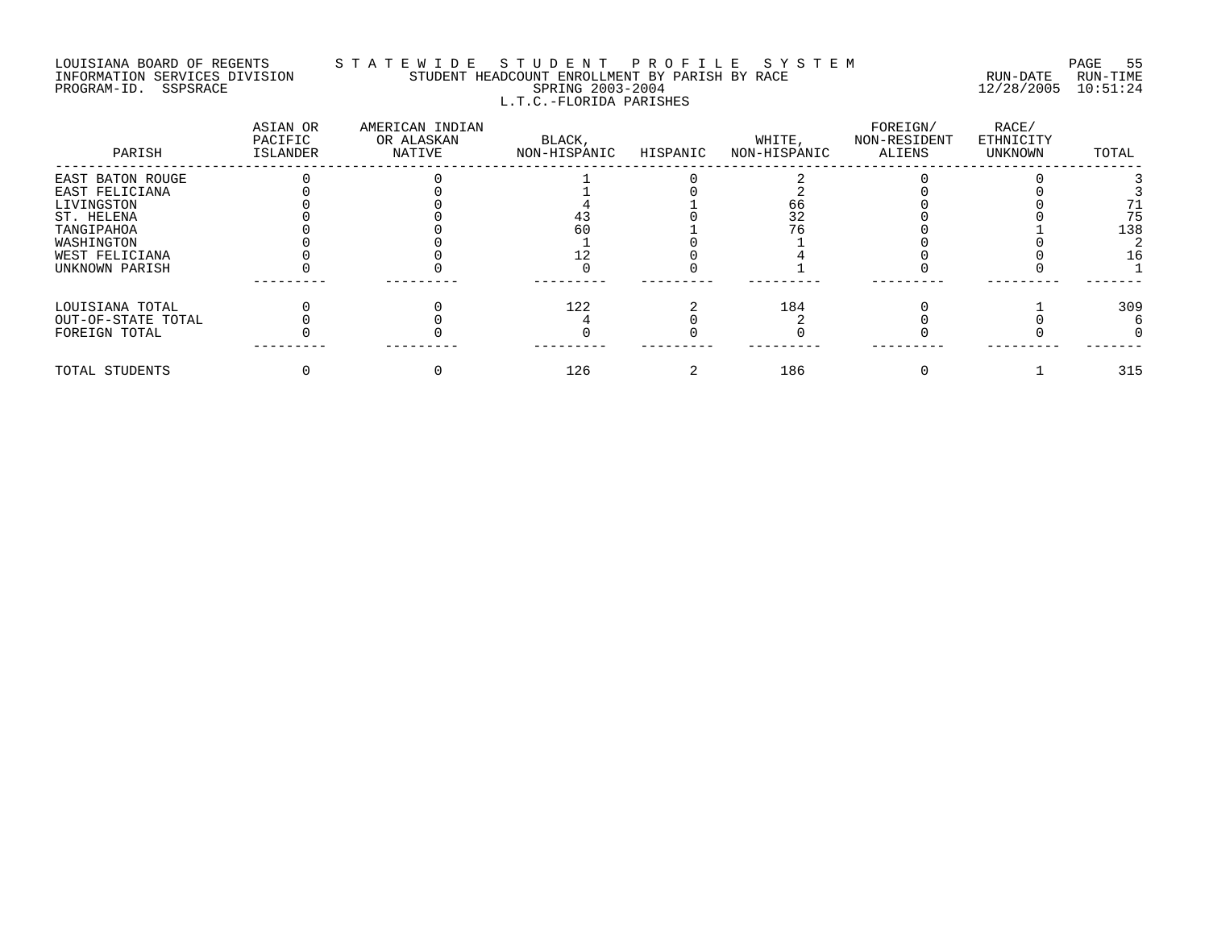# LOUISIANA BOARD OF REGENTS S T A T E W I D E S T U D E N T P R O F I L E S Y S T E M PAGE 55 INFORMATION SERVICES DIVISION STUDENT HEADCOUNT ENROLLMENT BY PARISH BY RACE RUN-DATE RUN-TIME PROGRAM-ID. SSPSRACE SPRING 2003-2004 12/28/2005 10:51:24 L.T.C.-FLORIDA PARISHES

| PARISH             | ASIAN OR<br>PACIFIC<br>ISLANDER | AMERICAN INDIAN<br>OR ALASKAN<br>NATIVE | BLACK,<br>NON-HISPANIC | HISPANIC | WHITE,<br>NON-HISPANIC | FOREIGN/<br>NON-RESIDENT<br>ALIENS | RACE/<br>ETHNICITY<br>UNKNOWN | TOTAL |
|--------------------|---------------------------------|-----------------------------------------|------------------------|----------|------------------------|------------------------------------|-------------------------------|-------|
| EAST BATON ROUGE   |                                 |                                         |                        |          |                        |                                    |                               |       |
| EAST FELICIANA     |                                 |                                         |                        |          |                        |                                    |                               |       |
| LIVINGSTON         |                                 |                                         |                        |          |                        |                                    |                               |       |
| ST. HELENA         |                                 |                                         | 43                     |          |                        |                                    |                               | 75    |
| TANGIPAHOA         |                                 |                                         | 60                     |          |                        |                                    |                               | 138   |
| WASHINGTON         |                                 |                                         |                        |          |                        |                                    |                               |       |
| WEST FELICIANA     |                                 |                                         |                        |          |                        |                                    |                               | 16    |
| UNKNOWN PARISH     |                                 |                                         |                        |          |                        |                                    |                               |       |
| LOUISIANA TOTAL    |                                 |                                         | 122                    |          | 184                    |                                    |                               | 309   |
| OUT-OF-STATE TOTAL |                                 |                                         |                        |          |                        |                                    |                               |       |
| FOREIGN TOTAL      |                                 |                                         |                        |          |                        |                                    |                               |       |
| TOTAL STUDENTS     |                                 |                                         | 126                    |          | 186                    |                                    |                               | 315   |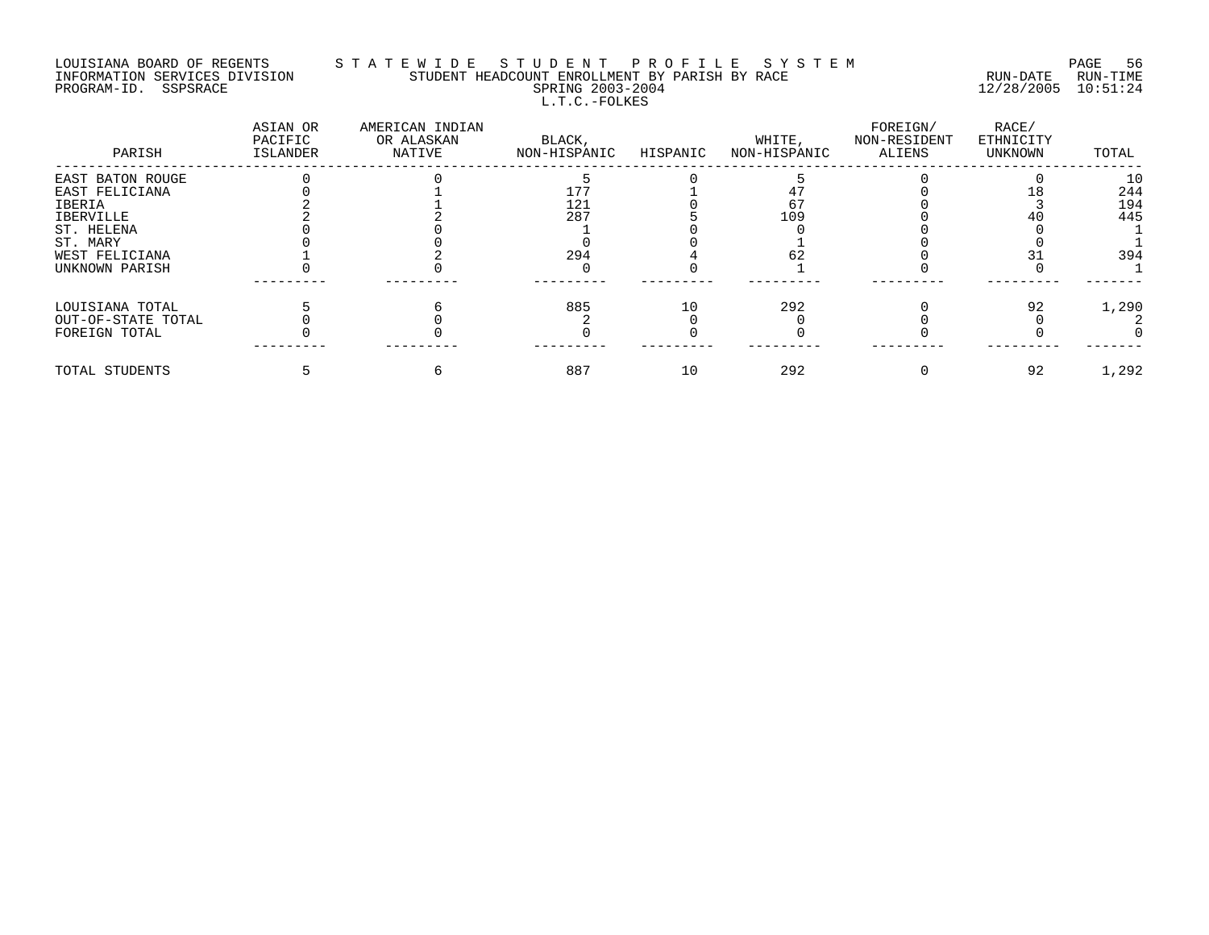## LOUISIANA BOARD OF REGENTS S T A T E W I D E S T U D E N T P R O F I L E S Y S T E M PAGE 56 INFORMATION SERVICES DIVISION STUDENT HEADCOUNT ENROLLMENT BY PARISH BY RACE RUN-DATE RUN-TIME PROGRAM-ID. SSPSRACE SPRING 2003-2004 12/28/2005 10:51:24 L.T.C.-FOLKES

| PARISH             | ASIAN OR<br>PACIFIC<br><b>ISLANDER</b> | AMERICAN INDIAN<br>OR ALASKAN<br>NATIVE | BLACK,<br>NON-HISPANIC | HISPANIC | WHITE,<br>NON-HISPANIC | FOREIGN/<br>NON-RESIDENT<br>ALIENS | RACE/<br>ETHNICITY<br>UNKNOWN | TOTAL |
|--------------------|----------------------------------------|-----------------------------------------|------------------------|----------|------------------------|------------------------------------|-------------------------------|-------|
| EAST BATON ROUGE   |                                        |                                         |                        |          |                        |                                    |                               | 10    |
| EAST FELICIANA     |                                        |                                         | 177                    |          |                        |                                    |                               | 244   |
| IBERIA             |                                        |                                         | 121                    |          |                        |                                    |                               | 194   |
| IBERVILLE          |                                        |                                         | 287                    |          | 109                    |                                    |                               | 445   |
| ST. HELENA         |                                        |                                         |                        |          |                        |                                    |                               |       |
| ST. MARY           |                                        |                                         |                        |          |                        |                                    |                               |       |
| WEST FELICIANA     |                                        |                                         | 294                    |          |                        |                                    |                               | 394   |
| UNKNOWN PARISH     |                                        |                                         |                        |          |                        |                                    |                               |       |
| LOUISIANA TOTAL    |                                        |                                         | 885                    | 10       | 292                    |                                    | 92                            | 1,290 |
| OUT-OF-STATE TOTAL |                                        |                                         |                        |          |                        |                                    |                               |       |
| FOREIGN TOTAL      |                                        |                                         |                        |          |                        |                                    |                               |       |
| TOTAL STUDENTS     |                                        |                                         | 887                    | 10       | 292                    |                                    | 92                            | 1,292 |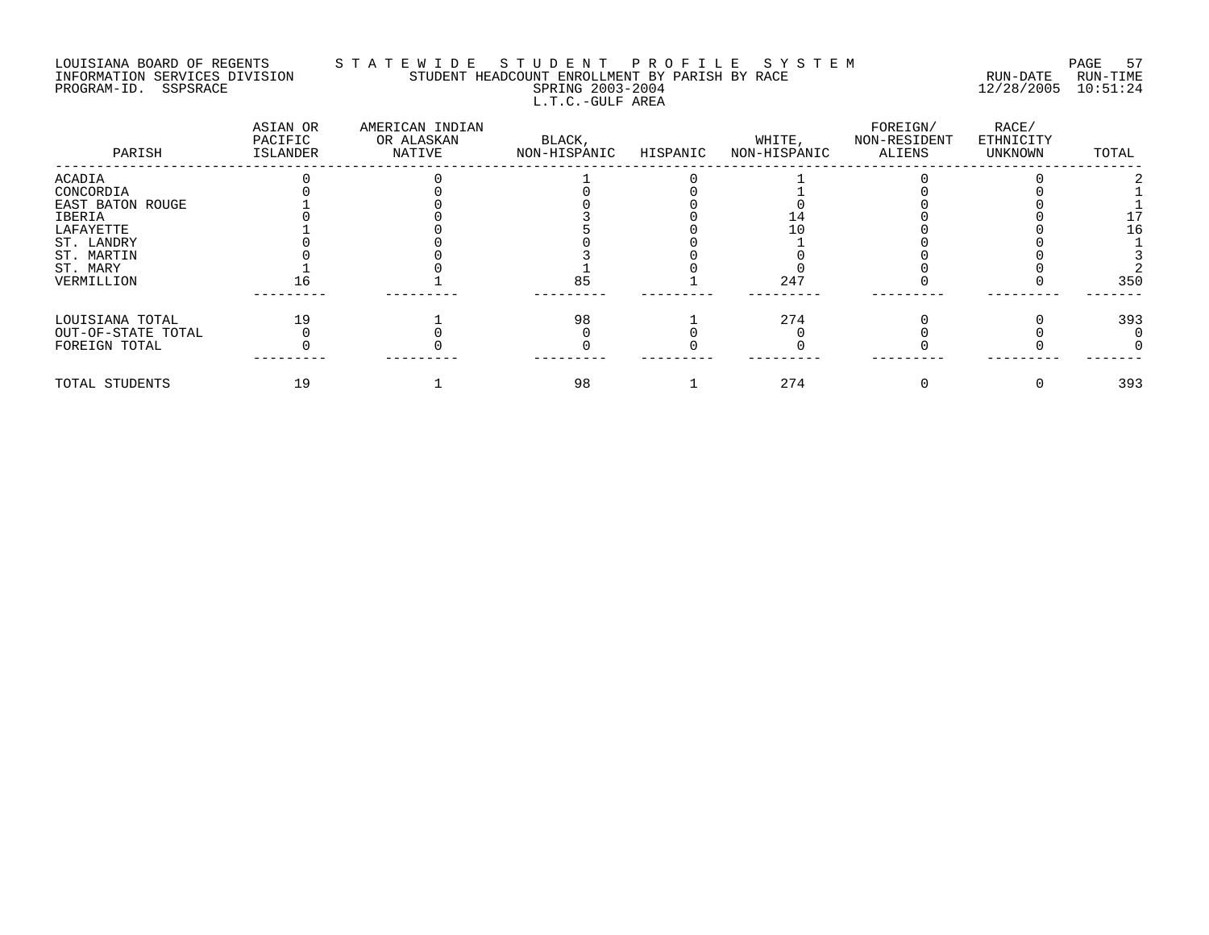#### LOUISIANA BOARD OF REGENTS S T A T E W I D E S T U D E N T P R O F I L E S Y S T E M PAGE 57 INFORMATION SERVICES DIVISION STUDENT HEADCOUNT ENROLLMENT BY PARISH BY RACE RUN-DATE RUN-TIME PROGRAM-ID. SSPSRACE SPRING 2003-2004 12/28/2005 10:51:24 L.T.C.-GULF AREA

| PARISH             | ASIAN OR<br>PACIFIC<br>ISLANDER | AMERICAN INDIAN<br>OR ALASKAN<br>NATIVE | BLACK,<br>NON-HISPANIC | HISPANIC | WHITE,<br>NON-HISPANIC | FOREIGN/<br>NON-RESIDENT<br>ALIENS | RACE/<br>ETHNICITY<br>UNKNOWN | TOTAL |
|--------------------|---------------------------------|-----------------------------------------|------------------------|----------|------------------------|------------------------------------|-------------------------------|-------|
| ACADIA             |                                 |                                         |                        |          |                        |                                    |                               |       |
| CONCORDIA          |                                 |                                         |                        |          |                        |                                    |                               |       |
| EAST BATON ROUGE   |                                 |                                         |                        |          |                        |                                    |                               |       |
| IBERIA             |                                 |                                         |                        |          |                        |                                    |                               |       |
| LAFAYETTE          |                                 |                                         |                        |          |                        |                                    |                               | ۱6    |
| ST. LANDRY         |                                 |                                         |                        |          |                        |                                    |                               |       |
| ST. MARTIN         |                                 |                                         |                        |          |                        |                                    |                               |       |
| ST. MARY           |                                 |                                         |                        |          |                        |                                    |                               |       |
| VERMILLION         |                                 |                                         | 85                     |          | $24^{\circ}$           |                                    |                               | 35C   |
| LOUISIANA TOTAL    | 19                              |                                         | 98                     |          | 274                    |                                    |                               | 393   |
| OUT-OF-STATE TOTAL |                                 |                                         |                        |          |                        |                                    |                               |       |
| FOREIGN TOTAL      |                                 |                                         |                        |          |                        |                                    |                               |       |
| TOTAL STUDENTS     | 19                              |                                         | 98                     |          | 274                    |                                    |                               | 393   |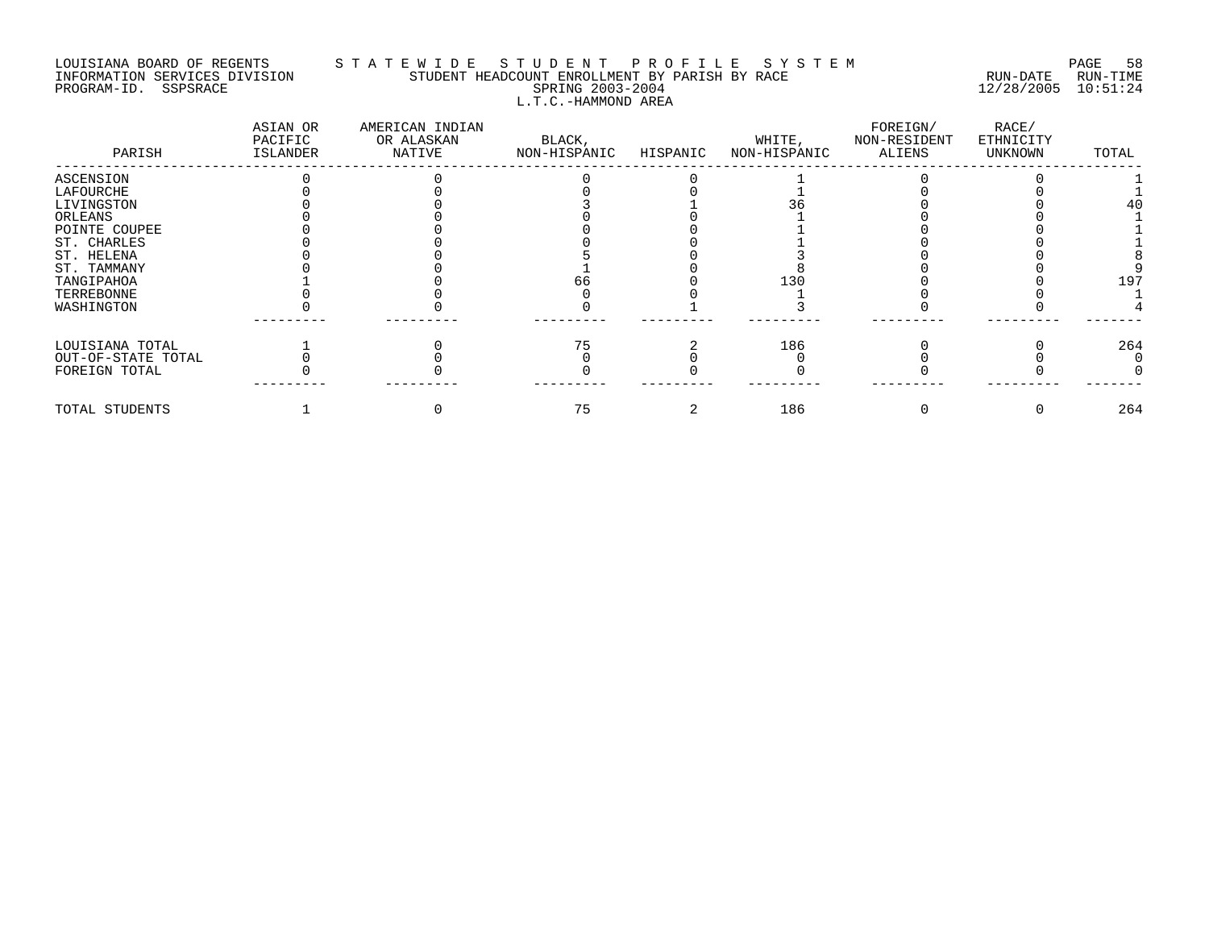## LOUISIANA BOARD OF REGENTS S T A T E W I D E S T U D E N T P R O F I L E S Y S T E M PAGE 58 INFORMATION SERVICES DIVISION STUDENT HEADCOUNT ENROLLMENT BY PARISH BY RACE RUN-DATE RUN-TIME PROGRAM-ID. SSPSRACE SPRING 2003-2004 12/28/2005 10:51:24 L.T.C.-HAMMOND AREA

| PARISH             | ASIAN OR<br>PACIFIC<br>ISLANDER | AMERICAN INDIAN<br>OR ALASKAN<br>NATIVE | BLACK,<br>NON-HISPANIC | HISPANIC | WHITE,<br>NON-HISPANIC | FOREIGN/<br>NON-RESIDENT<br>ALIENS | RACE/<br>ETHNICITY<br>UNKNOWN | TOTAL |
|--------------------|---------------------------------|-----------------------------------------|------------------------|----------|------------------------|------------------------------------|-------------------------------|-------|
| ASCENSION          |                                 |                                         |                        |          |                        |                                    |                               |       |
| LAFOURCHE          |                                 |                                         |                        |          |                        |                                    |                               |       |
| LIVINGSTON         |                                 |                                         |                        |          |                        |                                    |                               |       |
| ORLEANS            |                                 |                                         |                        |          |                        |                                    |                               |       |
| POINTE COUPEE      |                                 |                                         |                        |          |                        |                                    |                               |       |
| ST. CHARLES        |                                 |                                         |                        |          |                        |                                    |                               |       |
| ST. HELENA         |                                 |                                         |                        |          |                        |                                    |                               |       |
| ST. TAMMANY        |                                 |                                         |                        |          |                        |                                    |                               |       |
| TANGIPAHOA         |                                 |                                         |                        |          | 130                    |                                    |                               | 197   |
| TERREBONNE         |                                 |                                         |                        |          |                        |                                    |                               |       |
| WASHINGTON         |                                 |                                         |                        |          |                        |                                    |                               |       |
| LOUISIANA TOTAL    |                                 |                                         |                        |          | 186                    |                                    |                               | 264   |
| OUT-OF-STATE TOTAL |                                 |                                         |                        |          |                        |                                    |                               |       |
| FOREIGN TOTAL      |                                 |                                         |                        |          |                        |                                    |                               |       |
| TOTAL STUDENTS     |                                 |                                         | 75                     |          | 186                    |                                    |                               | 264   |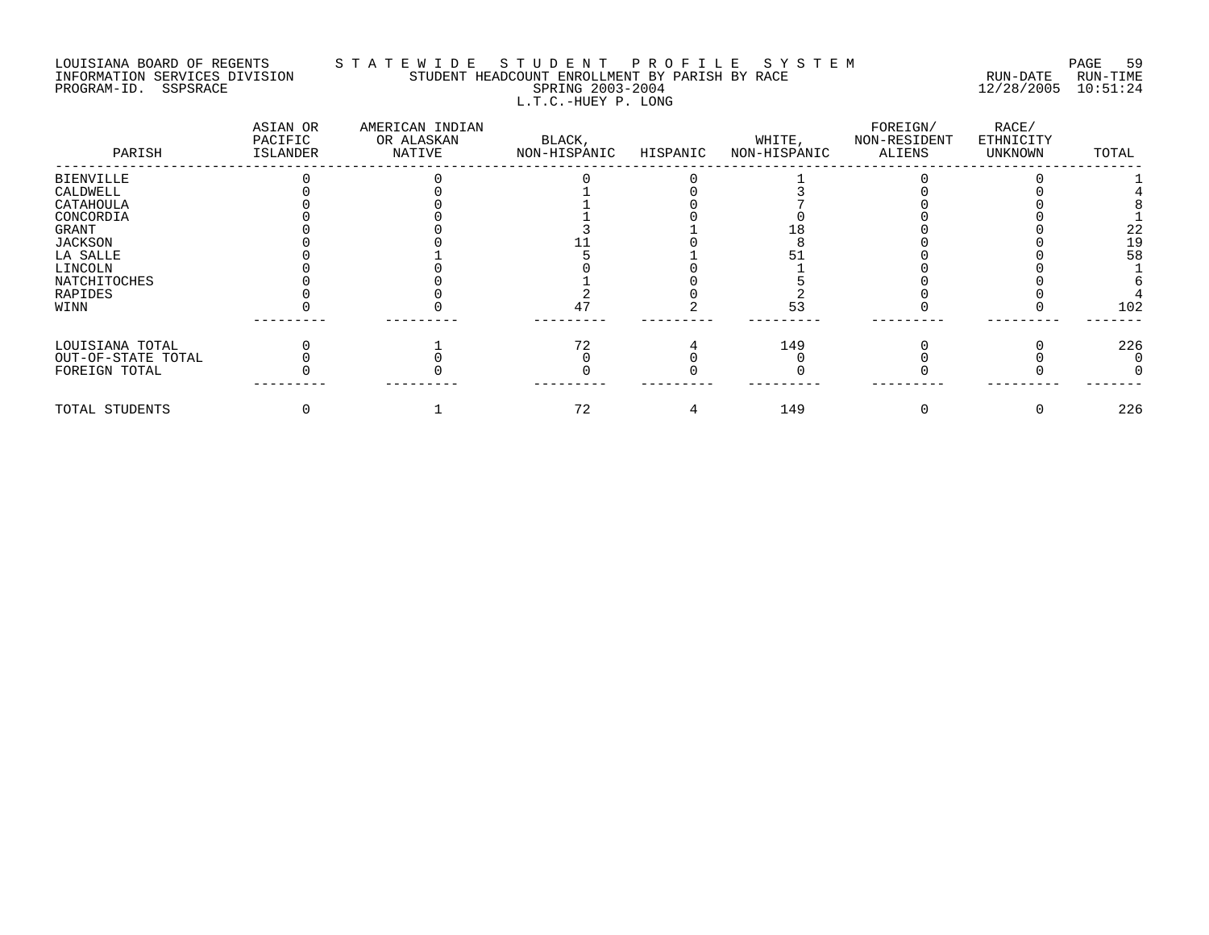## LOUISIANA BOARD OF REGENTS S T A T E W I D E S T U D E N T P R O F I L E S Y S T E M PAGE 59 INFORMATION SERVICES DIVISION STUDENT HEADCOUNT ENROLLMENT BY PARISH BY RACE RUN-DATE RUN-TIME PROGRAM-ID. SSPSRACE SPRING 2003-2004 12/28/2005 10:51:24 L.T.C.-HUEY P. LONG

| PARISH             | ASIAN OR<br>PACIFIC<br><b>ISLANDER</b> | AMERICAN INDIAN<br>OR ALASKAN<br>NATIVE | BLACK,<br>NON-HISPANIC | HISPANIC | WHITE,<br>NON-HISPANIC | FOREIGN/<br>NON-RESIDENT<br>ALIENS | RACE/<br>ETHNICITY<br>UNKNOWN | TOTAL |
|--------------------|----------------------------------------|-----------------------------------------|------------------------|----------|------------------------|------------------------------------|-------------------------------|-------|
| <b>BIENVILLE</b>   |                                        |                                         |                        |          |                        |                                    |                               |       |
| CALDWELL           |                                        |                                         |                        |          |                        |                                    |                               |       |
| CATAHOULA          |                                        |                                         |                        |          |                        |                                    |                               |       |
| CONCORDIA          |                                        |                                         |                        |          |                        |                                    |                               |       |
| GRANT              |                                        |                                         |                        |          |                        |                                    |                               | 22    |
| <b>JACKSON</b>     |                                        |                                         |                        |          |                        |                                    |                               |       |
| LA SALLE           |                                        |                                         |                        |          |                        |                                    |                               | 58    |
| LINCOLN            |                                        |                                         |                        |          |                        |                                    |                               |       |
| NATCHITOCHES       |                                        |                                         |                        |          |                        |                                    |                               |       |
| RAPIDES            |                                        |                                         |                        |          |                        |                                    |                               |       |
| WINN               |                                        |                                         |                        |          |                        |                                    |                               | 102   |
| LOUISIANA TOTAL    |                                        |                                         |                        |          | 149                    |                                    |                               | 226   |
| OUT-OF-STATE TOTAL |                                        |                                         |                        |          |                        |                                    |                               |       |
| FOREIGN TOTAL      |                                        |                                         |                        |          |                        |                                    |                               |       |
| TOTAL STUDENTS     |                                        |                                         | 72                     |          | 149                    |                                    |                               | 226   |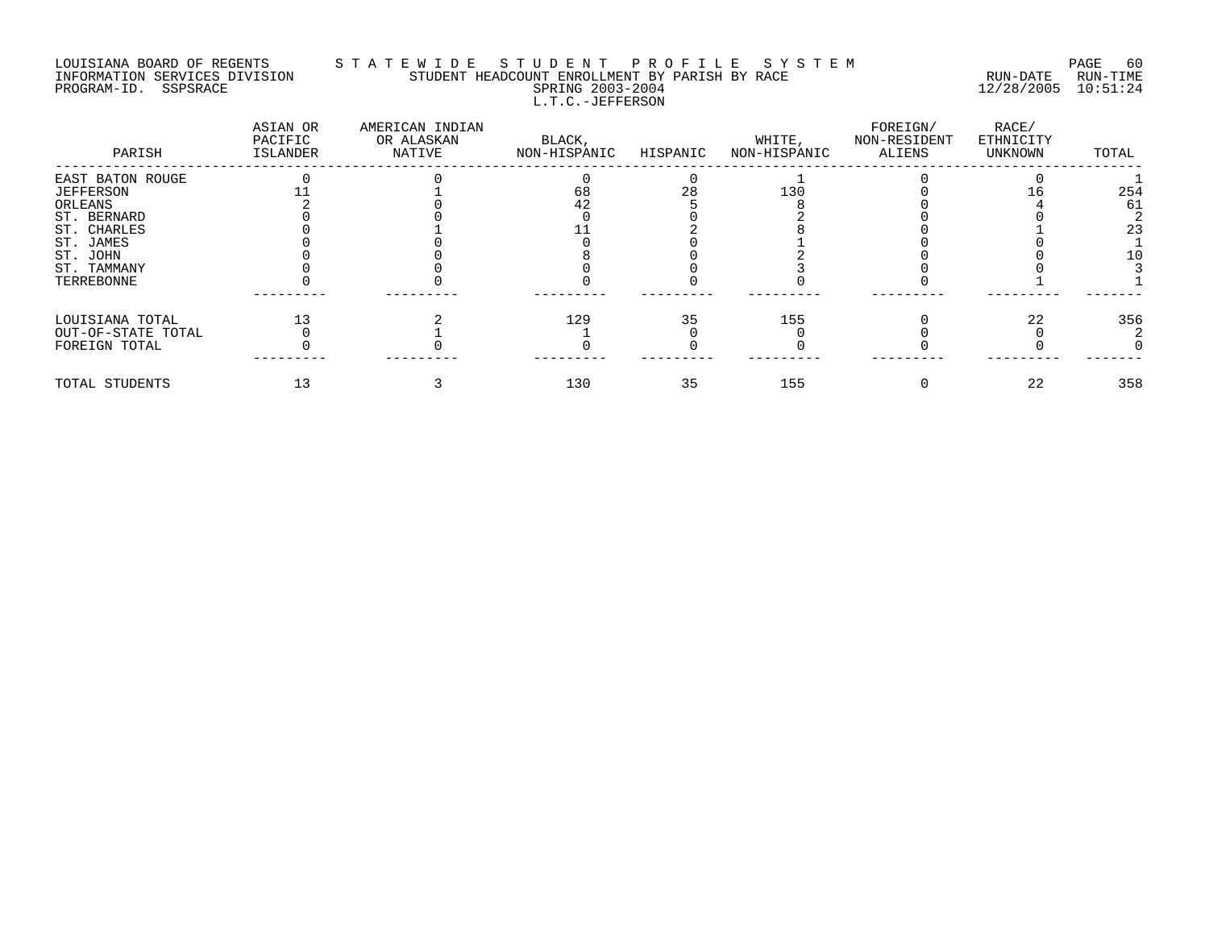#### LOUISIANA BOARD OF REGENTS S T A T E W I D E S T U D E N T P R O F I L E S Y S T E M PAGE 60 INFORMATION SERVICES DIVISION STUDENT HEADCOUNT ENROLLMENT BY PARISH BY RACE RUN-DATE RUN-TIME PROGRAM-ID. SSPSRACE SPRING 2003-2004 12/28/2005 10:51:24 L.T.C.-JEFFERSON

| PARISH             | ASIAN OR<br>PACIFIC<br>ISLANDER | AMERICAN INDIAN<br>OR ALASKAN<br>NATIVE | BLACK,<br>NON-HISPANIC | HISPANIC | WHITE,<br>NON-HISPANIC | FOREIGN/<br>NON-RESIDENT<br>ALIENS | RACE/<br>ETHNICITY<br>UNKNOWN | TOTAL |
|--------------------|---------------------------------|-----------------------------------------|------------------------|----------|------------------------|------------------------------------|-------------------------------|-------|
| EAST BATON ROUGE   |                                 |                                         |                        |          |                        |                                    |                               |       |
| <b>JEFFERSON</b>   |                                 |                                         | 68                     |          | 130                    |                                    |                               | 254   |
| ORLEANS            |                                 |                                         | 42                     |          |                        |                                    |                               | 61    |
| ST. BERNARD        |                                 |                                         |                        |          |                        |                                    |                               |       |
| ST. CHARLES        |                                 |                                         |                        |          |                        |                                    |                               | 23    |
| ST. JAMES          |                                 |                                         |                        |          |                        |                                    |                               |       |
| ST. JOHN           |                                 |                                         |                        |          |                        |                                    |                               |       |
| ST. TAMMANY        |                                 |                                         |                        |          |                        |                                    |                               |       |
| TERREBONNE         |                                 |                                         |                        |          |                        |                                    |                               |       |
| LOUISIANA TOTAL    |                                 |                                         | 129                    | 35       | 155                    |                                    | 22                            | 356   |
| OUT-OF-STATE TOTAL |                                 |                                         |                        |          |                        |                                    |                               |       |
| FOREIGN TOTAL      |                                 |                                         |                        |          |                        |                                    |                               |       |
| TOTAL STUDENTS     |                                 |                                         | 130                    | 35       | 155                    |                                    | 22                            | 358   |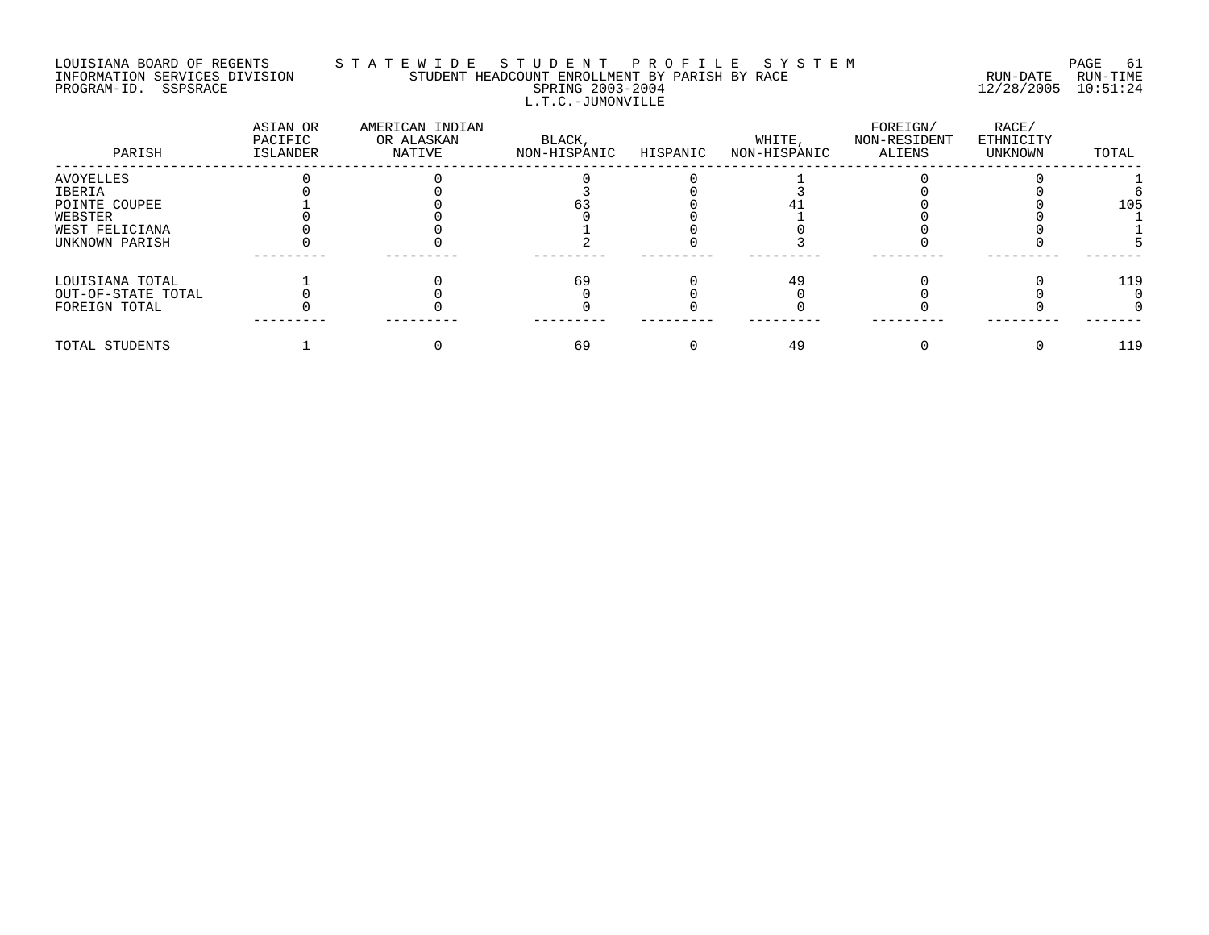# LOUISIANA BOARD OF REGENTS S T A T E W I D E S T U D E N T P R O F I L E S Y S T E M PAGE 61 INFORMATION SERVICES DIVISION STUDENT HEADCOUNT ENROLLMENT BY PARISH BY RACE RUN-DATE RUN-TIME PROGRAM-ID. SSPSRACE SPRING 2003-2004 12/28/2005 10:51:24 L.T.C.-JUMONVILLE

| PARISH             | ASIAN OR<br>PACIFIC<br>ISLANDER | AMERICAN INDIAN<br>OR ALASKAN<br>NATIVE | BLACK,<br>NON-HISPANIC | HISPANIC | WHITE,<br>NON-HISPANIC | FOREIGN/<br>NON-RESIDENT<br>ALIENS | RACE/<br>ETHNICITY<br>UNKNOWN | TOTAL |
|--------------------|---------------------------------|-----------------------------------------|------------------------|----------|------------------------|------------------------------------|-------------------------------|-------|
| AVOYELLES          |                                 |                                         |                        |          |                        |                                    |                               |       |
| IBERIA             |                                 |                                         |                        |          |                        |                                    |                               |       |
| POINTE COUPEE      |                                 |                                         |                        |          |                        |                                    |                               | 105   |
| WEBSTER            |                                 |                                         |                        |          |                        |                                    |                               |       |
| WEST FELICIANA     |                                 |                                         |                        |          |                        |                                    |                               |       |
| UNKNOWN PARISH     |                                 |                                         |                        |          |                        |                                    |                               |       |
| LOUISIANA TOTAL    |                                 |                                         | 69                     |          | 49                     |                                    |                               | 119   |
| OUT-OF-STATE TOTAL |                                 |                                         |                        |          |                        |                                    |                               |       |
| FOREIGN TOTAL      |                                 |                                         |                        |          |                        |                                    |                               |       |
| TOTAL STUDENTS     |                                 |                                         | 69                     |          | 49                     |                                    |                               | 119   |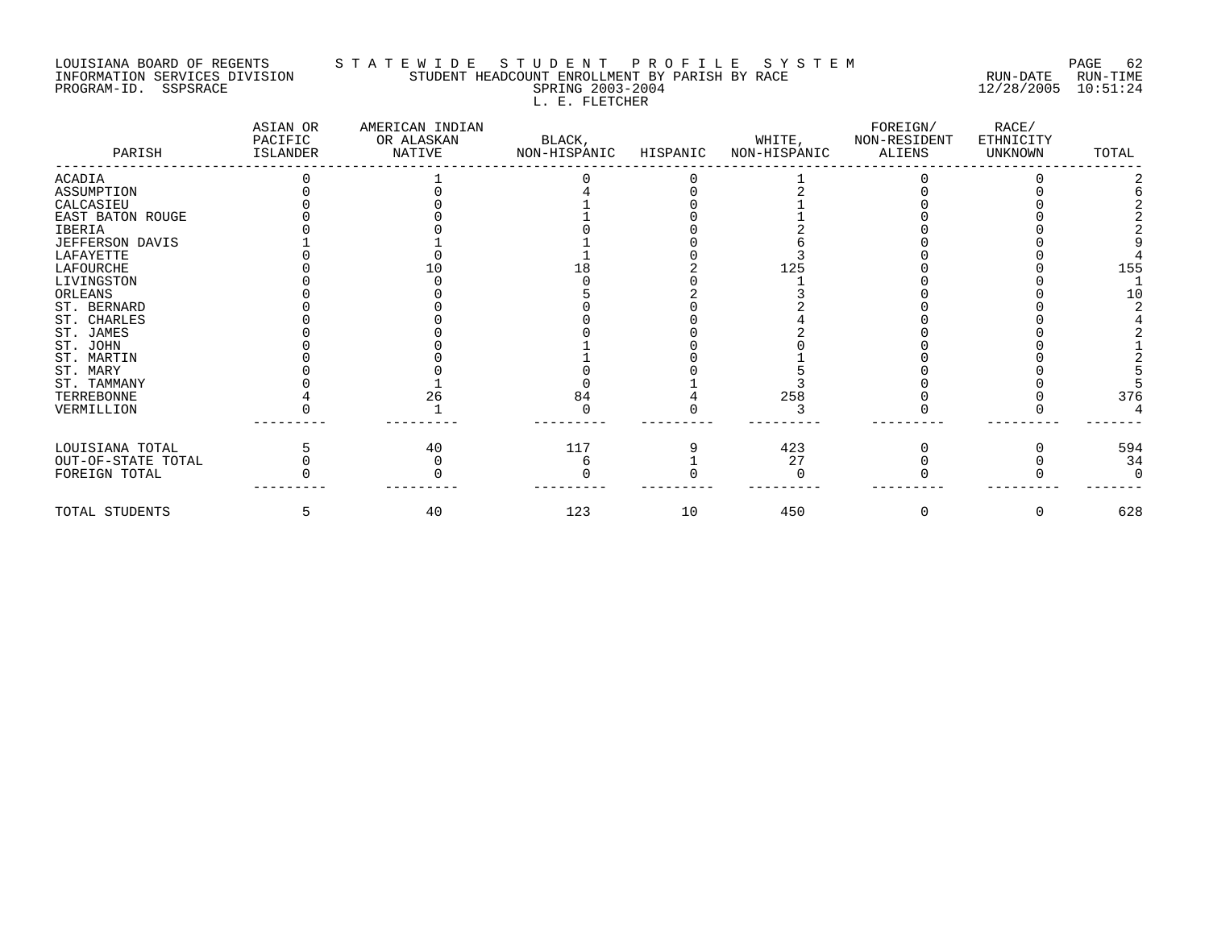#### LOUISIANA BOARD OF REGENTS S T A T E W I D E S T U D E N T P R O F I L E S Y S T E M PAGE 62 INFORMATION SERVICES DIVISION STUDENT HEADCOUNT ENROLLMENT BY PARISH BY RACE RUN-DATE RUN-TIME PROGRAM-ID. SSPSRACE SPRING 2003-2004 12/28/2005 10:51:24 L. E. FLETCHER

| PARISH             | ASIAN OR<br>PACIFIC<br>ISLANDER | AMERICAN INDIAN<br>OR ALASKAN<br>NATIVE | BLACK,<br>NON-HISPANIC | HISPANIC | WHITE,<br>NON-HISPANIC | FOREIGN/<br>NON-RESIDENT<br>ALIENS | RACE/<br>ETHNICITY<br>UNKNOWN | TOTAL |
|--------------------|---------------------------------|-----------------------------------------|------------------------|----------|------------------------|------------------------------------|-------------------------------|-------|
| <b>ACADIA</b>      |                                 |                                         |                        |          |                        |                                    |                               |       |
| ASSUMPTION         |                                 |                                         |                        |          |                        |                                    |                               |       |
| CALCASIEU          |                                 |                                         |                        |          |                        |                                    |                               |       |
| EAST BATON ROUGE   |                                 |                                         |                        |          |                        |                                    |                               |       |
| <b>IBERIA</b>      |                                 |                                         |                        |          |                        |                                    |                               |       |
| JEFFERSON DAVIS    |                                 |                                         |                        |          |                        |                                    |                               |       |
| LAFAYETTE          |                                 |                                         |                        |          |                        |                                    |                               |       |
| LAFOURCHE          |                                 |                                         |                        |          | 125                    |                                    |                               | 155   |
| LIVINGSTON         |                                 |                                         |                        |          |                        |                                    |                               |       |
| ORLEANS            |                                 |                                         |                        |          |                        |                                    |                               | 10    |
| ST. BERNARD        |                                 |                                         |                        |          |                        |                                    |                               |       |
| ST. CHARLES        |                                 |                                         |                        |          |                        |                                    |                               |       |
| ST. JAMES          |                                 |                                         |                        |          |                        |                                    |                               |       |
| ST. JOHN           |                                 |                                         |                        |          |                        |                                    |                               |       |
| ST. MARTIN         |                                 |                                         |                        |          |                        |                                    |                               |       |
| ST. MARY           |                                 |                                         |                        |          |                        |                                    |                               |       |
| ST. TAMMANY        |                                 |                                         |                        |          |                        |                                    |                               |       |
| TERREBONNE         |                                 | 26                                      | 84                     |          | 258                    |                                    |                               | 376   |
| VERMILLION         |                                 |                                         |                        |          |                        |                                    |                               |       |
| LOUISIANA TOTAL    |                                 | 40                                      | 117                    |          | 423                    |                                    |                               | 594   |
| OUT-OF-STATE TOTAL |                                 |                                         |                        |          | 27                     |                                    |                               | 34    |
| FOREIGN TOTAL      |                                 |                                         |                        |          |                        |                                    |                               |       |
| TOTAL STUDENTS     |                                 | 40                                      | 123                    | 10       | 450                    | 0                                  | $\Omega$                      | 628   |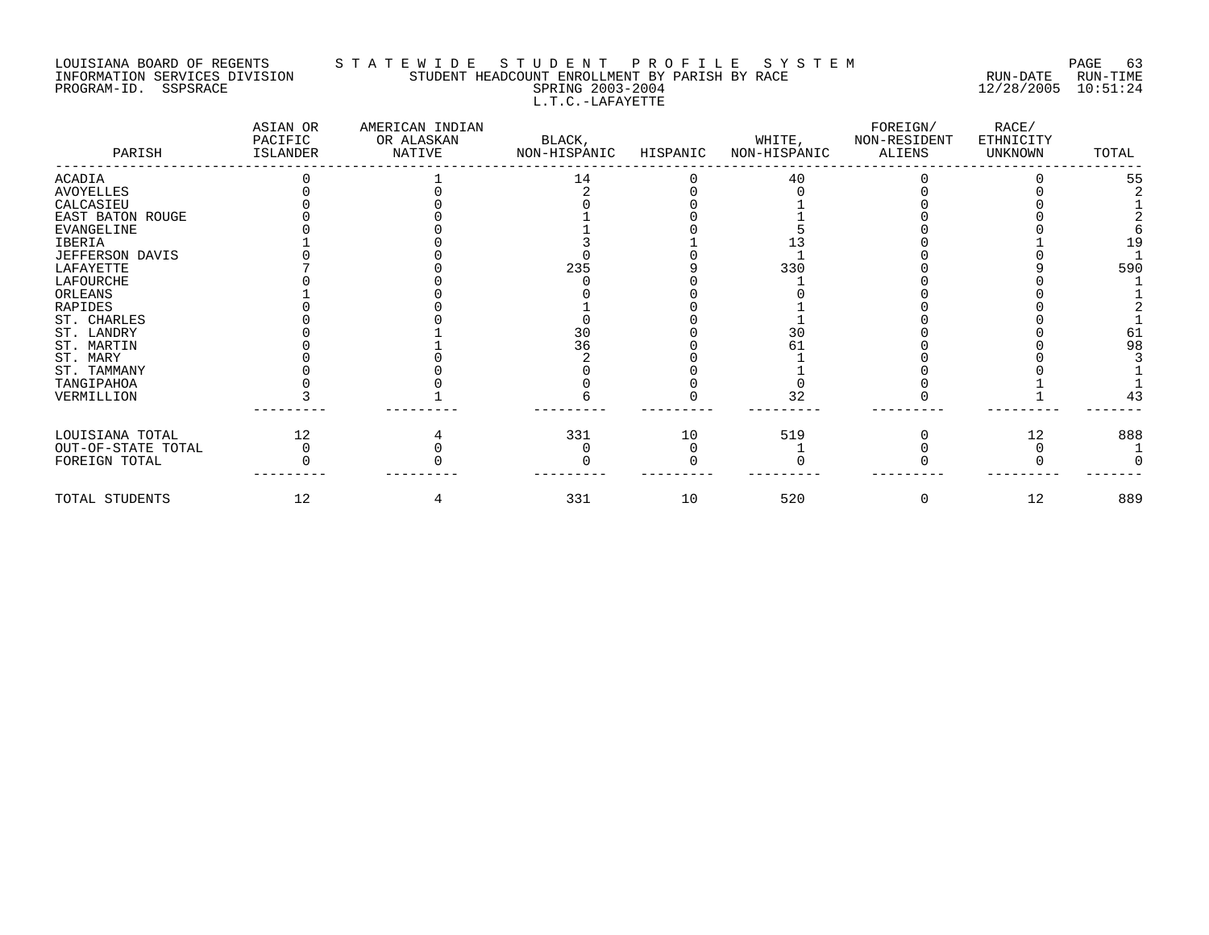# LOUISIANA BOARD OF REGENTS STATEWIDE STUDE NT PROFILE SYSTEM PAGE 63<br>INFORMATION SERVICES DIVISION STUDENT HEADCOUNT ENROLLMENT BY PARISH BY RACE INFORMATION SERVICES DIVISION STUDENT HEADCOUNT ENROLLMENT BY PARISH BY RACE PROGRAM-ID. SSPSRACE SERING 2003-2004 12/28/2005 10:51:24 L.T.C.-LAFAYETTE

| PARISH             | ASIAN OR<br>PACIFIC<br>ISLANDER | AMERICAN INDIAN<br>OR ALASKAN<br>NATIVE | BLACK,<br>NON-HISPANIC | HISPANIC | WHITE,<br>NON-HISPANIC | FOREIGN/<br>NON-RESIDENT<br>ALIENS | RACE/<br>ETHNICITY<br>UNKNOWN | TOTAL |
|--------------------|---------------------------------|-----------------------------------------|------------------------|----------|------------------------|------------------------------------|-------------------------------|-------|
| ACADIA             |                                 |                                         | 14                     |          | 40                     |                                    |                               | 55    |
| AVOYELLES          |                                 |                                         |                        |          |                        |                                    |                               |       |
| CALCASIEU          |                                 |                                         |                        |          |                        |                                    |                               |       |
| EAST BATON ROUGE   |                                 |                                         |                        |          |                        |                                    |                               |       |
| <b>EVANGELINE</b>  |                                 |                                         |                        |          |                        |                                    |                               |       |
| IBERIA             |                                 |                                         |                        |          |                        |                                    |                               | 19    |
| JEFFERSON DAVIS    |                                 |                                         |                        |          |                        |                                    |                               |       |
| LAFAYETTE          |                                 |                                         | 235                    |          | 330                    |                                    |                               | 590   |
| LAFOURCHE          |                                 |                                         |                        |          |                        |                                    |                               |       |
| ORLEANS            |                                 |                                         |                        |          |                        |                                    |                               |       |
| <b>RAPIDES</b>     |                                 |                                         |                        |          |                        |                                    |                               |       |
| ST. CHARLES        |                                 |                                         |                        |          |                        |                                    |                               |       |
| ST. LANDRY         |                                 |                                         | 30                     |          | 30                     |                                    |                               |       |
| ST. MARTIN         |                                 |                                         | 36                     |          |                        |                                    |                               | 98    |
| ST. MARY           |                                 |                                         |                        |          |                        |                                    |                               |       |
| ST. TAMMANY        |                                 |                                         |                        |          |                        |                                    |                               |       |
| TANGIPAHOA         |                                 |                                         |                        |          |                        |                                    |                               |       |
| VERMILLION         |                                 |                                         |                        |          | 32                     |                                    |                               | 43    |
| LOUISIANA TOTAL    | 12                              |                                         | 331                    | 10       | 519                    |                                    | 12                            | 888   |
| OUT-OF-STATE TOTAL |                                 |                                         |                        |          |                        |                                    |                               |       |
| FOREIGN TOTAL      |                                 |                                         |                        |          |                        |                                    |                               |       |
| TOTAL STUDENTS     | 12                              |                                         | 331                    | 10       | 520                    |                                    | 12                            | 889   |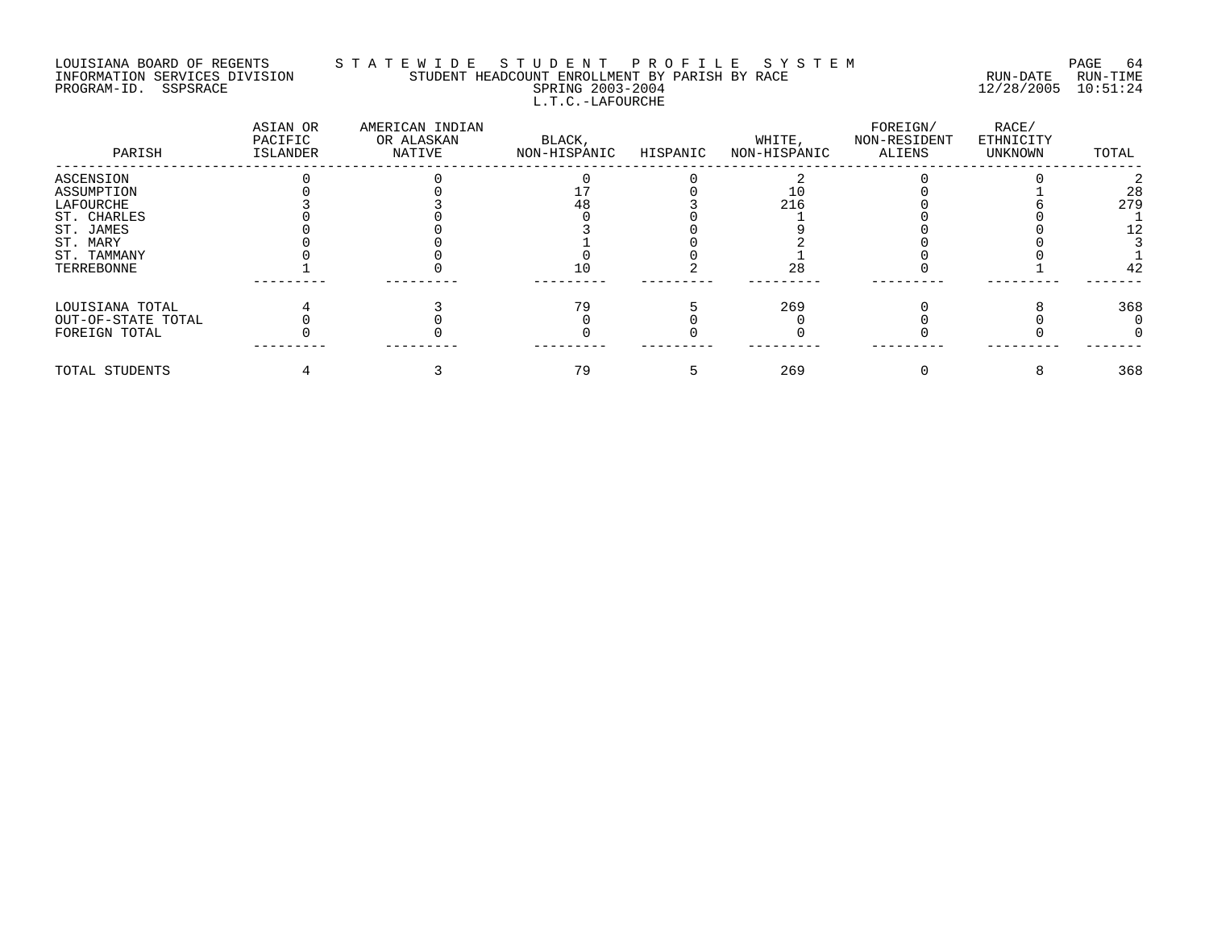#### LOUISIANA BOARD OF REGENTS S T A T E W I D E S T U D E N T P R O F I L E S Y S T E M PAGE 64 INFORMATION SERVICES DIVISION STUDENT HEADCOUNT ENROLLMENT BY PARISH BY RACE RUN-DATE RUN-TIME PROGRAM-ID. SSPSRACE SPRING 2003-2004 12/28/2005 10:51:24 L.T.C.-LAFOURCHE

| PARISH             | ASIAN OR<br>PACIFIC<br>ISLANDER | AMERICAN INDIAN<br>OR ALASKAN<br>NATIVE | BLACK,<br>NON-HISPANIC | HISPANIC | WHITE,<br>NON-HISPANIC | FOREIGN/<br>NON-RESIDENT<br>ALIENS | RACE/<br>ETHNICITY<br>UNKNOWN | TOTAL |
|--------------------|---------------------------------|-----------------------------------------|------------------------|----------|------------------------|------------------------------------|-------------------------------|-------|
| ASCENSION          |                                 |                                         |                        |          |                        |                                    |                               |       |
| ASSUMPTION         |                                 |                                         |                        |          |                        |                                    |                               | 28    |
| LAFOURCHE          |                                 |                                         | 48                     |          | 216                    |                                    |                               | 279   |
| ST. CHARLES        |                                 |                                         |                        |          |                        |                                    |                               |       |
| ST. JAMES          |                                 |                                         |                        |          |                        |                                    |                               |       |
| ST. MARY           |                                 |                                         |                        |          |                        |                                    |                               |       |
| ST. TAMMANY        |                                 |                                         |                        |          |                        |                                    |                               |       |
| TERREBONNE         |                                 |                                         |                        |          | 28                     |                                    |                               | 42    |
|                    |                                 |                                         |                        |          |                        |                                    |                               |       |
| LOUISIANA TOTAL    |                                 |                                         | 79                     |          | 269                    |                                    |                               | 368   |
| OUT-OF-STATE TOTAL |                                 |                                         |                        |          |                        |                                    |                               |       |
| FOREIGN TOTAL      |                                 |                                         |                        |          |                        |                                    |                               |       |
| TOTAL STUDENTS     |                                 |                                         | 79                     |          | 269                    |                                    |                               | 368   |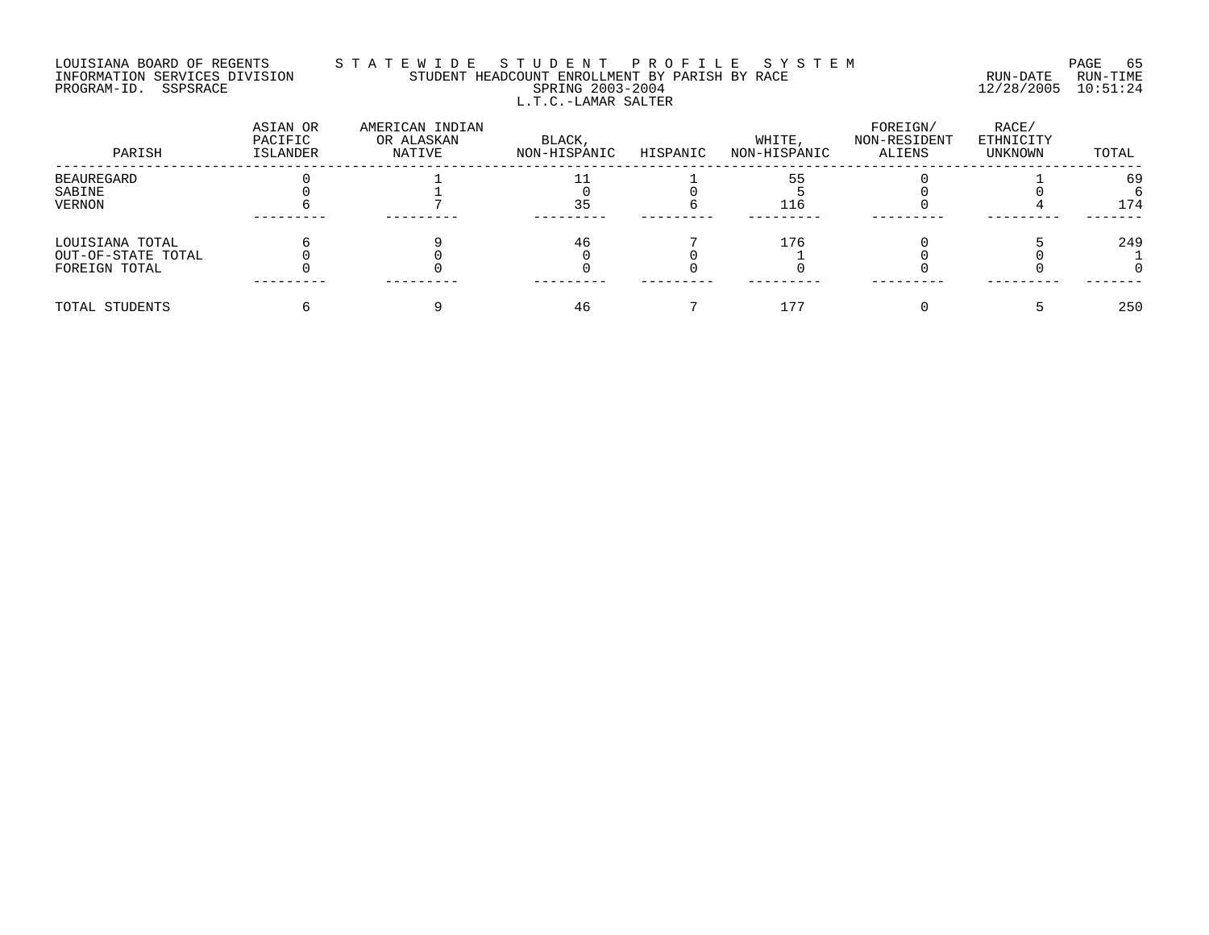# LOUISIANA BOARD OF REGENTS S T A T E W I D E S T U D E N T P R O F I L E S Y S T E M PAGE 65 INFORMATION SERVICES DIVISION STUDENT HEADCOUNT ENROLLMENT BY PARISH BY RACE RUN-DATE RUN-TIME PROGRAM-ID. SSPSRACE SPRING 2003-2004 12/28/2005 10:51:24 L.T.C.-LAMAR SALTER

| PARISH             | ASIAN OR<br>PACIFIC<br><b>ISLANDER</b> | AMERICAN INDIAN<br>OR ALASKAN<br>NATIVE | BLACK,<br>NON-HISPANIC | HISPANIC | WHITE,<br>NON-HISPANIC | FOREIGN/<br>NON-RESIDENT<br>ALIENS | RACE/<br>ETHNICITY<br>UNKNOWN | TOTAL |
|--------------------|----------------------------------------|-----------------------------------------|------------------------|----------|------------------------|------------------------------------|-------------------------------|-------|
| BEAUREGARD         |                                        |                                         |                        |          |                        |                                    |                               | 69    |
| SABINE             |                                        |                                         |                        |          |                        |                                    |                               |       |
| VERNON             |                                        |                                         | 35                     |          | 116                    |                                    |                               | 174   |
|                    |                                        |                                         |                        |          |                        |                                    |                               |       |
| LOUISIANA TOTAL    |                                        |                                         | 46                     |          | 176                    |                                    |                               | 249   |
| OUT-OF-STATE TOTAL |                                        |                                         |                        |          |                        |                                    |                               |       |
| FOREIGN TOTAL      |                                        |                                         |                        |          |                        |                                    |                               |       |
| TOTAL STUDENTS     |                                        |                                         |                        |          |                        |                                    |                               | 250   |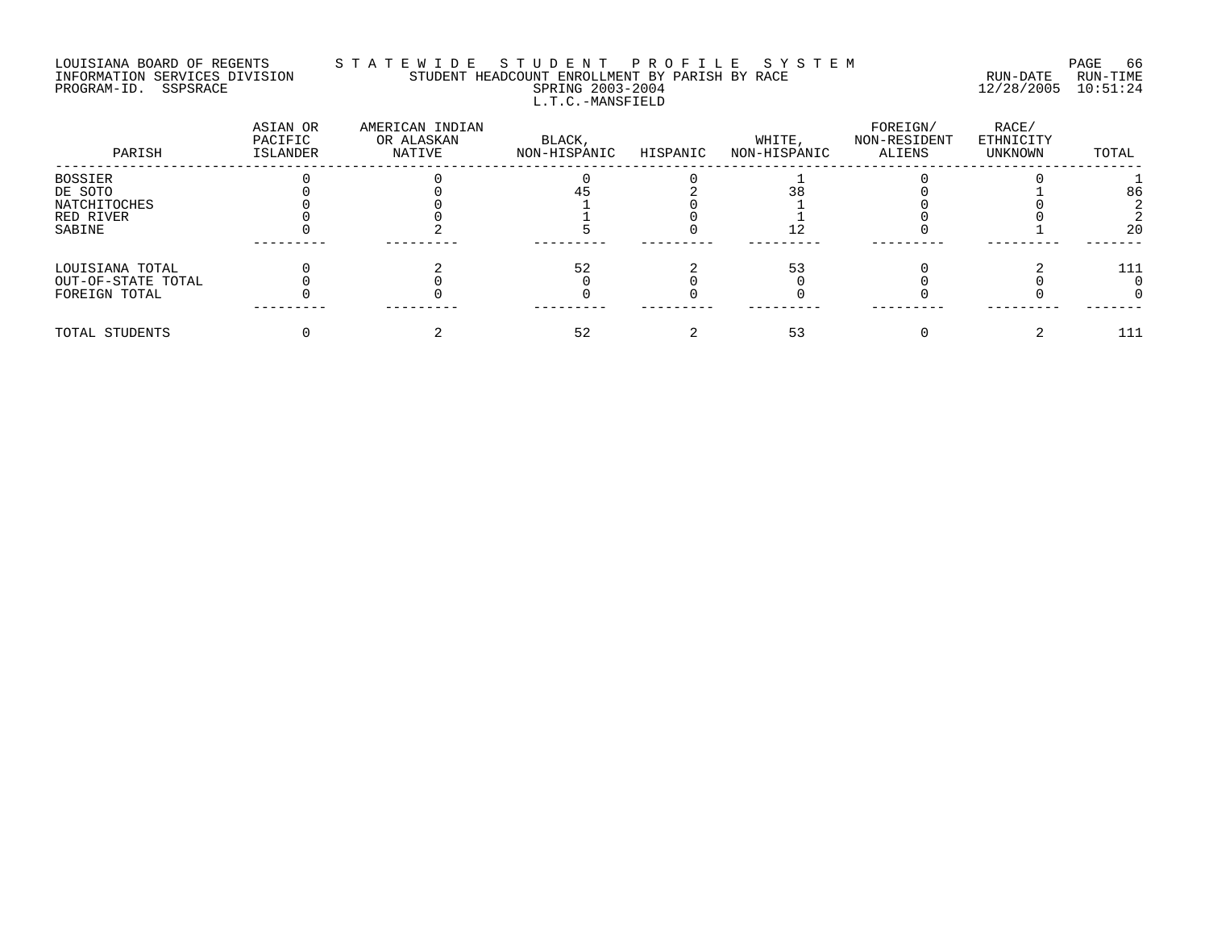## LOUISIANA BOARD OF REGENTS S T A T E W I D E S T U D E N T P R O F I L E S Y S T E M PAGE 66 INFORMATION SERVICES DIVISION STUDENT HEADCOUNT ENROLLMENT BY PARISH BY RACE RUN-DATE RUN-TIME PROGRAM-ID. SSPSRACE SPRING 2003-2004 12/28/2005 10:51:24 L.T.C.-MANSFIELD

| PARISH             | ASIAN OR<br>PACIFIC<br>ISLANDER | AMERICAN INDIAN<br>OR ALASKAN<br>NATIVE | BLACK,<br>NON-HISPANIC | HISPANIC | WHITE,<br>NON-HISPANIC | FOREIGN/<br>NON-RESIDENT<br>ALIENS | RACE/<br>ETHNICITY<br>UNKNOWN | TOTAL |
|--------------------|---------------------------------|-----------------------------------------|------------------------|----------|------------------------|------------------------------------|-------------------------------|-------|
| BOSSIER            |                                 |                                         |                        |          |                        |                                    |                               |       |
| DE SOTO            |                                 |                                         |                        |          |                        |                                    |                               | 86    |
| NATCHITOCHES       |                                 |                                         |                        |          |                        |                                    |                               |       |
| RED RIVER          |                                 |                                         |                        |          |                        |                                    |                               |       |
| SABINE             |                                 |                                         |                        |          |                        |                                    |                               | 20    |
| LOUISIANA TOTAL    |                                 |                                         |                        |          |                        |                                    |                               | 111   |
| OUT-OF-STATE TOTAL |                                 |                                         |                        |          |                        |                                    |                               |       |
| FOREIGN TOTAL      |                                 |                                         |                        |          |                        |                                    |                               |       |
| TOTAL STUDENTS     |                                 |                                         | 52                     |          |                        |                                    |                               | 111   |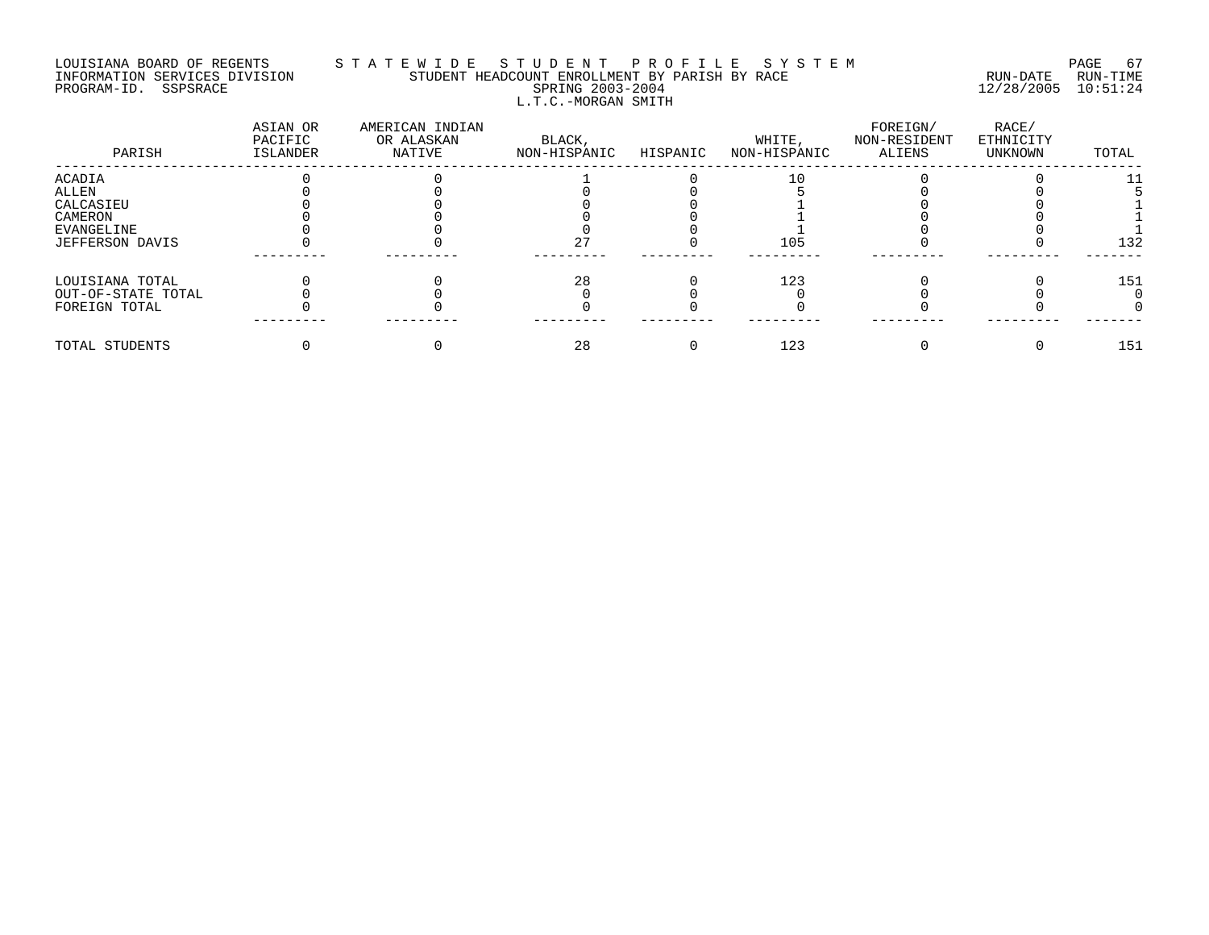# LOUISIANA BOARD OF REGENTS S T A T E W I D E S T U D E N T P R O F I L E S Y S T E M PAGE 67 INFORMATION SERVICES DIVISION STUDENT HEADCOUNT ENROLLMENT BY PARISH BY RACE RUN-DATE RUN-TIME PROGRAM-ID. SSPSRACE SPRING 2003-2004 12/28/2005 10:51:24 L.T.C.-MORGAN SMITH

| PARISH             | ASIAN OR<br>PACIFIC<br>ISLANDER | AMERICAN INDIAN<br>OR ALASKAN<br>NATIVE | BLACK,<br>NON-HISPANIC | HISPANIC | WHITE,<br>NON-HISPANIC | FOREIGN/<br>NON-RESIDENT<br>ALIENS | RACE/<br>ETHNICITY<br>UNKNOWN | TOTAL |
|--------------------|---------------------------------|-----------------------------------------|------------------------|----------|------------------------|------------------------------------|-------------------------------|-------|
| ACADIA             |                                 |                                         |                        |          |                        |                                    |                               |       |
| ALLEN              |                                 |                                         |                        |          |                        |                                    |                               |       |
| CALCASIEU          |                                 |                                         |                        |          |                        |                                    |                               |       |
| CAMERON            |                                 |                                         |                        |          |                        |                                    |                               |       |
| EVANGELINE         |                                 |                                         |                        |          |                        |                                    |                               |       |
| JEFFERSON DAVIS    |                                 |                                         | 27                     |          | 105                    |                                    |                               | 132   |
| LOUISIANA TOTAL    |                                 |                                         | 28                     |          | 123                    |                                    |                               | 151   |
| OUT-OF-STATE TOTAL |                                 |                                         |                        |          |                        |                                    |                               |       |
| FOREIGN TOTAL      |                                 |                                         |                        |          |                        |                                    |                               |       |
| TOTAL STUDENTS     |                                 |                                         | 28                     |          | 123                    |                                    |                               | 151   |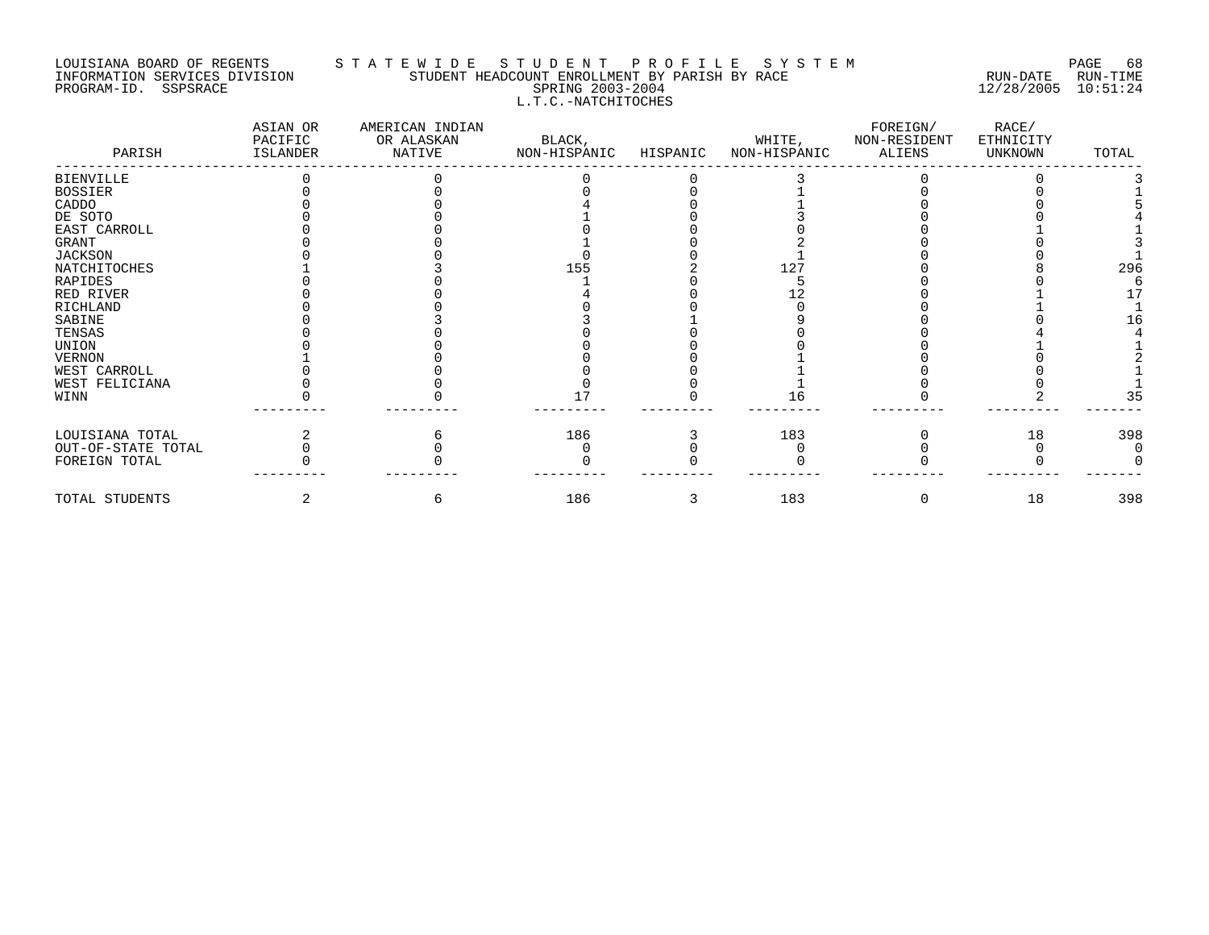# LOUISIANA BOARD OF REGENTS STATEWIDE STUDENT PROFILE SYSTEM NAGE 68 INFORMATION SERVICES DIVISION STUDENT HEADCOUNT ENROLLMENT BY PARISH BY RACE RUN-DATE RUN-TIME PROGRAM-ID. SSPSRACE SPRING 2003-2004 12/28/2005 10:51:24 L.T.C.-NATCHITOCHES

| PARISH             | ASIAN OR<br>PACIFIC<br>ISLANDER | AMERICAN INDIAN<br>OR ALASKAN<br>NATIVE | BLACK,<br>NON-HISPANIC | HISPANIC | WHITE,<br>NON-HISPANIC | FOREIGN/<br>NON-RESIDENT<br>ALIENS | RACE/<br>ETHNICITY<br>UNKNOWN | TOTAL |
|--------------------|---------------------------------|-----------------------------------------|------------------------|----------|------------------------|------------------------------------|-------------------------------|-------|
| <b>BIENVILLE</b>   |                                 |                                         |                        |          |                        |                                    |                               |       |
| <b>BOSSIER</b>     |                                 |                                         |                        |          |                        |                                    |                               |       |
| CADDO              |                                 |                                         |                        |          |                        |                                    |                               |       |
| DE SOTO            |                                 |                                         |                        |          |                        |                                    |                               |       |
| EAST CARROLL       |                                 |                                         |                        |          |                        |                                    |                               |       |
| GRANT              |                                 |                                         |                        |          |                        |                                    |                               |       |
| <b>JACKSON</b>     |                                 |                                         |                        |          |                        |                                    |                               |       |
| NATCHITOCHES       |                                 |                                         | 155                    |          | 127                    |                                    |                               | 296   |
| RAPIDES            |                                 |                                         |                        |          |                        |                                    |                               |       |
| RED RIVER          |                                 |                                         |                        |          |                        |                                    |                               | 17    |
| RICHLAND           |                                 |                                         |                        |          |                        |                                    |                               |       |
| SABINE             |                                 |                                         |                        |          |                        |                                    |                               | 16    |
| TENSAS             |                                 |                                         |                        |          |                        |                                    |                               |       |
| UNION              |                                 |                                         |                        |          |                        |                                    |                               |       |
| <b>VERNON</b>      |                                 |                                         |                        |          |                        |                                    |                               |       |
| WEST CARROLL       |                                 |                                         |                        |          |                        |                                    |                               |       |
| WEST FELICIANA     |                                 |                                         |                        |          |                        |                                    |                               |       |
| WINN               |                                 |                                         |                        |          |                        |                                    |                               | 35    |
| LOUISIANA TOTAL    |                                 |                                         | 186                    |          | 183                    |                                    | 18                            | 398   |
| OUT-OF-STATE TOTAL |                                 |                                         |                        |          |                        |                                    |                               |       |
| FOREIGN TOTAL      |                                 |                                         |                        |          |                        |                                    |                               |       |
| TOTAL STUDENTS     |                                 | ь                                       | 186                    | 3        | 183                    |                                    | 18                            | 398   |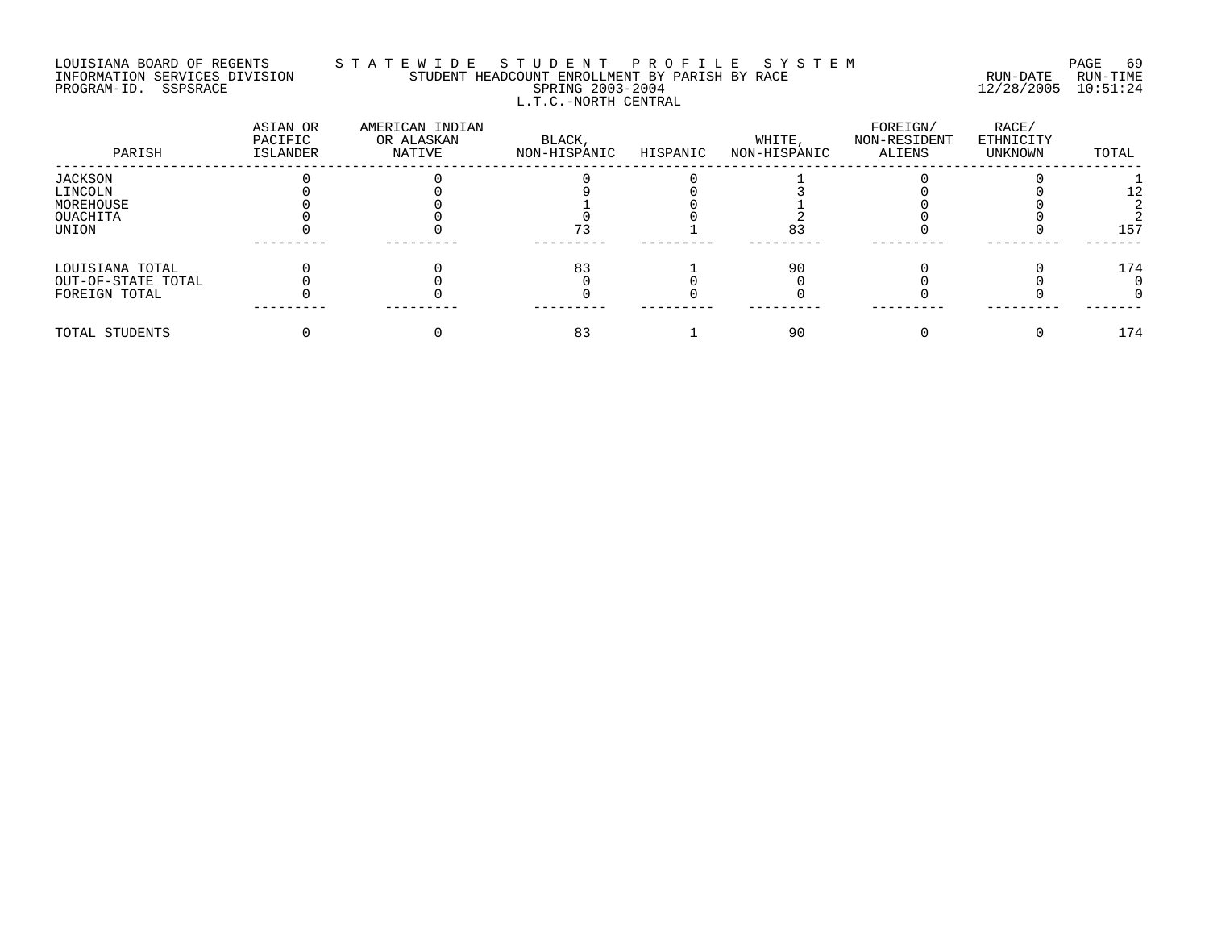# LOUISIANA BOARD OF REGENTS S T A T E W I D E S T U D E N T P R O F I L E S Y S T E M PAGE 69 INFORMATION SERVICES DIVISION STUDENT HEADCOUNT ENROLLMENT BY PARISH BY RACE RUN-DATE RUN-TIME PROGRAM-ID. SSPSRACE SPRING 2003-2004 12/28/2005 10:51:24 L.T.C.-NORTH CENTRAL

| PARISH             | ASIAN OR<br>PACIFIC<br>ISLANDER | AMERICAN INDIAN<br>OR ALASKAN<br>NATIVE | BLACK,<br>NON-HISPANIC | HISPANIC | WHITE,<br>NON-HISPANIC | FOREIGN/<br>NON-RESIDENT<br>ALIENS | RACE/<br>ETHNICITY<br>UNKNOWN | TOTAL |
|--------------------|---------------------------------|-----------------------------------------|------------------------|----------|------------------------|------------------------------------|-------------------------------|-------|
| JACKSON            |                                 |                                         |                        |          |                        |                                    |                               |       |
| LINCOLN            |                                 |                                         |                        |          |                        |                                    |                               |       |
| MOREHOUSE          |                                 |                                         |                        |          |                        |                                    |                               |       |
| OUACHITA           |                                 |                                         |                        |          |                        |                                    |                               |       |
| UNION              |                                 |                                         |                        |          | 83                     |                                    |                               | 157   |
| LOUISIANA TOTAL    |                                 |                                         | 83                     |          | -90                    |                                    |                               | 174   |
| OUT-OF-STATE TOTAL |                                 |                                         |                        |          |                        |                                    |                               |       |
| FOREIGN TOTAL      |                                 |                                         |                        |          |                        |                                    |                               |       |
| TOTAL STUDENTS     |                                 |                                         | 83                     |          | 90                     |                                    |                               | 174   |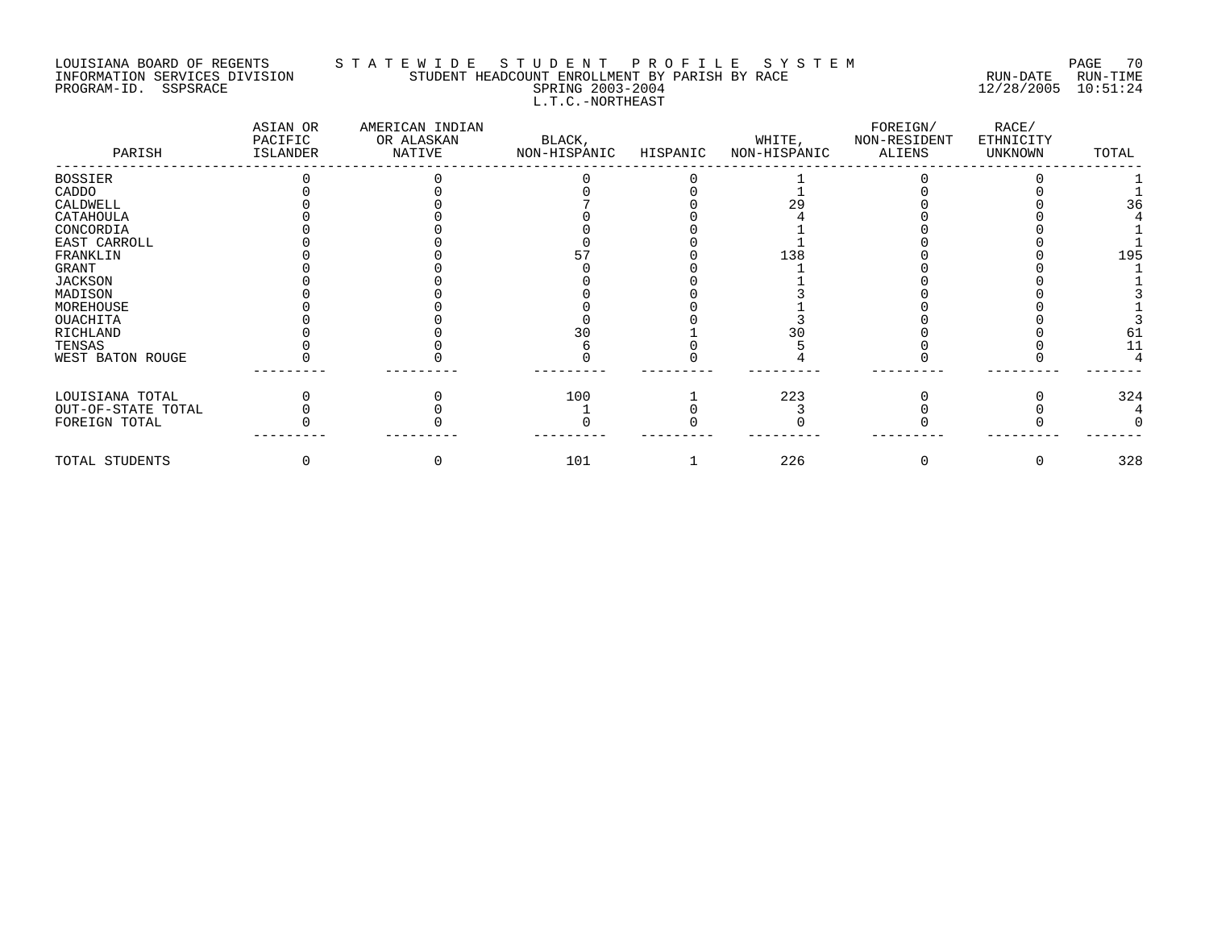### LOUISIANA BOARD OF REGENTS S T A T E W I D E S T U D E N T P R O F I L E S Y S T E M PAGE 70 INFORMATION SERVICES DIVISION STUDENT HEADCOUNT ENROLLMENT BY PARISH BY RACE RUN-DATE RUN-TIME PROGRAM-ID. SSPSRACE SPRING 2003-2004 12/28/2005 10:51:24 L.T.C.-NORTHEAST

| PARISH             | ASIAN OR<br>PACIFIC<br>ISLANDER | AMERICAN INDIAN<br>OR ALASKAN<br>NATIVE | BLACK,<br>NON-HISPANIC | HISPANIC | WHITE,<br>NON-HISPANIC | FOREIGN/<br>NON-RESIDENT<br>ALIENS | RACE/<br>ETHNICITY<br>UNKNOWN | TOTAL |
|--------------------|---------------------------------|-----------------------------------------|------------------------|----------|------------------------|------------------------------------|-------------------------------|-------|
| BOSSIER            |                                 |                                         |                        |          |                        |                                    |                               |       |
| CADDO              |                                 |                                         |                        |          |                        |                                    |                               |       |
| CALDWELL           |                                 |                                         |                        |          |                        |                                    |                               | 36    |
| CATAHOULA          |                                 |                                         |                        |          |                        |                                    |                               |       |
| CONCORDIA          |                                 |                                         |                        |          |                        |                                    |                               |       |
| EAST CARROLL       |                                 |                                         |                        |          |                        |                                    |                               |       |
| FRANKLIN           |                                 |                                         |                        |          | 138                    |                                    |                               | 195   |
| GRANT              |                                 |                                         |                        |          |                        |                                    |                               |       |
| JACKSON            |                                 |                                         |                        |          |                        |                                    |                               |       |
| MADISON            |                                 |                                         |                        |          |                        |                                    |                               |       |
| MOREHOUSE          |                                 |                                         |                        |          |                        |                                    |                               |       |
| OUACHITA           |                                 |                                         |                        |          |                        |                                    |                               |       |
| RICHLAND           |                                 |                                         |                        |          |                        |                                    |                               | 61    |
| TENSAS             |                                 |                                         |                        |          |                        |                                    |                               |       |
| WEST BATON ROUGE   |                                 |                                         |                        |          |                        |                                    |                               |       |
| LOUISIANA TOTAL    |                                 |                                         | 100                    |          | 223                    |                                    |                               | 324   |
| OUT-OF-STATE TOTAL |                                 |                                         |                        |          |                        |                                    |                               |       |
| FOREIGN TOTAL      |                                 |                                         |                        |          |                        |                                    |                               |       |
| TOTAL STUDENTS     |                                 |                                         | 101                    |          | 226                    |                                    |                               | 328   |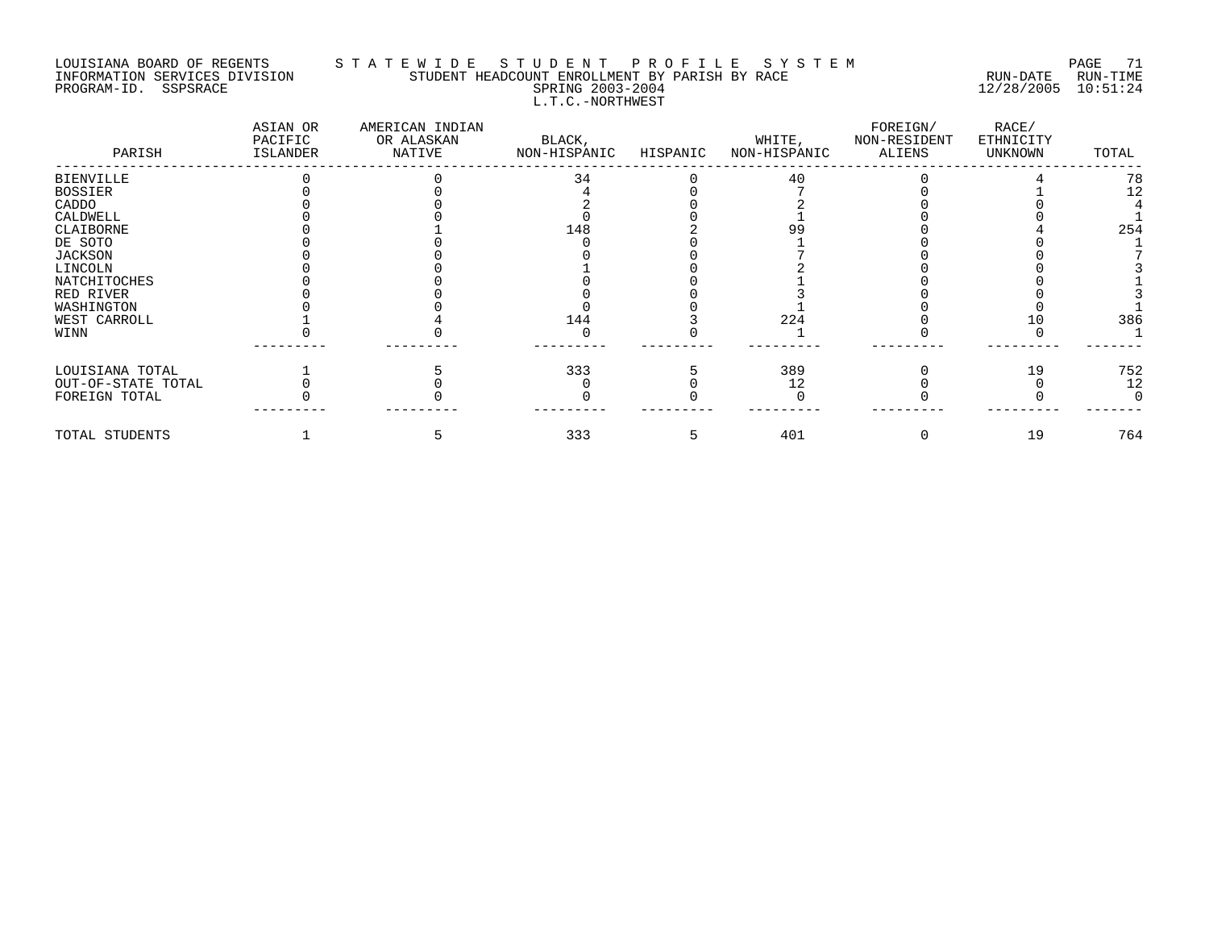### LOUISIANA BOARD OF REGENTS S T A T E W I D E S T U D E N T P R O F I L E S Y S T E M PAGE 71 INFORMATION SERVICES DIVISION STUDENT HEADCOUNT ENROLLMENT BY PARISH BY RACE RUN-DATE RUN-TIME PROGRAM-ID. SSPSRACE SPRING 2003-2004 12/28/2005 10:51:24 L.T.C.-NORTHWEST

| PARISH             | ASIAN OR<br>PACIFIC<br>ISLANDER | AMERICAN INDIAN<br>OR ALASKAN<br>NATIVE | BLACK,<br>NON-HISPANIC | HISPANIC | WHITE,<br>NON-HISPANIC | FOREIGN/<br>NON-RESIDENT<br>ALIENS | RACE/<br>ETHNICITY<br>UNKNOWN | TOTAL |
|--------------------|---------------------------------|-----------------------------------------|------------------------|----------|------------------------|------------------------------------|-------------------------------|-------|
| <b>BIENVILLE</b>   |                                 |                                         | 34                     |          | 40                     |                                    |                               | 78    |
| <b>BOSSIER</b>     |                                 |                                         |                        |          |                        |                                    |                               | 12    |
| CADDO              |                                 |                                         |                        |          |                        |                                    |                               |       |
| CALDWELL           |                                 |                                         |                        |          |                        |                                    |                               |       |
| CLAIBORNE          |                                 |                                         | 148                    |          |                        |                                    |                               | 254   |
| DE SOTO            |                                 |                                         |                        |          |                        |                                    |                               |       |
| <b>JACKSON</b>     |                                 |                                         |                        |          |                        |                                    |                               |       |
| LINCOLN            |                                 |                                         |                        |          |                        |                                    |                               |       |
| NATCHITOCHES       |                                 |                                         |                        |          |                        |                                    |                               |       |
| RED RIVER          |                                 |                                         |                        |          |                        |                                    |                               |       |
| WASHINGTON         |                                 |                                         |                        |          |                        |                                    |                               |       |
| WEST CARROLL       |                                 |                                         | 144                    |          | 224                    |                                    |                               | 386   |
| WINN               |                                 |                                         |                        |          |                        |                                    |                               |       |
| LOUISIANA TOTAL    |                                 |                                         | 333                    |          | 389                    |                                    | 19                            | 752   |
| OUT-OF-STATE TOTAL |                                 |                                         |                        |          | 12                     |                                    |                               | 12    |
| FOREIGN TOTAL      |                                 |                                         |                        |          |                        |                                    |                               |       |
| TOTAL STUDENTS     |                                 |                                         | 333                    |          | 401                    |                                    | 19                            | 764   |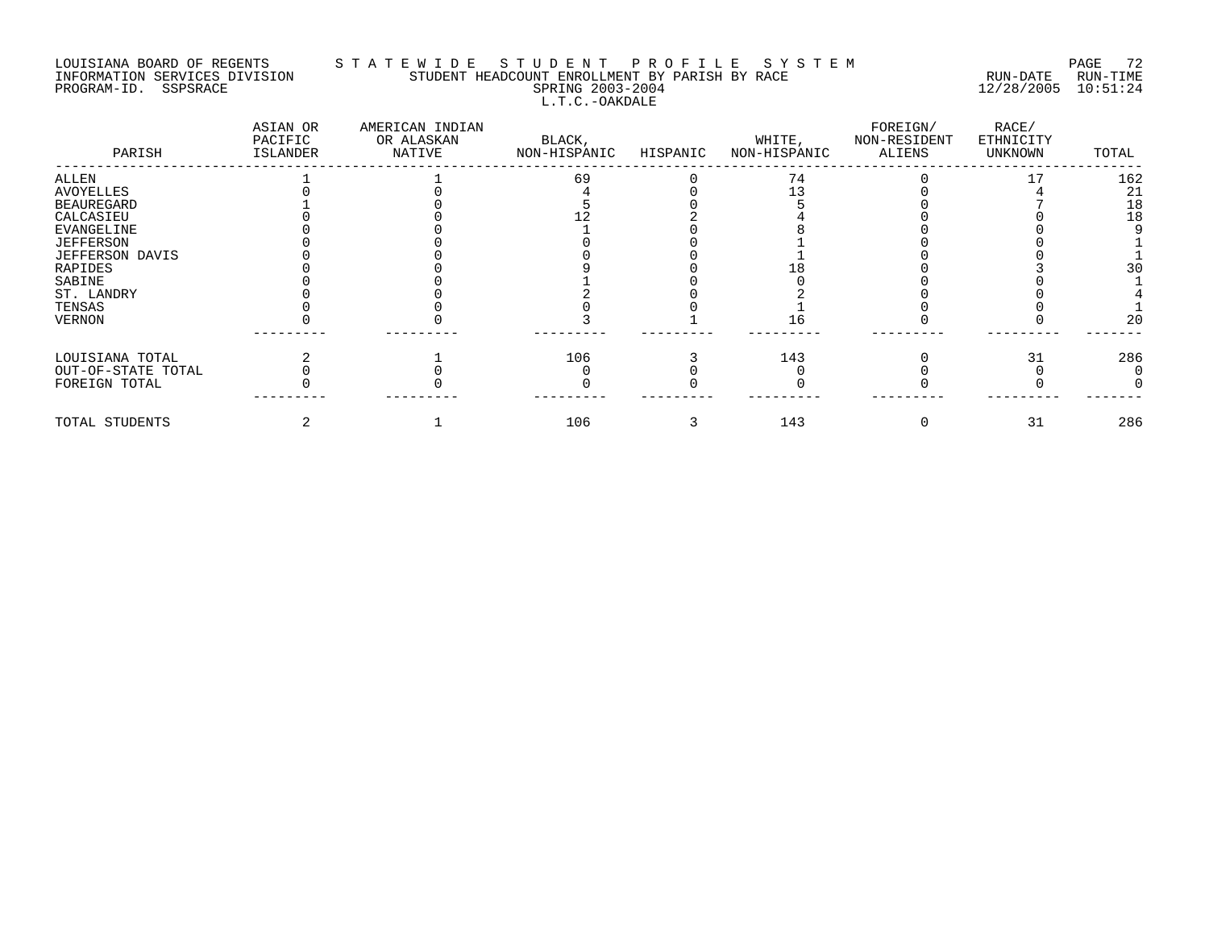# LOUISIANA BOARD OF REGENTS S T A T E W I D E S T U D E N T P R O F I L E S Y S T E M PAGE 72 INFORMATION SERVICES DIVISION STUDENT HEADCOUNT ENROLLMENT BY PARISH BY RACE RUN-DATE RUN-TIME PROGRAM-ID. SSPSRACE SPRING 2003-2004 12/28/2005 10:51:24 L.T.C.-OAKDALE

| PARISH             | ASIAN OR<br>PACIFIC<br>ISLANDER | AMERICAN INDIAN<br>OR ALASKAN<br>NATIVE | BLACK,<br>NON-HISPANIC | HISPANIC | WHITE,<br>NON-HISPANIC | FOREIGN/<br>NON-RESIDENT<br>ALIENS | RACE/<br>ETHNICITY<br>UNKNOWN | TOTAL |
|--------------------|---------------------------------|-----------------------------------------|------------------------|----------|------------------------|------------------------------------|-------------------------------|-------|
| ALLEN              |                                 |                                         | 69                     |          | 74                     |                                    |                               | 162   |
| AVOYELLES          |                                 |                                         |                        |          |                        |                                    |                               | 21    |
| <b>BEAUREGARD</b>  |                                 |                                         |                        |          |                        |                                    |                               | 18    |
| CALCASIEU          |                                 |                                         |                        |          |                        |                                    |                               | 18    |
| <b>EVANGELINE</b>  |                                 |                                         |                        |          |                        |                                    |                               |       |
| JEFFERSON          |                                 |                                         |                        |          |                        |                                    |                               |       |
| JEFFERSON DAVIS    |                                 |                                         |                        |          |                        |                                    |                               |       |
| <b>RAPIDES</b>     |                                 |                                         |                        |          |                        |                                    |                               |       |
| SABINE             |                                 |                                         |                        |          |                        |                                    |                               |       |
| ST. LANDRY         |                                 |                                         |                        |          |                        |                                    |                               |       |
| TENSAS             |                                 |                                         |                        |          |                        |                                    |                               |       |
| <b>VERNON</b>      |                                 |                                         |                        |          |                        |                                    |                               | 20    |
| LOUISIANA TOTAL    |                                 |                                         | 106                    |          | 143                    |                                    | 31                            | 286   |
| OUT-OF-STATE TOTAL |                                 |                                         |                        |          |                        |                                    |                               |       |
| FOREIGN TOTAL      |                                 |                                         |                        |          |                        |                                    |                               |       |
| TOTAL STUDENTS     |                                 |                                         | 106                    |          | 143                    |                                    | 31                            | 286   |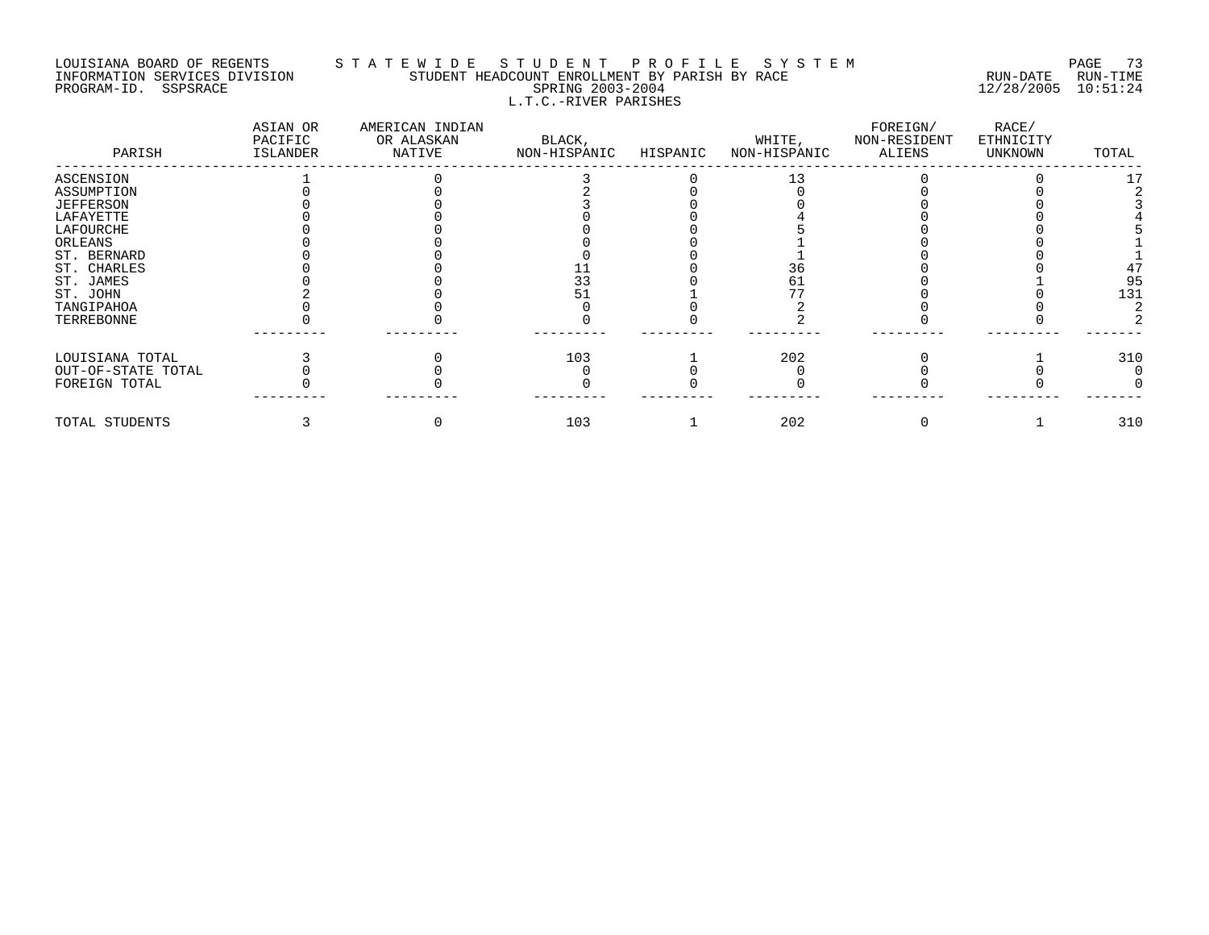### LOUISIANA BOARD OF REGENTS S T A T E W I D E S T U D E N T P R O F I L E S Y S T E M PAGE 73 INFORMATION SERVICES DIVISION STUDENT HEADCOUNT ENROLLMENT BY PARISH BY RACE RUN-DATE RUN-TIME PROGRAM-ID. SSPSRACE SPRING 2003-2004 12/28/2005 10:51:24 L.T.C.-RIVER PARISHES

| PARISH             | ASIAN OR<br>PACIFIC<br>ISLANDER | AMERICAN INDIAN<br>OR ALASKAN<br>NATIVE | BLACK,<br>NON-HISPANIC | HISPANIC | WHITE,<br>NON-HISPANIC | FOREIGN/<br>NON-RESIDENT<br><b>ALIENS</b> | RACE/<br>ETHNICITY<br>UNKNOWN | TOTAL |
|--------------------|---------------------------------|-----------------------------------------|------------------------|----------|------------------------|-------------------------------------------|-------------------------------|-------|
| ASCENSION          |                                 |                                         |                        |          |                        |                                           |                               |       |
| ASSUMPTION         |                                 |                                         |                        |          |                        |                                           |                               |       |
| <b>JEFFERSON</b>   |                                 |                                         |                        |          |                        |                                           |                               |       |
| LAFAYETTE          |                                 |                                         |                        |          |                        |                                           |                               |       |
| LAFOURCHE          |                                 |                                         |                        |          |                        |                                           |                               |       |
| ORLEANS            |                                 |                                         |                        |          |                        |                                           |                               |       |
| ST. BERNARD        |                                 |                                         |                        |          |                        |                                           |                               |       |
| ST. CHARLES        |                                 |                                         |                        |          |                        |                                           |                               | 47    |
| ST. JAMES          |                                 |                                         | 33                     |          |                        |                                           |                               | 95    |
| ST. JOHN           |                                 |                                         |                        |          |                        |                                           |                               | 131   |
| TANGIPAHOA         |                                 |                                         |                        |          |                        |                                           |                               |       |
| TERREBONNE         |                                 |                                         |                        |          |                        |                                           |                               |       |
| LOUISIANA TOTAL    |                                 |                                         | 103                    |          | 202                    |                                           |                               | 310   |
| OUT-OF-STATE TOTAL |                                 |                                         |                        |          |                        |                                           |                               |       |
| FOREIGN TOTAL      |                                 |                                         |                        |          |                        |                                           |                               |       |
| TOTAL STUDENTS     |                                 |                                         | 103                    |          | 202                    |                                           |                               | 310   |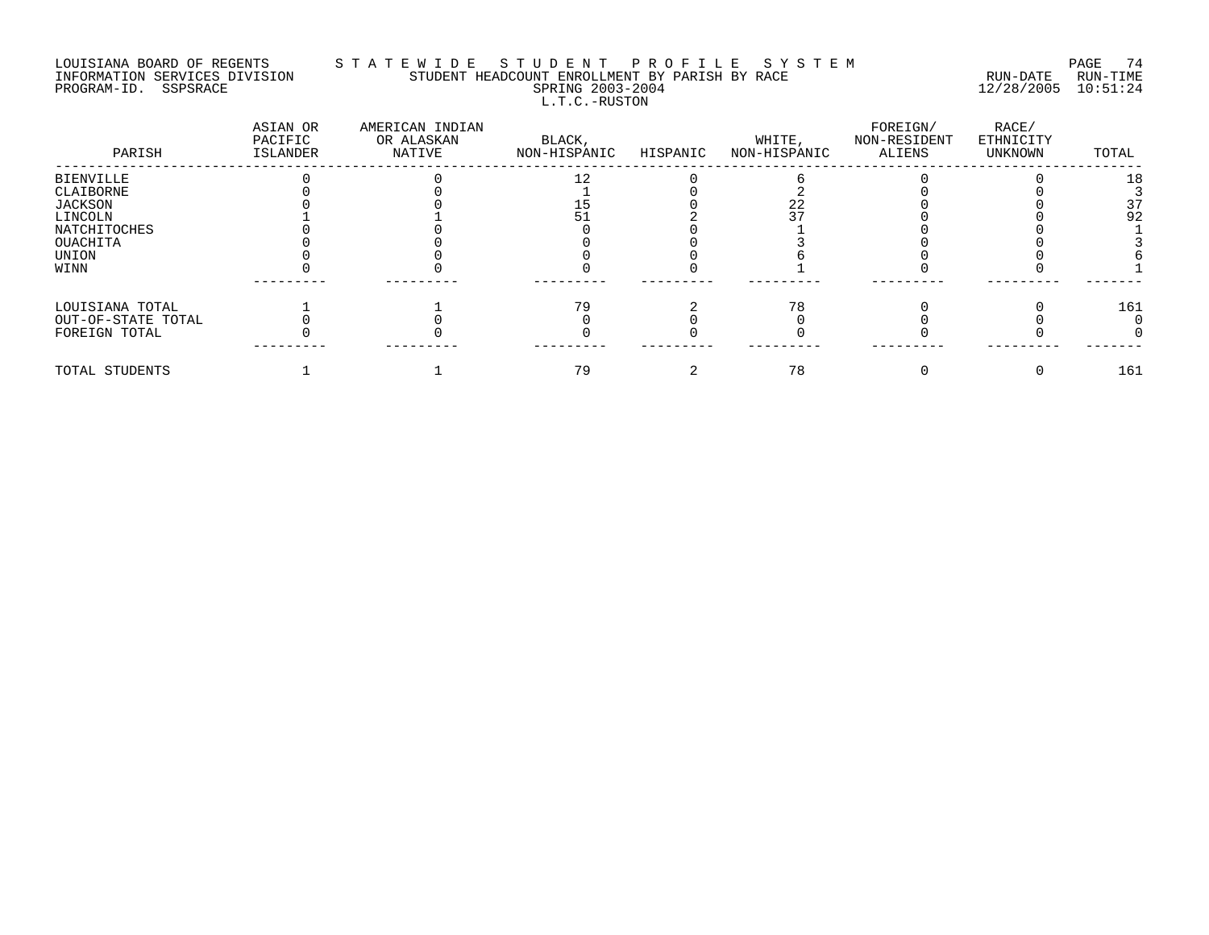## LOUISIANA BOARD OF REGENTS S T A T E W I D E S T U D E N T P R O F I L E S Y S T E M PAGE 74 INFORMATION SERVICES DIVISION STUDENT HEADCOUNT ENROLLMENT BY PARISH BY RACE RUN-DATE RUN-TIME PROGRAM-ID. SSPSRACE SPRING 2003-2004 12/28/2005 10:51:24 L.T.C.-RUSTON

| PARISH             | ASIAN OR<br>PACIFIC<br>ISLANDER | AMERICAN INDIAN<br>OR ALASKAN<br>NATIVE | BLACK,<br>NON-HISPANIC | HISPANIC | WHITE,<br>NON-HISPANIC | FOREIGN/<br>NON-RESIDENT<br>ALIENS | RACE/<br>ETHNICITY<br>UNKNOWN | TOTAL |
|--------------------|---------------------------------|-----------------------------------------|------------------------|----------|------------------------|------------------------------------|-------------------------------|-------|
| <b>BIENVILLE</b>   |                                 |                                         | 1 າ                    |          |                        |                                    |                               | 18    |
| CLAIBORNE          |                                 |                                         |                        |          |                        |                                    |                               |       |
| <b>JACKSON</b>     |                                 |                                         |                        |          |                        |                                    |                               | 37    |
| LINCOLN            |                                 |                                         |                        |          |                        |                                    |                               | 92    |
| NATCHITOCHES       |                                 |                                         |                        |          |                        |                                    |                               |       |
| OUACHITA           |                                 |                                         |                        |          |                        |                                    |                               |       |
| UNION              |                                 |                                         |                        |          |                        |                                    |                               |       |
| WINN               |                                 |                                         |                        |          |                        |                                    |                               |       |
|                    |                                 |                                         |                        |          |                        |                                    |                               |       |
| LOUISIANA TOTAL    |                                 |                                         | 79                     |          |                        |                                    |                               | 161   |
| OUT-OF-STATE TOTAL |                                 |                                         |                        |          |                        |                                    |                               |       |
| FOREIGN TOTAL      |                                 |                                         |                        |          |                        |                                    |                               |       |
| TOTAL STUDENTS     |                                 |                                         | 79                     |          | 78                     |                                    |                               | 161   |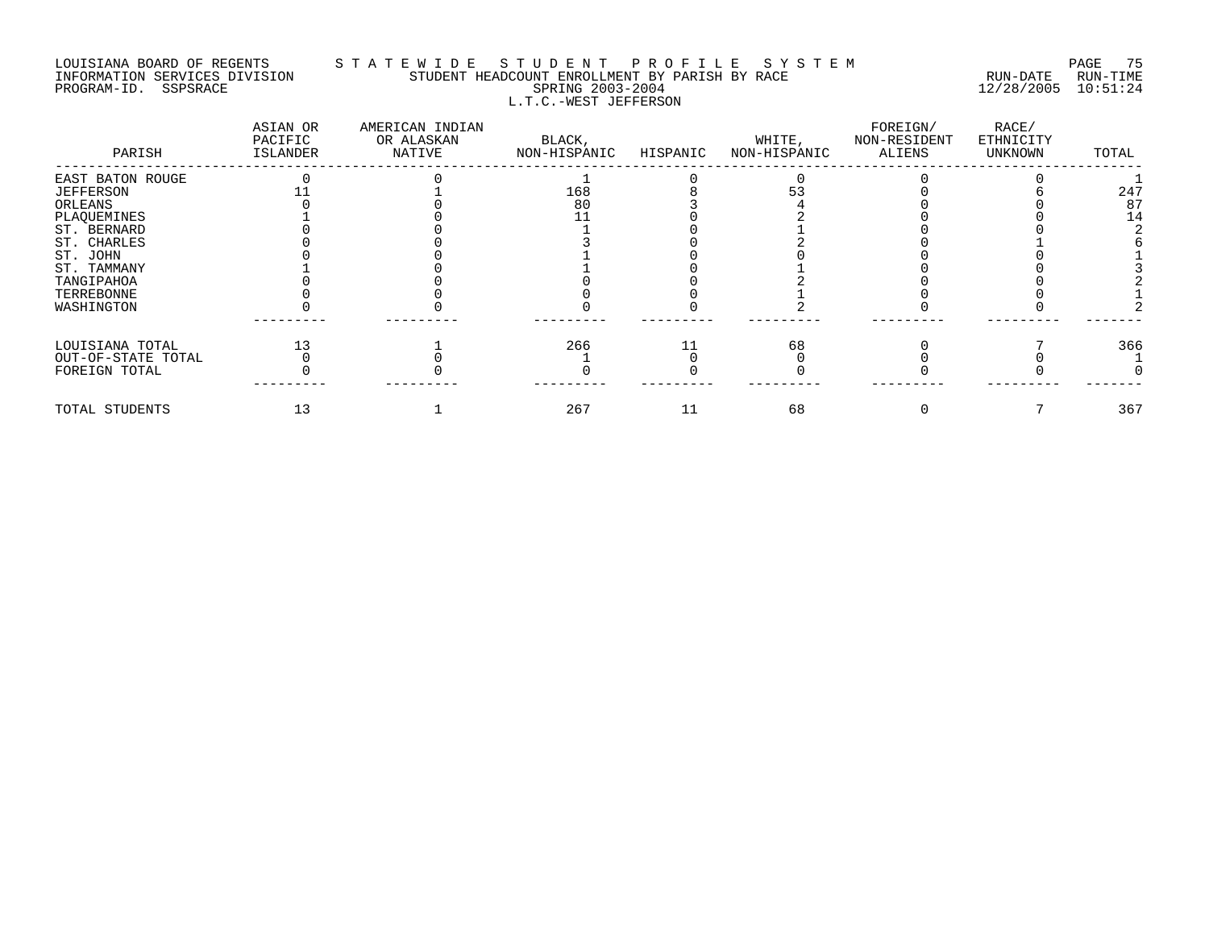## LOUISIANA BOARD OF REGENTS S T A T E W I D E S T U D E N T P R O F I L E S Y S T E M PAGE 75 INFORMATION SERVICES DIVISION STUDENT HEADCOUNT ENROLLMENT BY PARISH BY RACE RUN-DATE RUN-TIME PROGRAM-ID. SSPSRACE SPRING 2003-2004 12/28/2005 10:51:24 L.T.C.-WEST JEFFERSON

| PARISH             | ASIAN OR<br>PACIFIC<br>ISLANDER | AMERICAN INDIAN<br>OR ALASKAN<br>NATIVE | BLACK,<br>NON-HISPANIC | HISPANIC | WHITE,<br>NON-HISPANIC | FOREIGN/<br>NON-RESIDENT<br>ALIENS | RACE/<br>ETHNICITY<br>UNKNOWN | TOTAL |
|--------------------|---------------------------------|-----------------------------------------|------------------------|----------|------------------------|------------------------------------|-------------------------------|-------|
| EAST BATON ROUGE   |                                 |                                         |                        |          |                        |                                    |                               |       |
| <b>JEFFERSON</b>   |                                 |                                         | 168                    |          |                        |                                    |                               | 247   |
| ORLEANS            |                                 |                                         | 80                     |          |                        |                                    |                               | 87    |
| PLAQUEMINES        |                                 |                                         |                        |          |                        |                                    |                               | 14    |
| ST. BERNARD        |                                 |                                         |                        |          |                        |                                    |                               |       |
| ST. CHARLES        |                                 |                                         |                        |          |                        |                                    |                               |       |
| ST. JOHN           |                                 |                                         |                        |          |                        |                                    |                               |       |
| ST. TAMMANY        |                                 |                                         |                        |          |                        |                                    |                               |       |
| TANGIPAHOA         |                                 |                                         |                        |          |                        |                                    |                               |       |
| TERREBONNE         |                                 |                                         |                        |          |                        |                                    |                               |       |
| WASHINGTON         |                                 |                                         |                        |          |                        |                                    |                               |       |
| LOUISIANA TOTAL    |                                 |                                         | 266                    |          | 68                     |                                    |                               | 366   |
| OUT-OF-STATE TOTAL |                                 |                                         |                        |          |                        |                                    |                               |       |
| FOREIGN TOTAL      |                                 |                                         |                        |          |                        |                                    |                               |       |
| TOTAL STUDENTS     |                                 |                                         | 267                    | 11       | 68                     |                                    |                               | 367   |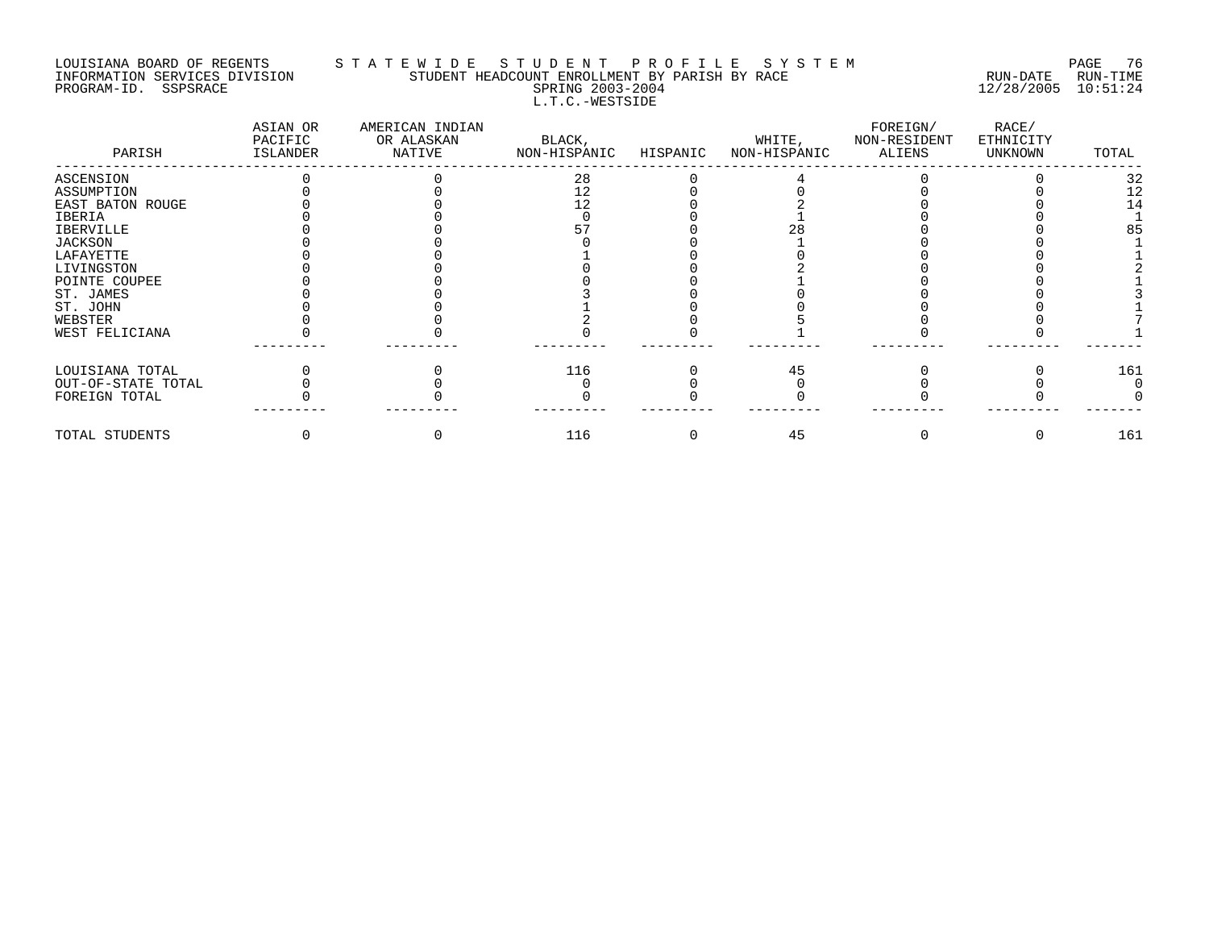#### LOUISIANA BOARD OF REGENTS S T A T E W I D E S T U D E N T P R O F I L E S Y S T E M PAGE 76 INFORMATION SERVICES DIVISION STUDENT HEADCOUNT ENROLLMENT BY PARISH BY RACE RUN-DATE RUN-TIME PROGRAM-ID. SSPSRACE SPRING 2003-2004 12/28/2005 10:51:24 L.T.C.-WESTSIDE

| PARISH             | ASIAN OR<br>PACIFIC<br>ISLANDER | AMERICAN INDIAN<br>OR ALASKAN<br>NATIVE | BLACK,<br>NON-HISPANIC | HISPANIC | WHITE,<br>NON-HISPANIC | FOREIGN/<br>NON-RESIDENT<br>ALIENS | RACE/<br>ETHNICITY<br>UNKNOWN | TOTAL |
|--------------------|---------------------------------|-----------------------------------------|------------------------|----------|------------------------|------------------------------------|-------------------------------|-------|
| ASCENSION          |                                 |                                         | 28                     |          |                        |                                    |                               | 32    |
| ASSUMPTION         |                                 |                                         | 12                     |          |                        |                                    |                               | 12    |
| EAST BATON ROUGE   |                                 |                                         | 12                     |          |                        |                                    |                               | 14    |
| IBERIA             |                                 |                                         |                        |          |                        |                                    |                               |       |
| IBERVILLE          |                                 |                                         |                        |          |                        |                                    |                               | 85    |
| JACKSON            |                                 |                                         |                        |          |                        |                                    |                               |       |
| LAFAYETTE          |                                 |                                         |                        |          |                        |                                    |                               |       |
| LIVINGSTON         |                                 |                                         |                        |          |                        |                                    |                               |       |
| POINTE COUPEE      |                                 |                                         |                        |          |                        |                                    |                               |       |
| ST. JAMES          |                                 |                                         |                        |          |                        |                                    |                               |       |
| ST. JOHN           |                                 |                                         |                        |          |                        |                                    |                               |       |
| WEBSTER            |                                 |                                         |                        |          |                        |                                    |                               |       |
| WEST FELICIANA     |                                 |                                         |                        |          |                        |                                    |                               |       |
| LOUISIANA TOTAL    |                                 |                                         | 116                    |          | 45                     |                                    |                               | 161   |
| OUT-OF-STATE TOTAL |                                 |                                         |                        |          |                        |                                    |                               |       |
| FOREIGN TOTAL      |                                 |                                         |                        |          |                        |                                    |                               |       |
| TOTAL STUDENTS     |                                 |                                         | 116                    |          | 45                     |                                    |                               | 161   |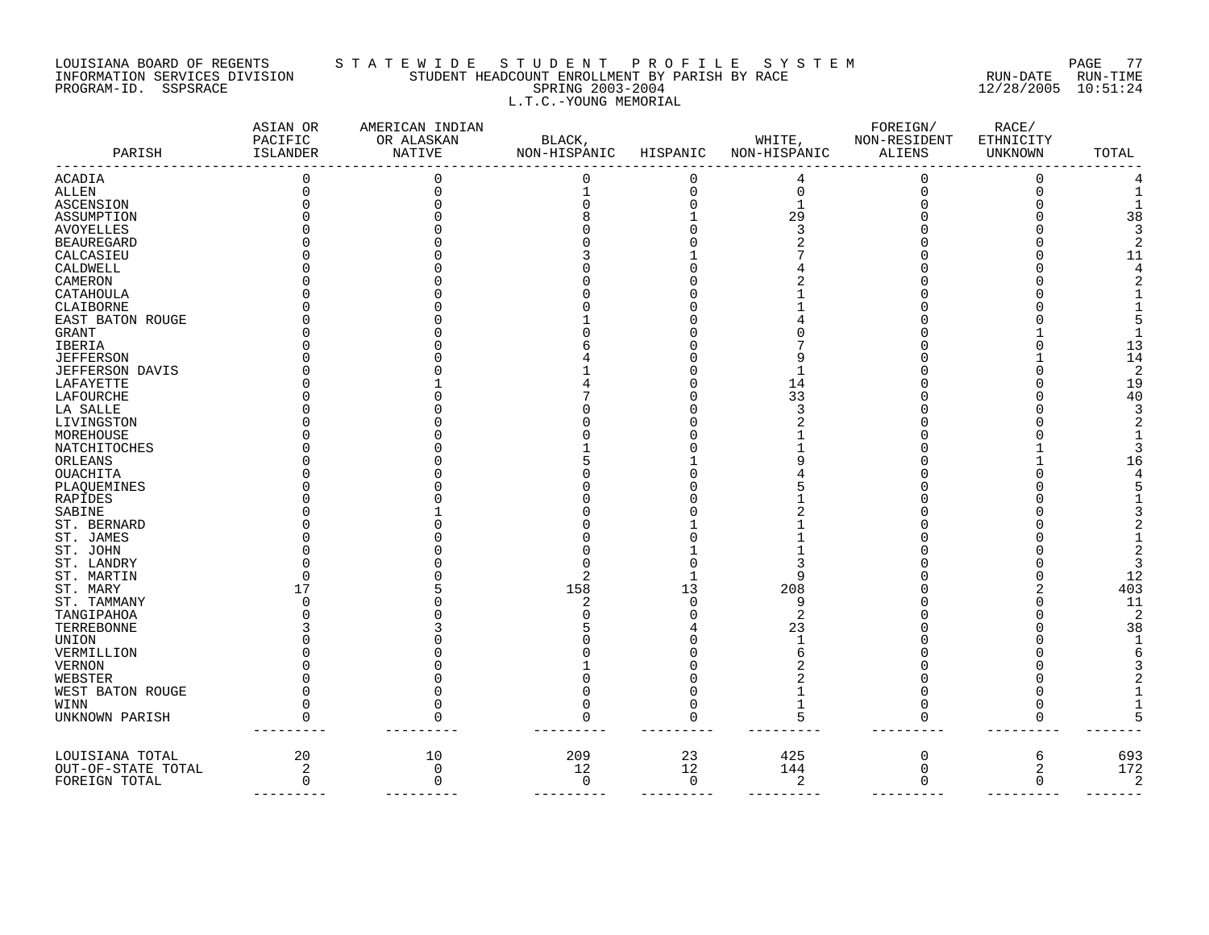### LOUISIANA BOARD OF REGENTS S T A T E W I D E S T U D E N T P R O F I L E S Y S T E M PAGE 77 INFORMATION SERVICES DIVISION STUDENT HEADCOUNT ENROLLMENT BY PARISH BY RACE RUN-DATE RUN-TIME PROGRAM-ID. SSPSRACE SPRING 2003-2004 12/28/2005 10:51:24 L.T.C.-YOUNG MEMORIAL

| PARISH             | ASIAN OR<br>PACIFIC<br>ISLANDER | AMERICAN INDIAN<br>OR ALASKAN<br>NATIVE | BLACK,<br>NON-HISPANIC | HISPANIC    | WHITE,<br>NON-HISPANIC | FOREIGN/<br>NON-RESIDENT<br>ALIENS | RACE/<br>ETHNICITY<br>UNKNOWN | TOTAL |
|--------------------|---------------------------------|-----------------------------------------|------------------------|-------------|------------------------|------------------------------------|-------------------------------|-------|
| <b>ACADIA</b>      |                                 |                                         | $\Omega$               | $\Omega$    |                        | 0                                  | 0                             |       |
| ALLEN              |                                 |                                         |                        | $\Omega$    | $\Omega$               | $\Omega$                           | $\Omega$                      |       |
| ASCENSION          |                                 |                                         |                        |             |                        |                                    |                               |       |
| ASSUMPTION         |                                 |                                         |                        |             | 29                     |                                    |                               | 38    |
| <b>AVOYELLES</b>   |                                 |                                         |                        |             |                        |                                    |                               |       |
| <b>BEAUREGARD</b>  |                                 |                                         |                        |             |                        |                                    |                               |       |
| CALCASIEU          |                                 |                                         |                        |             |                        |                                    |                               | 11    |
| CALDWELL           |                                 |                                         |                        |             |                        |                                    |                               |       |
| CAMERON            |                                 |                                         |                        |             |                        |                                    |                               |       |
| CATAHOULA          |                                 |                                         |                        |             |                        |                                    |                               |       |
| CLAIBORNE          |                                 |                                         |                        |             |                        |                                    |                               |       |
| EAST BATON ROUGE   |                                 |                                         |                        |             |                        |                                    |                               |       |
| GRANT              |                                 |                                         |                        |             |                        |                                    |                               |       |
| IBERIA             |                                 |                                         |                        |             |                        |                                    |                               | 13    |
| <b>JEFFERSON</b>   |                                 |                                         |                        |             |                        |                                    |                               | 14    |
| JEFFERSON DAVIS    |                                 |                                         |                        |             |                        |                                    |                               |       |
| LAFAYETTE          |                                 |                                         |                        |             | 14                     |                                    |                               | 19    |
| LAFOURCHE          |                                 |                                         |                        |             | 33                     |                                    |                               | 40    |
| LA SALLE           |                                 |                                         |                        |             |                        |                                    |                               |       |
| LIVINGSTON         |                                 |                                         |                        |             |                        |                                    |                               |       |
| MOREHOUSE          |                                 |                                         |                        |             |                        |                                    |                               |       |
| NATCHITOCHES       |                                 |                                         |                        |             |                        |                                    |                               |       |
| ORLEANS            |                                 |                                         |                        |             |                        |                                    |                               |       |
| <b>OUACHITA</b>    |                                 |                                         |                        |             |                        |                                    |                               |       |
| PLAQUEMINES        |                                 |                                         |                        |             |                        |                                    |                               |       |
| RAPIDES            |                                 |                                         |                        |             |                        |                                    |                               |       |
| SABINE             |                                 |                                         |                        |             |                        |                                    |                               |       |
| ST. BERNARD        |                                 |                                         |                        |             |                        |                                    |                               |       |
| ST. JAMES          |                                 |                                         |                        |             |                        |                                    |                               |       |
| ST. JOHN           |                                 |                                         |                        |             |                        |                                    |                               |       |
| ST. LANDRY         |                                 |                                         |                        |             |                        |                                    |                               |       |
| ST. MARTIN         |                                 |                                         | 2                      |             |                        |                                    |                               | 12    |
| ST. MARY           |                                 |                                         | 158                    | 13          | 208                    |                                    |                               | 403   |
| ST. TAMMANY        |                                 |                                         | 2                      |             | 9                      |                                    |                               | 11    |
| TANGIPAHOA         |                                 |                                         |                        |             | 2                      |                                    |                               | 2     |
| TERREBONNE         |                                 |                                         |                        |             | 23                     |                                    |                               | 38    |
| UNION              |                                 |                                         |                        |             |                        |                                    |                               |       |
| VERMILLION         |                                 |                                         |                        |             |                        |                                    |                               |       |
| VERNON             |                                 |                                         |                        |             |                        |                                    |                               |       |
| WEBSTER            |                                 |                                         |                        |             |                        |                                    |                               |       |
| WEST BATON ROUGE   |                                 |                                         |                        |             |                        |                                    |                               |       |
| WINN               |                                 |                                         |                        |             |                        |                                    |                               |       |
| UNKNOWN PARISH     |                                 |                                         |                        |             |                        |                                    | <sup>0</sup>                  |       |
|                    |                                 |                                         |                        |             |                        |                                    |                               |       |
| LOUISIANA TOTAL    | 20                              | 10                                      | 209                    | 23          | 425                    | 0                                  | 6                             | 693   |
| OUT-OF-STATE TOTAL | 2                               | $\Omega$                                | 12                     | 12          | 144                    | $\mathbf 0$                        | 2                             | 172   |
| FOREIGN TOTAL      | $\mathbf 0$                     | $\Omega$                                | 0                      | $\mathbf 0$ | $\sqrt{2}$             | $\mathbf 0$                        | $\mathbf 0$                   | 2     |
|                    |                                 |                                         |                        |             |                        |                                    |                               |       |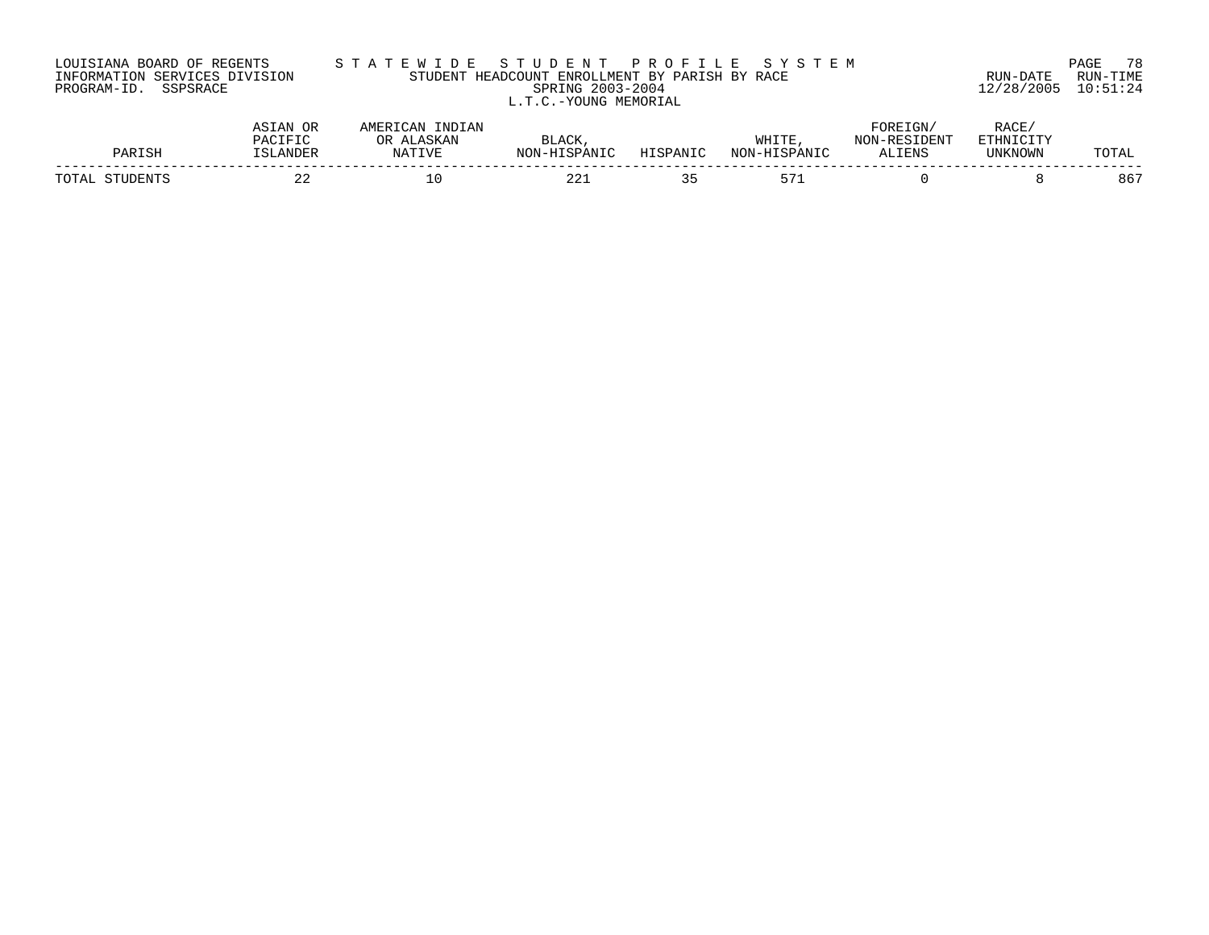| LOUISIANA BOARD OF REGENTS    |  |  | S ' |  |
|-------------------------------|--|--|-----|--|
| INFORMATION SERVICES DIVISION |  |  |     |  |
| PROGRAM-ID. SSPSRACE          |  |  |     |  |

# LOUISIANA BOARD OF REGENTS S T A T E W I D E S T U D E N T P R O F I L E S Y S T E M PAGE 78 INFORMATION SERVICES DIVISION STUDENT HEADCOUNT ENROLLMENT BY PARISH BY RACE RUN-DATE RUN-TIME EWILL TRADCOUNT ENROLLMENT BY PARISH BY RACE THE STUDENT HEADCOUNT ENROLLMENT BY PARISH BY RACE THE SUN-DATE RUN-TIME L.T.C.-YOUNG MEMORIAL

| PARISH            | ASIAN OR<br>PACIFIC<br>"SLANDER | INDIAN<br>AMERICAN<br>ALASKAN<br>ЭR<br>NATIVE | <b>BLACK</b><br>NON-HISPANIC | HISPANIC | WHITE<br>NON-HISPANIC | FOREIGN,<br>NON-RESIDENT<br>ALIENS | RACE,<br>ETHNICITY<br><b>UNKNOWN</b> | TOTAL |
|-------------------|---------------------------------|-----------------------------------------------|------------------------------|----------|-----------------------|------------------------------------|--------------------------------------|-------|
| TOTAL<br>STUDENTS | ⌒ ⌒                             | lΟ                                            | 22.                          |          | $\mathsf{L}^{\prime}$ |                                    |                                      | 867   |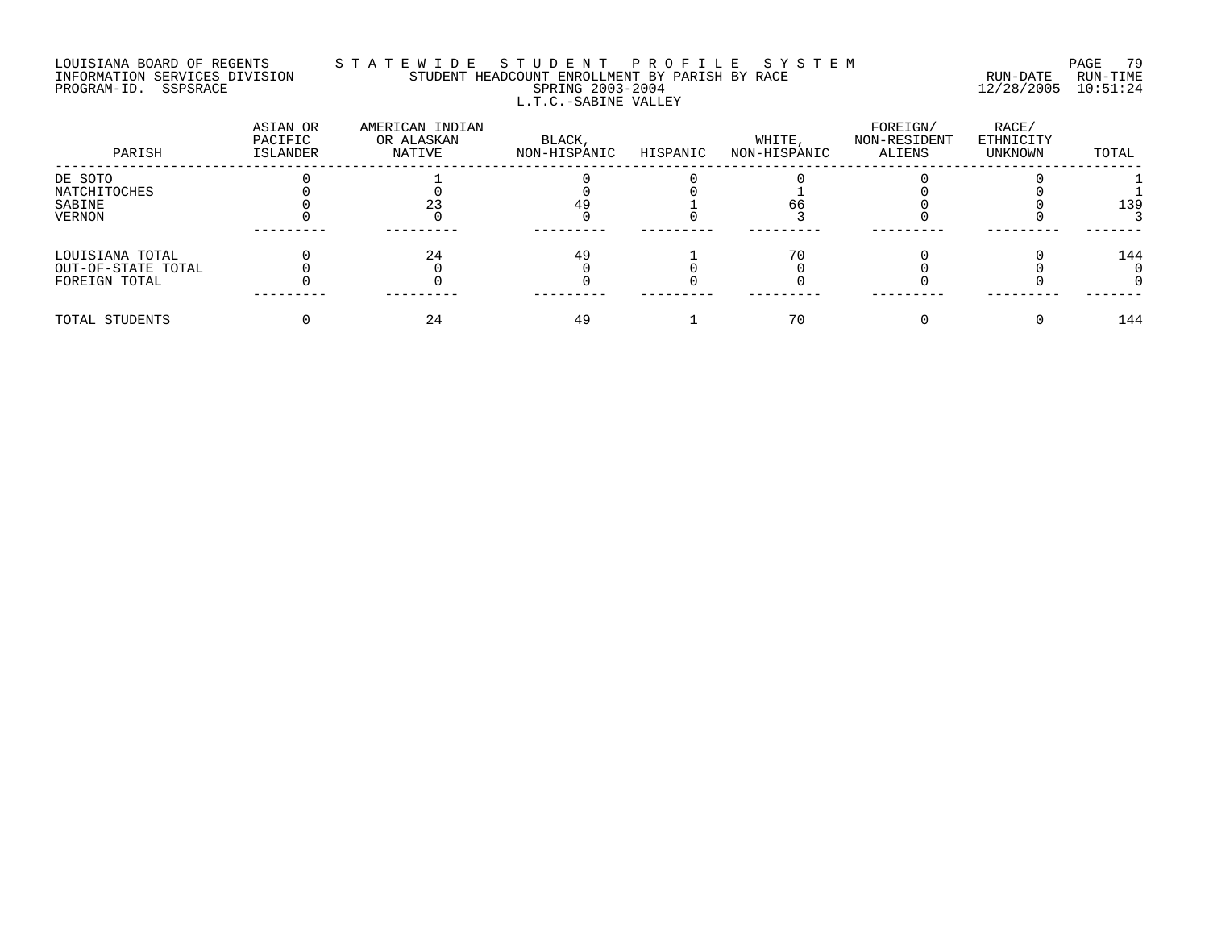# LOUISIANA BOARD OF REGENTS S T A T E W I D E S T U D E N T P R O F I L E S Y S T E M PAGE 79 INFORMATION SERVICES DIVISION STUDENT HEADCOUNT ENROLLMENT BY PARISH BY RACE RUN-DATE RUN-TIME PROGRAM-ID. SSPSRACE SPRING 2003-2004 12/28/2005 10:51:24 L.T.C.-SABINE VALLEY

| PARISH             | ASIAN OR<br>PACIFIC<br>ISLANDER | AMERICAN INDIAN<br>OR ALASKAN<br>NATIVE | BLACK,<br>NON-HISPANIC | HISPANIC | WHITE,<br>NON-HISPANIC | FOREIGN/<br>NON-RESIDENT<br>ALIENS | RACE/<br>ETHNICITY<br>UNKNOWN | TOTAL |
|--------------------|---------------------------------|-----------------------------------------|------------------------|----------|------------------------|------------------------------------|-------------------------------|-------|
| DE SOTO            |                                 |                                         |                        |          |                        |                                    |                               |       |
| NATCHITOCHES       |                                 |                                         |                        |          |                        |                                    |                               |       |
| SABINE             |                                 |                                         | 49                     |          |                        |                                    |                               | 139   |
| <b>VERNON</b>      |                                 |                                         |                        |          |                        |                                    |                               |       |
|                    |                                 |                                         |                        |          |                        |                                    |                               |       |
| LOUISIANA TOTAL    |                                 | 24                                      | 49                     |          |                        |                                    |                               | 144   |
| OUT-OF-STATE TOTAL |                                 |                                         |                        |          |                        |                                    |                               |       |
| FOREIGN TOTAL      |                                 |                                         |                        |          |                        |                                    |                               |       |
| TOTAL STUDENTS     |                                 | 24                                      | 49                     |          | 70                     |                                    |                               | 144   |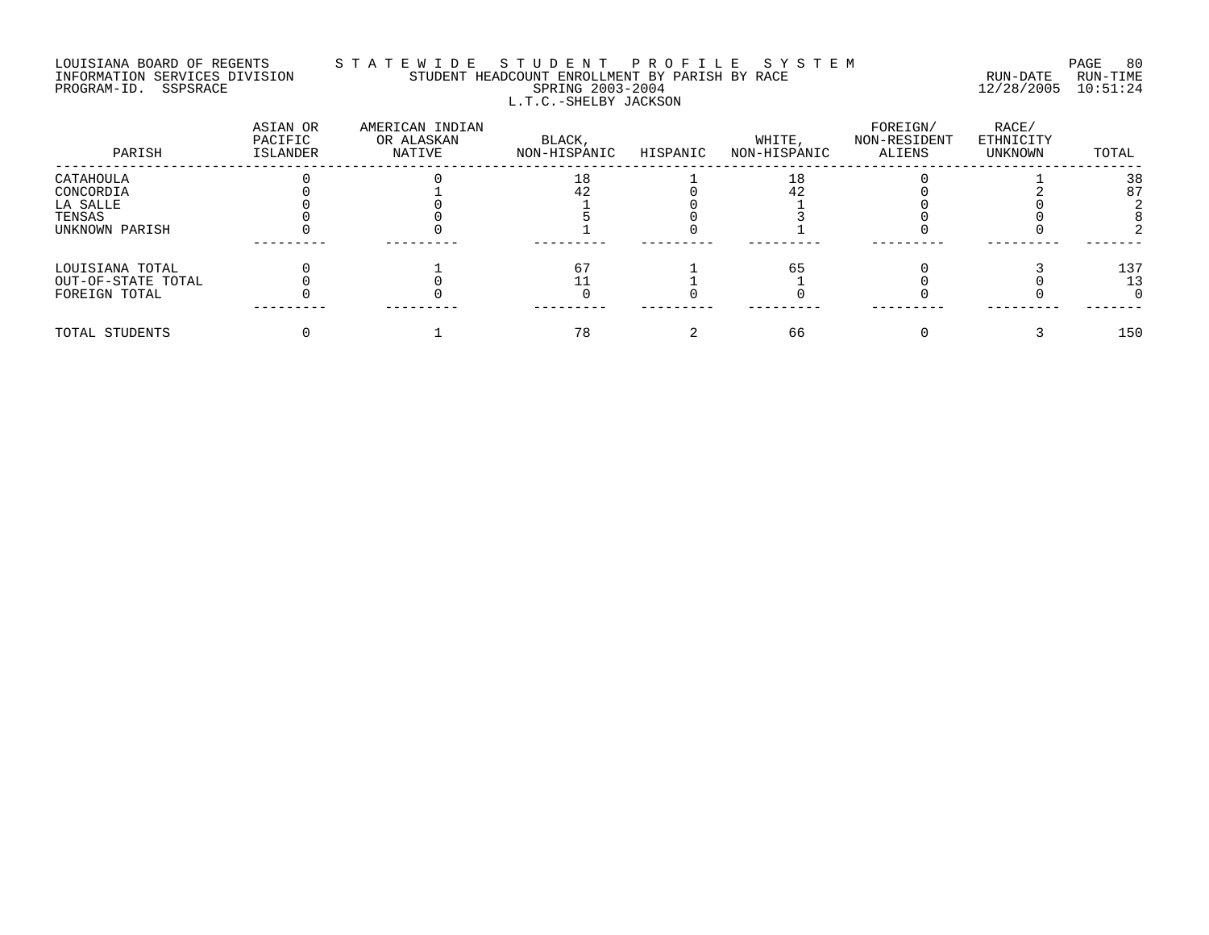# LOUISIANA BOARD OF REGENTS S T A T E W I D E S T U D E N T P R O F I L E S Y S T E M PAGE 80 INFORMATION SERVICES DIVISION STUDENT HEADCOUNT ENROLLMENT BY PARISH BY RACE RUN-DATE RUN-TIME PROGRAM-ID. SSPSRACE SPRING 2003-2004 12/28/2005 10:51:24 L.T.C.-SHELBY JACKSON

| PARISH             | ASIAN OR<br>PACIFIC<br>ISLANDER | AMERICAN INDIAN<br>OR ALASKAN<br>NATIVE | BLACK,<br>NON-HISPANIC | HISPANIC | WHITE,<br>NON-HISPANIC | FOREIGN/<br>NON-RESIDENT<br>ALIENS | RACE/<br>ETHNICITY<br>UNKNOWN | TOTAL |
|--------------------|---------------------------------|-----------------------------------------|------------------------|----------|------------------------|------------------------------------|-------------------------------|-------|
| CATAHOULA          |                                 |                                         | 18                     |          | 18                     |                                    |                               | 38    |
| CONCORDIA          |                                 |                                         | 42                     |          |                        |                                    |                               | 87    |
| LA SALLE           |                                 |                                         |                        |          |                        |                                    |                               |       |
| TENSAS             |                                 |                                         |                        |          |                        |                                    |                               |       |
| UNKNOWN PARISH     |                                 |                                         |                        |          |                        |                                    |                               |       |
|                    |                                 |                                         |                        |          |                        |                                    |                               |       |
| LOUISIANA TOTAL    |                                 |                                         | 6.                     |          | 65                     |                                    |                               | 137   |
| OUT-OF-STATE TOTAL |                                 |                                         |                        |          |                        |                                    |                               | 13    |
| FOREIGN TOTAL      |                                 |                                         |                        |          |                        |                                    |                               |       |
| TOTAL STUDENTS     |                                 |                                         | 78                     |          | 66                     |                                    |                               | 150   |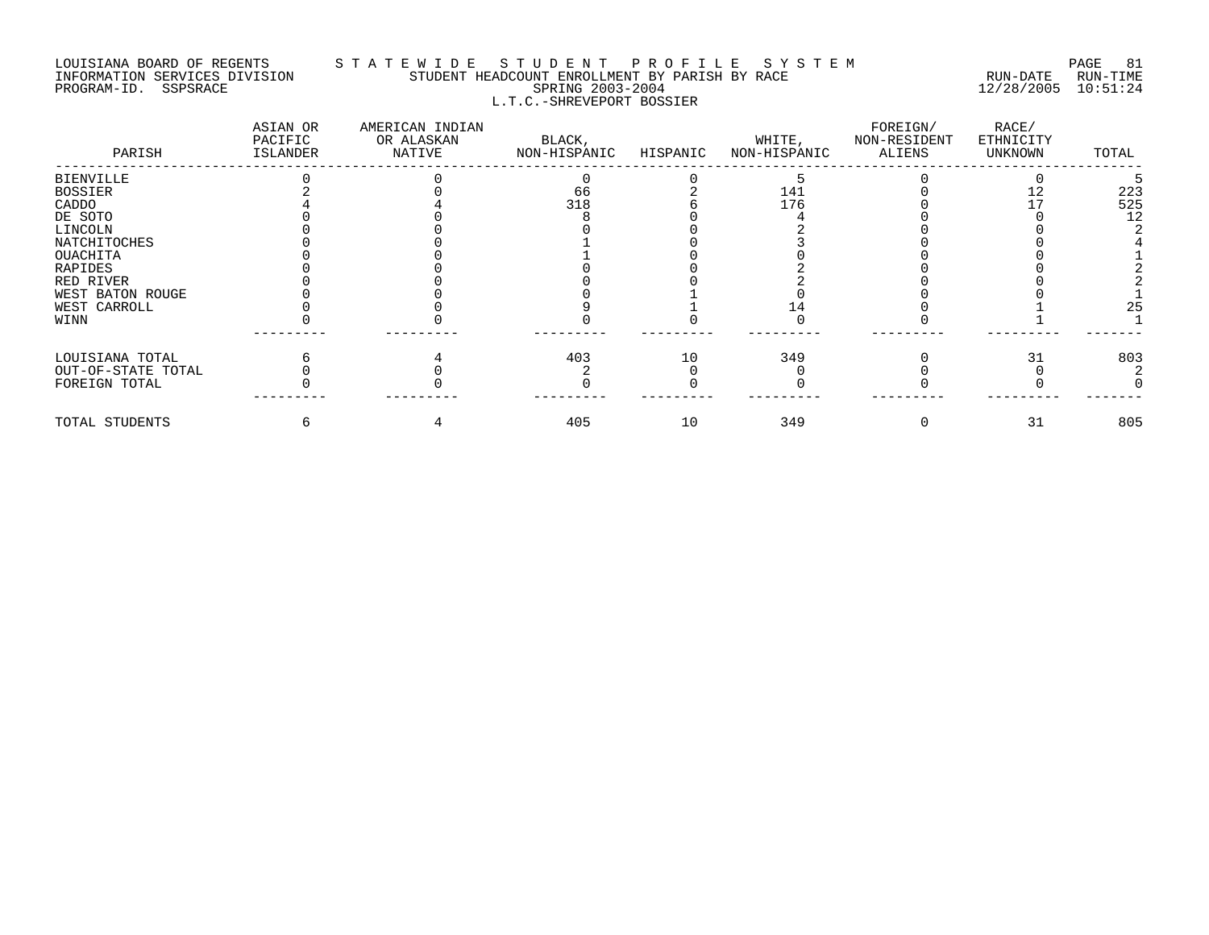#### LOUISIANA BOARD OF REGENTS S T A T E W I D E S T U D E N T P R O F I L E S Y S T E M PAGE 81 INFORMATION SERVICES DIVISION STUDENT HEADCOUNT ENROLLMENT BY PARISH BY RACE RUN-DATE RUN-TIME PROGRAM-ID. SSPSRACE SPRING 2003-2004 12/28/2005 10:51:24 L.T.C.-SHREVEPORT BOSSIER

| PARISH             | ASIAN OR<br>PACIFIC<br>ISLANDER | AMERICAN INDIAN<br>OR ALASKAN<br>NATIVE | BLACK,<br>NON-HISPANIC | HISPANIC | WHITE,<br>NON-HISPANIC | FOREIGN/<br>NON-RESIDENT<br>ALIENS | RACE/<br>ETHNICITY<br>UNKNOWN | TOTAL |
|--------------------|---------------------------------|-----------------------------------------|------------------------|----------|------------------------|------------------------------------|-------------------------------|-------|
| <b>BIENVILLE</b>   |                                 |                                         |                        |          |                        |                                    |                               |       |
| <b>BOSSIER</b>     |                                 |                                         | 66                     |          | 141                    |                                    |                               | 223   |
| CADDO              |                                 |                                         | 318                    |          | 176                    |                                    |                               | 525   |
| DE SOTO            |                                 |                                         |                        |          |                        |                                    |                               | 12    |
| LINCOLN            |                                 |                                         |                        |          |                        |                                    |                               |       |
| NATCHITOCHES       |                                 |                                         |                        |          |                        |                                    |                               |       |
| OUACHITA           |                                 |                                         |                        |          |                        |                                    |                               |       |
| RAPIDES            |                                 |                                         |                        |          |                        |                                    |                               |       |
| RED RIVER          |                                 |                                         |                        |          |                        |                                    |                               |       |
| WEST BATON ROUGE   |                                 |                                         |                        |          |                        |                                    |                               |       |
| WEST CARROLL       |                                 |                                         |                        |          |                        |                                    |                               | 25    |
| WINN               |                                 |                                         |                        |          |                        |                                    |                               |       |
| LOUISIANA TOTAL    |                                 |                                         | 403                    | 10       | 349                    |                                    | 31                            | 803   |
| OUT-OF-STATE TOTAL |                                 |                                         |                        |          |                        |                                    |                               |       |
| FOREIGN TOTAL      |                                 |                                         |                        |          |                        |                                    |                               |       |
| TOTAL STUDENTS     |                                 |                                         | 405                    | 10       | 349                    |                                    | 31                            | 805   |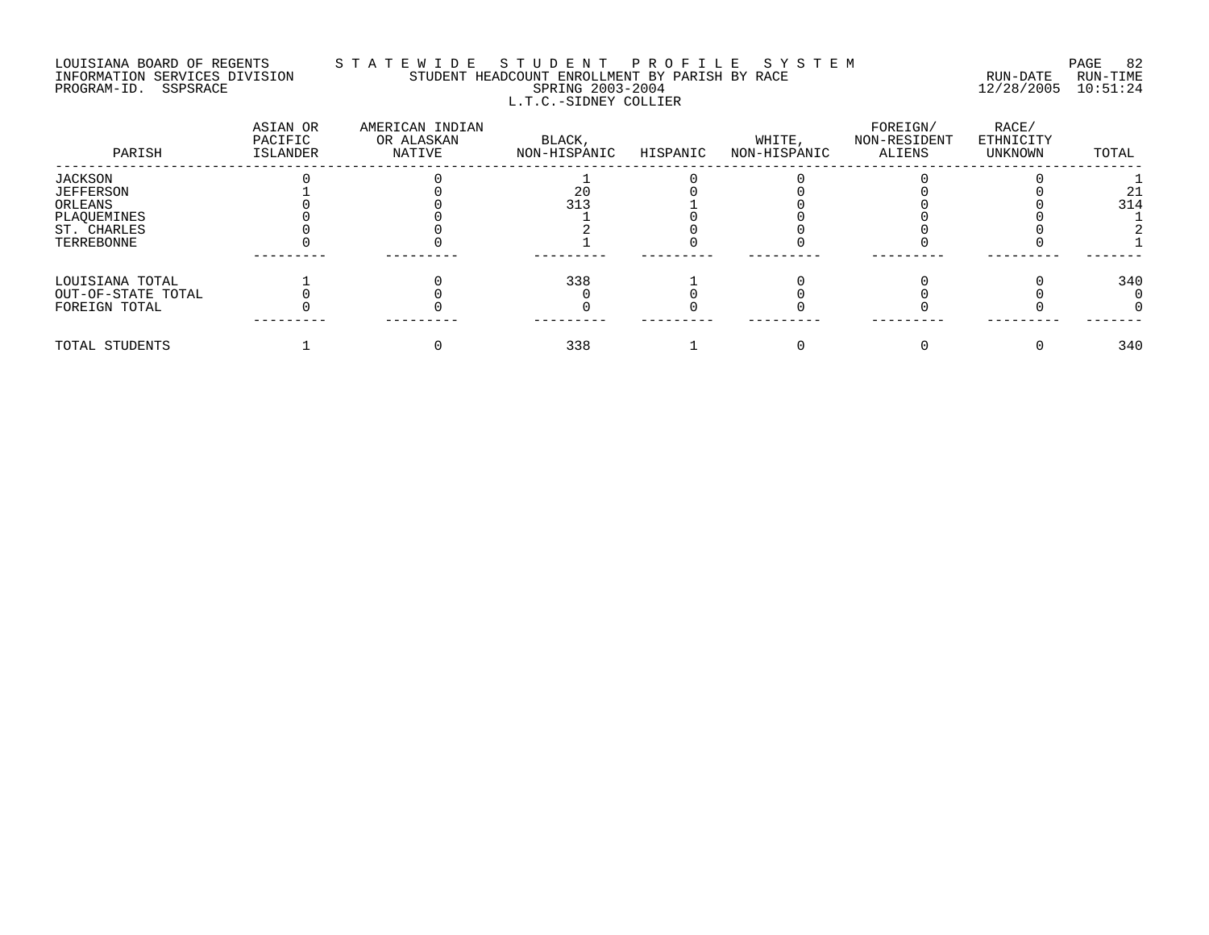# LOUISIANA BOARD OF REGENTS S T A T E W I D E S T U D E N T P R O F I L E S Y S T E M PAGE 82 INFORMATION SERVICES DIVISION STUDENT HEADCOUNT ENROLLMENT BY PARISH BY RACE RUN-DATE RUN-TIME PROGRAM-ID. SSPSRACE SPRING 2003-2004 12/28/2005 10:51:24 L.T.C.-SIDNEY COLLIER

| PARISH             | ASIAN OR<br>PACIFIC<br>ISLANDER | AMERICAN INDIAN<br>OR ALASKAN<br>NATIVE | BLACK,<br>NON-HISPANIC | HISPANIC | WHITE,<br>NON-HISPANIC | FOREIGN/<br>NON-RESIDENT<br>ALIENS | RACE/<br>ETHNICITY<br>UNKNOWN | TOTAL |
|--------------------|---------------------------------|-----------------------------------------|------------------------|----------|------------------------|------------------------------------|-------------------------------|-------|
| JACKSON            |                                 |                                         |                        |          |                        |                                    |                               |       |
| <b>JEFFERSON</b>   |                                 |                                         | 20                     |          |                        |                                    |                               | 21    |
| ORLEANS            |                                 |                                         | 313                    |          |                        |                                    |                               | 314   |
| PLAQUEMINES        |                                 |                                         |                        |          |                        |                                    |                               |       |
| ST. CHARLES        |                                 |                                         |                        |          |                        |                                    |                               |       |
| TERREBONNE         |                                 |                                         |                        |          |                        |                                    |                               |       |
| LOUISIANA TOTAL    |                                 |                                         | 338                    |          |                        |                                    |                               | 340   |
| OUT-OF-STATE TOTAL |                                 |                                         |                        |          |                        |                                    |                               |       |
| FOREIGN TOTAL      |                                 |                                         |                        |          |                        |                                    |                               |       |
| TOTAL STUDENTS     |                                 |                                         | 338                    |          |                        |                                    |                               | 340   |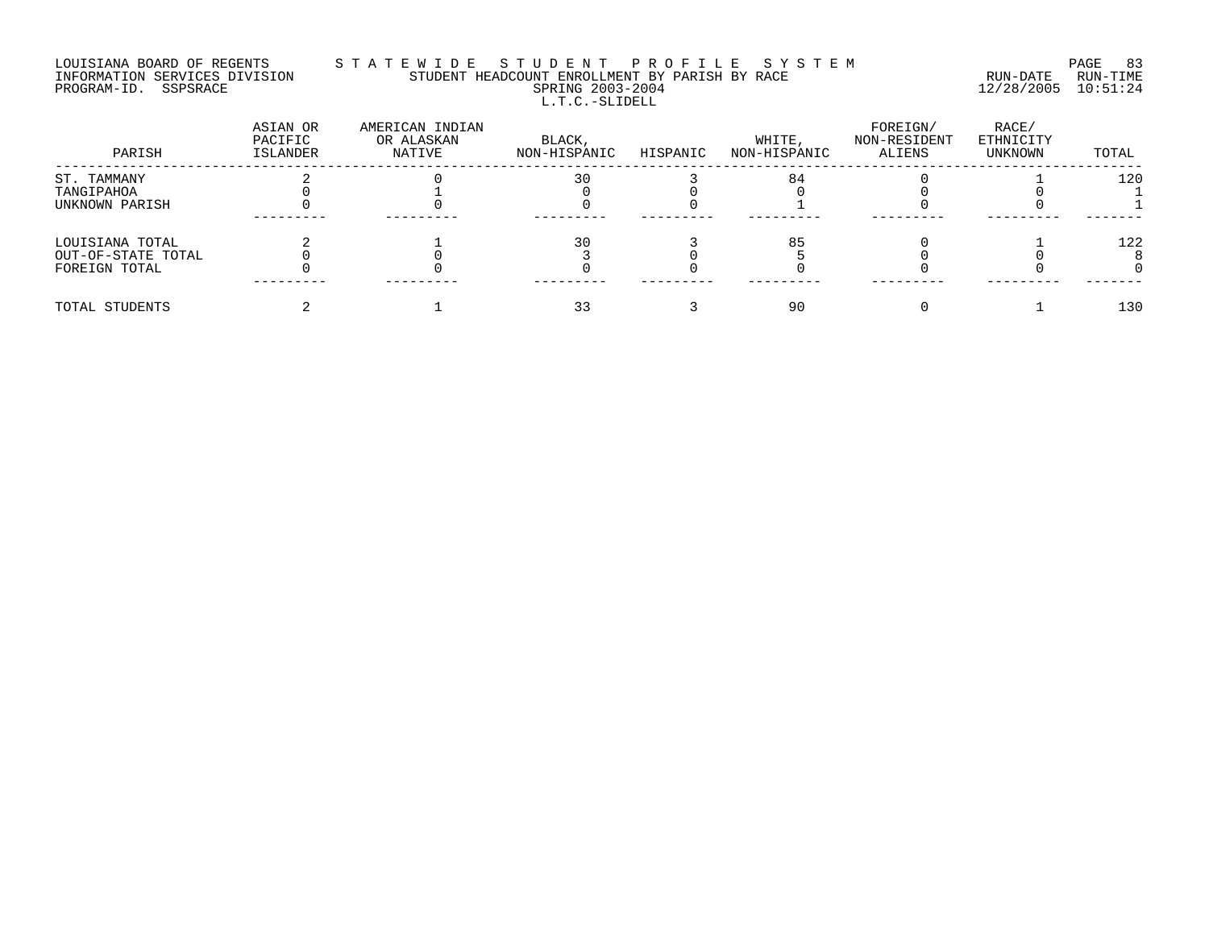# LOUISIANA BOARD OF REGENTS S T A T E W I D E S T U D E N T P R O F I L E S Y S T E M PAGE 83 INFORMATION SERVICES DIVISION STUDENT HEADCOUNT ENROLLMENT BY PARISH BY RACE RUN-DATE RUN-TIME PROGRAM-ID. SSPSRACE SPRING 2003-2004 12/28/2005 10:51:24 L.T.C.-SLIDELL

| PARISH             | ASIAN OR<br>PACIFIC<br><b>ISLANDER</b> | AMERICAN INDIAN<br>OR ALASKAN<br>NATIVE | BLACK,<br>NON-HISPANIC | HISPANIC | WHITE,<br>NON-HISPANIC | FOREIGN/<br>NON-RESIDENT<br>ALIENS | RACE/<br>ETHNICITY<br>UNKNOWN | TOTAL |
|--------------------|----------------------------------------|-----------------------------------------|------------------------|----------|------------------------|------------------------------------|-------------------------------|-------|
| ST. TAMMANY        |                                        |                                         | 30                     |          | 84                     |                                    |                               | 120   |
| TANGIPAHOA         |                                        |                                         |                        |          |                        |                                    |                               |       |
| UNKNOWN PARISH     |                                        |                                         |                        |          |                        |                                    |                               |       |
|                    |                                        |                                         |                        |          |                        |                                    |                               |       |
| LOUISIANA TOTAL    |                                        |                                         | 30                     |          | 85                     |                                    |                               | 122   |
| OUT-OF-STATE TOTAL |                                        |                                         |                        |          |                        |                                    |                               |       |
| FOREIGN TOTAL      |                                        |                                         |                        |          |                        |                                    |                               |       |
| TOTAL STUDENTS     |                                        |                                         |                        |          | 90                     |                                    |                               | 130   |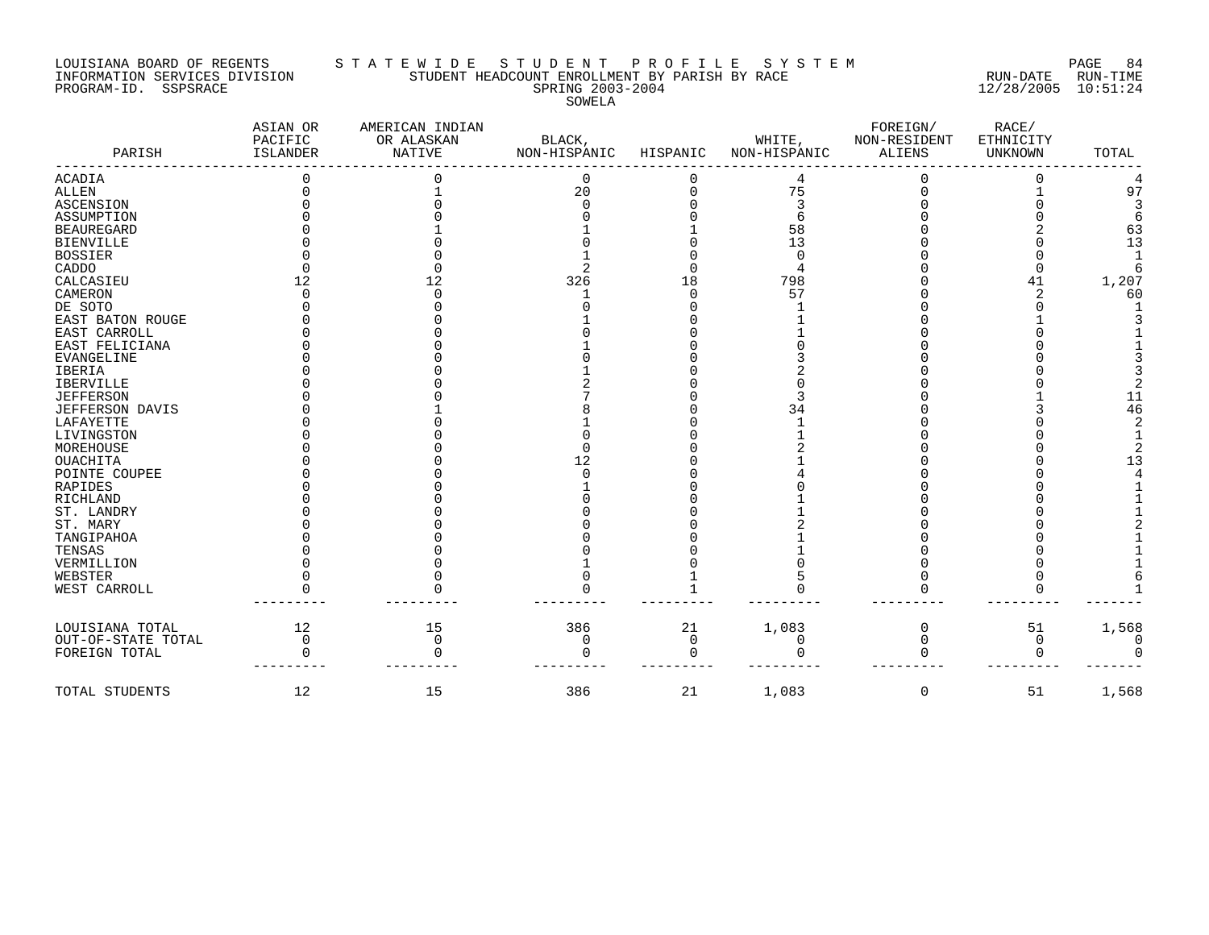PROGRAM-ID. SSPSRACE SPRING 2003-2004 12/28/2005 10:51:24

#### LOUISIANA BOARD OF REGENTS S T A T E W I D E S T U D E N T P R O F I L E S Y S T E M PAGE 84 INFORMATION SERVICES DIVISION STUDENT HEADCOUNT ENROLLMENT BY PARISH BY RACE RUN-DATE RUN-TIME

SOWELA

| PARISH                 | ASIAN OR<br>PACIFIC<br>ISLANDER | AMERICAN INDIAN<br>OR ALASKAN<br>NATIVE | BLACK,<br>NON-HISPANIC | HISPANIC | WHITE,<br>NON-HISPANIC | FOREIGN/<br>NON-RESIDENT<br><b>ALIENS</b> | RACE/<br>ETHNICITY<br>UNKNOWN | TOTAL |
|------------------------|---------------------------------|-----------------------------------------|------------------------|----------|------------------------|-------------------------------------------|-------------------------------|-------|
| <b>ACADIA</b>          |                                 |                                         | 0                      |          |                        |                                           |                               |       |
| <b>ALLEN</b>           |                                 |                                         | 20                     |          | 75                     |                                           |                               | 97    |
| ASCENSION              |                                 |                                         |                        |          |                        |                                           |                               |       |
| ASSUMPTION             |                                 |                                         |                        |          |                        |                                           |                               |       |
| <b>BEAUREGARD</b>      |                                 |                                         |                        |          | 58                     |                                           |                               | 63    |
| <b>BIENVILLE</b>       |                                 |                                         |                        |          | 13                     |                                           |                               | 13    |
| <b>BOSSIER</b>         |                                 |                                         |                        |          | $\Omega$               |                                           |                               |       |
| CADDO                  |                                 |                                         |                        |          |                        |                                           |                               |       |
| CALCASIEU              | 12                              | 12                                      | 326                    | 18       | 798                    |                                           | 41                            | 1,207 |
| CAMERON                |                                 |                                         |                        |          | 57                     |                                           |                               | 60    |
| DE SOTO                |                                 |                                         |                        |          |                        |                                           |                               |       |
| EAST BATON ROUGE       |                                 |                                         |                        |          |                        |                                           |                               |       |
| EAST CARROLL           |                                 |                                         |                        |          |                        |                                           |                               |       |
| EAST FELICIANA         |                                 |                                         |                        |          |                        |                                           |                               |       |
| <b>EVANGELINE</b>      |                                 |                                         |                        |          |                        |                                           |                               |       |
| <b>IBERIA</b>          |                                 |                                         |                        |          |                        |                                           |                               |       |
| IBERVILLE              |                                 |                                         |                        |          |                        |                                           |                               |       |
| <b>JEFFERSON</b>       |                                 |                                         |                        |          |                        |                                           |                               | 11    |
| <b>JEFFERSON DAVIS</b> |                                 |                                         |                        |          | 34                     |                                           |                               | 46    |
| LAFAYETTE              |                                 |                                         |                        |          |                        |                                           |                               |       |
| LIVINGSTON             |                                 |                                         |                        |          |                        |                                           |                               |       |
| MOREHOUSE              |                                 |                                         |                        |          |                        |                                           |                               |       |
| OUACHITA               |                                 |                                         | 12                     |          |                        |                                           |                               | 13    |
| POINTE COUPEE          |                                 |                                         |                        |          |                        |                                           |                               |       |
| RAPIDES                |                                 |                                         |                        |          |                        |                                           |                               |       |
| RICHLAND               |                                 |                                         |                        |          |                        |                                           |                               |       |
| ST. LANDRY             |                                 |                                         |                        |          |                        |                                           |                               |       |
| ST. MARY               |                                 |                                         |                        |          |                        |                                           |                               |       |
| TANGIPAHOA             |                                 |                                         |                        |          |                        |                                           |                               |       |
| TENSAS                 |                                 |                                         |                        |          |                        |                                           |                               |       |
| VERMILLION             |                                 |                                         |                        |          |                        |                                           |                               |       |
| WEBSTER                |                                 |                                         |                        |          |                        |                                           |                               |       |
| WEST CARROLL           |                                 |                                         |                        |          |                        |                                           |                               |       |
| LOUISIANA TOTAL        | 12                              | 15                                      | 386                    | 21       | 1,083                  | $\Omega$                                  | 51                            | 1,568 |
| OUT-OF-STATE TOTAL     | $\Omega$                        | 0                                       | 0                      | $\Omega$ | $\Omega$               | 0                                         | 0                             |       |
| FOREIGN TOTAL          |                                 |                                         |                        | ∩        |                        |                                           | ∩                             |       |
| TOTAL STUDENTS         | 12                              | 15                                      | 386                    | 21       | 1,083                  | $\mathbf 0$                               | 51                            | 1,568 |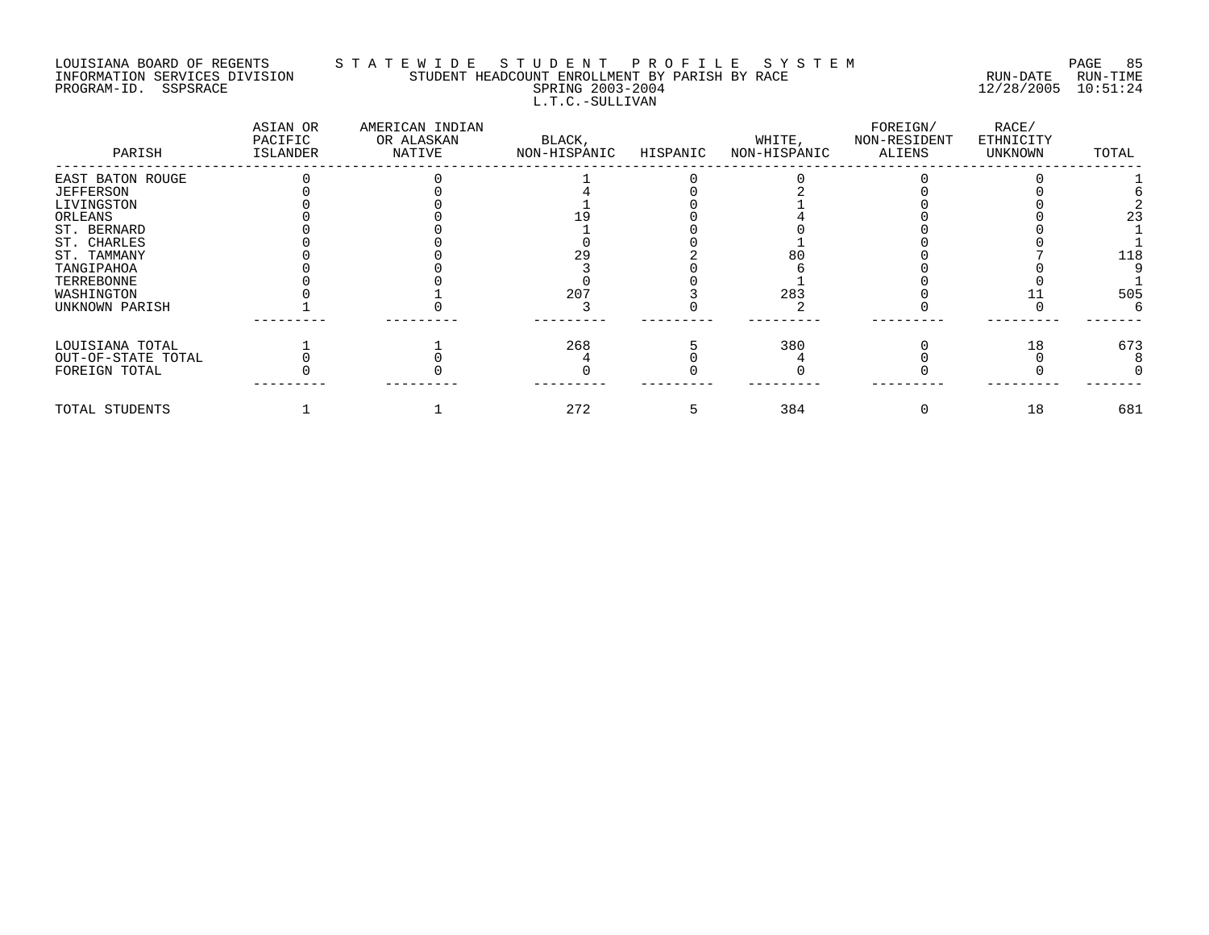#### LOUISIANA BOARD OF REGENTS S T A T E W I D E S T U D E N T P R O F I L E S Y S T E M PAGE 85 INFORMATION SERVICES DIVISION STUDENT HEADCOUNT ENROLLMENT BY PARISH BY RACE RUN-DATE RUN-TIME PROGRAM-ID. SSPSRACE SPRING 2003-2004 12/28/2005 10:51:24 L.T.C.-SULLIVAN

| PARISH             | ASIAN OR<br>PACIFIC<br>ISLANDER | AMERICAN INDIAN<br>OR ALASKAN<br>NATIVE | BLACK,<br>NON-HISPANIC | HISPANIC | WHITE,<br>NON-HISPANIC | FOREIGN/<br>NON-RESIDENT<br>ALIENS | RACE/<br>ETHNICITY<br>UNKNOWN | TOTAL |
|--------------------|---------------------------------|-----------------------------------------|------------------------|----------|------------------------|------------------------------------|-------------------------------|-------|
| EAST BATON ROUGE   |                                 |                                         |                        |          |                        |                                    |                               |       |
| <b>JEFFERSON</b>   |                                 |                                         |                        |          |                        |                                    |                               |       |
| LIVINGSTON         |                                 |                                         |                        |          |                        |                                    |                               |       |
| ORLEANS            |                                 |                                         |                        |          |                        |                                    |                               | 23    |
| ST. BERNARD        |                                 |                                         |                        |          |                        |                                    |                               |       |
| ST. CHARLES        |                                 |                                         |                        |          |                        |                                    |                               |       |
| ST. TAMMANY        |                                 |                                         |                        |          |                        |                                    |                               | 118   |
| TANGIPAHOA         |                                 |                                         |                        |          |                        |                                    |                               |       |
| TERREBONNE         |                                 |                                         |                        |          |                        |                                    |                               |       |
| WASHINGTON         |                                 |                                         | 207                    |          | 283                    |                                    |                               | 505   |
| UNKNOWN PARISH     |                                 |                                         |                        |          |                        |                                    |                               |       |
| LOUISIANA TOTAL    |                                 |                                         | 268                    |          | 380                    |                                    | 18                            | 673   |
| OUT-OF-STATE TOTAL |                                 |                                         |                        |          |                        |                                    |                               |       |
| FOREIGN TOTAL      |                                 |                                         |                        |          |                        |                                    |                               |       |
| TOTAL STUDENTS     |                                 |                                         | 272                    |          | 384                    |                                    | 18                            | 681   |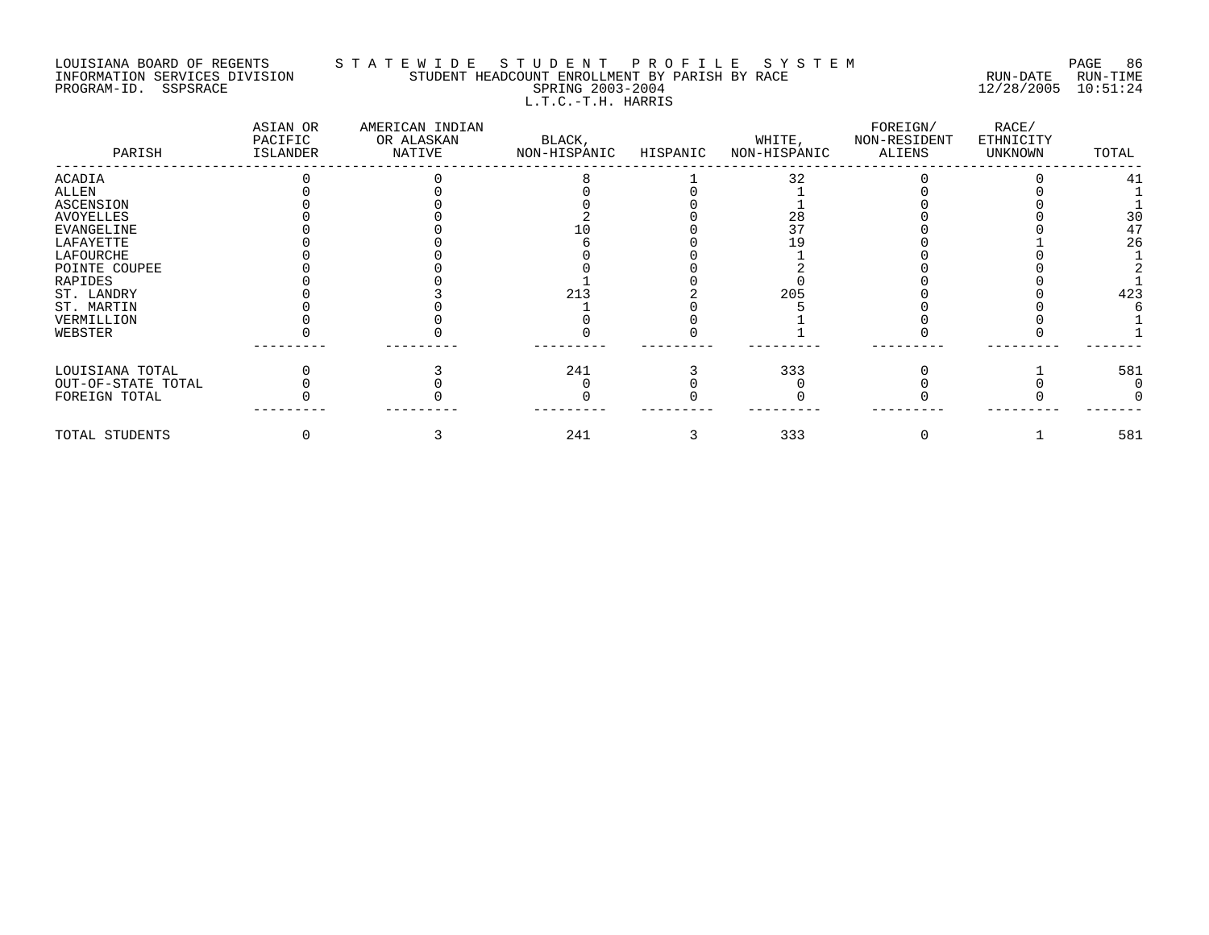### LOUISIANA BOARD OF REGENTS S T A T E W I D E S T U D E N T P R O F I L E S Y S T E M PAGE 86 INFORMATION SERVICES DIVISION STUDENT HEADCOUNT ENROLLMENT BY PARISH BY RACE RUN-DATE RUN-TIME PROGRAM-ID. SSPSRACE SPRING 2003-2004 12/28/2005 10:51:24 L.T.C.-T.H. HARRIS

| PARISH             | ASIAN OR<br>PACIFIC<br>ISLANDER | AMERICAN INDIAN<br>OR ALASKAN<br>NATIVE | BLACK,<br>NON-HISPANIC | HISPANIC | WHITE,<br>NON-HISPANIC | FOREIGN/<br>NON-RESIDENT<br>ALIENS | RACE/<br>ETHNICITY<br>UNKNOWN | TOTAL |
|--------------------|---------------------------------|-----------------------------------------|------------------------|----------|------------------------|------------------------------------|-------------------------------|-------|
| <b>ACADIA</b>      |                                 |                                         |                        |          | 32                     |                                    |                               | 41    |
| ALLEN              |                                 |                                         |                        |          |                        |                                    |                               |       |
| <b>ASCENSION</b>   |                                 |                                         |                        |          |                        |                                    |                               |       |
| <b>AVOYELLES</b>   |                                 |                                         |                        |          | 28                     |                                    |                               | 3C    |
| EVANGELINE         |                                 |                                         |                        |          |                        |                                    |                               | 47    |
| LAFAYETTE          |                                 |                                         |                        |          |                        |                                    |                               | 26    |
| LAFOURCHE          |                                 |                                         |                        |          |                        |                                    |                               |       |
| POINTE COUPEE      |                                 |                                         |                        |          |                        |                                    |                               |       |
| RAPIDES            |                                 |                                         |                        |          |                        |                                    |                               |       |
| ST. LANDRY         |                                 |                                         | 213                    |          | 205                    |                                    |                               | 423   |
| ST. MARTIN         |                                 |                                         |                        |          |                        |                                    |                               |       |
| VERMILLION         |                                 |                                         |                        |          |                        |                                    |                               |       |
| WEBSTER            |                                 |                                         |                        |          |                        |                                    |                               |       |
| LOUISIANA TOTAL    |                                 |                                         | 241                    |          | 333                    |                                    |                               | 581   |
| OUT-OF-STATE TOTAL |                                 |                                         |                        |          |                        |                                    |                               |       |
| FOREIGN TOTAL      |                                 |                                         |                        |          |                        |                                    |                               |       |
| TOTAL STUDENTS     |                                 |                                         | 241                    |          | 333                    |                                    |                               | 581   |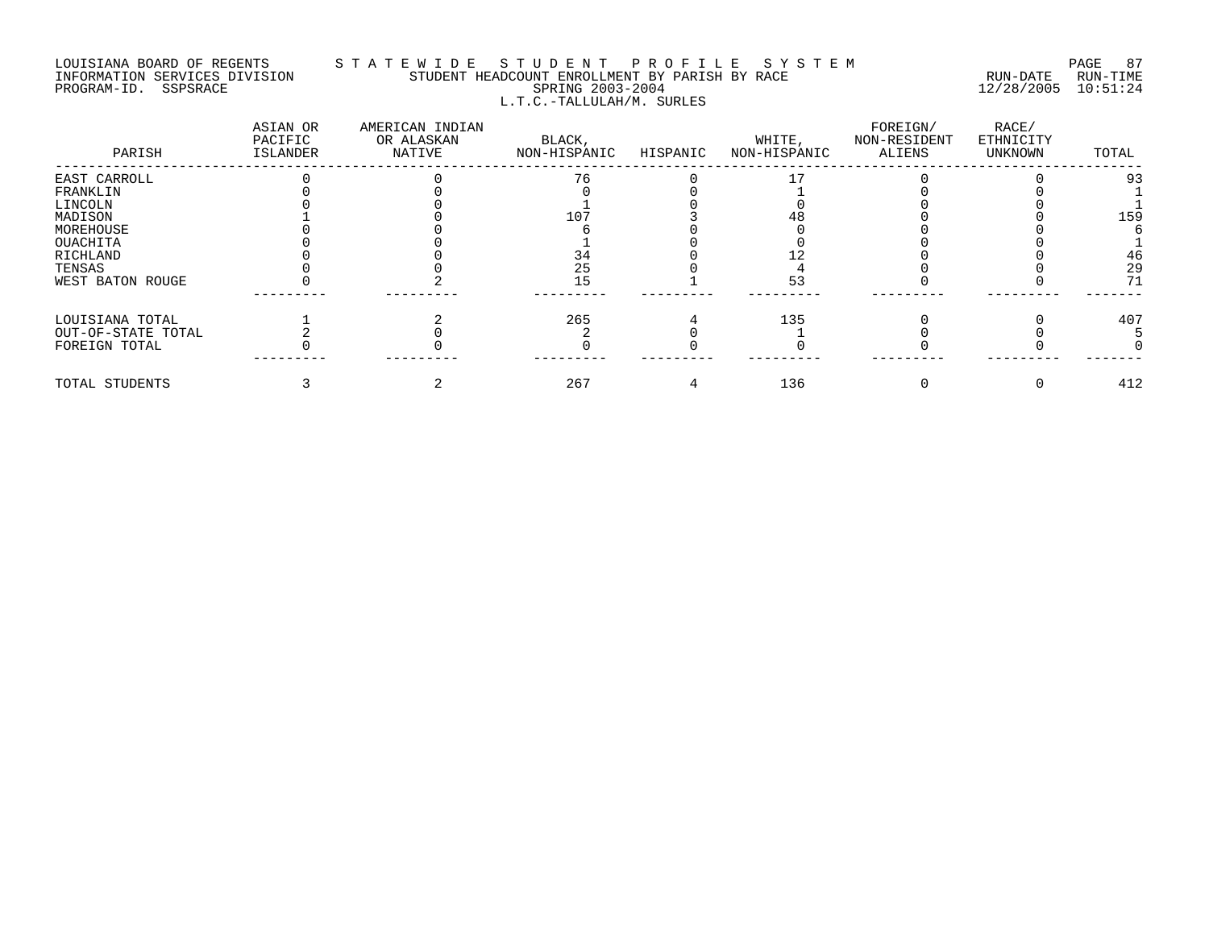### LOUISIANA BOARD OF REGENTS S T A T E W I D E S T U D E N T P R O F I L E S Y S T E M PAGE 87 INFORMATION SERVICES DIVISION STUDENT HEADCOUNT ENROLLMENT BY PARISH BY RACE RUN-DATE RUN-TIME PROGRAM-ID. SSPSRACE SPRING 2003-2004 12/28/2005 10:51:24 L.T.C.-TALLULAH/M. SURLES

| PARISH             | ASIAN OR<br>PACIFIC<br>ISLANDER | AMERICAN INDIAN<br>OR ALASKAN<br>NATIVE | BLACK,<br>NON-HISPANIC | HISPANIC | WHITE,<br>NON-HISPANIC | FOREIGN/<br>NON-RESIDENT<br>ALIENS | RACE/<br>ETHNICITY<br>UNKNOWN | TOTAL           |
|--------------------|---------------------------------|-----------------------------------------|------------------------|----------|------------------------|------------------------------------|-------------------------------|-----------------|
| EAST CARROLL       |                                 |                                         | 76                     |          |                        |                                    |                               | 93              |
| FRANKLIN           |                                 |                                         |                        |          |                        |                                    |                               |                 |
| LINCOLN            |                                 |                                         |                        |          |                        |                                    |                               |                 |
| MADISON            |                                 |                                         | 107                    |          |                        |                                    |                               | 15 <sup>g</sup> |
| MOREHOUSE          |                                 |                                         |                        |          |                        |                                    |                               |                 |
| OUACHITA           |                                 |                                         |                        |          |                        |                                    |                               |                 |
| RICHLAND           |                                 |                                         | 34                     |          |                        |                                    |                               | 46              |
| TENSAS             |                                 |                                         | 25                     |          |                        |                                    |                               | 2 <sup>o</sup>  |
| WEST BATON ROUGE   |                                 |                                         | 15                     |          |                        |                                    |                               | 71              |
| LOUISIANA TOTAL    |                                 |                                         | 265                    |          | 135                    |                                    |                               | 407             |
| OUT-OF-STATE TOTAL |                                 |                                         |                        |          |                        |                                    |                               |                 |
| FOREIGN TOTAL      |                                 |                                         |                        |          |                        |                                    |                               |                 |
| TOTAL STUDENTS     |                                 |                                         | 267                    |          | 136                    |                                    |                               | 412             |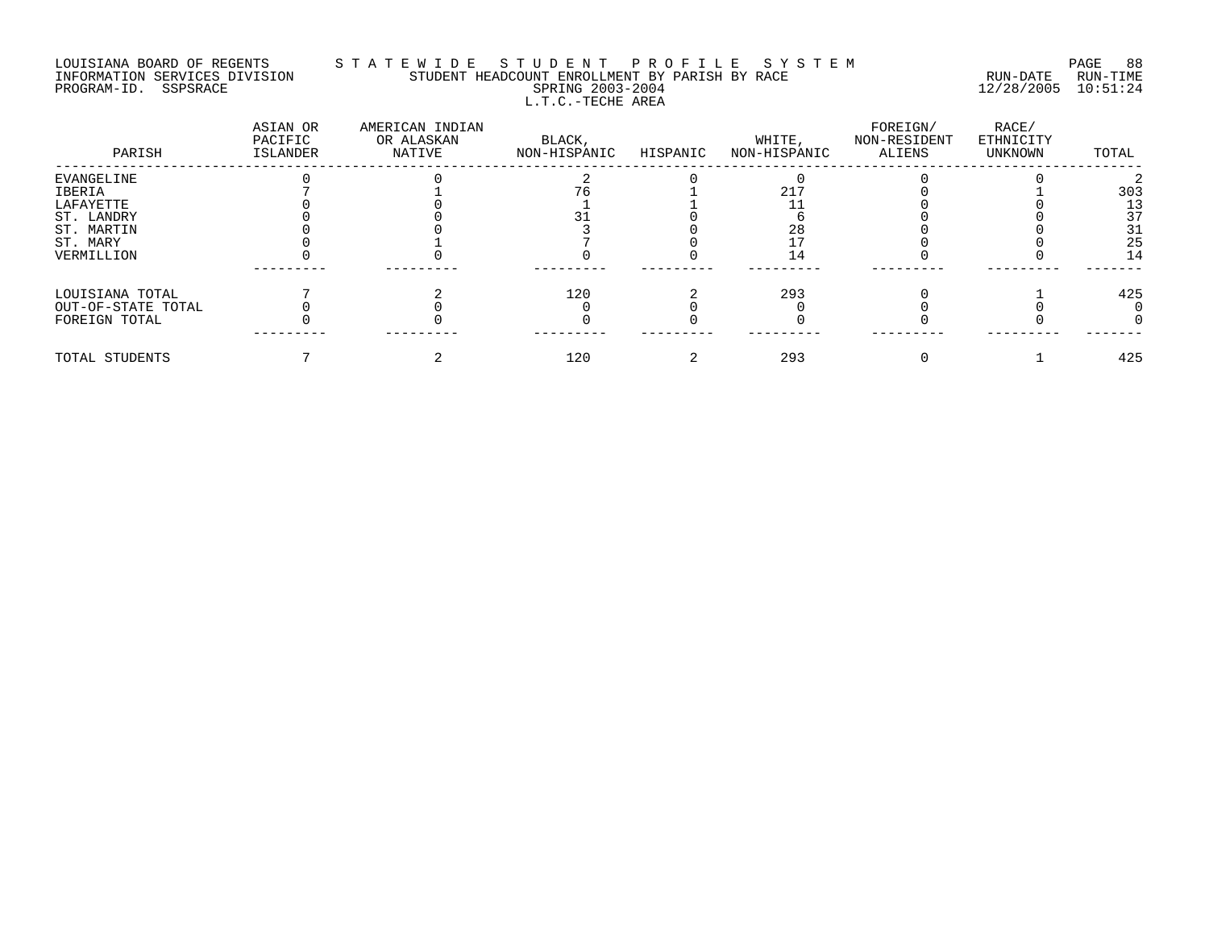# LOUISIANA BOARD OF REGENTS S T A T E W I D E S T U D E N T P R O F I L E S Y S T E M PAGE 88 INFORMATION SERVICES DIVISION STUDENT HEADCOUNT ENROLLMENT BY PARISH BY RACE RUN-DATE RUN-TIME PROGRAM-ID. SSPSRACE SPRING 2003-2004 12/28/2005 10:51:24 L.T.C.-TECHE AREA

| PARISH             | ASIAN OR<br>PACIFIC<br>ISLANDER | AMERICAN INDIAN<br>OR ALASKAN<br>NATIVE | BLACK,<br>NON-HISPANIC | HISPANIC | WHITE,<br>NON-HISPANIC | FOREIGN/<br>NON-RESIDENT<br>ALIENS | RACE/<br>ETHNICITY<br>UNKNOWN | TOTAL |
|--------------------|---------------------------------|-----------------------------------------|------------------------|----------|------------------------|------------------------------------|-------------------------------|-------|
| EVANGELINE         |                                 |                                         |                        |          |                        |                                    |                               |       |
| IBERIA             |                                 |                                         |                        |          | 21"                    |                                    |                               | 303   |
| LAFAYETTE          |                                 |                                         |                        |          |                        |                                    |                               | 13    |
| ST. LANDRY         |                                 |                                         |                        |          |                        |                                    |                               | 37    |
| ST. MARTIN         |                                 |                                         |                        |          | 28                     |                                    |                               | 31    |
| ST. MARY           |                                 |                                         |                        |          |                        |                                    |                               | 25    |
| VERMILLION         |                                 |                                         |                        |          |                        |                                    |                               | 14    |
| LOUISIANA TOTAL    |                                 |                                         | 120                    |          | 293                    |                                    |                               | 425   |
| OUT-OF-STATE TOTAL |                                 |                                         |                        |          |                        |                                    |                               |       |
| FOREIGN TOTAL      |                                 |                                         |                        |          |                        |                                    |                               |       |
| TOTAL STUDENTS     |                                 |                                         | 120                    |          | 293                    |                                    |                               | 425   |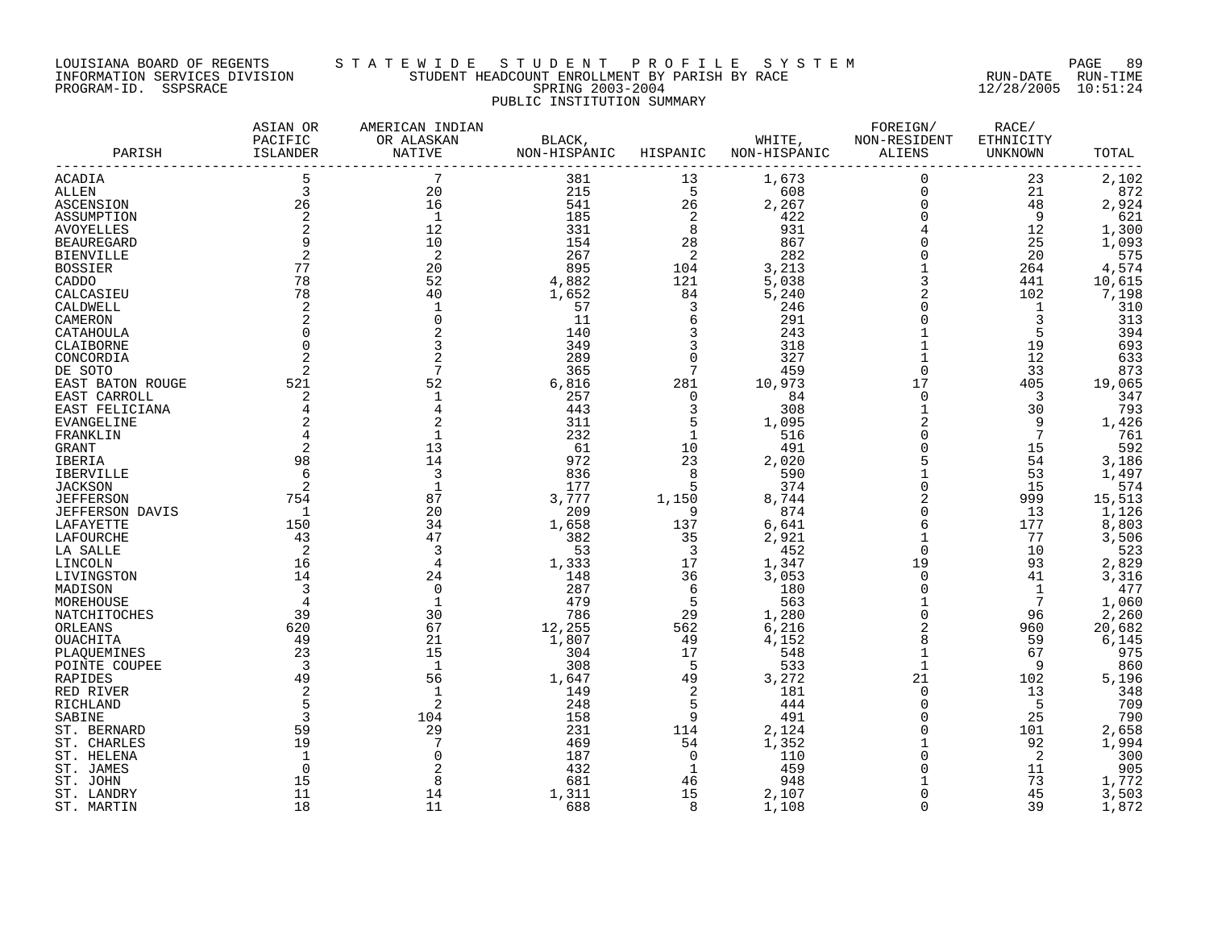#### LOUISIANA BOARD OF REGENTS S T A T E W I D E S T U D E N T P R O F I L E S Y S T E M PAGE 89 INFORMATION SERVICES DIVISION STUDENT HEADCOUNT ENROLLMENT BY PARISH BY RACE RUN-DATE RUN-TIME PROGRAM-ID. SSPSRACE SPRING 2003-2004 12/28/2005 10:51:24 PUBLIC INSTITUTION SUMMARY

| PARISH                         | ASIAN OR<br>PACIFIC<br>ISLANDER | AMERICAN INDIAN<br>OR ALASKAN<br>NATIVE | BLACK,<br>NON-HISPANIC | HISPANIC                | WHITE,<br>NON-HISPANIC | FOREIGN/<br>NON-RESIDENT<br>ALIENS   | RACE/<br>ETHNICITY<br>UNKNOWN | TOTAL  |
|--------------------------------|---------------------------------|-----------------------------------------|------------------------|-------------------------|------------------------|--------------------------------------|-------------------------------|--------|
| ACADIA                         | 5                               | 7                                       | 381                    | 13                      | 1,673                  | $\mathbf 0$                          | 23                            | 2,102  |
| <b>ALLEN</b>                   | 3                               | 20                                      | 215                    | 5                       | 608                    | $\mathbf 0$                          | 21                            | 872    |
| <b>ASCENSION</b>               | 26                              | 16                                      | 541                    | 26                      | 2,267                  | $\mathbf 0$                          | 48                            | 2,924  |
| ASSUMPTION                     | $\overline{a}$                  | 1                                       | 185                    | 2                       | 422                    | $\mathbf 0$                          | 9                             | 621    |
| <b>AVOYELLES</b>               | 2                               | 12                                      | 331                    | 8                       | 931                    |                                      | 12                            | 1,300  |
| <b>BEAUREGARD</b>              | 9                               | 10                                      | 154                    | 28                      | 867                    |                                      | 25                            | 1,093  |
| <b>BIENVILLE</b>               | 2                               | 2                                       | 267                    | 2                       | 282                    | $\begin{matrix} 0 \\ 0 \end{matrix}$ | 20                            | 575    |
| <b>BOSSIER</b>                 | 77                              | 20                                      | 895                    | 104                     | 3,213                  |                                      | 264                           | 4,574  |
| CADDO                          | 78                              | 52                                      | 4,882                  | 121                     | 5,038                  | 3                                    | 441                           | 10,615 |
| CALCASIEU                      | 78                              | 40                                      | 1,652                  | 84                      | 5,240                  | $\overline{c}$                       | 102                           | 7,198  |
| CALDWELL                       | $\overline{a}$                  |                                         | 57                     | 3                       | 246                    | $\Omega$                             | $\mathbf 1$                   | 310    |
| CAMERON                        | 2                               |                                         | 11                     | 6                       | 291                    | $\Omega$                             | 3                             | 313    |
| CATAHOULA                      |                                 |                                         | 140                    | 3                       | 243                    |                                      | 5                             | 394    |
| CLAIBORNE                      | $\mathbf 0$                     |                                         | 349                    | 3                       | 318                    |                                      | 19                            | 693    |
| CONCORDIA                      |                                 |                                         | 289                    | $\Omega$                | 327                    |                                      | 12                            | 633    |
| DE SOTO                        | 2                               |                                         | 365                    | 7                       | 459                    | $\overline{0}$                       | 33                            | 873    |
| EAST BATON ROUGE               | 521                             | 52                                      | 6,816                  | 281                     | 10,973                 | 17                                   | 405                           | 19,065 |
|                                | 2                               |                                         | 257                    | $\Omega$                | 84                     | $\overline{0}$                       | $\overline{3}$                | 347    |
| EAST CARROLL<br>EAST FELICIANA | 4                               |                                         | 443                    | 3                       | 308                    | $\mathbf{1}$                         | 30                            | 793    |
|                                |                                 |                                         |                        | 5                       |                        |                                      | 9                             | 1,426  |
| <b>EVANGELINE</b>              |                                 |                                         | 311                    |                         | 1,095                  |                                      |                               |        |
| FRANKLIN                       |                                 |                                         | 232                    | $\mathbf{1}$            | 516                    | $\mathbf 0$                          | 7                             | 761    |
| GRANT                          | $\overline{a}$                  | 13                                      | 61                     | 10                      | 491                    | $\overline{0}$                       | 15                            | 592    |
| IBERIA                         | 98                              | 14                                      | 972                    | 23                      | 2,020                  |                                      | 54                            | 3,186  |
| <b>IBERVILLE</b>               | 6                               | 3                                       | 836                    | 8                       | 590                    |                                      | 53                            | 1,497  |
| <b>JACKSON</b>                 | 2                               |                                         | 177                    | 5                       | 374                    | $\overline{0}$                       | 15                            | 574    |
| <b>JEFFERSON</b>               | 754                             | 87                                      | 3,777                  | 1,150                   | 8,744                  | $\overline{2}$                       | 999                           | 15,513 |
| <b>JEFFERSON DAVIS</b>         | 1                               | 20                                      | 209                    | 9                       | 874                    | $\mathbf 0$                          | 13                            | 1,126  |
| LAFAYETTE                      | 150                             | 34                                      | 1,658                  | 137                     | 6,641                  | 6                                    | 177                           | 8,803  |
| LAFOURCHE                      | 43                              | 47                                      | 382                    | 35                      | 2,921                  | $\mathbf{1}$                         | 77                            | 3,506  |
| LA SALLE                       | 2                               | 3                                       | 53                     | $\overline{\mathbf{3}}$ | 452                    | $\Omega$                             | 10                            | 523    |
| LINCOLN                        | 16                              | 4                                       | 1,333                  | 17                      | 1,347                  | 19                                   | 93                            | 2,829  |
| LIVINGSTON                     | 14                              | 24                                      | 148                    | 36                      | 3,053                  | $\overline{0}$                       | 41                            | 3,316  |
| MADISON                        | 3                               | $\Omega$                                | 287                    | 6                       | 180                    | $\mathbf 0$                          | 1                             | 477    |
| MOREHOUSE                      | 4                               |                                         | 479                    | 5                       | 563                    |                                      | 7                             | 1,060  |
| NATCHITOCHES                   | 39                              | 30                                      | 786                    | 29                      | 1,280                  | $\overline{0}$                       | 96                            | 2,260  |
| ORLEANS                        | 620                             | 67                                      | 12,255                 | 562                     | 6,216                  | $\overline{2}$                       | 960                           | 20,682 |
| OUACHITA                       | 49                              | 21                                      | 1,807                  | 49                      | 4,152                  | 8                                    | 59                            | 6,145  |
| PLAQUEMINES                    | 23                              | 15                                      | 304                    | 17                      | 548                    |                                      | 67                            | 975    |
| POINTE COUPEE                  | $\overline{3}$                  | $\mathbf{1}$                            | 308                    | -5                      | 533                    | $\mathbf{1}$                         | 9                             | 860    |
| RAPIDES                        | 49                              | 56                                      | 1,647                  | 49                      | 3,272                  | 21                                   | 102                           | 5,196  |
| RED RIVER                      | 2                               | $\mathbf{1}$                            | 149                    | 2                       | 181                    | $\mathbf 0$                          | 13                            | 348    |
| RICHLAND                       | 5                               | $\overline{2}$                          | 248                    | 5                       | 444                    | $\overline{0}$                       | 5                             | 709    |
| SABINE                         | 3                               | 104                                     | 158                    | 9                       | 491                    | $\overline{0}$                       | 25                            | 790    |
| ST. BERNARD                    | 59                              | 29                                      | 231                    | 114                     | 2,124                  | $\mathbf 0$                          | 101                           | 2,658  |
| ST. CHARLES                    | 19                              |                                         | 469                    | 54                      | 1,352                  | $\mathbf{1}$                         | 92                            | 1,994  |
| ST. HELENA                     |                                 |                                         | 187                    | $\Omega$                | 110                    | $\Omega$                             | 2                             | 300    |
| ST. JAMES                      | 0                               |                                         | 432                    | -1                      | 459                    | $\Omega$                             | 11                            | 905    |
| ST. JOHN                       | 15                              |                                         | 681                    | 46                      | 948                    |                                      | 73                            | 1,772  |
| ST. LANDRY                     | 11                              | 14                                      | 1,311                  | 15                      | 2,107                  | $\Omega$                             | 45                            | 3,503  |
| ST. MARTIN                     | 18                              | 11                                      | 688                    | $\mathsf{R}$            | 1,108                  | $\Omega$                             | 39                            | 1,872  |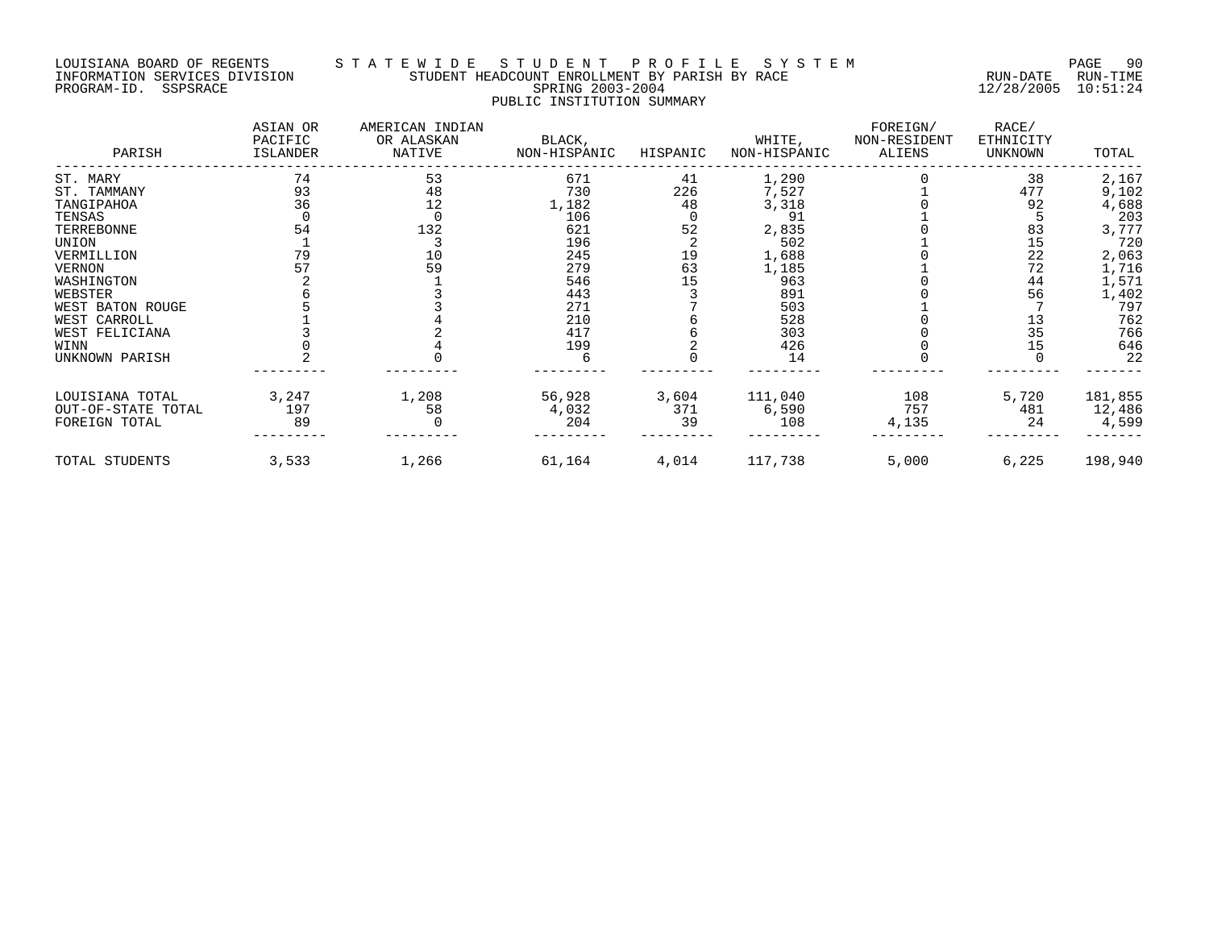## LOUISIANA BOARD OF REGENTS S T A T E W I D E S T U D E N T P R O F I L E S Y S T E M PAGE 90 INFORMATION SERVICES DIVISION STUDENT HEADCOUNT ENROLLMENT BY PARISH BY RACE RUN-DATE RUN-TIME PROGRAM-ID. SSPSRACE SPRING 2003-2004 12/28/2005 10:51:24 PUBLIC INSTITUTION SUMMARY

| PARISH             | ASIAN OR<br>PACIFIC<br>ISLANDER | AMERICAN INDIAN<br>OR ALASKAN<br>NATIVE | BLACK,<br>NON-HISPANIC | HISPANIC | WHITE,<br>NON-HISPANIC | FOREIGN/<br>NON-RESIDENT<br>ALIENS | RACE/<br>ETHNICITY<br>UNKNOWN | TOTAL   |
|--------------------|---------------------------------|-----------------------------------------|------------------------|----------|------------------------|------------------------------------|-------------------------------|---------|
| ST. MARY           | 74                              | 53                                      | 671                    | 41       | 1,290                  |                                    | 38                            | 2,167   |
| ST. TAMMANY        | 93                              | 48                                      | 730                    | 226      | 7,527                  |                                    | 477                           | 9,102   |
| TANGIPAHOA         | 36                              | 12                                      | 1,182                  | 48       | 3,318                  |                                    | 92                            | 4,688   |
| TENSAS             |                                 |                                         | 106                    |          | 91                     |                                    |                               | 203     |
| TERREBONNE         | 54                              | 132                                     | 621                    | 52       | 2,835                  |                                    | 83                            | 3,777   |
| UNION              |                                 |                                         | 196                    |          | 502                    |                                    | 15                            | 720     |
| VERMILLION         | 79                              | 10                                      | 245                    | 19       | 1,688                  |                                    | 22                            | 2,063   |
| <b>VERNON</b>      | 57                              | 59                                      | 279                    | 63       | 1,185                  |                                    | 72                            | 1,716   |
| WASHINGTON         |                                 |                                         | 546                    | 15       | 963                    |                                    | 44                            | 1,571   |
| WEBSTER            |                                 |                                         | 443                    |          | 891                    |                                    | 56                            | 1,402   |
| WEST BATON ROUGE   |                                 |                                         | 271                    |          | 503                    |                                    |                               | 797     |
| WEST CARROLL       |                                 |                                         | 210                    |          | 528                    |                                    | 13                            | 762     |
| WEST FELICIANA     |                                 |                                         | 417                    |          | 303                    |                                    | 35                            | 766     |
| WINN               |                                 |                                         | 199                    |          | 426                    |                                    | 15                            | 646     |
| UNKNOWN PARISH     |                                 |                                         |                        |          | 14                     |                                    |                               | 22      |
| LOUISIANA TOTAL    | 3,247                           | 1,208                                   | 56,928                 | 3,604    | 111,040                | 108                                | 5,720                         | 181,855 |
| OUT-OF-STATE TOTAL | 197                             | 58                                      | 4,032                  | 371      | 6,590                  | 757                                | 481                           | 12,486  |
| FOREIGN TOTAL      | 89                              |                                         | 204                    | 39       | 108                    | 4,135                              | 24                            | 4,599   |
| TOTAL STUDENTS     | 3,533                           | 1,266                                   | 61,164                 | 4,014    | 117,738                | 5,000                              | 6,225                         | 198,940 |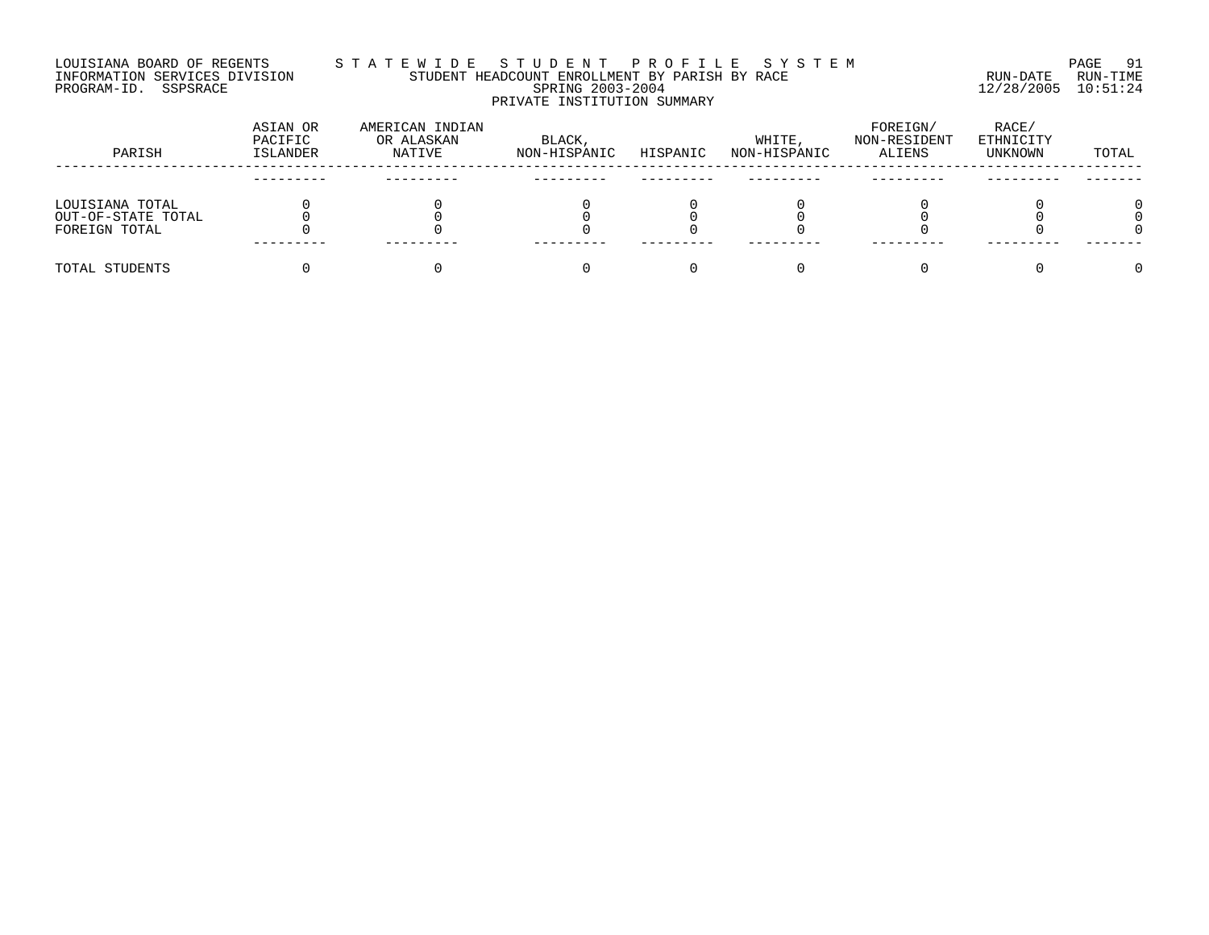#### LOUISIANA BOARD OF REGENTS S T A T E W I D E S T U D E N T P R O F I L E S Y S T E M PAGE 91 INFORMATION SERVICES DIVISION STUDENT HEADCOUNT ENROLLMENT BY PARISH BY RACE RUN-DATE RUN-TIME PROGRAM-ID. SSPSRACE SPRING 2003-2004 12/28/2005 10:51:24 PRIVATE INSTITUTION SUMMARY

| PARISH             | ASIAN OR<br>PACIFIC<br><b>ISLANDER</b> | AMERICAN INDIAN<br>OR ALASKAN<br>NATIVE | BLACK,<br>NON-HISPANIC | HISPANIC | WHITE,<br>NON-HISPANIC | FOREIGN/<br>NON-RESIDENT<br>ALIENS | RACE/<br>ETHNICITY<br>UNKNOWN | TOTAL |
|--------------------|----------------------------------------|-----------------------------------------|------------------------|----------|------------------------|------------------------------------|-------------------------------|-------|
|                    |                                        |                                         |                        |          |                        |                                    |                               |       |
| LOUISIANA TOTAL    |                                        |                                         |                        |          |                        |                                    |                               |       |
| OUT-OF-STATE TOTAL |                                        |                                         |                        |          |                        |                                    |                               |       |
| FOREIGN TOTAL      |                                        |                                         |                        |          |                        |                                    |                               |       |
|                    |                                        |                                         |                        |          |                        |                                    |                               |       |
| TOTAL STUDENTS     |                                        |                                         |                        |          |                        |                                    |                               |       |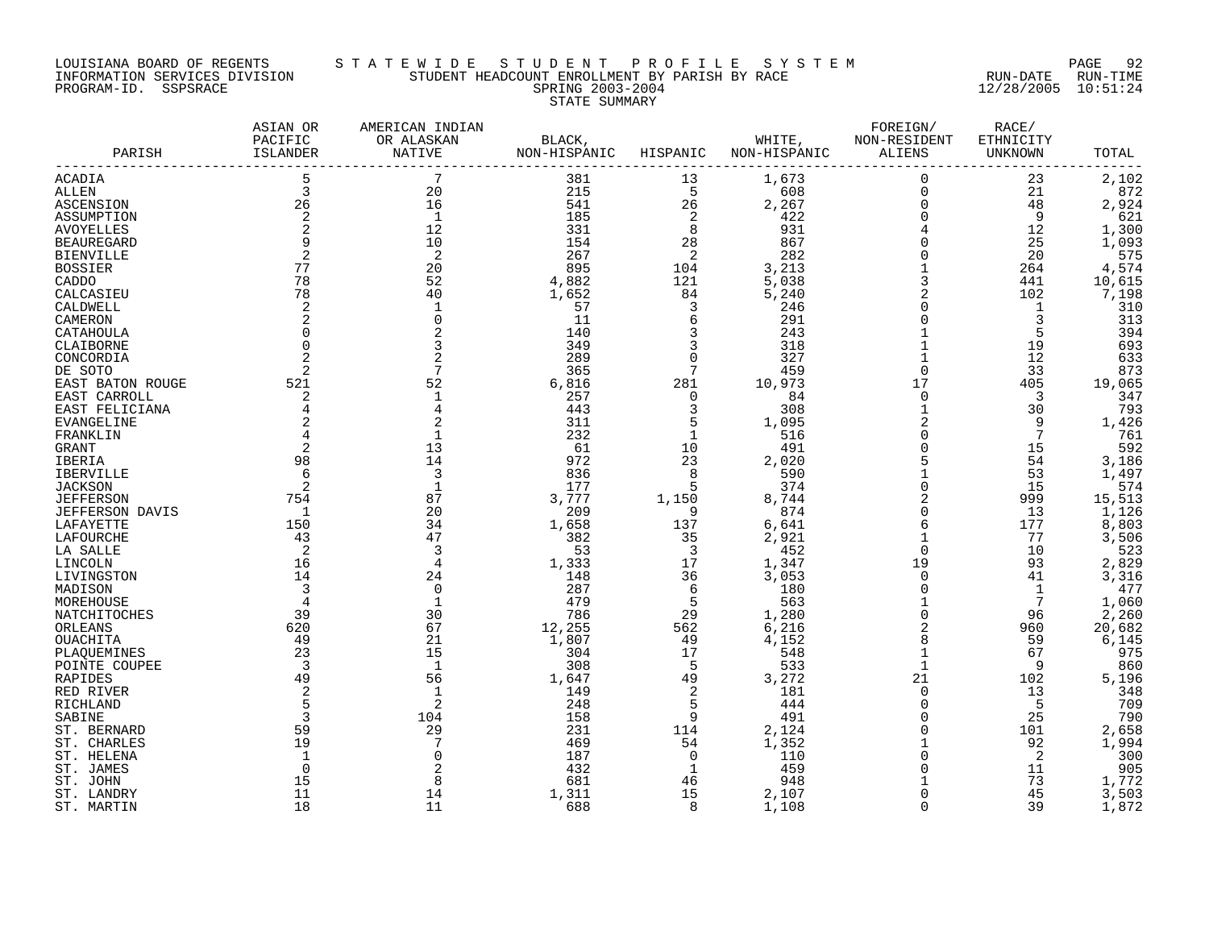#### LOUISIANA BOARD OF REGENTS S T A T E W I D E S T U D E N T P R O F I L E S Y S T E M PAGE 92 INFORMATION SERVICES DIVISION STUDENT HEADCOUNT ENROLLMENT BY PARISH BY RACE RUN-DATE RUN-TIME PROGRAM-ID. SSPSRACE SPRING 2003-2004 12/28/2005 10:51:24 STATE SUMMARY

| PARISH                         | ASIAN OR<br>PACIFIC<br>ISLANDER | AMERICAN INDIAN<br>OR ALASKAN<br>NATIVE | NON-HISPANIC HISPANIC                    |                                                                 | BLACK, WHITE, NON-RESIDENT<br>NON-HISPANIC | FOREIGN/<br>ALIENS                         | RACE/<br>ETHNICITY<br>UNKNOWN | TOTAL  |
|--------------------------------|---------------------------------|-----------------------------------------|------------------------------------------|-----------------------------------------------------------------|--------------------------------------------|--------------------------------------------|-------------------------------|--------|
| ACADIA                         |                                 |                                         | 381                                      | 13                                                              | 1,673                                      | $\mathbf 0$                                | 23                            | 2,102  |
| ALLEN                          | $\overline{\mathbf{3}}$         | 20                                      | 215                                      | $5^{\circ}$                                                     | 608                                        | $\mathbf 0$                                | 21                            | 872    |
| ASCENSION                      | 26                              | 16                                      | 541                                      | 26                                                              | 2,267                                      |                                            | 48                            | 2,924  |
| ASSUMPTION                     | 2                               | $\overline{1}$                          | 185                                      | $\begin{array}{c}\n 2 \\ 28 \\ 28\n \end{array}$                | 422                                        | $\begin{smallmatrix}0\\0\end{smallmatrix}$ | $\overline{9}$                | 621    |
| <b>AVOYELLES</b>               | 2                               | 12                                      | $331$<br>$154$                           |                                                                 | 931<br>867<br>282                          | $^4_{\rm 0}$                               | 12                            | 1,300  |
| <b>BEAUREGARD</b>              |                                 | 10                                      |                                          |                                                                 |                                            |                                            | 25                            | 1,093  |
| <b>BIENVILLE</b>               | 2                               | 2                                       | 267                                      | $\overline{a}$                                                  |                                            |                                            | 20                            | 575    |
| <b>BOSSIER</b>                 | 77                              | 20                                      | $895$<br>4,882                           | $\begin{array}{r} 24 \\ 104 \\ 121 \\ 84 \\ 3 \\ 6 \end{array}$ | $\frac{3}{5}, \frac{213}{038}$             | $\begin{array}{c} 0 \\ 1 \\ 3 \end{array}$ | 264                           | 4,574  |
| CADDO                          | 78                              | 52                                      |                                          |                                                                 |                                            |                                            | 441                           | 10,615 |
| CALCASIEU                      | 78                              | 40                                      | 1,652                                    |                                                                 | 5,240                                      | $\overline{c}$                             | 102                           | 7,198  |
| CALDWELL                       | 2                               |                                         | 57                                       |                                                                 | 246                                        | $\mathbf 0$                                | $\overline{1}$                | 310    |
| CAMERON                        | 2                               |                                         | 11                                       |                                                                 | 291                                        | $\mathsf 0$                                | 3                             | 313    |
| CATAHOULA                      | $\mathbf 0$                     |                                         | 140                                      | $\overline{3}$                                                  | 243                                        | $\mathbf{1}$                               | 5                             | 394    |
| CLAIBORNE                      | $\overline{0}$                  |                                         | 349                                      | $\overline{\mathbf{3}}$                                         | 318                                        | $\mathbf{1}$                               | 19                            | 693    |
| CONCORDIA                      |                                 |                                         | 289                                      | $\overline{0}$                                                  | 327                                        | $\mathbf{1}$                               | 12                            | 633    |
| DE SOTO                        | 2                               |                                         | 365                                      | $7\overline{ }$                                                 | 459                                        | $\Omega$                                   | 33                            | 873    |
| EAST BATON ROUGE               | 521                             | 52                                      | 6,816                                    | 281                                                             | 10,973                                     | 17                                         | 405                           | 19,065 |
|                                | 2                               |                                         | 257                                      | $\overline{0}$                                                  |                                            | $\mathbf 0$                                | $\overline{\mathbf{3}}$       | 347    |
| EAST CARROLL<br>EAST FELICIANA |                                 |                                         | 443                                      | $\overline{\mathbf{3}}$                                         | $\frac{84}{308}$                           | 1                                          | 30                            | 793    |
|                                |                                 |                                         | 311                                      | $-5$                                                            |                                            |                                            | 9                             |        |
| EVANGELINE                     | $\overline{a}$                  |                                         |                                          |                                                                 | 1,095                                      | $\overline{\mathbf{c}}$<br>$\overline{0}$  | $\overline{7}$                | 1,426  |
| FRANKLIN                       |                                 |                                         | 232                                      | $\begin{array}{c} \bar{1} \\ 10 \end{array}$                    | $\frac{516}{491}$                          |                                            | 15                            | 761    |
| GRANT                          |                                 | 13                                      | 61                                       |                                                                 |                                            | $\mathbf 0$                                |                               | 592    |
| IBERIA                         | 98                              | 14                                      | 972                                      | 23                                                              | 2,020                                      | $\frac{5}{1}$                              | 54                            | 3,186  |
| <b>IBERVILLE</b>               | -6                              | 3                                       | 836                                      | $\overline{8}$                                                  | $\frac{590}{374}$                          |                                            | 53                            | 1,497  |
| <b>JACKSON</b>                 | $\overline{2}$                  | 1                                       | 177                                      | $5^{\circ}$                                                     |                                            | $\overline{0}$                             | 15                            | 574    |
| <b>JEFFERSON</b>               | $75\frac{2}{1}$                 | 87                                      | 3,777                                    | 1,150                                                           | $8,744$<br>$874$                           | $\overline{c}$                             | 999                           | 15,513 |
| <b>JEFFERSON DAVIS</b>         |                                 | 20                                      | 209                                      | $\overline{9}$                                                  |                                            | $\mathbf 0$                                | 13                            | 1,126  |
| LAFAYETTE                      | 150                             | 34                                      | 1,658                                    | 137                                                             | 6,641                                      | $\epsilon$                                 | 177                           | 8,803  |
| LAFOURCHE                      | 43                              | 47                                      | $\begin{array}{r} 382 \\ 53 \end{array}$ | $\begin{array}{c} 35 \\ 3 \end{array}$                          | 2,921                                      | $\mathbf{1}$                               | 77                            | 3,506  |
| LA SALLE                       | $\overline{\phantom{a}}^2$      | 3                                       |                                          |                                                                 | 452                                        | $\overline{0}$                             | 10                            | 523    |
| LINCOLN                        | 16                              |                                         | 1,333                                    | $\frac{17}{36}$                                                 | 1,347                                      | 19                                         | 93                            | 2,829  |
| LIVINGSTON                     | 14                              | 24                                      | 148                                      |                                                                 | $\frac{1}{3}, \frac{5}{1053}$              | $\mathbf 0$                                | 41                            | 3,316  |
| MADISON                        | $\overline{\phantom{a}}$        | $\Omega$                                | 287                                      | $6\overline{6}$                                                 | 180                                        | $\mathbf 0$                                | $\overline{1}$                | 477    |
| MOREHOUSE                      |                                 |                                         | 479                                      | $5^{\circ}$                                                     | 563                                        | $\mathbf{1}$                               | $7\phantom{.0}\phantom{.0}7$  | 1,060  |
| NATCHITOCHES                   | 39                              | 30                                      | 786                                      | 29                                                              | 1,280                                      | $\mathbf 0$                                | 96                            | 2,260  |
| ORLEANS                        | 620                             | 67                                      | 12,255                                   | 562                                                             | 6,216                                      | $\begin{array}{c} 2 \\ 8 \end{array}$      | 960                           | 20,682 |
| OUACHITA                       | 49                              | 21                                      | 1,807                                    | 49                                                              | 4,152                                      |                                            | 59                            | 6,145  |
| PLAQUEMINES                    | 23                              | 15                                      | 304                                      | 17                                                              | 548                                        | $\mathbf{1}$                               | 67                            | 975    |
| POINTE COUPEE                  | $\overline{\phantom{a}}$        | $\overline{1}$                          | 308                                      | $5^{\circ}$                                                     | 533                                        | $\mathbf{1}$                               | - 9                           | 860    |
| RAPIDES                        | 49                              | 56                                      | 1,647                                    | 49                                                              | 3,272                                      | 21                                         | 102                           | 5,196  |
| RED RIVER                      | 2                               | 1                                       | 149                                      | $\overline{\phantom{a}}$ 2                                      | 181                                        | $\mathbf 0$                                | 13                            | 348    |
| RICHLAND                       | 5                               |                                         | 248                                      | $5\overline{5}$                                                 | $444$<br>$491$                             | $\mathbf 0$                                | $5^{\circ}$                   | 709    |
| SABINE                         | 3                               | 104                                     | 158                                      | $\overline{9}$                                                  |                                            | $\mathbf 0$                                | 25                            | 790    |
| ST. BERNARD                    | 59                              | 29                                      | 231                                      | 114                                                             |                                            | $\mathbf 0$                                | 101                           | 2,658  |
| ST. CHARLES                    | 19                              |                                         | 469                                      | 54                                                              | 2,124<br>1,352                             | $\mathbf{1}$                               | 92                            | 1,994  |
| ST. HELENA                     | <sup>1</sup>                    |                                         | 187                                      | $\overline{\phantom{0}}$                                        | 110                                        | $\mathbf 0$                                | 2                             | 300    |
| ST. JAMES                      | $\Omega$                        |                                         | 432                                      | $\overline{\phantom{1}}$                                        | 459                                        | $\mathbf 0$                                | 11                            | 905    |
| ST. JOHN                       | 15                              |                                         | 681                                      | 46                                                              | 948                                        |                                            | 73                            | 1,772  |
| ST. LANDRY                     | 11                              | 14                                      | 1,311                                    | 15                                                              | 2,107                                      | $\begin{matrix} 1 \\ 0 \end{matrix}$       | 45                            | 3,503  |
| ST. MARTIN                     | 18                              | 11                                      | 688                                      | $\overline{\mathbf{8}}$                                         | 1,108                                      | $\Omega$                                   | 39                            | 1,872  |